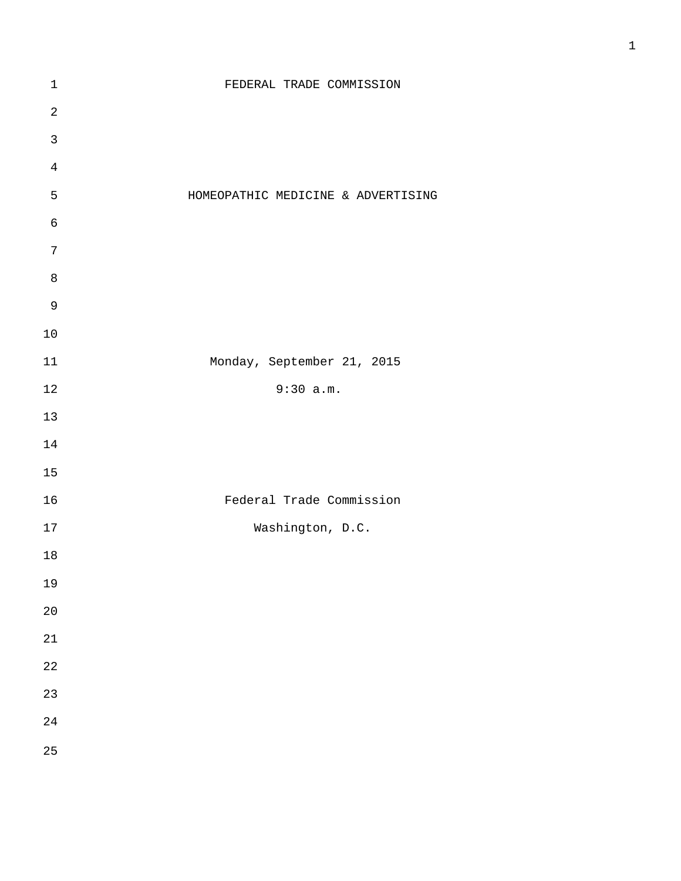| $\mathbf 1$    | FEDERAL TRADE COMMISSION           |
|----------------|------------------------------------|
| $\sqrt{2}$     |                                    |
| $\mathbf{3}$   |                                    |
| $\sqrt{4}$     |                                    |
| 5              | HOMEOPATHIC MEDICINE & ADVERTISING |
| $\sqrt{6}$     |                                    |
| $\overline{7}$ |                                    |
| $\, 8$         |                                    |
| $\mathsf 9$    |                                    |
| $10$           |                                    |
| $11\,$         | Monday, September 21, 2015         |
| $1\,2$         | 9:30 a.m.                          |
| $13\,$         |                                    |
| $14\,$         |                                    |
| 15             |                                    |
| 16             | Federal Trade Commission           |
| 17             | Washington, D.C.                   |
| 18             |                                    |
| 19             |                                    |
| $20$           |                                    |
| 21             |                                    |
| 22             |                                    |
| 23             |                                    |
| 24             |                                    |
| 25             |                                    |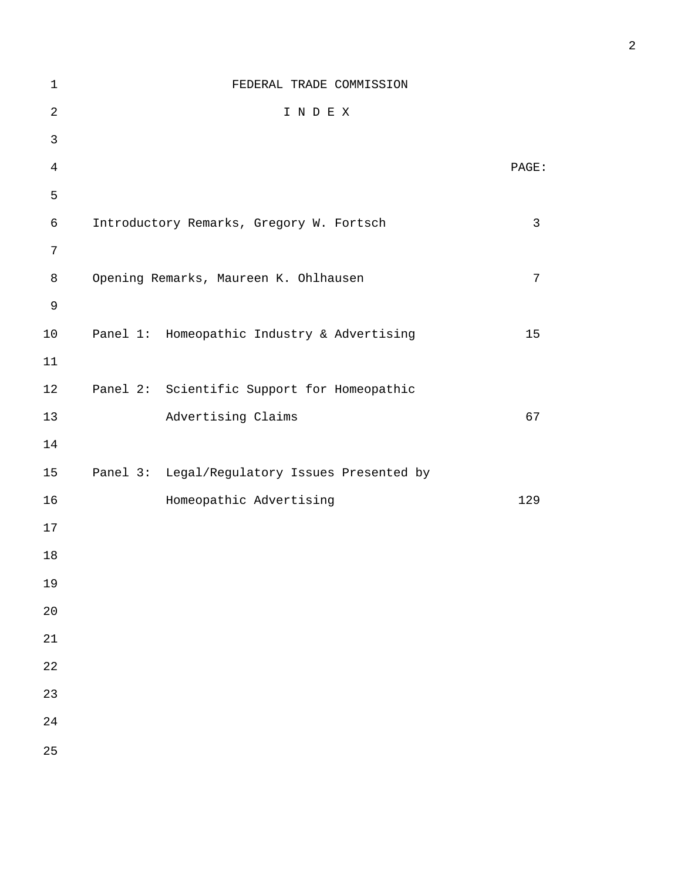| $1\,$          | FEDERAL TRADE COMMISSION                      |       |
|----------------|-----------------------------------------------|-------|
| $\overline{2}$ | INDEX                                         |       |
| $\mathfrak{Z}$ |                                               |       |
| $\overline{4}$ |                                               | PAGE: |
| 5              |                                               |       |
| 6              | Introductory Remarks, Gregory W. Fortsch      | 3     |
| 7              |                                               |       |
| 8              | Opening Remarks, Maureen K. Ohlhausen         | 7     |
| $\mathsf 9$    |                                               |       |
| 10             | Panel 1: Homeopathic Industry & Advertising   | 15    |
| 11             |                                               |       |
| 12             | Panel 2: Scientific Support for Homeopathic   |       |
| 13             | Advertising Claims                            | 67    |
| 14             |                                               |       |
| 15             | Panel 3: Legal/Regulatory Issues Presented by |       |
| 16             | Homeopathic Advertising                       | 129   |
| 17             |                                               |       |
| 18             |                                               |       |
| 19             |                                               |       |
| 20             |                                               |       |
| 21             |                                               |       |
| 22             |                                               |       |
| 23             |                                               |       |
| 24             |                                               |       |
| 25             |                                               |       |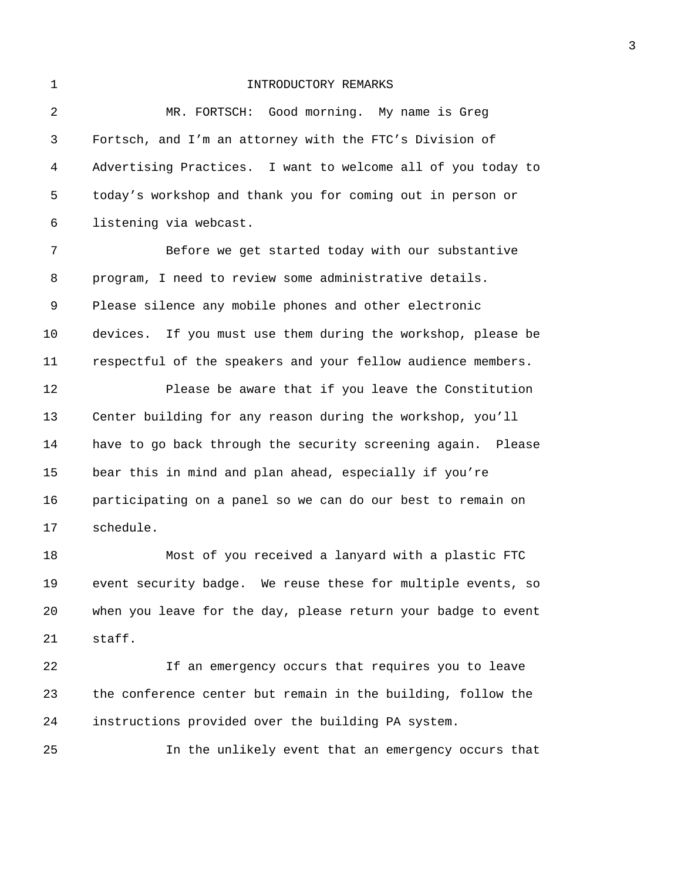## 1 INTRODUCTORY REMARKS

2 MR. FORTSCH: Good morning. My name is Greg 3 Fortsch, and I'm an attorney with the FTC's Division of 4 Advertising Practices. I want to welcome all of you today to 5 today's workshop and thank you for coming out in person or 6 listening via webcast. 7 Before we get started today with our substantive 8 program, I need to review some administrative details. 9 Please silence any mobile phones and other electronic 10 devices. If you must use them during the workshop, please be 11 respectful of the speakers and your fellow audience members. 12 Please be aware that if you leave the Constitution 13 Center building for any reason during the workshop, you'll 14 have to go back through the security screening again. Please 15 bear this in mind and plan ahead, especially if you're 16 participating on a panel so we can do our best to remain on 17 schedule. 18 Most of you received a lanyard with a plastic FTC 19 event security badge. We reuse these for multiple events, so 20 when you leave for the day, please return your badge to event 21 staff. 22 If an emergency occurs that requires you to leave 23 the conference center but remain in the building, follow the

24 instructions provided over the building PA system.

25 In the unlikely event that an emergency occurs that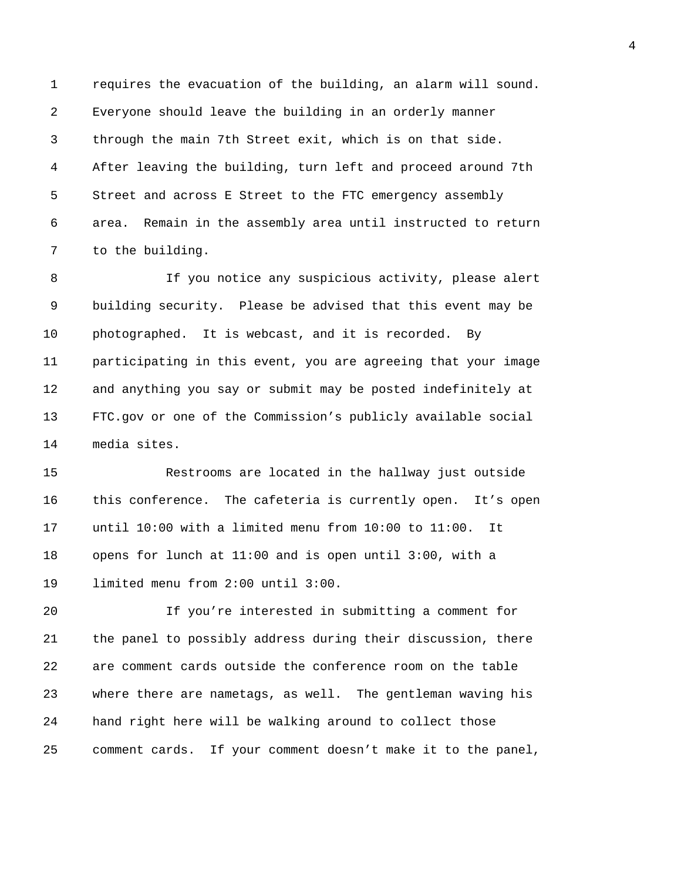1 requires the evacuation of the building, an alarm will sound. 2 Everyone should leave the building in an orderly manner 3 through the main 7th Street exit, which is on that side. 4 After leaving the building, turn left and proceed around 7th 5 Street and across E Street to the FTC emergency assembly 6 area. Remain in the assembly area until instructed to return 7 to the building.

8 If you notice any suspicious activity, please alert 9 building security. Please be advised that this event may be 10 photographed. It is webcast, and it is recorded. By 11 participating in this event, you are agreeing that your image 12 and anything you say or submit may be posted indefinitely at 13 FTC.gov or one of the Commission's publicly available social 14 media sites.

15 Restrooms are located in the hallway just outside 16 this conference. The cafeteria is currently open. It's open 17 until 10:00 with a limited menu from 10:00 to 11:00. It 18 opens for lunch at 11:00 and is open until 3:00, with a 19 limited menu from 2:00 until 3:00.

20 If you're interested in submitting a comment for 21 the panel to possibly address during their discussion, there 22 are comment cards outside the conference room on the table 23 where there are nametags, as well. The gentleman waving his 24 hand right here will be walking around to collect those 25 comment cards. If your comment doesn't make it to the panel,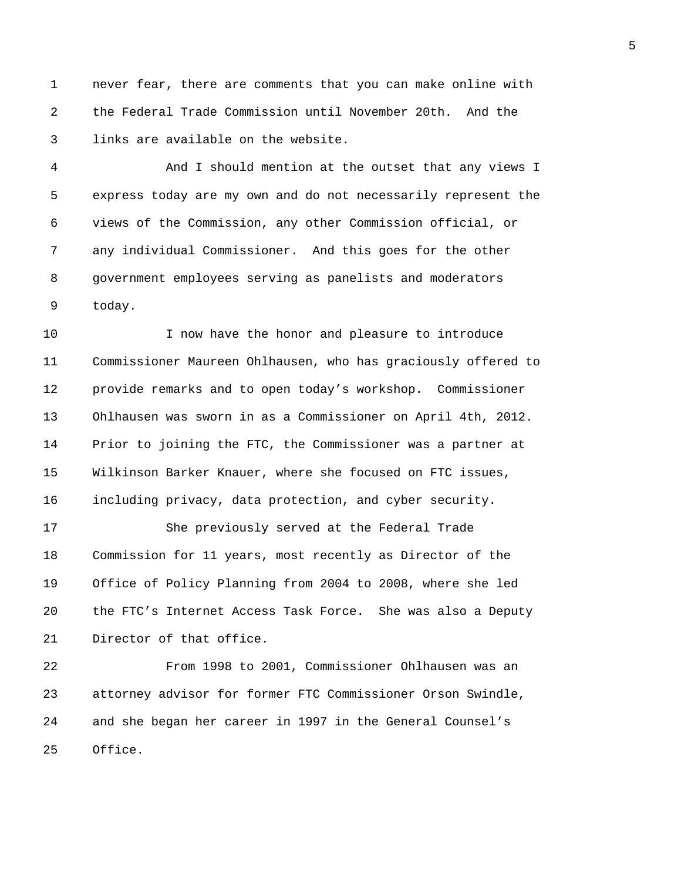1 never fear, there are comments that you can make online with 2 the Federal Trade Commission until November 20th. And the 3 links are available on the website.

4 And I should mention at the outset that any views I 5 express today are my own and do not necessarily represent the 6 views of the Commission, any other Commission official, or 7 any individual Commissioner. And this goes for the other 8 government employees serving as panelists and moderators 9 today.

10 I now have the honor and pleasure to introduce 11 Commissioner Maureen Ohlhausen, who has graciously offered to 12 provide remarks and to open today's workshop. Commissioner 13 Ohlhausen was sworn in as a Commissioner on April 4th, 2012. 14 Prior to joining the FTC, the Commissioner was a partner at 15 Wilkinson Barker Knauer, where she focused on FTC issues, 16 including privacy, data protection, and cyber security.

17 She previously served at the Federal Trade 18 Commission for 11 years, most recently as Director of the 19 Office of Policy Planning from 2004 to 2008, where she led 20 the FTC's Internet Access Task Force. She was also a Deputy 21 Director of that office.

22 From 1998 to 2001, Commissioner Ohlhausen was an 23 attorney advisor for former FTC Commissioner Orson Swindle, 24 and she began her career in 1997 in the General Counsel's 25 Office.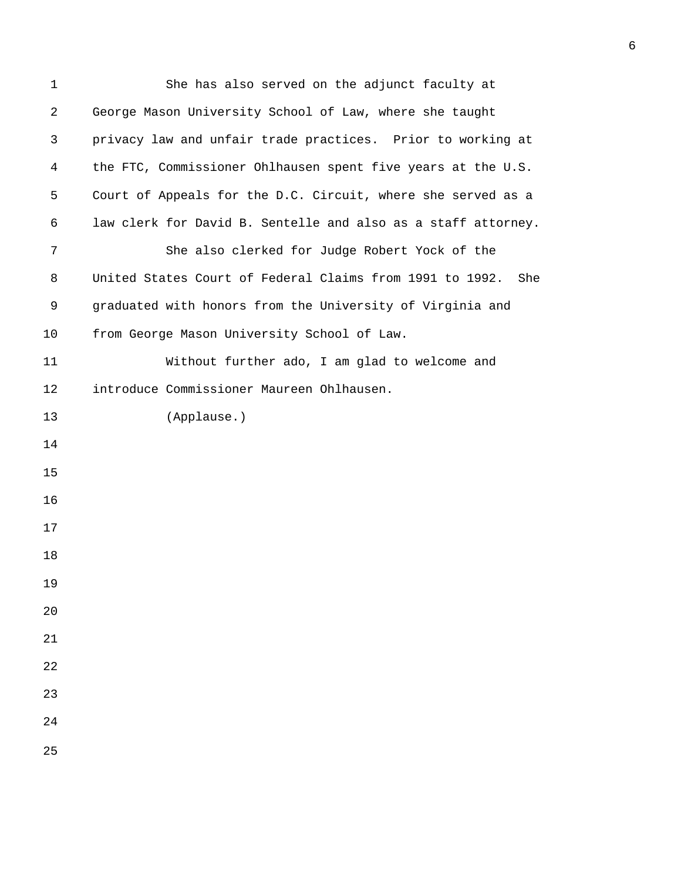| $\mathbf 1$ | She has also served on the adjunct faculty at                   |
|-------------|-----------------------------------------------------------------|
| 2           | George Mason University School of Law, where she taught         |
| 3           | privacy law and unfair trade practices. Prior to working at     |
| 4           | the FTC, Commissioner Ohlhausen spent five years at the U.S.    |
| 5           | Court of Appeals for the D.C. Circuit, where she served as a    |
| 6           | law clerk for David B. Sentelle and also as a staff attorney.   |
| 7           | She also clerked for Judge Robert Yock of the                   |
| 8           | United States Court of Federal Claims from 1991 to 1992.<br>She |
| 9           | graduated with honors from the University of Virginia and       |
| 10          | from George Mason University School of Law.                     |
| 11          | Without further ado, I am glad to welcome and                   |
| 12          | introduce Commissioner Maureen Ohlhausen.                       |
| 13          | (Applause.)                                                     |
| 14          |                                                                 |
| 15          |                                                                 |
| 16          |                                                                 |
| 17          |                                                                 |
| 18          |                                                                 |
| 19          |                                                                 |
| 20          |                                                                 |
| 21          |                                                                 |
| 22          |                                                                 |
| 23          |                                                                 |
| 24          |                                                                 |
| 25          |                                                                 |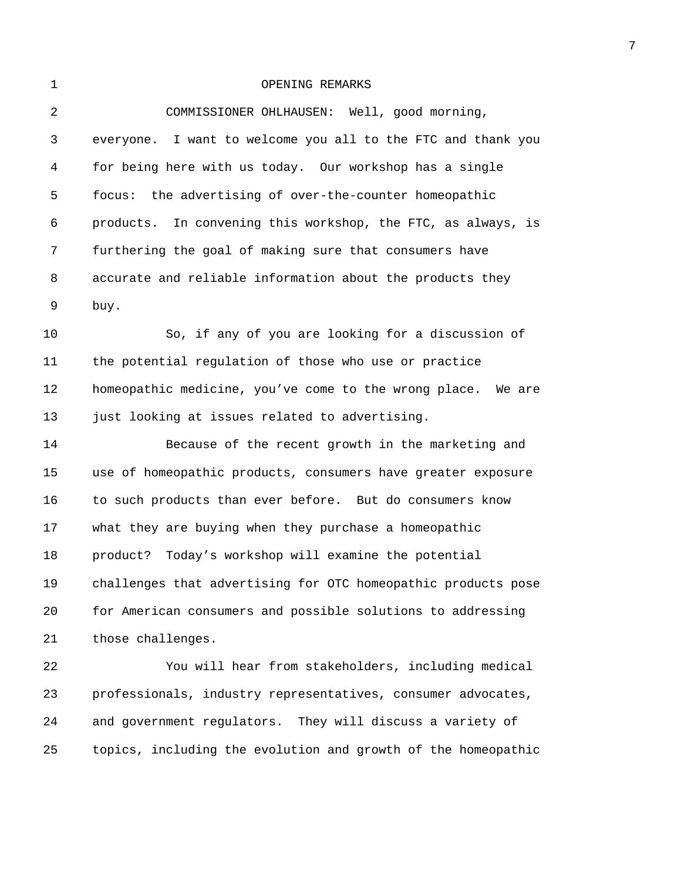## 1 OPENING REMARKS

| $\overline{2}$ | COMMISSIONER OHLHAUSEN: Well, good morning,                     |
|----------------|-----------------------------------------------------------------|
| 3              | everyone. I want to welcome you all to the FTC and thank you    |
| 4              | for being here with us today. Our workshop has a single         |
| 5              | focus: the advertising of over-the-counter homeopathic          |
| 6              | In convening this workshop, the FTC, as always, is<br>products. |
| 7              | furthering the goal of making sure that consumers have          |
| 8              | accurate and reliable information about the products they       |
| 9              | buy.                                                            |
| 10             | So, if any of you are looking for a discussion of               |
| 11             | the potential regulation of those who use or practice           |
| 12             | homeopathic medicine, you've come to the wrong place. We are    |
| 13             | just looking at issues related to advertising.                  |
| 14             | Because of the recent growth in the marketing and               |
| 15             | use of homeopathic products, consumers have greater exposure    |
| 16             | to such products than ever before. But do consumers know        |
| 17             | what they are buying when they purchase a homeopathic           |
| 18             | product? Today's workshop will examine the potential            |
| 19             | challenges that advertising for OTC homeopathic products pose   |
| 20             | for American consumers and possible solutions to addressing     |
| 21             | those challenges.                                               |
| 22             | You will hear from stakeholders, including medical              |
| 23             | professionals, industry representatives, consumer advocates,    |
| 24             | and government regulators. They will discuss a variety of       |
| 25             | topics, including the evolution and growth of the homeopathic   |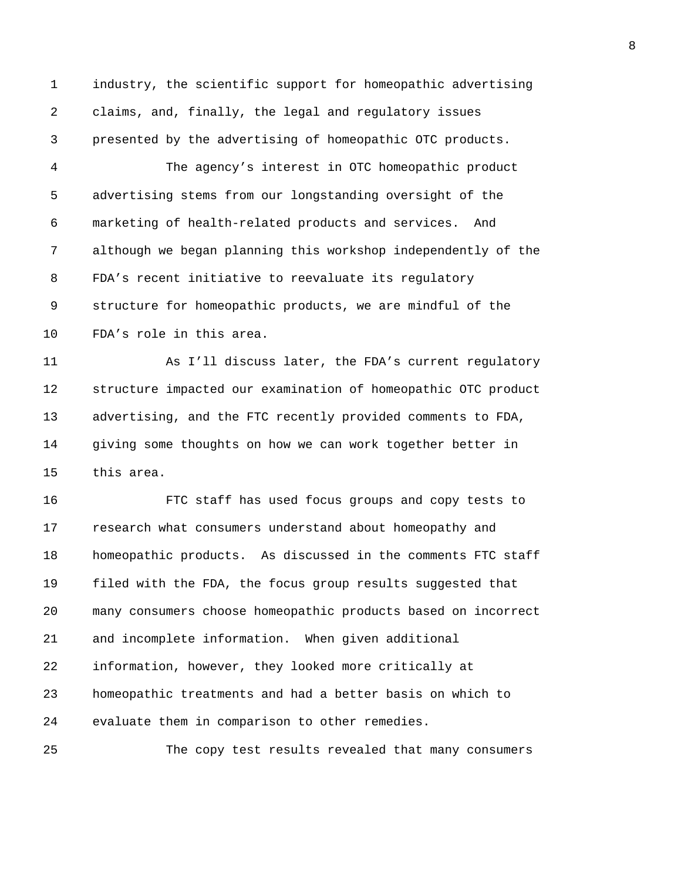1 industry, the scientific support for homeopathic advertising 2 claims, and, finally, the legal and regulatory issues 3 presented by the advertising of homeopathic OTC products.

4 The agency's interest in OTC homeopathic product 5 advertising stems from our longstanding oversight of the 6 marketing of health-related products and services. And 7 although we began planning this workshop independently of the 8 FDA's recent initiative to reevaluate its regulatory 9 structure for homeopathic products, we are mindful of the 10 FDA's role in this area.

11 As I'll discuss later, the FDA's current regulatory 12 structure impacted our examination of homeopathic OTC product 13 advertising, and the FTC recently provided comments to FDA, 14 giving some thoughts on how we can work together better in 15 this area.

16 FTC staff has used focus groups and copy tests to 17 research what consumers understand about homeopathy and 18 homeopathic products. As discussed in the comments FTC staff 19 filed with the FDA, the focus group results suggested that 20 many consumers choose homeopathic products based on incorrect 21 and incomplete information. When given additional 22 information, however, they looked more critically at 23 homeopathic treatments and had a better basis on which to 24 evaluate them in comparison to other remedies.

25 The copy test results revealed that many consumers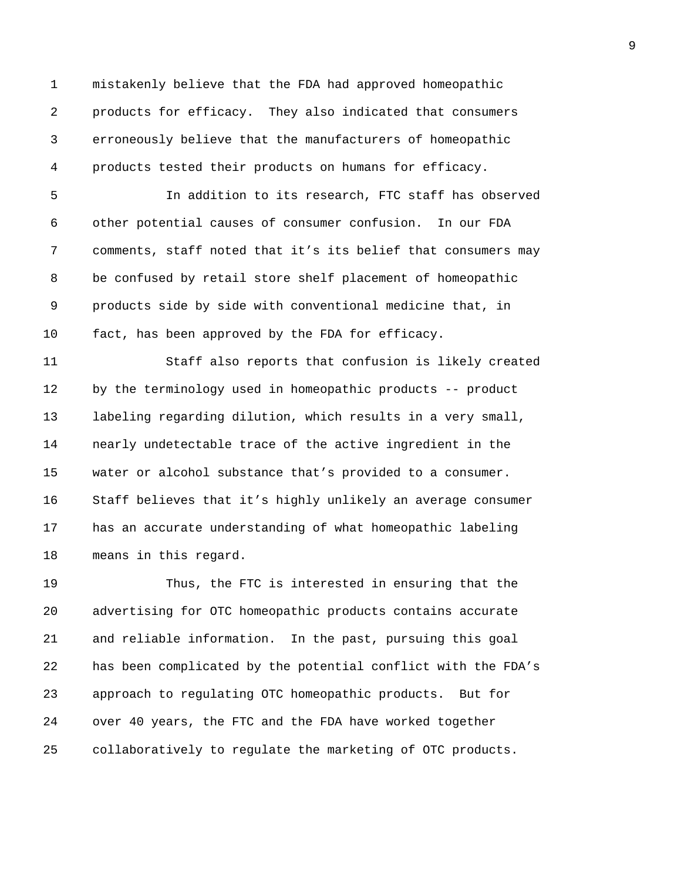1 mistakenly believe that the FDA had approved homeopathic 2 products for efficacy. They also indicated that consumers 3 erroneously believe that the manufacturers of homeopathic 4 products tested their products on humans for efficacy.

5 In addition to its research, FTC staff has observed 6 other potential causes of consumer confusion. In our FDA 7 comments, staff noted that it's its belief that consumers may 8 be confused by retail store shelf placement of homeopathic 9 products side by side with conventional medicine that, in 10 fact, has been approved by the FDA for efficacy.

11 Staff also reports that confusion is likely created 12 by the terminology used in homeopathic products -- product 13 labeling regarding dilution, which results in a very small, 14 nearly undetectable trace of the active ingredient in the 15 water or alcohol substance that's provided to a consumer. 16 Staff believes that it's highly unlikely an average consumer 17 has an accurate understanding of what homeopathic labeling 18 means in this regard.

19 Thus, the FTC is interested in ensuring that the 20 advertising for OTC homeopathic products contains accurate 21 and reliable information. In the past, pursuing this goal 22 has been complicated by the potential conflict with the FDA's 23 approach to regulating OTC homeopathic products. But for 24 over 40 years, the FTC and the FDA have worked together 25 collaboratively to regulate the marketing of OTC products.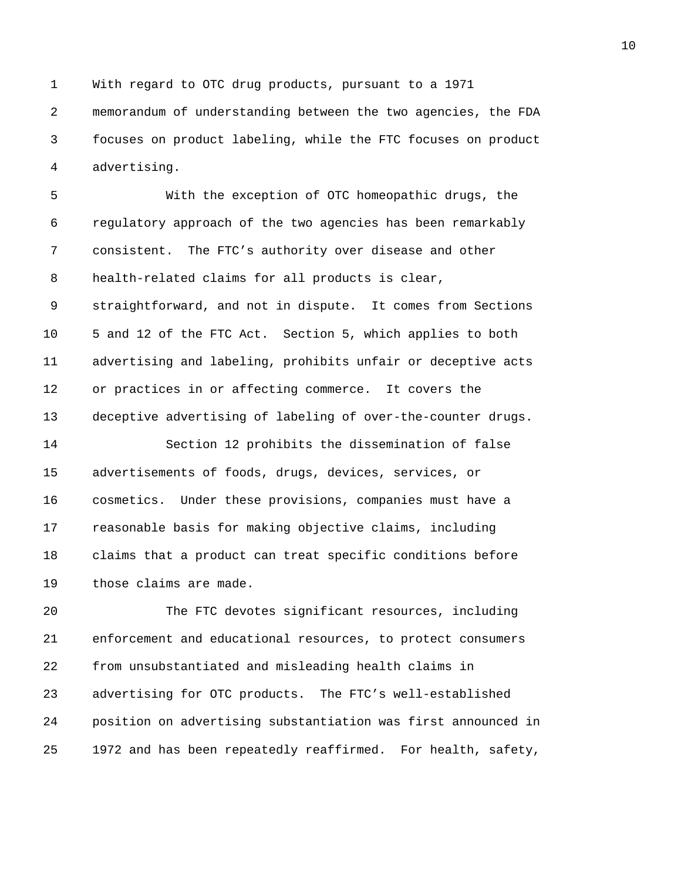1 With regard to OTC drug products, pursuant to a 1971 2 memorandum of understanding between the two agencies, the FDA 3 focuses on product labeling, while the FTC focuses on product 4 advertising.

5 With the exception of OTC homeopathic drugs, the 6 regulatory approach of the two agencies has been remarkably 7 consistent. The FTC's authority over disease and other 8 health-related claims for all products is clear, 9 straightforward, and not in dispute. It comes from Sections 10 5 and 12 of the FTC Act. Section 5, which applies to both 11 advertising and labeling, prohibits unfair or deceptive acts 12 or practices in or affecting commerce. It covers the 13 deceptive advertising of labeling of over-the-counter drugs.

14 Section 12 prohibits the dissemination of false 15 advertisements of foods, drugs, devices, services, or 16 cosmetics. Under these provisions, companies must have a 17 reasonable basis for making objective claims, including 18 claims that a product can treat specific conditions before 19 those claims are made.

20 The FTC devotes significant resources, including 21 enforcement and educational resources, to protect consumers 22 from unsubstantiated and misleading health claims in 23 advertising for OTC products. The FTC's well-established 24 position on advertising substantiation was first announced in 25 1972 and has been repeatedly reaffirmed. For health, safety,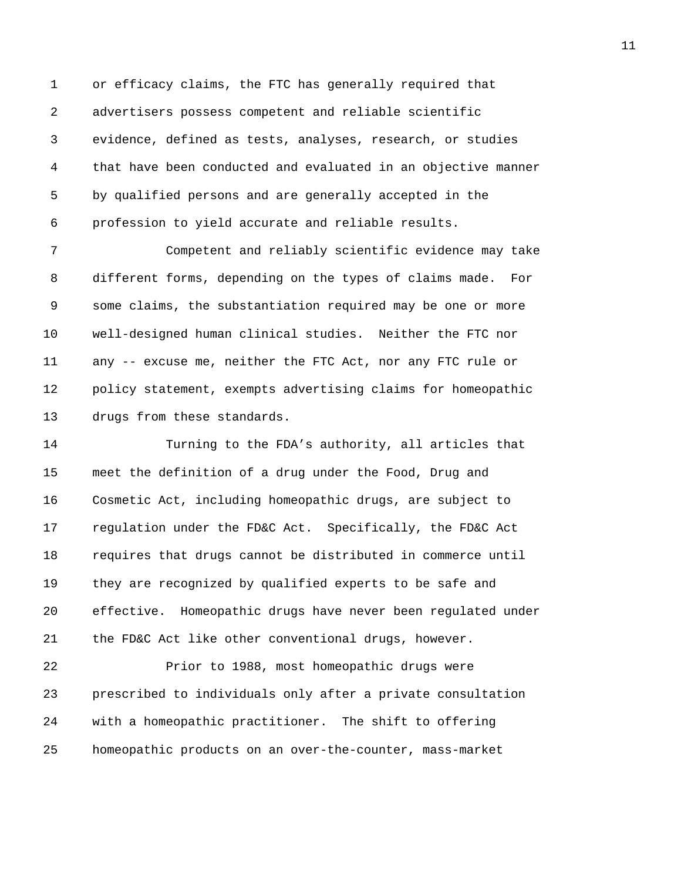1 or efficacy claims, the FTC has generally required that 2 advertisers possess competent and reliable scientific 3 evidence, defined as tests, analyses, research, or studies 4 that have been conducted and evaluated in an objective manner 5 by qualified persons and are generally accepted in the 6 profession to yield accurate and reliable results.

7 Competent and reliably scientific evidence may take 8 different forms, depending on the types of claims made. For 9 some claims, the substantiation required may be one or more 10 well-designed human clinical studies. Neither the FTC nor 11 any -- excuse me, neither the FTC Act, nor any FTC rule or 12 policy statement, exempts advertising claims for homeopathic 13 drugs from these standards.

14 Turning to the FDA's authority, all articles that 15 meet the definition of a drug under the Food, Drug and 16 Cosmetic Act, including homeopathic drugs, are subject to 17 regulation under the FD&C Act. Specifically, the FD&C Act 18 requires that drugs cannot be distributed in commerce until 19 they are recognized by qualified experts to be safe and 20 effective. Homeopathic drugs have never been regulated under 21 the FD&C Act like other conventional drugs, however.

22 Prior to 1988, most homeopathic drugs were 23 prescribed to individuals only after a private consultation 24 with a homeopathic practitioner. The shift to offering 25 homeopathic products on an over-the-counter, mass-market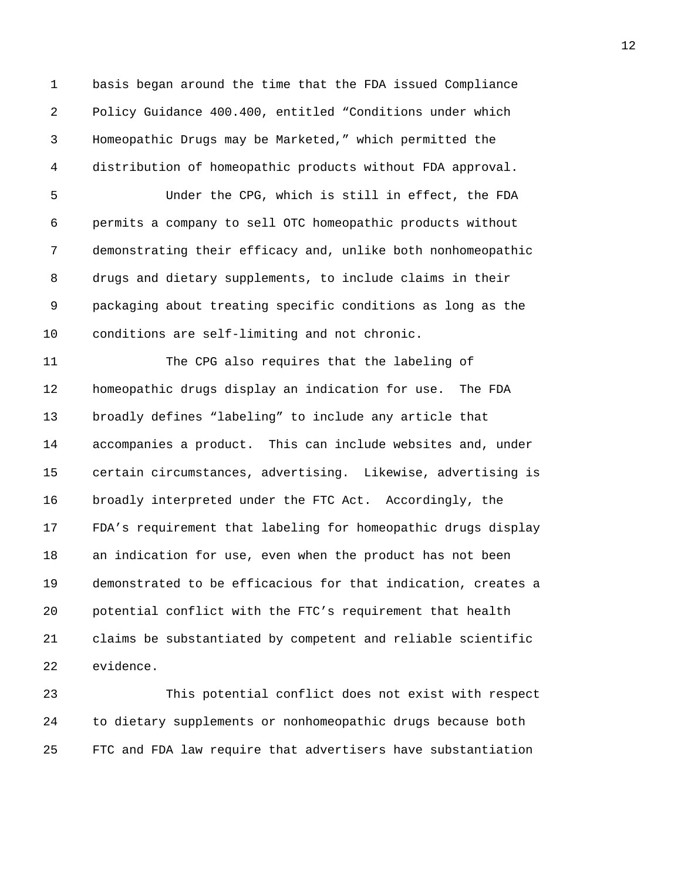1 basis began around the time that the FDA issued Compliance 2 Policy Guidance 400.400, entitled "Conditions under which 3 Homeopathic Drugs may be Marketed," which permitted the 4 distribution of homeopathic products without FDA approval.

5 Under the CPG, which is still in effect, the FDA 6 permits a company to sell OTC homeopathic products without 7 demonstrating their efficacy and, unlike both nonhomeopathic 8 drugs and dietary supplements, to include claims in their 9 packaging about treating specific conditions as long as the 10 conditions are self-limiting and not chronic.

11 The CPG also requires that the labeling of 12 homeopathic drugs display an indication for use. The FDA 13 broadly defines "labeling" to include any article that 14 accompanies a product. This can include websites and, under 15 certain circumstances, advertising. Likewise, advertising is 16 broadly interpreted under the FTC Act. Accordingly, the 17 FDA's requirement that labeling for homeopathic drugs display 18 an indication for use, even when the product has not been 19 demonstrated to be efficacious for that indication, creates a 20 potential conflict with the FTC's requirement that health 21 claims be substantiated by competent and reliable scientific 22 evidence.

23 This potential conflict does not exist with respect 24 to dietary supplements or nonhomeopathic drugs because both 25 FTC and FDA law require that advertisers have substantiation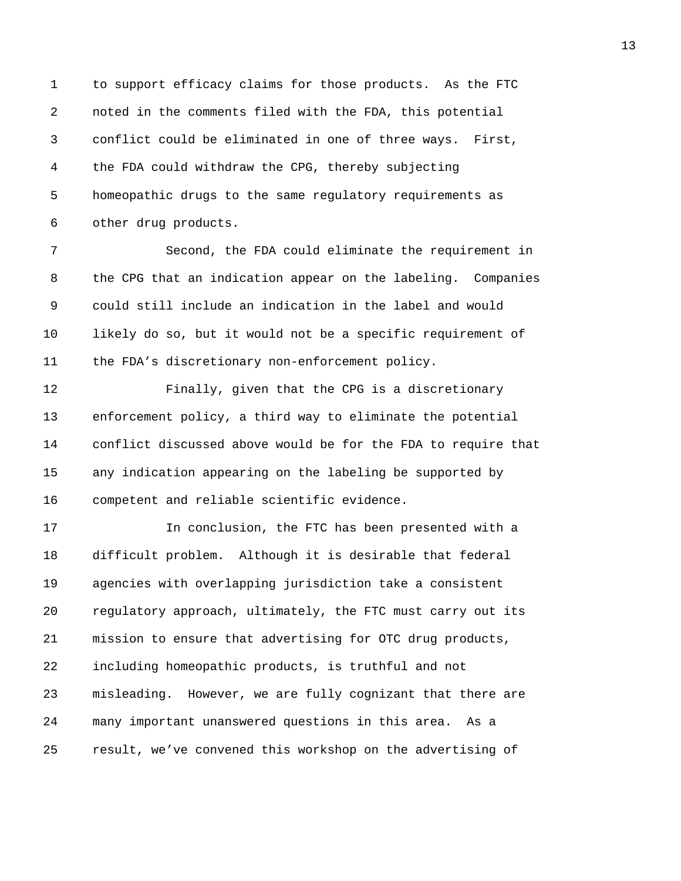1 to support efficacy claims for those products. As the FTC 2 noted in the comments filed with the FDA, this potential 3 conflict could be eliminated in one of three ways. First, 4 the FDA could withdraw the CPG, thereby subjecting 5 homeopathic drugs to the same regulatory requirements as 6 other drug products.

7 Second, the FDA could eliminate the requirement in 8 the CPG that an indication appear on the labeling. Companies 9 could still include an indication in the label and would 10 likely do so, but it would not be a specific requirement of 11 the FDA's discretionary non-enforcement policy.

12 Finally, given that the CPG is a discretionary 13 enforcement policy, a third way to eliminate the potential 14 conflict discussed above would be for the FDA to require that 15 any indication appearing on the labeling be supported by 16 competent and reliable scientific evidence.

17 In conclusion, the FTC has been presented with a 18 difficult problem. Although it is desirable that federal 19 agencies with overlapping jurisdiction take a consistent 20 regulatory approach, ultimately, the FTC must carry out its 21 mission to ensure that advertising for OTC drug products, 22 including homeopathic products, is truthful and not 23 misleading. However, we are fully cognizant that there are 24 many important unanswered questions in this area. As a 25 result, we've convened this workshop on the advertising of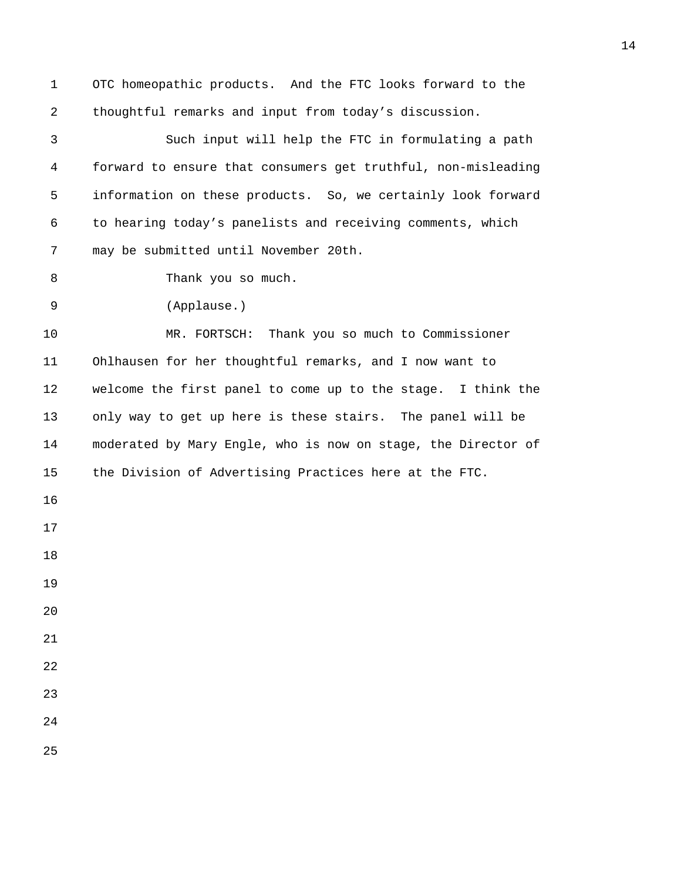| 1  | OTC homeopathic products. And the FTC looks forward to the    |
|----|---------------------------------------------------------------|
| 2  | thoughtful remarks and input from today's discussion.         |
| 3  | Such input will help the FTC in formulating a path            |
| 4  | forward to ensure that consumers get truthful, non-misleading |
| 5  | information on these products. So, we certainly look forward  |
| 6  | to hearing today's panelists and receiving comments, which    |
| 7  | may be submitted until November 20th.                         |
| 8  | Thank you so much.                                            |
| 9  | (Applause.)                                                   |
| 10 | MR. FORTSCH: Thank you so much to Commissioner                |
| 11 | Ohlhausen for her thoughtful remarks, and I now want to       |
| 12 | welcome the first panel to come up to the stage. I think the  |
| 13 | only way to get up here is these stairs. The panel will be    |
| 14 | moderated by Mary Engle, who is now on stage, the Director of |
| 15 | the Division of Advertising Practices here at the FTC.        |
| 16 |                                                               |
| 17 |                                                               |
| 18 |                                                               |
| 19 |                                                               |
| 20 |                                                               |
| 21 |                                                               |
| 22 |                                                               |
| 23 |                                                               |
| 24 |                                                               |
| 25 |                                                               |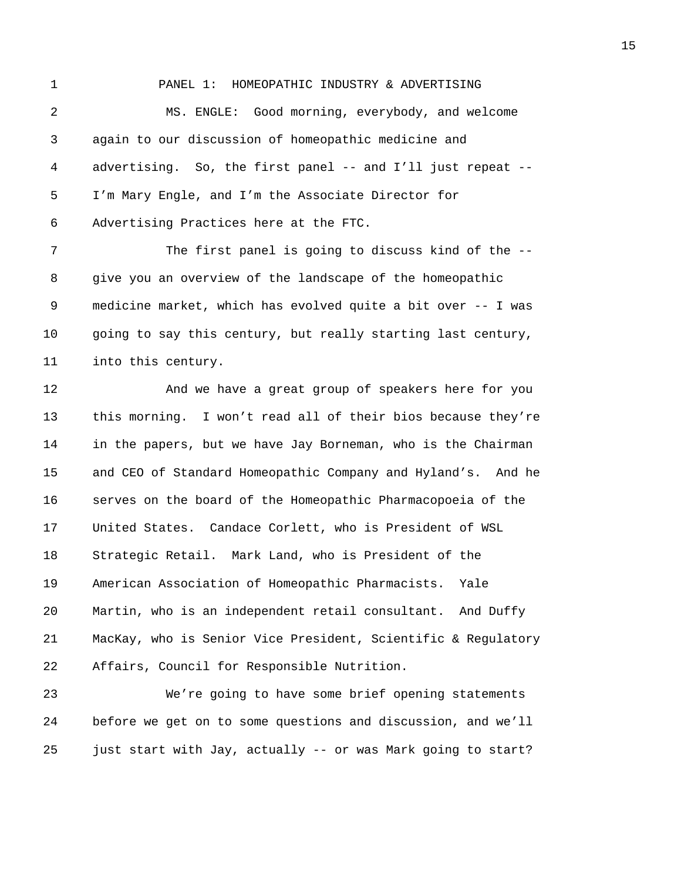1 PANEL 1: HOMEOPATHIC INDUSTRY & ADVERTISING 2 MS. ENGLE: Good morning, everybody, and welcome 3 again to our discussion of homeopathic medicine and 4 advertising. So, the first panel -- and I'll just repeat -- 5 I'm Mary Engle, and I'm the Associate Director for 6 Advertising Practices here at the FTC. 7 The first panel is going to discuss kind of the --8 give you an overview of the landscape of the homeopathic 9 medicine market, which has evolved quite a bit over -- I was 10 going to say this century, but really starting last century, 11 into this century. 12 And we have a great group of speakers here for you 13 this morning. I won't read all of their bios because they're 14 in the papers, but we have Jay Borneman, who is the Chairman 15 and CEO of Standard Homeopathic Company and Hyland's. And he 16 serves on the board of the Homeopathic Pharmacopoeia of the 17 United States. Candace Corlett, who is President of WSL 18 Strategic Retail. Mark Land, who is President of the 19 American Association of Homeopathic Pharmacists. Yale 20 Martin, who is an independent retail consultant. And Duffy

21 MacKay, who is Senior Vice President, Scientific & Regulatory 22 Affairs, Council for Responsible Nutrition.

23 We're going to have some brief opening statements 24 before we get on to some questions and discussion, and we'll 25 just start with Jay, actually -- or was Mark going to start?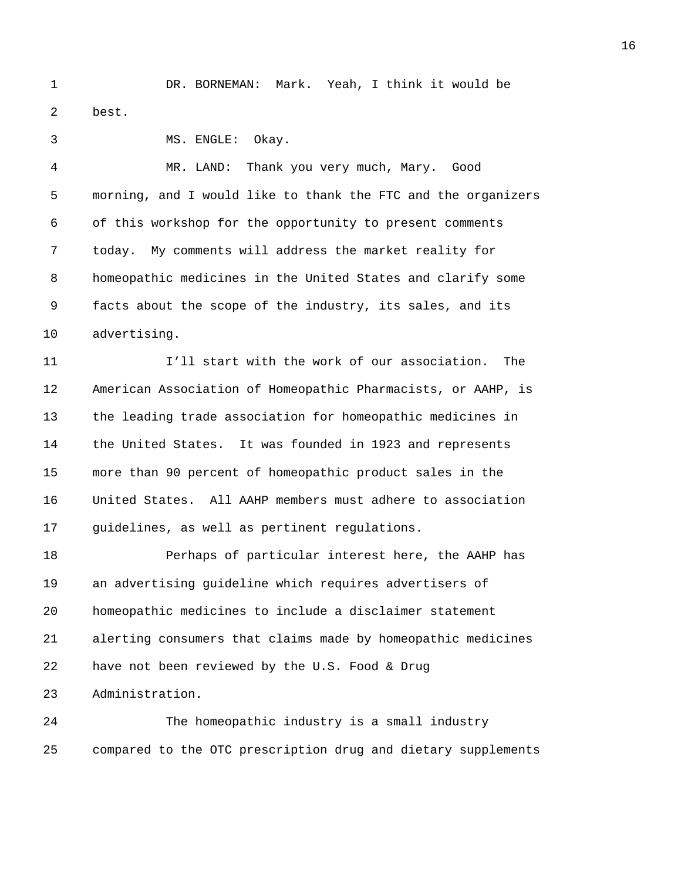1 DR. BORNEMAN: Mark. Yeah, I think it would be 2 best.

3 MS. ENGLE: Okay.

4 MR. LAND: Thank you very much, Mary. Good 5 morning, and I would like to thank the FTC and the organizers 6 of this workshop for the opportunity to present comments 7 today. My comments will address the market reality for 8 homeopathic medicines in the United States and clarify some 9 facts about the scope of the industry, its sales, and its 10 advertising.

11 I'll start with the work of our association. The 12 American Association of Homeopathic Pharmacists, or AAHP, is 13 the leading trade association for homeopathic medicines in 14 the United States. It was founded in 1923 and represents 15 more than 90 percent of homeopathic product sales in the 16 United States. All AAHP members must adhere to association 17 guidelines, as well as pertinent regulations.

18 Perhaps of particular interest here, the AAHP has 19 an advertising guideline which requires advertisers of 20 homeopathic medicines to include a disclaimer statement 21 alerting consumers that claims made by homeopathic medicines 22 have not been reviewed by the U.S. Food & Drug 23 Administration.

24 The homeopathic industry is a small industry 25 compared to the OTC prescription drug and dietary supplements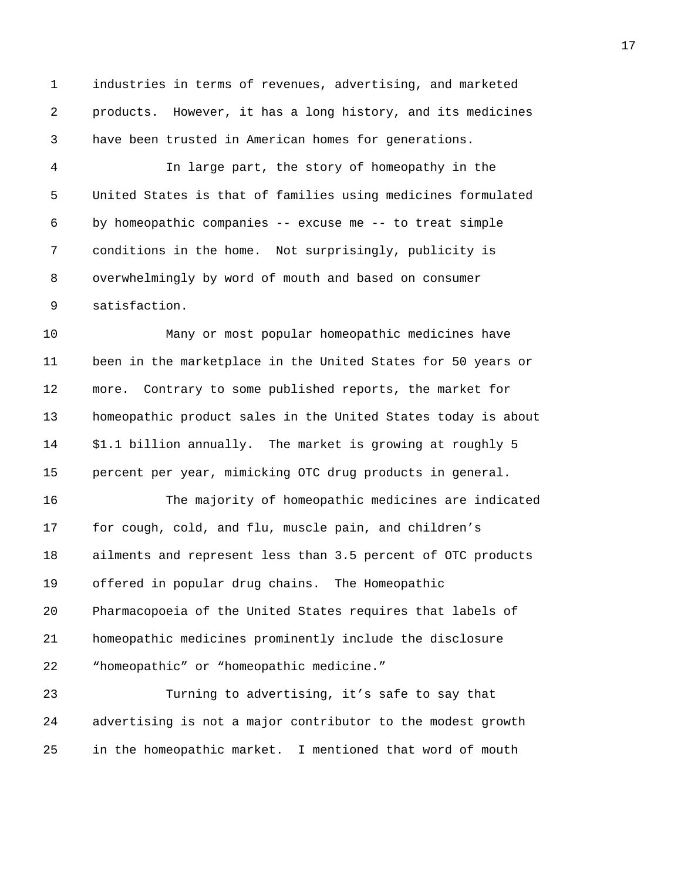1 industries in terms of revenues, advertising, and marketed 2 products. However, it has a long history, and its medicines 3 have been trusted in American homes for generations.

4 In large part, the story of homeopathy in the 5 United States is that of families using medicines formulated 6 by homeopathic companies -- excuse me -- to treat simple 7 conditions in the home. Not surprisingly, publicity is 8 overwhelmingly by word of mouth and based on consumer 9 satisfaction.

10 Many or most popular homeopathic medicines have 11 been in the marketplace in the United States for 50 years or 12 more. Contrary to some published reports, the market for 13 homeopathic product sales in the United States today is about 14 \$1.1 billion annually. The market is growing at roughly 5 15 percent per year, mimicking OTC drug products in general.

16 The majority of homeopathic medicines are indicated 17 for cough, cold, and flu, muscle pain, and children's 18 ailments and represent less than 3.5 percent of OTC products 19 offered in popular drug chains. The Homeopathic 20 Pharmacopoeia of the United States requires that labels of 21 homeopathic medicines prominently include the disclosure 22 "homeopathic" or "homeopathic medicine."

23 Turning to advertising, it's safe to say that 24 advertising is not a major contributor to the modest growth 25 in the homeopathic market. I mentioned that word of mouth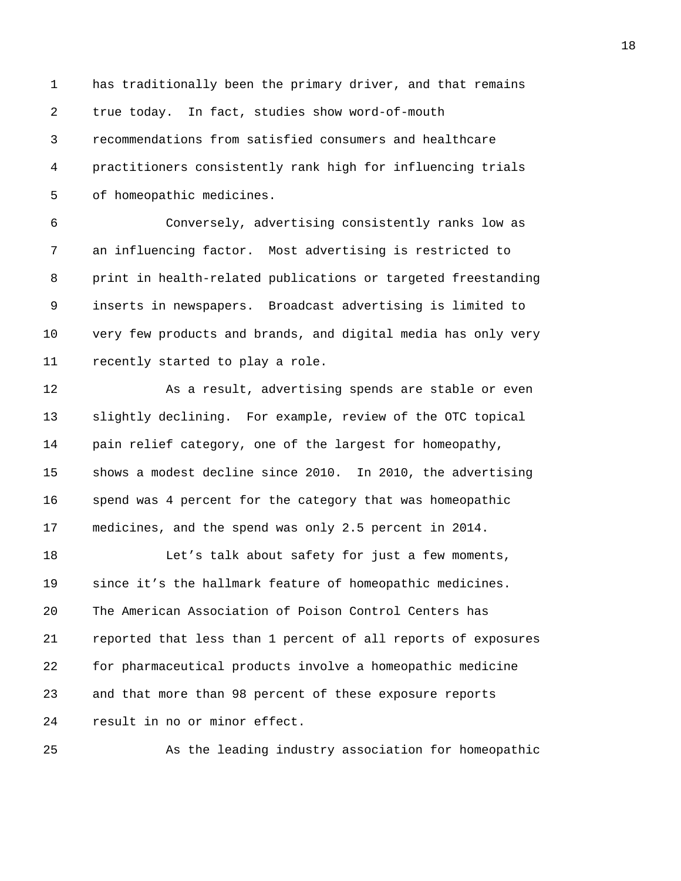1 has traditionally been the primary driver, and that remains 2 true today. In fact, studies show word-of-mouth 3 recommendations from satisfied consumers and healthcare 4 practitioners consistently rank high for influencing trials 5 of homeopathic medicines.

6 Conversely, advertising consistently ranks low as 7 an influencing factor. Most advertising is restricted to 8 print in health-related publications or targeted freestanding 9 inserts in newspapers. Broadcast advertising is limited to 10 very few products and brands, and digital media has only very 11 recently started to play a role.

12 As a result, advertising spends are stable or even 13 slightly declining. For example, review of the OTC topical 14 pain relief category, one of the largest for homeopathy, 15 shows a modest decline since 2010. In 2010, the advertising 16 spend was 4 percent for the category that was homeopathic 17 medicines, and the spend was only 2.5 percent in 2014.

18 Let's talk about safety for just a few moments, 19 since it's the hallmark feature of homeopathic medicines. 20 The American Association of Poison Control Centers has 21 reported that less than 1 percent of all reports of exposures 22 for pharmaceutical products involve a homeopathic medicine 23 and that more than 98 percent of these exposure reports 24 result in no or minor effect.

25 As the leading industry association for homeopathic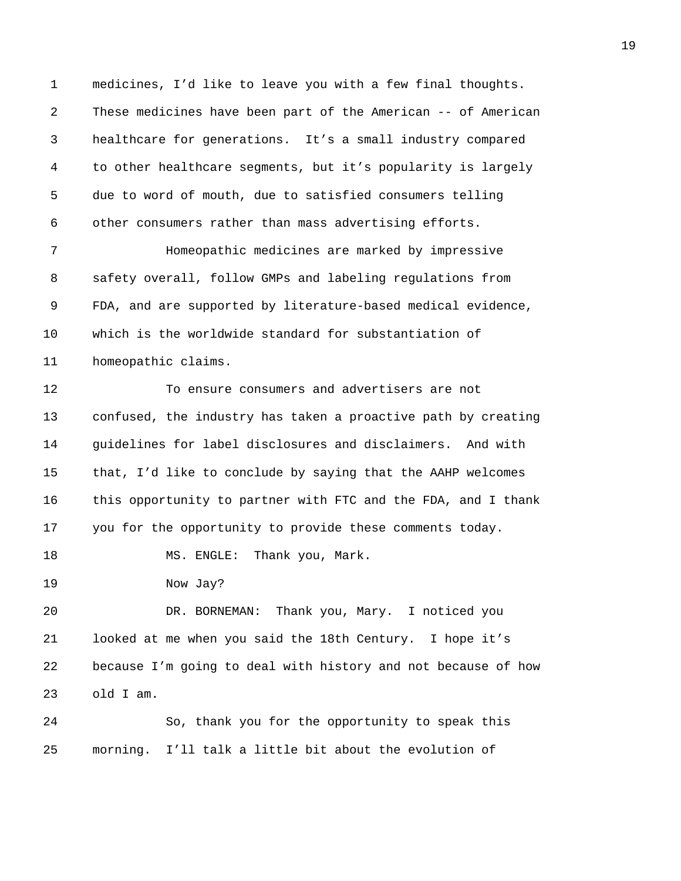1 medicines, I'd like to leave you with a few final thoughts. 2 These medicines have been part of the American -- of American 3 healthcare for generations. It's a small industry compared 4 to other healthcare segments, but it's popularity is largely 5 due to word of mouth, due to satisfied consumers telling 6 other consumers rather than mass advertising efforts.

7 Homeopathic medicines are marked by impressive 8 safety overall, follow GMPs and labeling regulations from 9 FDA, and are supported by literature-based medical evidence, 10 which is the worldwide standard for substantiation of 11 homeopathic claims.

12 To ensure consumers and advertisers are not 13 confused, the industry has taken a proactive path by creating 14 guidelines for label disclosures and disclaimers. And with 15 that, I'd like to conclude by saying that the AAHP welcomes 16 this opportunity to partner with FTC and the FDA, and I thank 17 you for the opportunity to provide these comments today.

18 MS. ENGLE: Thank you, Mark.

19 Now Jay?

20 DR. BORNEMAN: Thank you, Mary. I noticed you 21 looked at me when you said the 18th Century. I hope it's 22 because I'm going to deal with history and not because of how 23 old I am.

24 So, thank you for the opportunity to speak this 25 morning. I'll talk a little bit about the evolution of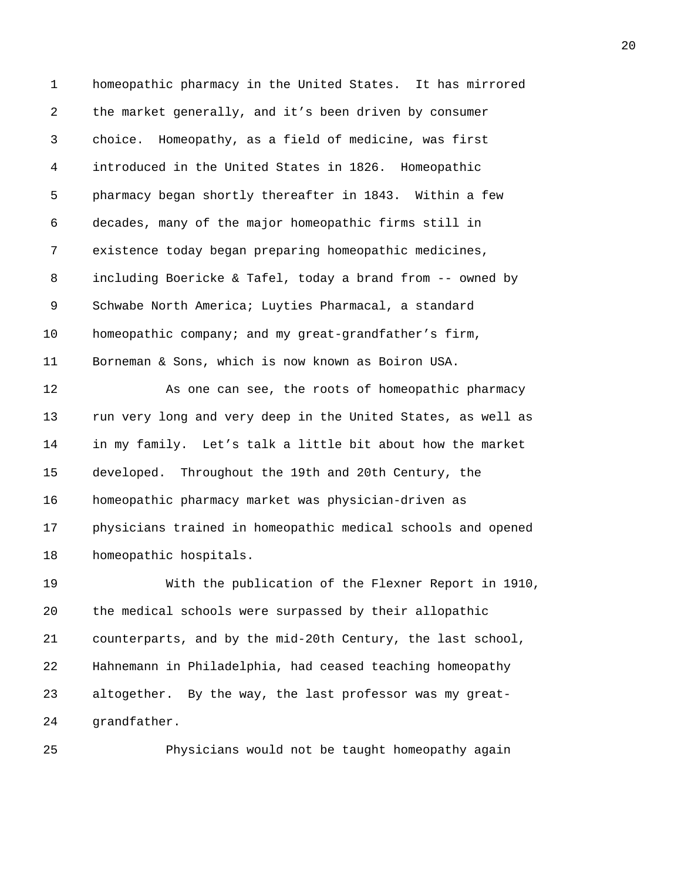1 homeopathic pharmacy in the United States. It has mirrored 2 the market generally, and it's been driven by consumer 3 choice. Homeopathy, as a field of medicine, was first 4 introduced in the United States in 1826. Homeopathic 5 pharmacy began shortly thereafter in 1843. Within a few 6 decades, many of the major homeopathic firms still in 7 existence today began preparing homeopathic medicines, 8 including Boericke & Tafel, today a brand from -- owned by 9 Schwabe North America; Luyties Pharmacal, a standard 10 homeopathic company; and my great-grandfather's firm, 11 Borneman & Sons, which is now known as Boiron USA. 12 As one can see, the roots of homeopathic pharmacy 13 run very long and very deep in the United States, as well as 14 in my family. Let's talk a little bit about how the market 15 developed. Throughout the 19th and 20th Century, the 16 homeopathic pharmacy market was physician-driven as 17 physicians trained in homeopathic medical schools and opened 18 homeopathic hospitals. 19 With the publication of the Flexner Report in 1910, 20 the medical schools were surpassed by their allopathic 21 counterparts, and by the mid-20th Century, the last school, 22 Hahnemann in Philadelphia, had ceased teaching homeopathy

23 altogether. By the way, the last professor was my great-24 grandfather.

25 Physicians would not be taught homeopathy again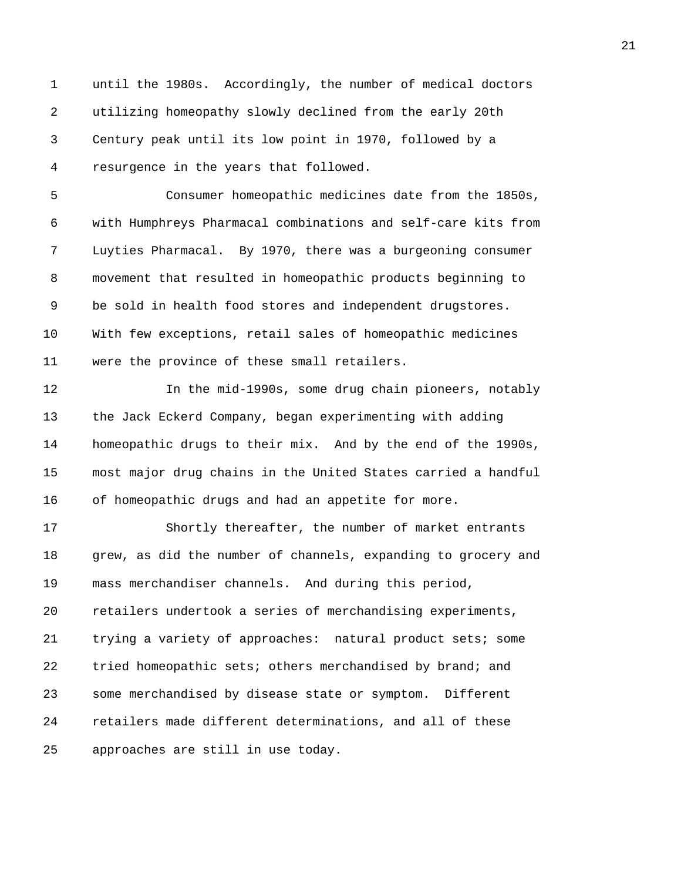1 until the 1980s. Accordingly, the number of medical doctors 2 utilizing homeopathy slowly declined from the early 20th 3 Century peak until its low point in 1970, followed by a 4 resurgence in the years that followed.

5 Consumer homeopathic medicines date from the 1850s, 6 with Humphreys Pharmacal combinations and self-care kits from 7 Luyties Pharmacal. By 1970, there was a burgeoning consumer 8 movement that resulted in homeopathic products beginning to 9 be sold in health food stores and independent drugstores. 10 With few exceptions, retail sales of homeopathic medicines 11 were the province of these small retailers.

12 In the mid-1990s, some drug chain pioneers, notably 13 the Jack Eckerd Company, began experimenting with adding 14 homeopathic drugs to their mix. And by the end of the 1990s, 15 most major drug chains in the United States carried a handful 16 of homeopathic drugs and had an appetite for more.

17 Shortly thereafter, the number of market entrants 18 grew, as did the number of channels, expanding to grocery and 19 mass merchandiser channels. And during this period, 20 retailers undertook a series of merchandising experiments, 21 trying a variety of approaches: natural product sets; some 22 tried homeopathic sets; others merchandised by brand; and 23 some merchandised by disease state or symptom. Different 24 retailers made different determinations, and all of these 25 approaches are still in use today.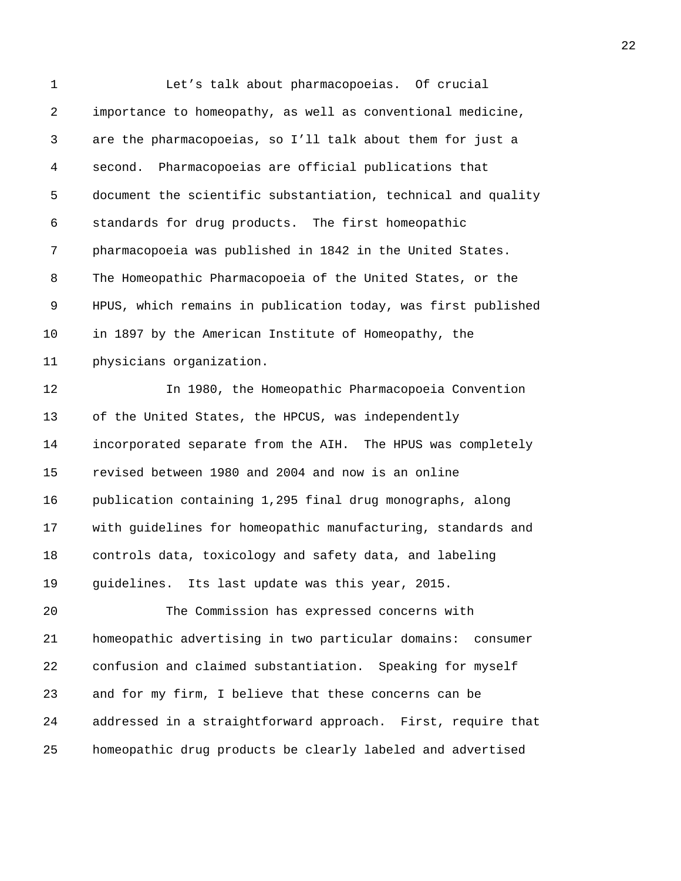1 Let's talk about pharmacopoeias. Of crucial 2 importance to homeopathy, as well as conventional medicine, 3 are the pharmacopoeias, so I'll talk about them for just a 4 second. Pharmacopoeias are official publications that 5 document the scientific substantiation, technical and quality 6 standards for drug products. The first homeopathic 7 pharmacopoeia was published in 1842 in the United States. 8 The Homeopathic Pharmacopoeia of the United States, or the 9 HPUS, which remains in publication today, was first published 10 in 1897 by the American Institute of Homeopathy, the 11 physicians organization. 12 In 1980, the Homeopathic Pharmacopoeia Convention 13 of the United States, the HPCUS, was independently 14 incorporated separate from the AIH. The HPUS was completely 15 revised between 1980 and 2004 and now is an online 16 publication containing 1,295 final drug monographs, along 17 with guidelines for homeopathic manufacturing, standards and 18 controls data, toxicology and safety data, and labeling 19 guidelines. Its last update was this year, 2015. 20 The Commission has expressed concerns with 21 homeopathic advertising in two particular domains: consumer 22 confusion and claimed substantiation. Speaking for myself 23 and for my firm, I believe that these concerns can be 24 addressed in a straightforward approach. First, require that 25 homeopathic drug products be clearly labeled and advertised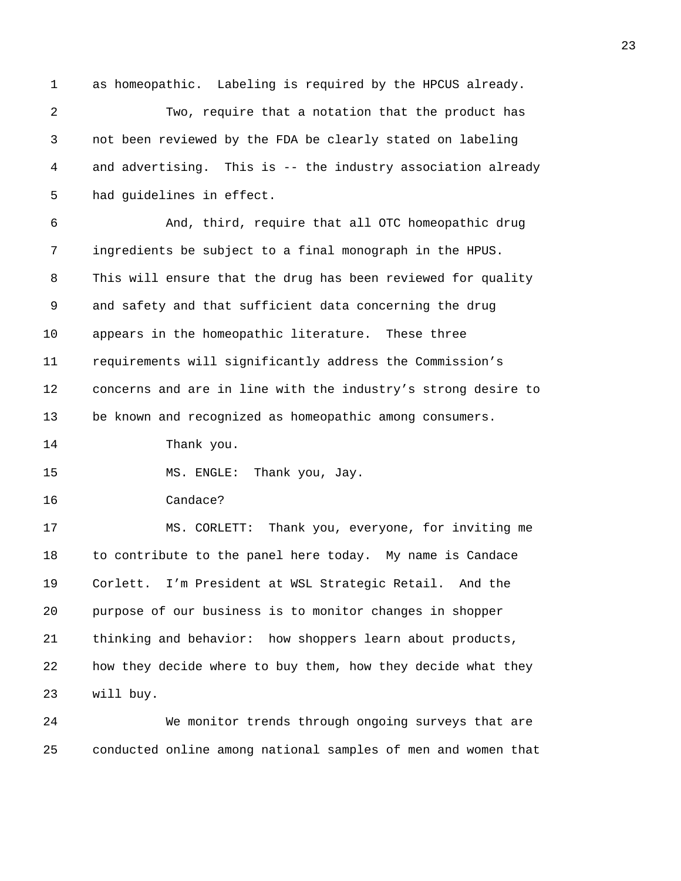1 as homeopathic. Labeling is required by the HPCUS already. 2 Two, require that a notation that the product has 3 not been reviewed by the FDA be clearly stated on labeling 4 and advertising. This is -- the industry association already 5 had guidelines in effect. 6 And, third, require that all OTC homeopathic drug 7 ingredients be subject to a final monograph in the HPUS. 8 This will ensure that the drug has been reviewed for quality 9 and safety and that sufficient data concerning the drug 10 appears in the homeopathic literature. These three 11 requirements will significantly address the Commission's 12 concerns and are in line with the industry's strong desire to 13 be known and recognized as homeopathic among consumers. 14 Thank you. 15 MS. ENGLE: Thank you, Jay. 16 Candace? 17 MS. CORLETT: Thank you, everyone, for inviting me 18 to contribute to the panel here today. My name is Candace 19 Corlett. I'm President at WSL Strategic Retail. And the 20 purpose of our business is to monitor changes in shopper 21 thinking and behavior: how shoppers learn about products,

22 how they decide where to buy them, how they decide what they 23 will buy.

24 We monitor trends through ongoing surveys that are 25 conducted online among national samples of men and women that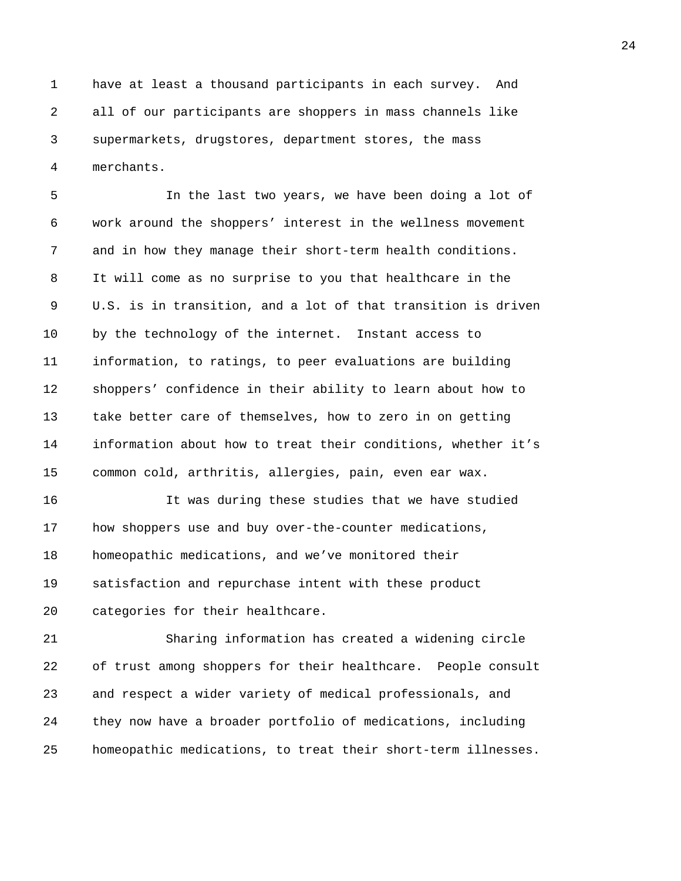1 have at least a thousand participants in each survey. And 2 all of our participants are shoppers in mass channels like 3 supermarkets, drugstores, department stores, the mass 4 merchants.

5 In the last two years, we have been doing a lot of 6 work around the shoppers' interest in the wellness movement 7 and in how they manage their short-term health conditions. 8 It will come as no surprise to you that healthcare in the 9 U.S. is in transition, and a lot of that transition is driven 10 by the technology of the internet. Instant access to 11 information, to ratings, to peer evaluations are building 12 shoppers' confidence in their ability to learn about how to 13 take better care of themselves, how to zero in on getting 14 information about how to treat their conditions, whether it's 15 common cold, arthritis, allergies, pain, even ear wax.

16 It was during these studies that we have studied 17 how shoppers use and buy over-the-counter medications, 18 homeopathic medications, and we've monitored their 19 satisfaction and repurchase intent with these product 20 categories for their healthcare.

21 Sharing information has created a widening circle 22 of trust among shoppers for their healthcare. People consult 23 and respect a wider variety of medical professionals, and 24 they now have a broader portfolio of medications, including 25 homeopathic medications, to treat their short-term illnesses.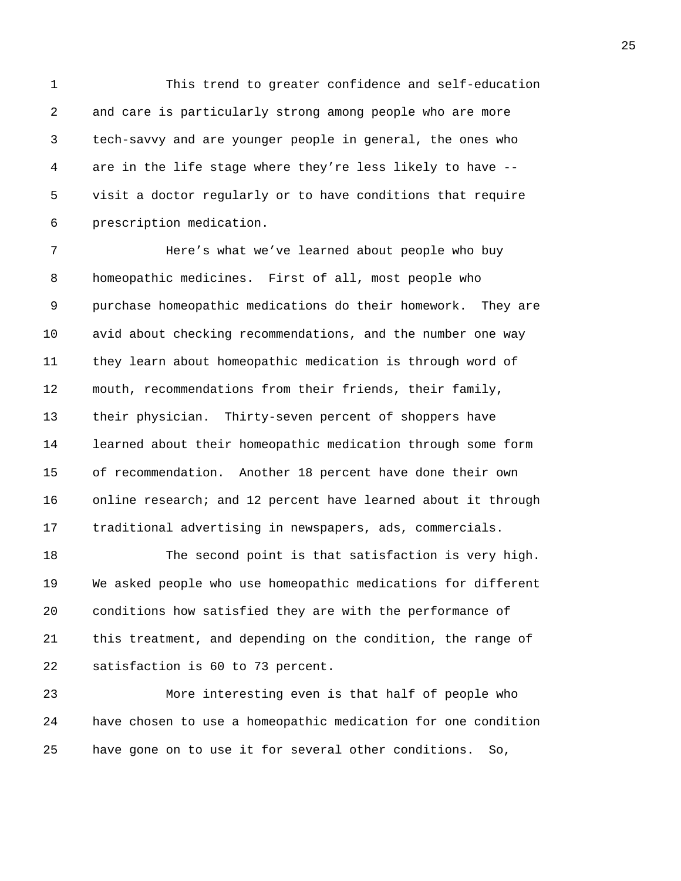1 This trend to greater confidence and self-education 2 and care is particularly strong among people who are more 3 tech-savvy and are younger people in general, the ones who 4 are in the life stage where they're less likely to have -- 5 visit a doctor regularly or to have conditions that require 6 prescription medication.

7 Here's what we've learned about people who buy 8 homeopathic medicines. First of all, most people who 9 purchase homeopathic medications do their homework. They are 10 avid about checking recommendations, and the number one way 11 they learn about homeopathic medication is through word of 12 mouth, recommendations from their friends, their family, 13 their physician. Thirty-seven percent of shoppers have 14 learned about their homeopathic medication through some form 15 of recommendation. Another 18 percent have done their own 16 online research; and 12 percent have learned about it through 17 traditional advertising in newspapers, ads, commercials.

18 The second point is that satisfaction is very high. 19 We asked people who use homeopathic medications for different 20 conditions how satisfied they are with the performance of 21 this treatment, and depending on the condition, the range of 22 satisfaction is 60 to 73 percent.

23 More interesting even is that half of people who 24 have chosen to use a homeopathic medication for one condition 25 have gone on to use it for several other conditions. So,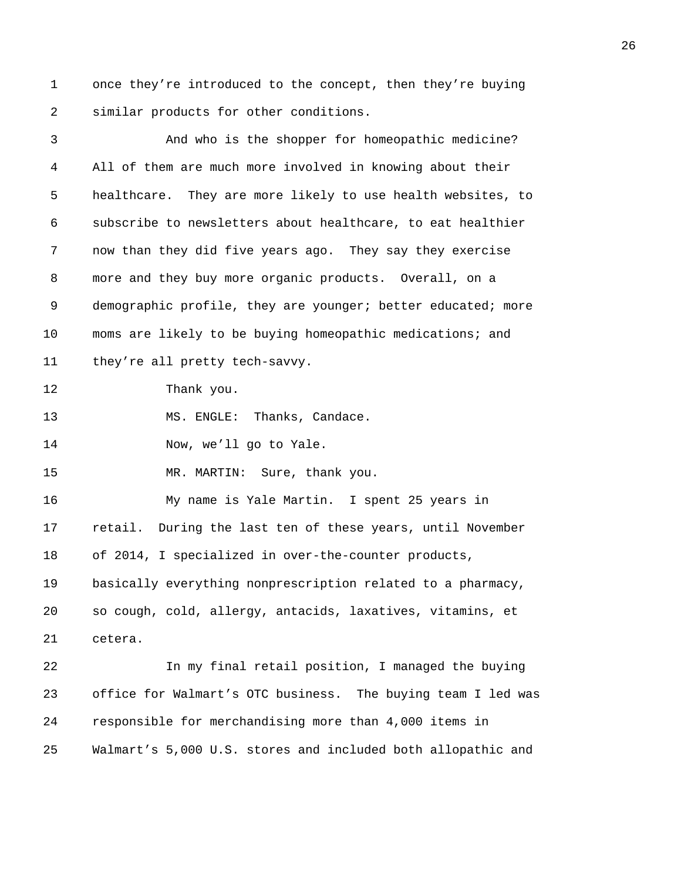1 once they're introduced to the concept, then they're buying 2 similar products for other conditions.

3 And who is the shopper for homeopathic medicine? 4 All of them are much more involved in knowing about their 5 healthcare. They are more likely to use health websites, to 6 subscribe to newsletters about healthcare, to eat healthier 7 now than they did five years ago. They say they exercise 8 more and they buy more organic products. Overall, on a 9 demographic profile, they are younger; better educated; more 10 moms are likely to be buying homeopathic medications; and 11 they're all pretty tech-savvy. 12 Thank you. 13 MS. ENGLE: Thanks, Candace. 14 Now, we'll go to Yale. 15 MR. MARTIN: Sure, thank you. 16 My name is Yale Martin. I spent 25 years in 17 retail. During the last ten of these years, until November 18 of 2014, I specialized in over-the-counter products, 19 basically everything nonprescription related to a pharmacy, 20 so cough, cold, allergy, antacids, laxatives, vitamins, et 21 cetera. 22 In my final retail position, I managed the buying 23 office for Walmart's OTC business. The buying team I led was 24 responsible for merchandising more than 4,000 items in 25 Walmart's 5,000 U.S. stores and included both allopathic and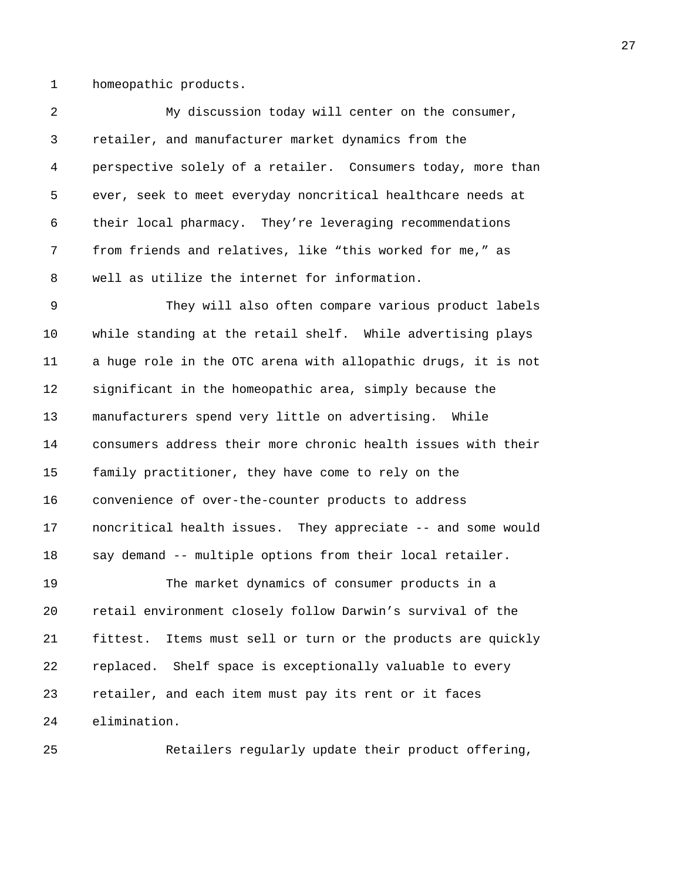1 homeopathic products.

2 My discussion today will center on the consumer, 3 retailer, and manufacturer market dynamics from the 4 perspective solely of a retailer. Consumers today, more than 5 ever, seek to meet everyday noncritical healthcare needs at 6 their local pharmacy. They're leveraging recommendations 7 from friends and relatives, like "this worked for me," as 8 well as utilize the internet for information.

9 They will also often compare various product labels 10 while standing at the retail shelf. While advertising plays 11 a huge role in the OTC arena with allopathic drugs, it is not 12 significant in the homeopathic area, simply because the 13 manufacturers spend very little on advertising. While 14 consumers address their more chronic health issues with their 15 family practitioner, they have come to rely on the 16 convenience of over-the-counter products to address 17 noncritical health issues. They appreciate -- and some would 18 say demand -- multiple options from their local retailer.

19 The market dynamics of consumer products in a 20 retail environment closely follow Darwin's survival of the 21 fittest. Items must sell or turn or the products are quickly 22 replaced. Shelf space is exceptionally valuable to every 23 retailer, and each item must pay its rent or it faces 24 elimination.

25 Retailers regularly update their product offering,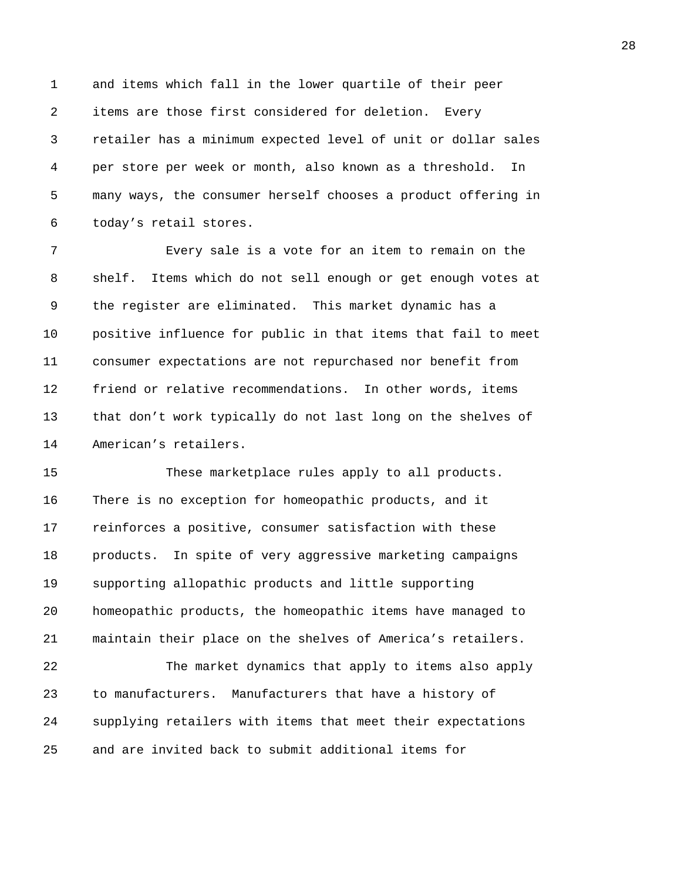1 and items which fall in the lower quartile of their peer 2 items are those first considered for deletion. Every 3 retailer has a minimum expected level of unit or dollar sales 4 per store per week or month, also known as a threshold. In 5 many ways, the consumer herself chooses a product offering in 6 today's retail stores.

7 Every sale is a vote for an item to remain on the 8 shelf. Items which do not sell enough or get enough votes at 9 the register are eliminated. This market dynamic has a 10 positive influence for public in that items that fail to meet 11 consumer expectations are not repurchased nor benefit from 12 friend or relative recommendations. In other words, items 13 that don't work typically do not last long on the shelves of 14 American's retailers.

15 These marketplace rules apply to all products. 16 There is no exception for homeopathic products, and it 17 reinforces a positive, consumer satisfaction with these 18 products. In spite of very aggressive marketing campaigns 19 supporting allopathic products and little supporting 20 homeopathic products, the homeopathic items have managed to 21 maintain their place on the shelves of America's retailers.

22 The market dynamics that apply to items also apply 23 to manufacturers. Manufacturers that have a history of 24 supplying retailers with items that meet their expectations 25 and are invited back to submit additional items for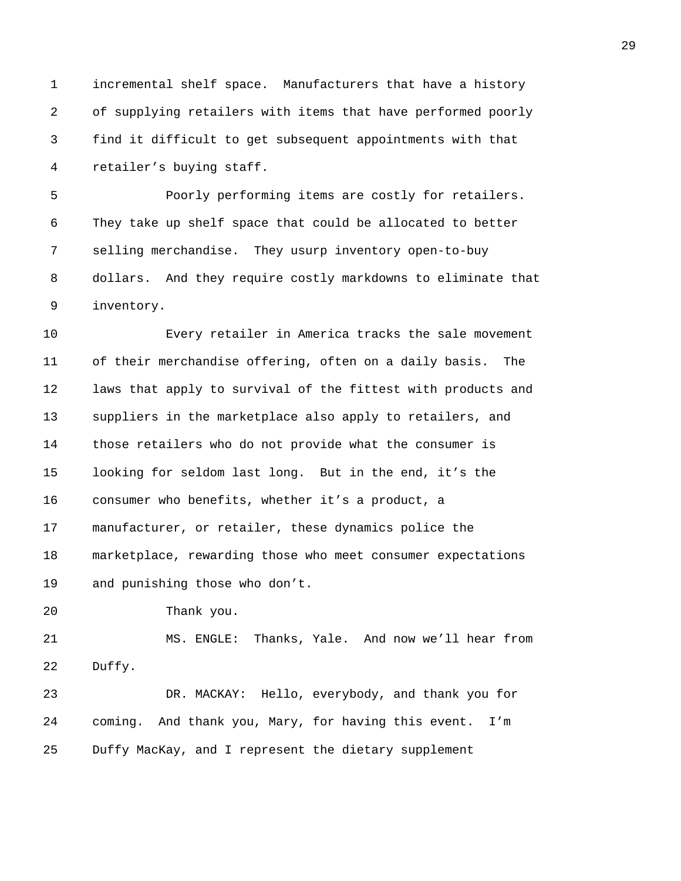1 incremental shelf space. Manufacturers that have a history 2 of supplying retailers with items that have performed poorly 3 find it difficult to get subsequent appointments with that 4 retailer's buying staff.

5 Poorly performing items are costly for retailers. 6 They take up shelf space that could be allocated to better 7 selling merchandise. They usurp inventory open-to-buy 8 dollars. And they require costly markdowns to eliminate that 9 inventory.

10 Every retailer in America tracks the sale movement 11 of their merchandise offering, often on a daily basis. The 12 laws that apply to survival of the fittest with products and 13 suppliers in the marketplace also apply to retailers, and 14 those retailers who do not provide what the consumer is 15 looking for seldom last long. But in the end, it's the 16 consumer who benefits, whether it's a product, a 17 manufacturer, or retailer, these dynamics police the 18 marketplace, rewarding those who meet consumer expectations 19 and punishing those who don't.

20 Thank you.

21 MS. ENGLE: Thanks, Yale. And now we'll hear from 22 Duffy.

23 DR. MACKAY: Hello, everybody, and thank you for 24 coming. And thank you, Mary, for having this event. I'm 25 Duffy MacKay, and I represent the dietary supplement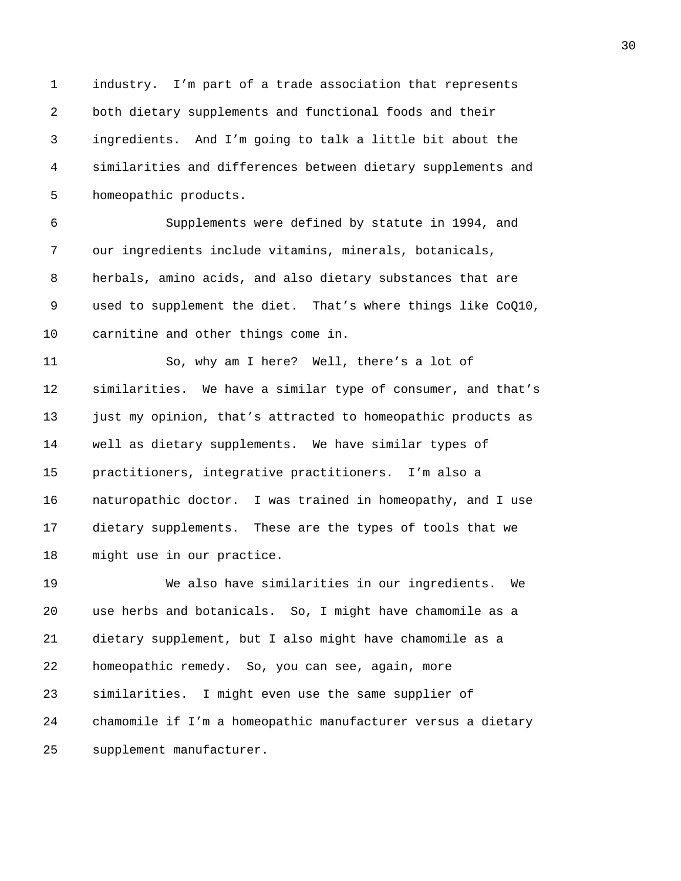1 industry. I'm part of a trade association that represents 2 both dietary supplements and functional foods and their 3 ingredients. And I'm going to talk a little bit about the 4 similarities and differences between dietary supplements and 5 homeopathic products.

6 Supplements were defined by statute in 1994, and 7 our ingredients include vitamins, minerals, botanicals, 8 herbals, amino acids, and also dietary substances that are 9 used to supplement the diet. That's where things like CoQ10, 10 carnitine and other things come in.

11 So, why am I here? Well, there's a lot of 12 similarities. We have a similar type of consumer, and that's 13 just my opinion, that's attracted to homeopathic products as 14 well as dietary supplements. We have similar types of 15 practitioners, integrative practitioners. I'm also a 16 naturopathic doctor. I was trained in homeopathy, and I use 17 dietary supplements. These are the types of tools that we 18 might use in our practice.

19 We also have similarities in our ingredients. We 20 use herbs and botanicals. So, I might have chamomile as a 21 dietary supplement, but I also might have chamomile as a 22 homeopathic remedy. So, you can see, again, more 23 similarities. I might even use the same supplier of 24 chamomile if I'm a homeopathic manufacturer versus a dietary 25 supplement manufacturer.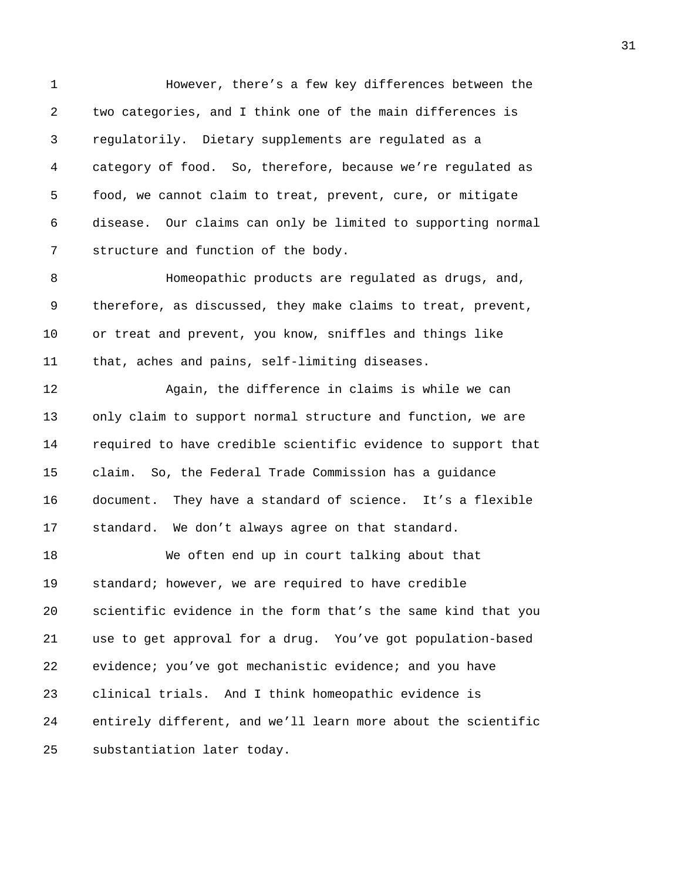1 However, there's a few key differences between the 2 two categories, and I think one of the main differences is 3 regulatorily. Dietary supplements are regulated as a 4 category of food. So, therefore, because we're regulated as 5 food, we cannot claim to treat, prevent, cure, or mitigate 6 disease. Our claims can only be limited to supporting normal 7 structure and function of the body. 8 Homeopathic products are regulated as drugs, and, 9 therefore, as discussed, they make claims to treat, prevent, 10 or treat and prevent, you know, sniffles and things like 11 that, aches and pains, self-limiting diseases. 12 Again, the difference in claims is while we can 13 only claim to support normal structure and function, we are 14 required to have credible scientific evidence to support that 15 claim. So, the Federal Trade Commission has a guidance 16 document. They have a standard of science. It's a flexible 17 standard. We don't always agree on that standard. 18 We often end up in court talking about that 19 standard; however, we are required to have credible 20 scientific evidence in the form that's the same kind that you 21 use to get approval for a drug. You've got population-based 22 evidence; you've got mechanistic evidence; and you have 23 clinical trials. And I think homeopathic evidence is 24 entirely different, and we'll learn more about the scientific

25 substantiation later today.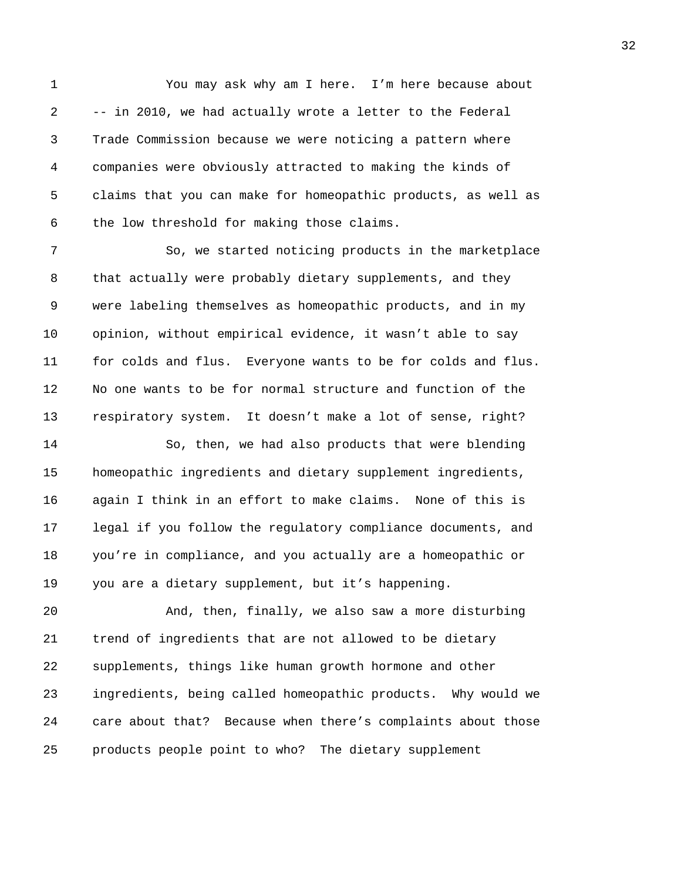1 You may ask why am I here. I'm here because about 2 -- in 2010, we had actually wrote a letter to the Federal 3 Trade Commission because we were noticing a pattern where 4 companies were obviously attracted to making the kinds of 5 claims that you can make for homeopathic products, as well as 6 the low threshold for making those claims.

7 So, we started noticing products in the marketplace 8 that actually were probably dietary supplements, and they 9 were labeling themselves as homeopathic products, and in my 10 opinion, without empirical evidence, it wasn't able to say 11 for colds and flus. Everyone wants to be for colds and flus. 12 No one wants to be for normal structure and function of the 13 respiratory system. It doesn't make a lot of sense, right?

14 So, then, we had also products that were blending 15 homeopathic ingredients and dietary supplement ingredients, 16 again I think in an effort to make claims. None of this is 17 legal if you follow the regulatory compliance documents, and 18 you're in compliance, and you actually are a homeopathic or 19 you are a dietary supplement, but it's happening.

20 And, then, finally, we also saw a more disturbing 21 trend of ingredients that are not allowed to be dietary 22 supplements, things like human growth hormone and other 23 ingredients, being called homeopathic products. Why would we 24 care about that? Because when there's complaints about those 25 products people point to who? The dietary supplement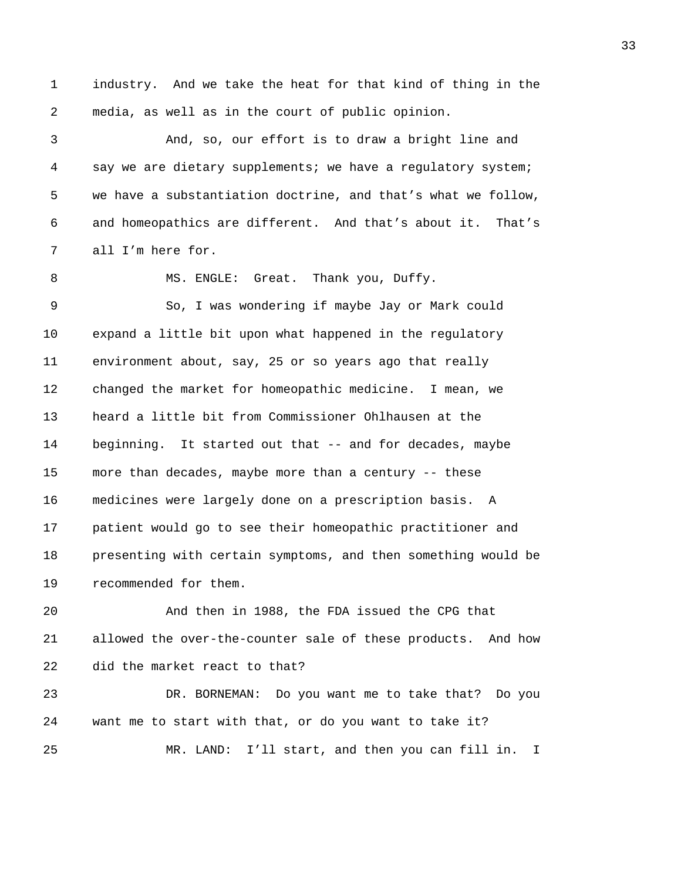1 industry. And we take the heat for that kind of thing in the 2 media, as well as in the court of public opinion.

3 And, so, our effort is to draw a bright line and 4 say we are dietary supplements; we have a regulatory system; 5 we have a substantiation doctrine, and that's what we follow, 6 and homeopathics are different. And that's about it. That's 7 all I'm here for.

8 MS. ENGLE: Great. Thank you, Duffy.

9 So, I was wondering if maybe Jay or Mark could 10 expand a little bit upon what happened in the regulatory 11 environment about, say, 25 or so years ago that really 12 changed the market for homeopathic medicine. I mean, we 13 heard a little bit from Commissioner Ohlhausen at the 14 beginning. It started out that -- and for decades, maybe 15 more than decades, maybe more than a century -- these 16 medicines were largely done on a prescription basis. A 17 patient would go to see their homeopathic practitioner and 18 presenting with certain symptoms, and then something would be 19 recommended for them.

20 And then in 1988, the FDA issued the CPG that 21 allowed the over-the-counter sale of these products. And how 22 did the market react to that?

23 DR. BORNEMAN: Do you want me to take that? Do you 24 want me to start with that, or do you want to take it? 25 MR. LAND: I'll start, and then you can fill in. I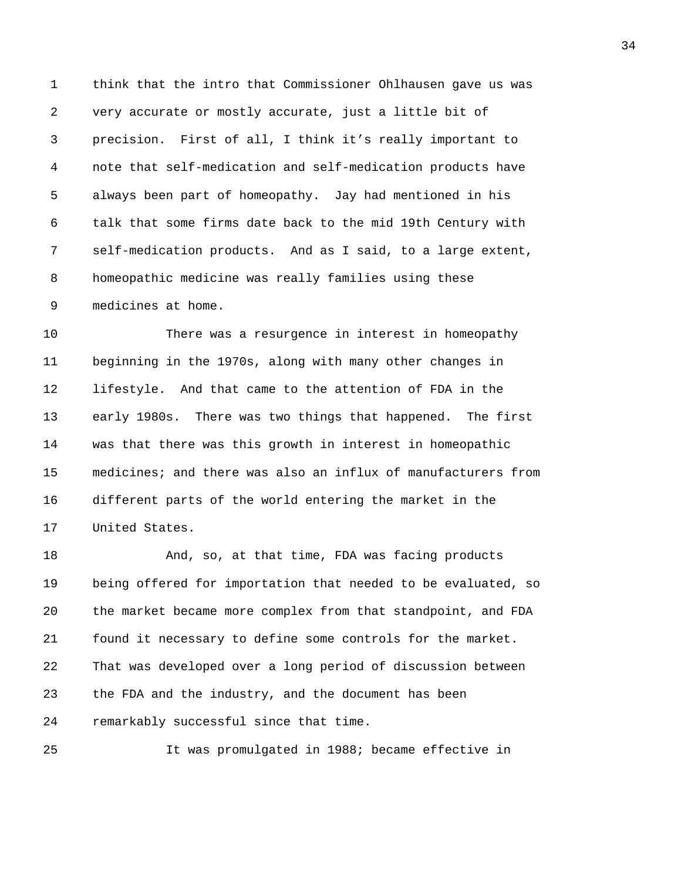1 think that the intro that Commissioner Ohlhausen gave us was 2 very accurate or mostly accurate, just a little bit of 3 precision. First of all, I think it's really important to 4 note that self-medication and self-medication products have 5 always been part of homeopathy. Jay had mentioned in his 6 talk that some firms date back to the mid 19th Century with 7 self-medication products. And as I said, to a large extent, 8 homeopathic medicine was really families using these 9 medicines at home.

10 There was a resurgence in interest in homeopathy 11 beginning in the 1970s, along with many other changes in 12 lifestyle. And that came to the attention of FDA in the 13 early 1980s. There was two things that happened. The first 14 was that there was this growth in interest in homeopathic 15 medicines; and there was also an influx of manufacturers from 16 different parts of the world entering the market in the 17 United States.

18 And, so, at that time, FDA was facing products 19 being offered for importation that needed to be evaluated, so 20 the market became more complex from that standpoint, and FDA 21 found it necessary to define some controls for the market. 22 That was developed over a long period of discussion between 23 the FDA and the industry, and the document has been 24 remarkably successful since that time.

25 It was promulgated in 1988; became effective in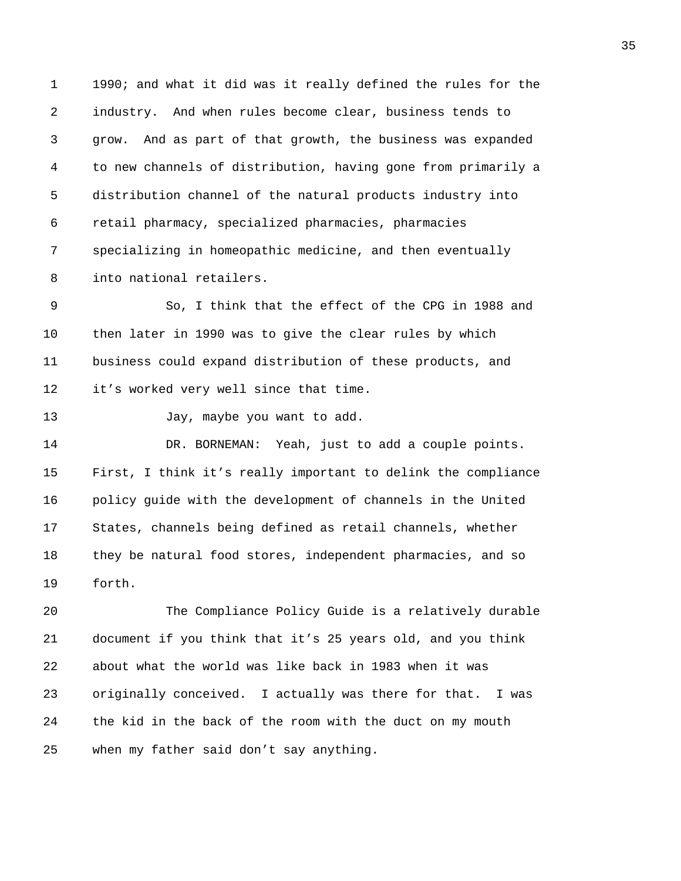1 1990; and what it did was it really defined the rules for the 2 industry. And when rules become clear, business tends to 3 grow. And as part of that growth, the business was expanded 4 to new channels of distribution, having gone from primarily a 5 distribution channel of the natural products industry into 6 retail pharmacy, specialized pharmacies, pharmacies 7 specializing in homeopathic medicine, and then eventually 8 into national retailers.

9 So, I think that the effect of the CPG in 1988 and 10 then later in 1990 was to give the clear rules by which 11 business could expand distribution of these products, and 12 it's worked very well since that time.

13 Jay, maybe you want to add.

14 DR. BORNEMAN: Yeah, just to add a couple points. 15 First, I think it's really important to delink the compliance 16 policy guide with the development of channels in the United 17 States, channels being defined as retail channels, whether 18 they be natural food stores, independent pharmacies, and so 19 forth.

20 The Compliance Policy Guide is a relatively durable 21 document if you think that it's 25 years old, and you think 22 about what the world was like back in 1983 when it was 23 originally conceived. I actually was there for that. I was 24 the kid in the back of the room with the duct on my mouth 25 when my father said don't say anything.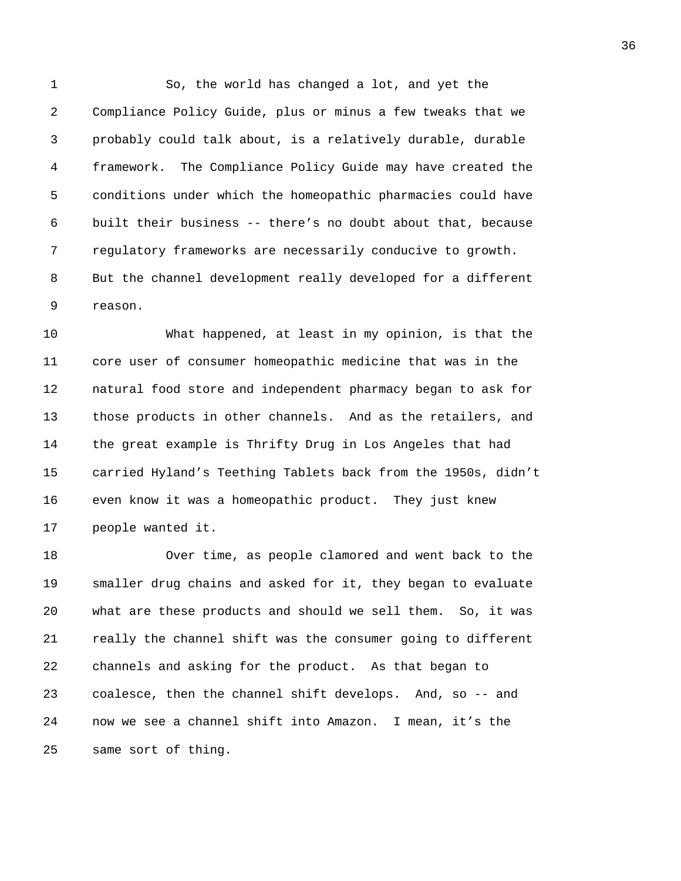1 So, the world has changed a lot, and yet the 2 Compliance Policy Guide, plus or minus a few tweaks that we 3 probably could talk about, is a relatively durable, durable 4 framework. The Compliance Policy Guide may have created the 5 conditions under which the homeopathic pharmacies could have 6 built their business -- there's no doubt about that, because 7 regulatory frameworks are necessarily conducive to growth. 8 But the channel development really developed for a different 9 reason.

10 What happened, at least in my opinion, is that the 11 core user of consumer homeopathic medicine that was in the 12 natural food store and independent pharmacy began to ask for 13 those products in other channels. And as the retailers, and 14 the great example is Thrifty Drug in Los Angeles that had 15 carried Hyland's Teething Tablets back from the 1950s, didn't 16 even know it was a homeopathic product. They just knew 17 people wanted it.

18 Over time, as people clamored and went back to the 19 smaller drug chains and asked for it, they began to evaluate 20 what are these products and should we sell them. So, it was 21 really the channel shift was the consumer going to different 22 channels and asking for the product. As that began to 23 coalesce, then the channel shift develops. And, so -- and 24 now we see a channel shift into Amazon. I mean, it's the 25 same sort of thing.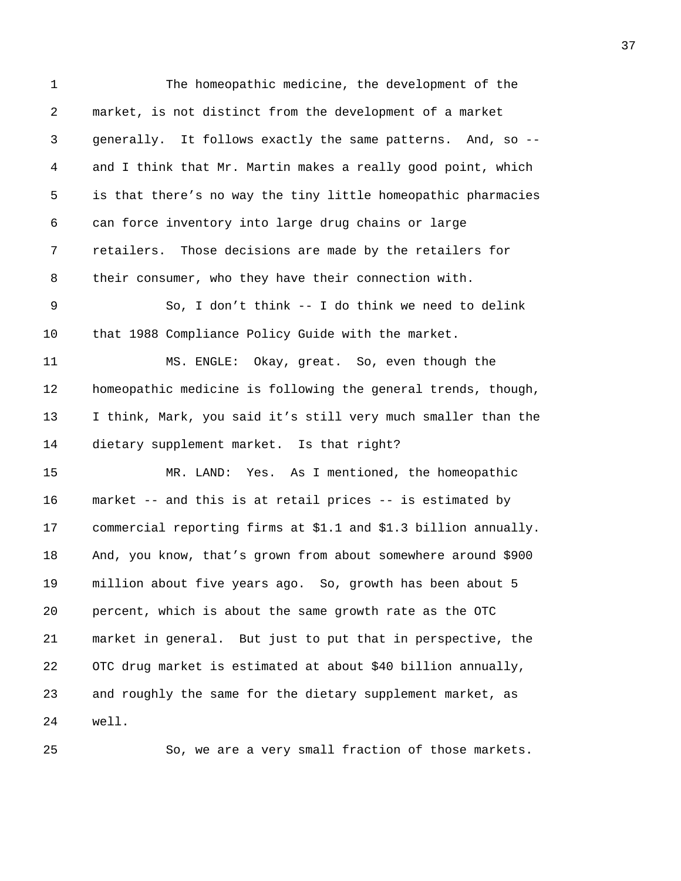| 1  | The homeopathic medicine, the development of the                |
|----|-----------------------------------------------------------------|
| 2  | market, is not distinct from the development of a market        |
| 3  | generally. It follows exactly the same patterns. And, so --     |
| 4  | and I think that Mr. Martin makes a really good point, which    |
| 5  | is that there's no way the tiny little homeopathic pharmacies   |
| 6  | can force inventory into large drug chains or large             |
| 7  | retailers. Those decisions are made by the retailers for        |
| 8  | their consumer, who they have their connection with.            |
| 9  | So, I don't think -- I do think we need to delink               |
| 10 | that 1988 Compliance Policy Guide with the market.              |
| 11 | MS. ENGLE: Okay, great. So, even though the                     |
| 12 | homeopathic medicine is following the general trends, though,   |
| 13 | I think, Mark, you said it's still very much smaller than the   |
| 14 | dietary supplement market. Is that right?                       |
| 15 | MR. LAND: Yes. As I mentioned, the homeopathic                  |
| 16 | market -- and this is at retail prices -- is estimated by       |
| 17 | commercial reporting firms at \$1.1 and \$1.3 billion annually. |
| 18 | And, you know, that's grown from about somewhere around \$900   |
| 19 | million about five years ago. So, growth has been about 5       |
| 20 | percent, which is about the same growth rate as the OTC         |
| 21 | market in general. But just to put that in perspective, the     |
| 22 | OTC drug market is estimated at about \$40 billion annually,    |
| 23 | and roughly the same for the dietary supplement market, as      |
| 24 | well.                                                           |
|    |                                                                 |

25 So, we are a very small fraction of those markets.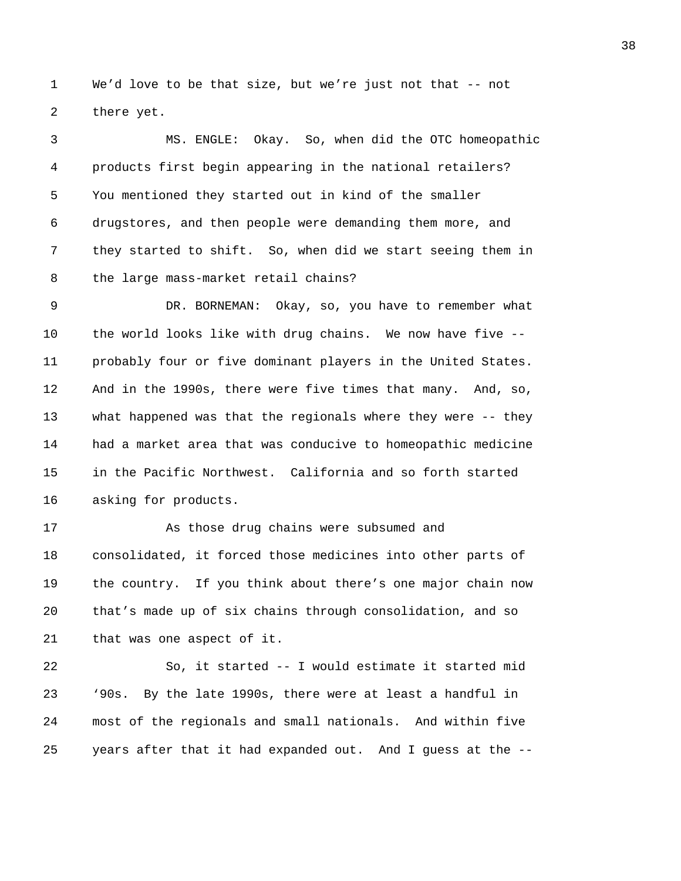1 We'd love to be that size, but we're just not that -- not 2 there yet.

3 MS. ENGLE: Okay. So, when did the OTC homeopathic 4 products first begin appearing in the national retailers? 5 You mentioned they started out in kind of the smaller 6 drugstores, and then people were demanding them more, and 7 they started to shift. So, when did we start seeing them in 8 the large mass-market retail chains?

9 DR. BORNEMAN: Okay, so, you have to remember what 10 the world looks like with drug chains. We now have five -- 11 probably four or five dominant players in the United States. 12 And in the 1990s, there were five times that many. And, so, 13 what happened was that the regionals where they were -- they 14 had a market area that was conducive to homeopathic medicine 15 in the Pacific Northwest. California and so forth started 16 asking for products.

17 As those drug chains were subsumed and 18 consolidated, it forced those medicines into other parts of 19 the country. If you think about there's one major chain now 20 that's made up of six chains through consolidation, and so 21 that was one aspect of it.

22 So, it started -- I would estimate it started mid 23 '90s. By the late 1990s, there were at least a handful in 24 most of the regionals and small nationals. And within five 25 years after that it had expanded out. And I guess at the --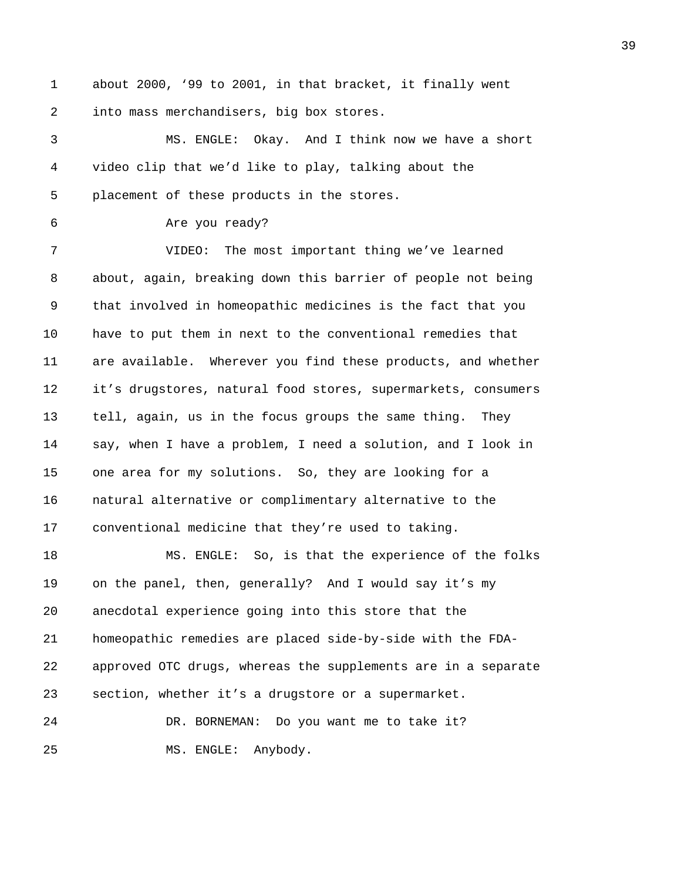1 about 2000, '99 to 2001, in that bracket, it finally went 2 into mass merchandisers, big box stores.

3 MS. ENGLE: Okay. And I think now we have a short 4 video clip that we'd like to play, talking about the 5 placement of these products in the stores.

6 Are you ready?

7 VIDEO: The most important thing we've learned 8 about, again, breaking down this barrier of people not being 9 that involved in homeopathic medicines is the fact that you 10 have to put them in next to the conventional remedies that 11 are available. Wherever you find these products, and whether 12 it's drugstores, natural food stores, supermarkets, consumers 13 tell, again, us in the focus groups the same thing. They 14 say, when I have a problem, I need a solution, and I look in 15 one area for my solutions. So, they are looking for a 16 natural alternative or complimentary alternative to the 17 conventional medicine that they're used to taking.

18 MS. ENGLE: So, is that the experience of the folks 19 on the panel, then, generally? And I would say it's my 20 anecdotal experience going into this store that the 21 homeopathic remedies are placed side-by-side with the FDA-22 approved OTC drugs, whereas the supplements are in a separate 23 section, whether it's a drugstore or a supermarket. 24 DR. BORNEMAN: Do you want me to take it?

25 MS. ENGLE: Anybody.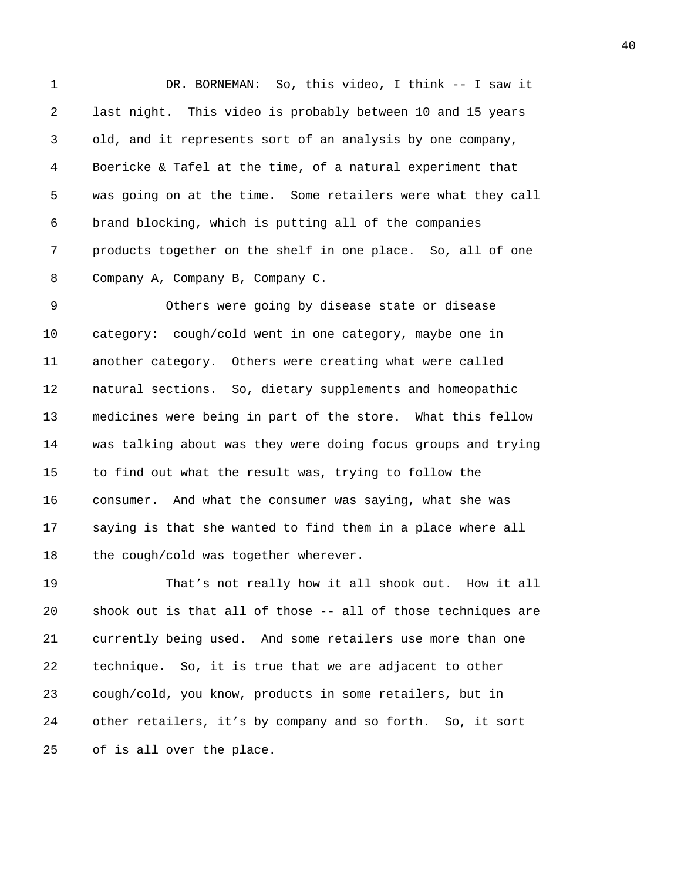1 DR. BORNEMAN: So, this video, I think -- I saw it 2 last night. This video is probably between 10 and 15 years 3 old, and it represents sort of an analysis by one company, 4 Boericke & Tafel at the time, of a natural experiment that 5 was going on at the time. Some retailers were what they call 6 brand blocking, which is putting all of the companies 7 products together on the shelf in one place. So, all of one 8 Company A, Company B, Company C.

9 Others were going by disease state or disease 10 category: cough/cold went in one category, maybe one in 11 another category. Others were creating what were called 12 natural sections. So, dietary supplements and homeopathic 13 medicines were being in part of the store. What this fellow 14 was talking about was they were doing focus groups and trying 15 to find out what the result was, trying to follow the 16 consumer. And what the consumer was saying, what she was 17 saying is that she wanted to find them in a place where all 18 the cough/cold was together wherever.

19 That's not really how it all shook out. How it all 20 shook out is that all of those -- all of those techniques are 21 currently being used. And some retailers use more than one 22 technique. So, it is true that we are adjacent to other 23 cough/cold, you know, products in some retailers, but in 24 other retailers, it's by company and so forth. So, it sort 25 of is all over the place.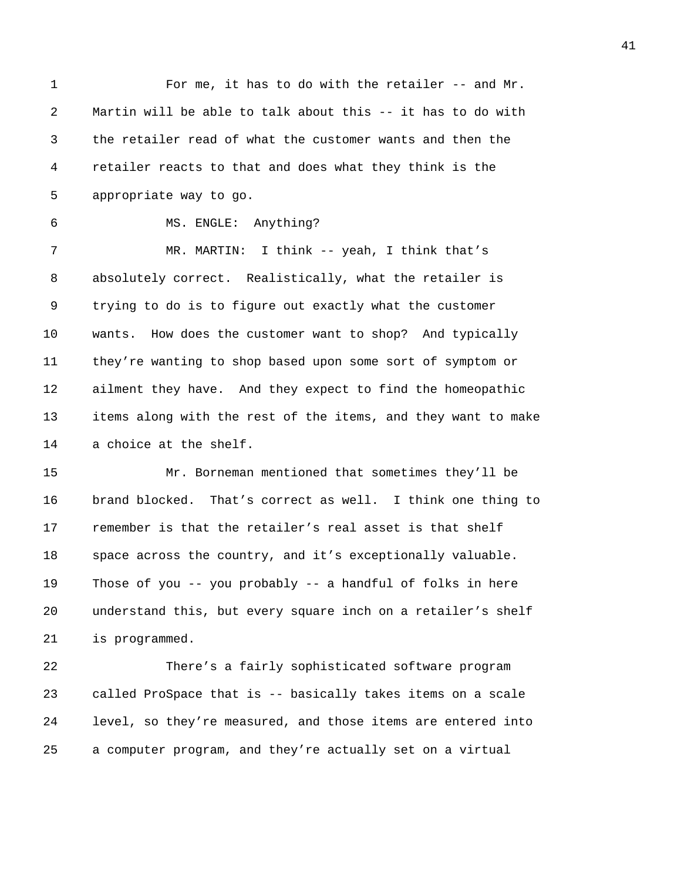1 For me, it has to do with the retailer -- and Mr. 2 Martin will be able to talk about this -- it has to do with 3 the retailer read of what the customer wants and then the 4 retailer reacts to that and does what they think is the 5 appropriate way to go.

6 MS. ENGLE: Anything?

7 MR. MARTIN: I think -- yeah, I think that's 8 absolutely correct. Realistically, what the retailer is 9 trying to do is to figure out exactly what the customer 10 wants. How does the customer want to shop? And typically 11 they're wanting to shop based upon some sort of symptom or 12 ailment they have. And they expect to find the homeopathic 13 items along with the rest of the items, and they want to make 14 a choice at the shelf.

15 Mr. Borneman mentioned that sometimes they'll be 16 brand blocked. That's correct as well. I think one thing to 17 remember is that the retailer's real asset is that shelf 18 space across the country, and it's exceptionally valuable. 19 Those of you -- you probably -- a handful of folks in here 20 understand this, but every square inch on a retailer's shelf 21 is programmed.

22 There's a fairly sophisticated software program 23 called ProSpace that is -- basically takes items on a scale 24 level, so they're measured, and those items are entered into 25 a computer program, and they're actually set on a virtual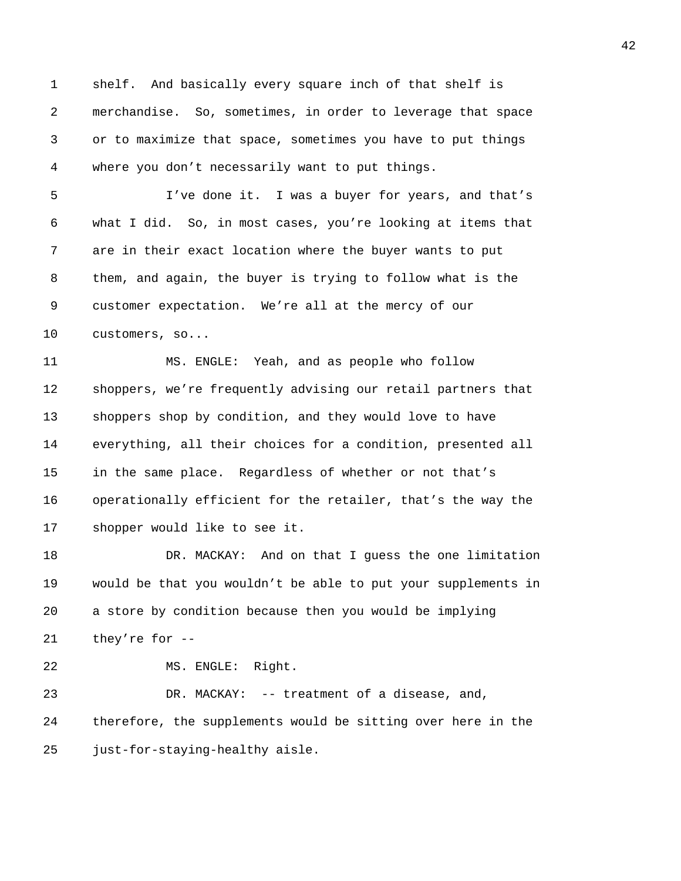1 shelf. And basically every square inch of that shelf is 2 merchandise. So, sometimes, in order to leverage that space 3 or to maximize that space, sometimes you have to put things 4 where you don't necessarily want to put things.

5 I've done it. I was a buyer for years, and that's 6 what I did. So, in most cases, you're looking at items that 7 are in their exact location where the buyer wants to put 8 them, and again, the buyer is trying to follow what is the 9 customer expectation. We're all at the mercy of our 10 customers, so...

11 MS. ENGLE: Yeah, and as people who follow 12 shoppers, we're frequently advising our retail partners that 13 shoppers shop by condition, and they would love to have 14 everything, all their choices for a condition, presented all 15 in the same place. Regardless of whether or not that's 16 operationally efficient for the retailer, that's the way the 17 shopper would like to see it.

18 DR. MACKAY: And on that I guess the one limitation 19 would be that you wouldn't be able to put your supplements in 20 a store by condition because then you would be implying 21 they're for --

22 MS. ENGLE: Right.

23 DR. MACKAY: -- treatment of a disease, and, 24 therefore, the supplements would be sitting over here in the 25 just-for-staying-healthy aisle.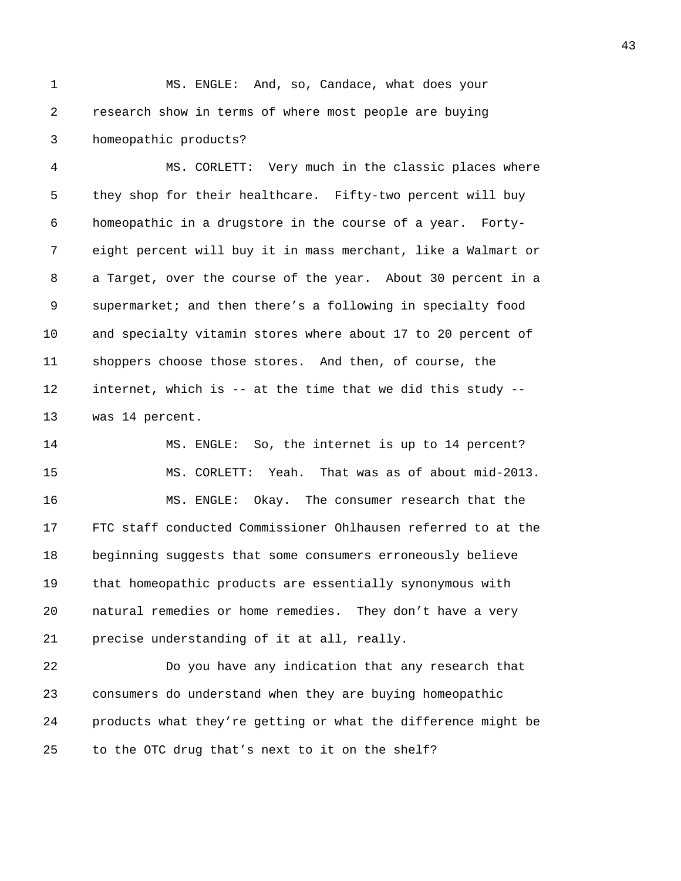1 MS. ENGLE: And, so, Candace, what does your 2 research show in terms of where most people are buying 3 homeopathic products?

4 MS. CORLETT: Very much in the classic places where 5 they shop for their healthcare. Fifty-two percent will buy 6 homeopathic in a drugstore in the course of a year. Forty-7 eight percent will buy it in mass merchant, like a Walmart or 8 a Target, over the course of the year. About 30 percent in a 9 supermarket; and then there's a following in specialty food 10 and specialty vitamin stores where about 17 to 20 percent of 11 shoppers choose those stores. And then, of course, the 12 internet, which is -- at the time that we did this study -- 13 was 14 percent.

14 MS. ENGLE: So, the internet is up to 14 percent? 15 MS. CORLETT: Yeah. That was as of about mid-2013. 16 MS. ENGLE: Okay. The consumer research that the 17 FTC staff conducted Commissioner Ohlhausen referred to at the 18 beginning suggests that some consumers erroneously believe 19 that homeopathic products are essentially synonymous with 20 natural remedies or home remedies. They don't have a very 21 precise understanding of it at all, really.

22 Do you have any indication that any research that 23 consumers do understand when they are buying homeopathic 24 products what they're getting or what the difference might be 25 to the OTC drug that's next to it on the shelf?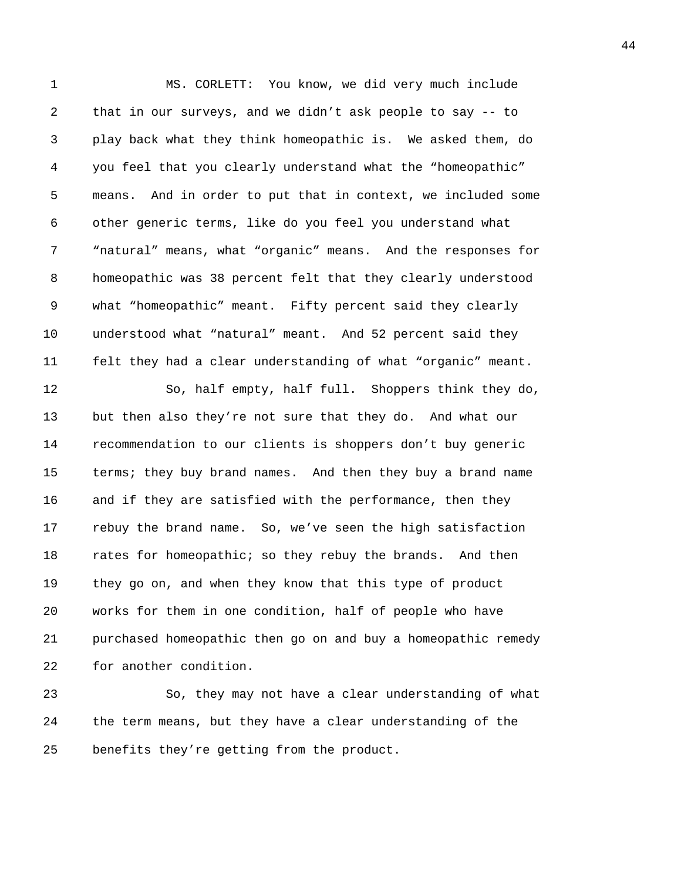1 MS. CORLETT: You know, we did very much include 2 that in our surveys, and we didn't ask people to say -- to 3 play back what they think homeopathic is. We asked them, do 4 you feel that you clearly understand what the "homeopathic" 5 means. And in order to put that in context, we included some 6 other generic terms, like do you feel you understand what 7 "natural" means, what "organic" means. And the responses for 8 homeopathic was 38 percent felt that they clearly understood 9 what "homeopathic" meant. Fifty percent said they clearly 10 understood what "natural" meant. And 52 percent said they 11 felt they had a clear understanding of what "organic" meant. 12 So, half empty, half full. Shoppers think they do, 13 but then also they're not sure that they do. And what our 14 recommendation to our clients is shoppers don't buy generic 15 terms; they buy brand names. And then they buy a brand name 16 and if they are satisfied with the performance, then they 17 rebuy the brand name. So, we've seen the high satisfaction 18 rates for homeopathic; so they rebuy the brands. And then 19 they go on, and when they know that this type of product 20 works for them in one condition, half of people who have 21 purchased homeopathic then go on and buy a homeopathic remedy 22 for another condition.

23 So, they may not have a clear understanding of what 24 the term means, but they have a clear understanding of the 25 benefits they're getting from the product.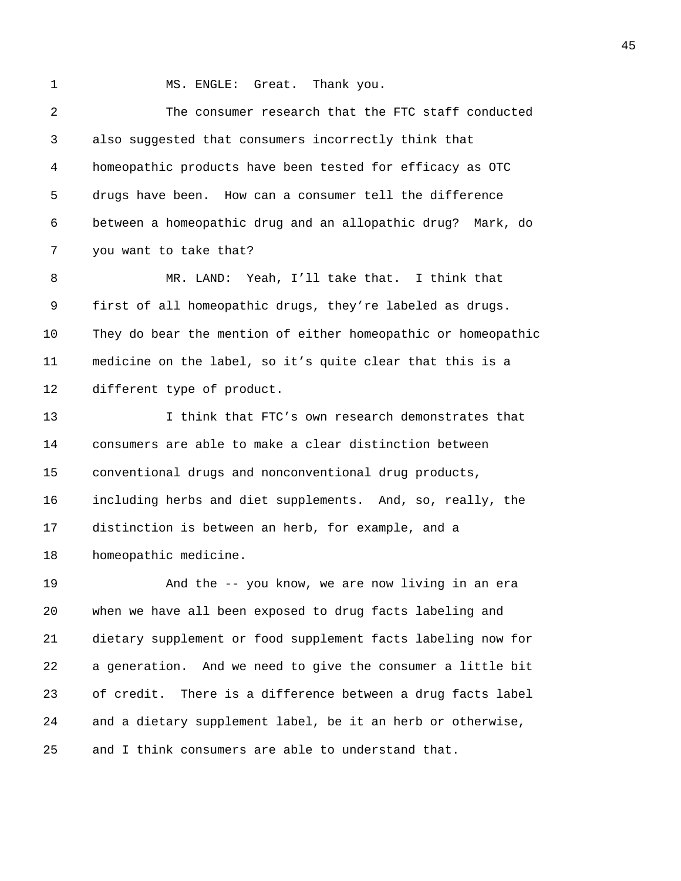1 MS. ENGLE: Great. Thank you. 2 The consumer research that the FTC staff conducted 3 also suggested that consumers incorrectly think that 4 homeopathic products have been tested for efficacy as OTC 5 drugs have been. How can a consumer tell the difference 6 between a homeopathic drug and an allopathic drug? Mark, do 7 you want to take that? 8 MR. LAND: Yeah, I'll take that. I think that 9 first of all homeopathic drugs, they're labeled as drugs. 10 They do bear the mention of either homeopathic or homeopathic 11 medicine on the label, so it's quite clear that this is a 12 different type of product. 13 I think that FTC's own research demonstrates that 14 consumers are able to make a clear distinction between 15 conventional drugs and nonconventional drug products, 16 including herbs and diet supplements. And, so, really, the 17 distinction is between an herb, for example, and a 18 homeopathic medicine. 19 And the -- you know, we are now living in an era 20 when we have all been exposed to drug facts labeling and 21 dietary supplement or food supplement facts labeling now for 22 a generation. And we need to give the consumer a little bit 23 of credit. There is a difference between a drug facts label 24 and a dietary supplement label, be it an herb or otherwise,

25 and I think consumers are able to understand that.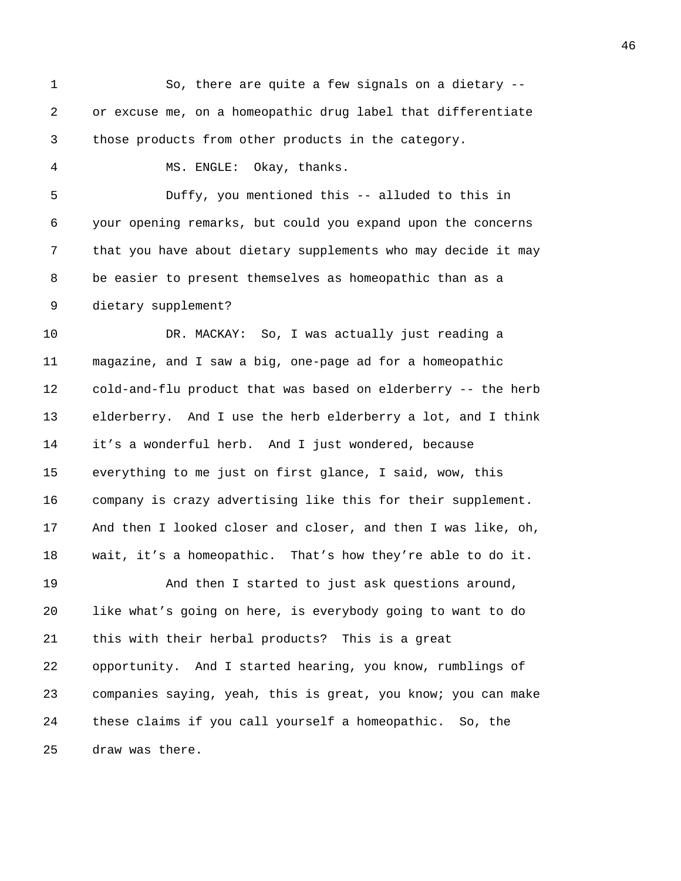1 So, there are quite a few signals on a dietary -- 2 or excuse me, on a homeopathic drug label that differentiate 3 those products from other products in the category. 4 MS. ENGLE: Okay, thanks. 5 Duffy, you mentioned this -- alluded to this in 6 your opening remarks, but could you expand upon the concerns 7 that you have about dietary supplements who may decide it may 8 be easier to present themselves as homeopathic than as a 9 dietary supplement? 10 DR. MACKAY: So, I was actually just reading a 11 magazine, and I saw a big, one-page ad for a homeopathic 12 cold-and-flu product that was based on elderberry -- the herb 13 elderberry. And I use the herb elderberry a lot, and I think 14 it's a wonderful herb. And I just wondered, because 15 everything to me just on first glance, I said, wow, this 16 company is crazy advertising like this for their supplement. 17 And then I looked closer and closer, and then I was like, oh, 18 wait, it's a homeopathic. That's how they're able to do it. 19 And then I started to just ask questions around, 20 like what's going on here, is everybody going to want to do 21 this with their herbal products? This is a great 22 opportunity. And I started hearing, you know, rumblings of 23 companies saying, yeah, this is great, you know; you can make 24 these claims if you call yourself a homeopathic. So, the 25 draw was there.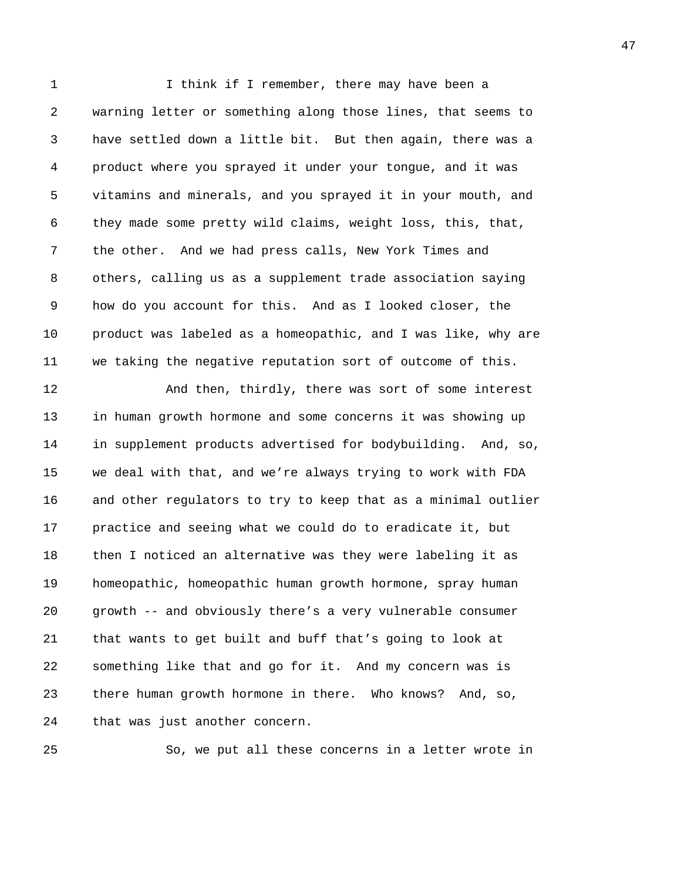1 I think if I remember, there may have been a 2 warning letter or something along those lines, that seems to 3 have settled down a little bit. But then again, there was a 4 product where you sprayed it under your tongue, and it was 5 vitamins and minerals, and you sprayed it in your mouth, and 6 they made some pretty wild claims, weight loss, this, that, 7 the other. And we had press calls, New York Times and 8 others, calling us as a supplement trade association saying 9 how do you account for this. And as I looked closer, the 10 product was labeled as a homeopathic, and I was like, why are 11 we taking the negative reputation sort of outcome of this. 12 And then, thirdly, there was sort of some interest

13 in human growth hormone and some concerns it was showing up 14 in supplement products advertised for bodybuilding. And, so, 15 we deal with that, and we're always trying to work with FDA 16 and other regulators to try to keep that as a minimal outlier 17 practice and seeing what we could do to eradicate it, but 18 then I noticed an alternative was they were labeling it as 19 homeopathic, homeopathic human growth hormone, spray human 20 growth -- and obviously there's a very vulnerable consumer 21 that wants to get built and buff that's going to look at 22 something like that and go for it. And my concern was is 23 there human growth hormone in there. Who knows? And, so, 24 that was just another concern.

25 So, we put all these concerns in a letter wrote in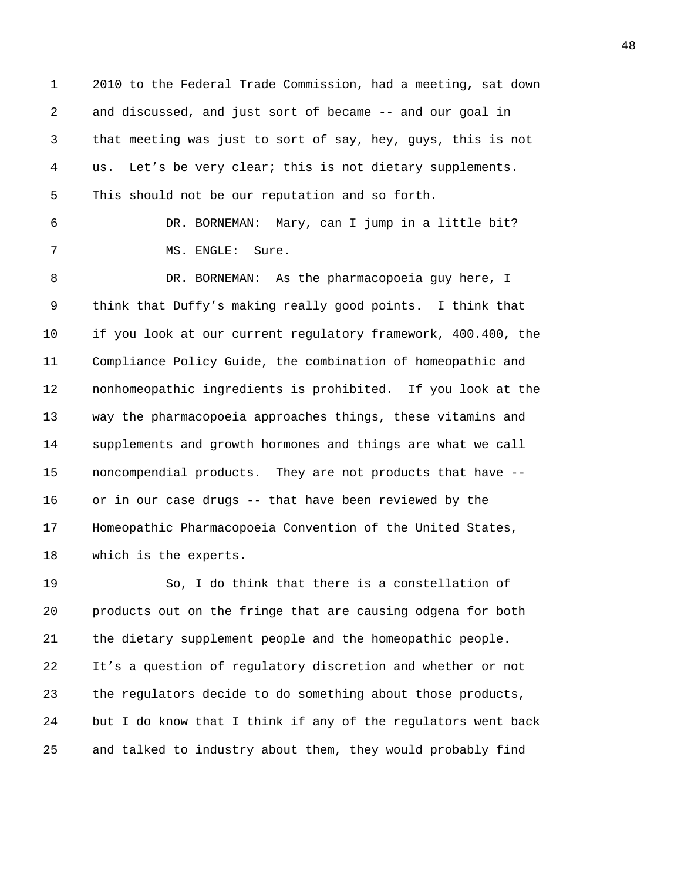1 2010 to the Federal Trade Commission, had a meeting, sat down 2 and discussed, and just sort of became -- and our goal in 3 that meeting was just to sort of say, hey, guys, this is not 4 us. Let's be very clear; this is not dietary supplements. 5 This should not be our reputation and so forth.

6 DR. BORNEMAN: Mary, can I jump in a little bit? 7 MS. ENGLE: Sure.

8 DR. BORNEMAN: As the pharmacopoeia guy here, I 9 think that Duffy's making really good points. I think that 10 if you look at our current regulatory framework, 400.400, the 11 Compliance Policy Guide, the combination of homeopathic and 12 nonhomeopathic ingredients is prohibited. If you look at the 13 way the pharmacopoeia approaches things, these vitamins and 14 supplements and growth hormones and things are what we call 15 noncompendial products. They are not products that have -- 16 or in our case drugs -- that have been reviewed by the 17 Homeopathic Pharmacopoeia Convention of the United States, 18 which is the experts.

19 So, I do think that there is a constellation of 20 products out on the fringe that are causing odgena for both 21 the dietary supplement people and the homeopathic people. 22 It's a question of regulatory discretion and whether or not 23 the regulators decide to do something about those products, 24 but I do know that I think if any of the regulators went back 25 and talked to industry about them, they would probably find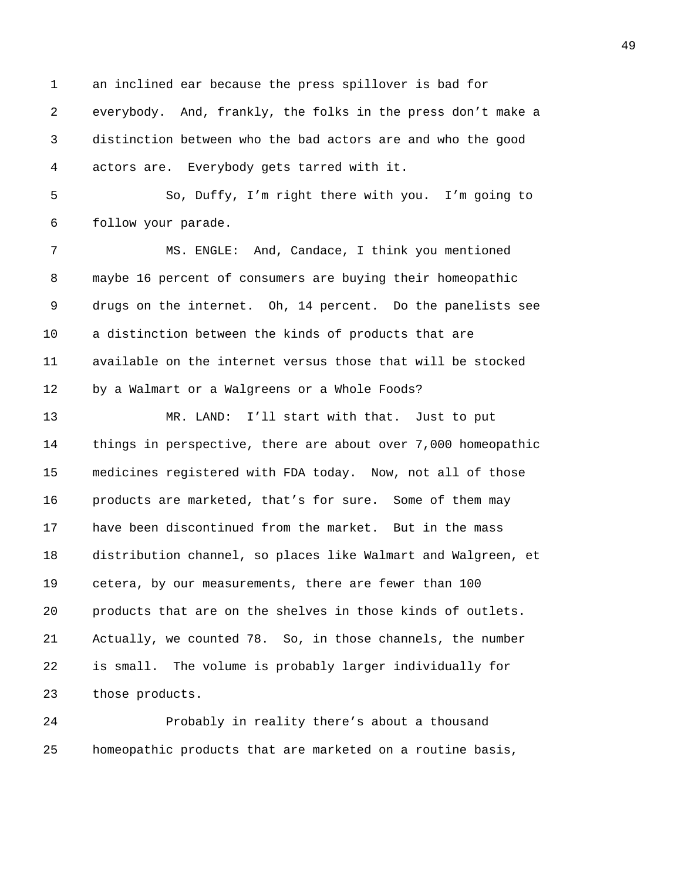1 an inclined ear because the press spillover is bad for 2 everybody. And, frankly, the folks in the press don't make a 3 distinction between who the bad actors are and who the good 4 actors are. Everybody gets tarred with it.

5 So, Duffy, I'm right there with you. I'm going to 6 follow your parade.

7 MS. ENGLE: And, Candace, I think you mentioned 8 maybe 16 percent of consumers are buying their homeopathic 9 drugs on the internet. Oh, 14 percent. Do the panelists see 10 a distinction between the kinds of products that are 11 available on the internet versus those that will be stocked 12 by a Walmart or a Walgreens or a Whole Foods?

13 MR. LAND: I'll start with that. Just to put 14 things in perspective, there are about over 7,000 homeopathic 15 medicines registered with FDA today. Now, not all of those 16 products are marketed, that's for sure. Some of them may 17 have been discontinued from the market. But in the mass 18 distribution channel, so places like Walmart and Walgreen, et 19 cetera, by our measurements, there are fewer than 100 20 products that are on the shelves in those kinds of outlets. 21 Actually, we counted 78. So, in those channels, the number 22 is small. The volume is probably larger individually for 23 those products.

24 Probably in reality there's about a thousand 25 homeopathic products that are marketed on a routine basis,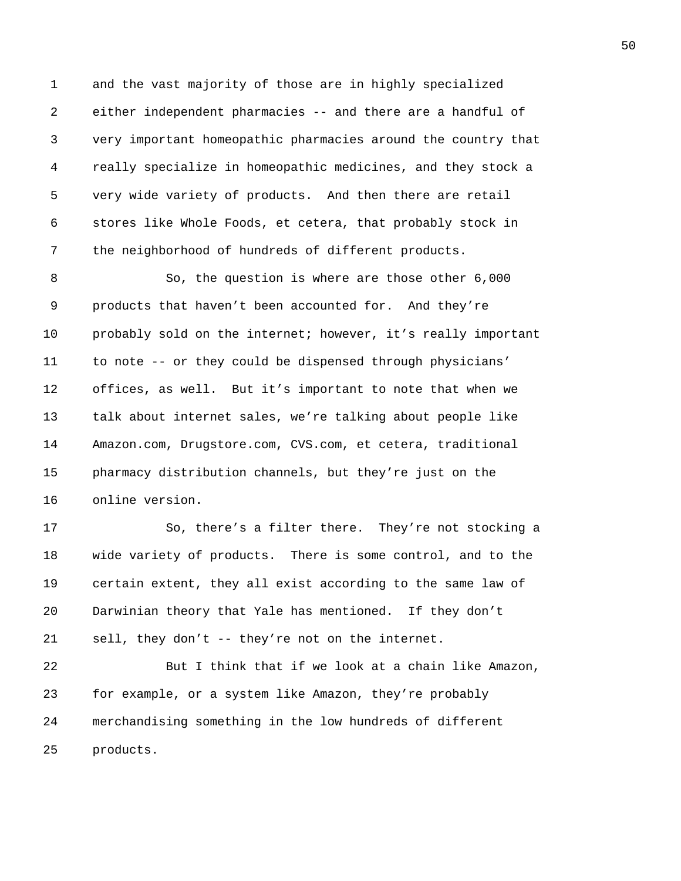1 and the vast majority of those are in highly specialized 2 either independent pharmacies -- and there are a handful of 3 very important homeopathic pharmacies around the country that 4 really specialize in homeopathic medicines, and they stock a 5 very wide variety of products. And then there are retail 6 stores like Whole Foods, et cetera, that probably stock in 7 the neighborhood of hundreds of different products.

8 So, the question is where are those other 6,000 9 products that haven't been accounted for. And they're 10 probably sold on the internet; however, it's really important 11 to note -- or they could be dispensed through physicians' 12 offices, as well. But it's important to note that when we 13 talk about internet sales, we're talking about people like 14 Amazon.com, Drugstore.com, CVS.com, et cetera, traditional 15 pharmacy distribution channels, but they're just on the 16 online version.

17 So, there's a filter there. They're not stocking a 18 wide variety of products. There is some control, and to the 19 certain extent, they all exist according to the same law of 20 Darwinian theory that Yale has mentioned. If they don't 21 sell, they don't -- they're not on the internet.

22 But I think that if we look at a chain like Amazon, 23 for example, or a system like Amazon, they're probably 24 merchandising something in the low hundreds of different 25 products.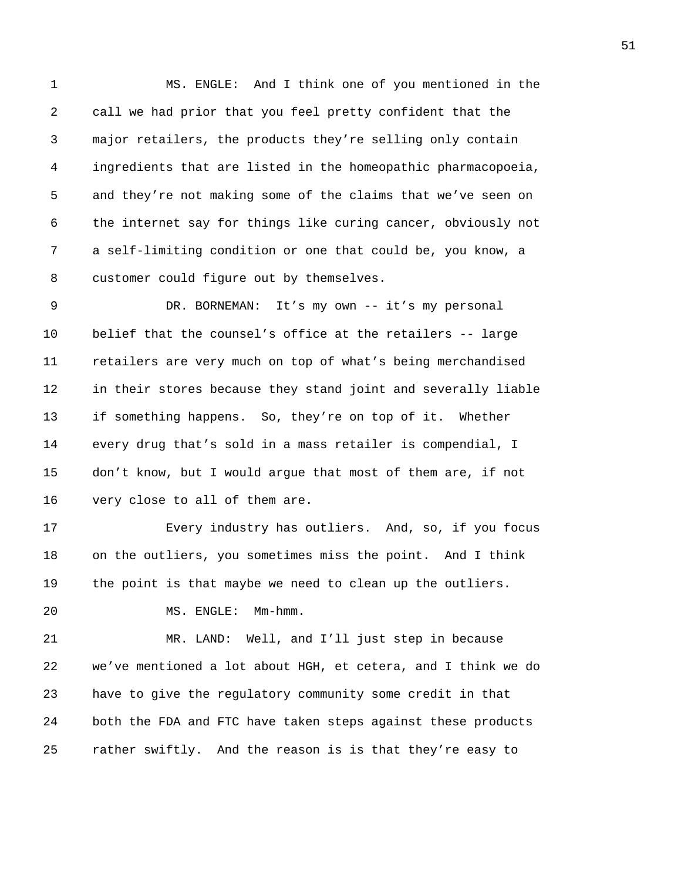1 MS. ENGLE: And I think one of you mentioned in the 2 call we had prior that you feel pretty confident that the 3 major retailers, the products they're selling only contain 4 ingredients that are listed in the homeopathic pharmacopoeia, 5 and they're not making some of the claims that we've seen on 6 the internet say for things like curing cancer, obviously not 7 a self-limiting condition or one that could be, you know, a 8 customer could figure out by themselves.

9 DR. BORNEMAN: It's my own -- it's my personal 10 belief that the counsel's office at the retailers -- large 11 retailers are very much on top of what's being merchandised 12 in their stores because they stand joint and severally liable 13 if something happens. So, they're on top of it. Whether 14 every drug that's sold in a mass retailer is compendial, I 15 don't know, but I would argue that most of them are, if not 16 very close to all of them are.

17 Every industry has outliers. And, so, if you focus 18 on the outliers, you sometimes miss the point. And I think 19 the point is that maybe we need to clean up the outliers.

20 MS. ENGLE: Mm-hmm.

21 MR. LAND: Well, and I'll just step in because 22 we've mentioned a lot about HGH, et cetera, and I think we do 23 have to give the regulatory community some credit in that 24 both the FDA and FTC have taken steps against these products 25 rather swiftly. And the reason is is that they're easy to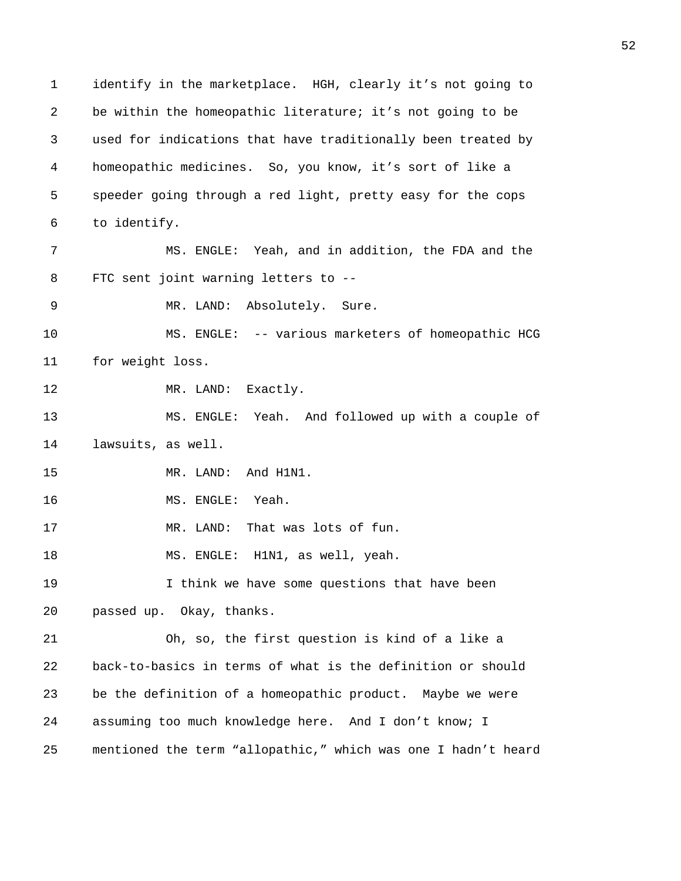1 identify in the marketplace. HGH, clearly it's not going to 2 be within the homeopathic literature; it's not going to be 3 used for indications that have traditionally been treated by 4 homeopathic medicines. So, you know, it's sort of like a 5 speeder going through a red light, pretty easy for the cops 6 to identify. 7 MS. ENGLE: Yeah, and in addition, the FDA and the 8 FTC sent joint warning letters to -- 9 MR. LAND: Absolutely. Sure. 10 MS. ENGLE: -- various marketers of homeopathic HCG 11 for weight loss. 12 MR. LAND: Exactly. 13 MS. ENGLE: Yeah. And followed up with a couple of 14 lawsuits, as well. 15 MR. LAND: And H1N1. 16 MS. ENGLE: Yeah. 17 MR. LAND: That was lots of fun. 18 MS. ENGLE: H1N1, as well, yeah. 19 I think we have some questions that have been 20 passed up. Okay, thanks. 21 Oh, so, the first question is kind of a like a 22 back-to-basics in terms of what is the definition or should 23 be the definition of a homeopathic product. Maybe we were 24 assuming too much knowledge here. And I don't know; I 25 mentioned the term "allopathic," which was one I hadn't heard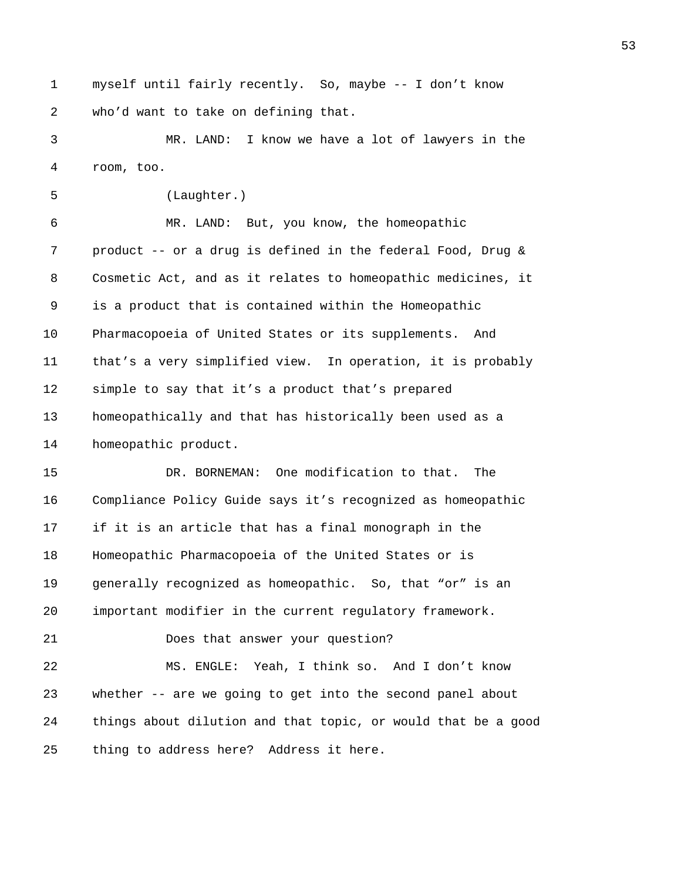1 myself until fairly recently. So, maybe -- I don't know 2 who'd want to take on defining that.

3 MR. LAND: I know we have a lot of lawyers in the 4 room, too.

5 (Laughter.) 6 MR. LAND: But, you know, the homeopathic 7 product -- or a drug is defined in the federal Food, Drug & 8 Cosmetic Act, and as it relates to homeopathic medicines, it 9 is a product that is contained within the Homeopathic 10 Pharmacopoeia of United States or its supplements. And 11 that's a very simplified view. In operation, it is probably 12 simple to say that it's a product that's prepared 13 homeopathically and that has historically been used as a 14 homeopathic product. 15 DR. BORNEMAN: One modification to that. The 16 Compliance Policy Guide says it's recognized as homeopathic 17 if it is an article that has a final monograph in the 18 Homeopathic Pharmacopoeia of the United States or is 19 generally recognized as homeopathic. So, that "or" is an 20 important modifier in the current regulatory framework. 21 Does that answer your question? 22 MS. ENGLE: Yeah, I think so. And I don't know 23 whether -- are we going to get into the second panel about 24 things about dilution and that topic, or would that be a good 25 thing to address here? Address it here.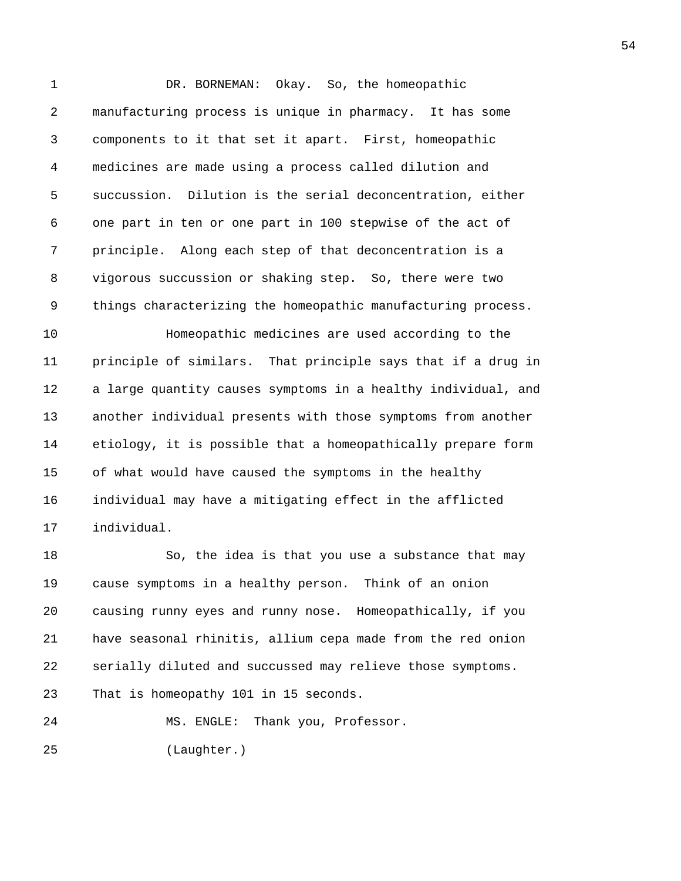1 DR. BORNEMAN: Okay. So, the homeopathic 2 manufacturing process is unique in pharmacy. It has some 3 components to it that set it apart. First, homeopathic 4 medicines are made using a process called dilution and 5 succussion. Dilution is the serial deconcentration, either 6 one part in ten or one part in 100 stepwise of the act of 7 principle. Along each step of that deconcentration is a 8 vigorous succussion or shaking step. So, there were two 9 things characterizing the homeopathic manufacturing process.

10 Homeopathic medicines are used according to the 11 principle of similars. That principle says that if a drug in 12 a large quantity causes symptoms in a healthy individual, and 13 another individual presents with those symptoms from another 14 etiology, it is possible that a homeopathically prepare form 15 of what would have caused the symptoms in the healthy 16 individual may have a mitigating effect in the afflicted 17 individual.

18 So, the idea is that you use a substance that may 19 cause symptoms in a healthy person. Think of an onion 20 causing runny eyes and runny nose. Homeopathically, if you 21 have seasonal rhinitis, allium cepa made from the red onion 22 serially diluted and succussed may relieve those symptoms. 23 That is homeopathy 101 in 15 seconds.

24 MS. ENGLE: Thank you, Professor.

25 (Laughter.)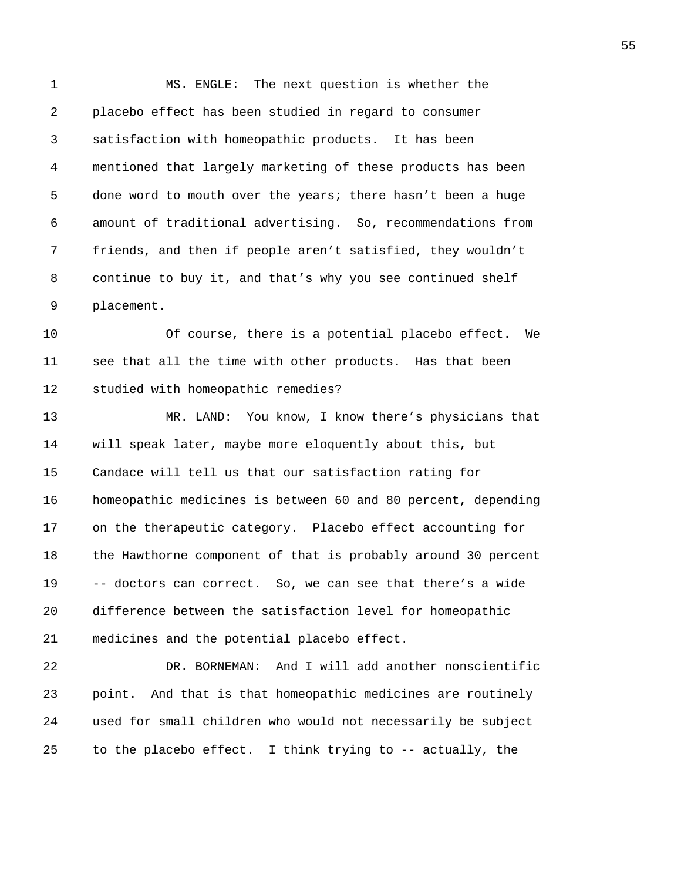1 MS. ENGLE: The next question is whether the 2 placebo effect has been studied in regard to consumer 3 satisfaction with homeopathic products. It has been 4 mentioned that largely marketing of these products has been 5 done word to mouth over the years; there hasn't been a huge 6 amount of traditional advertising. So, recommendations from 7 friends, and then if people aren't satisfied, they wouldn't 8 continue to buy it, and that's why you see continued shelf 9 placement.

10 Of course, there is a potential placebo effect. We 11 see that all the time with other products. Has that been 12 studied with homeopathic remedies?

13 MR. LAND: You know, I know there's physicians that 14 will speak later, maybe more eloquently about this, but 15 Candace will tell us that our satisfaction rating for 16 homeopathic medicines is between 60 and 80 percent, depending 17 on the therapeutic category. Placebo effect accounting for 18 the Hawthorne component of that is probably around 30 percent 19 -- doctors can correct. So, we can see that there's a wide 20 difference between the satisfaction level for homeopathic 21 medicines and the potential placebo effect.

22 DR. BORNEMAN: And I will add another nonscientific 23 point. And that is that homeopathic medicines are routinely 24 used for small children who would not necessarily be subject 25 to the placebo effect. I think trying to -- actually, the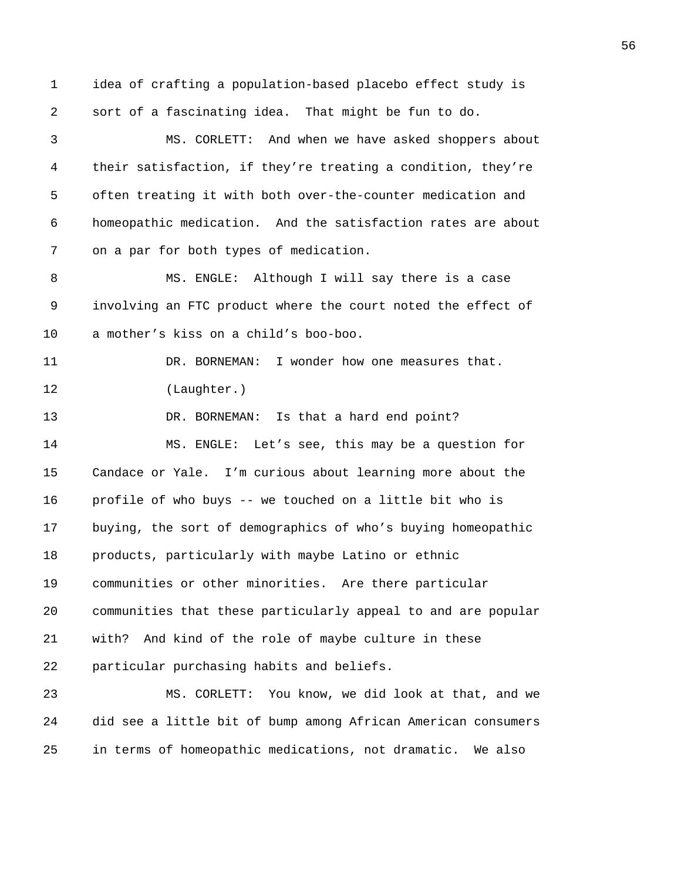1 idea of crafting a population-based placebo effect study is 2 sort of a fascinating idea. That might be fun to do. 3 MS. CORLETT: And when we have asked shoppers about 4 their satisfaction, if they're treating a condition, they're 5 often treating it with both over-the-counter medication and 6 homeopathic medication. And the satisfaction rates are about 7 on a par for both types of medication. 8 MS. ENGLE: Although I will say there is a case 9 involving an FTC product where the court noted the effect of 10 a mother's kiss on a child's boo-boo. 11 DR. BORNEMAN: I wonder how one measures that. 12 (Laughter.) 13 DR. BORNEMAN: Is that a hard end point? 14 MS. ENGLE: Let's see, this may be a question for 15 Candace or Yale. I'm curious about learning more about the 16 profile of who buys -- we touched on a little bit who is 17 buying, the sort of demographics of who's buying homeopathic 18 products, particularly with maybe Latino or ethnic 19 communities or other minorities. Are there particular 20 communities that these particularly appeal to and are popular 21 with? And kind of the role of maybe culture in these 22 particular purchasing habits and beliefs. 23 MS. CORLETT: You know, we did look at that, and we 24 did see a little bit of bump among African American consumers 25 in terms of homeopathic medications, not dramatic. We also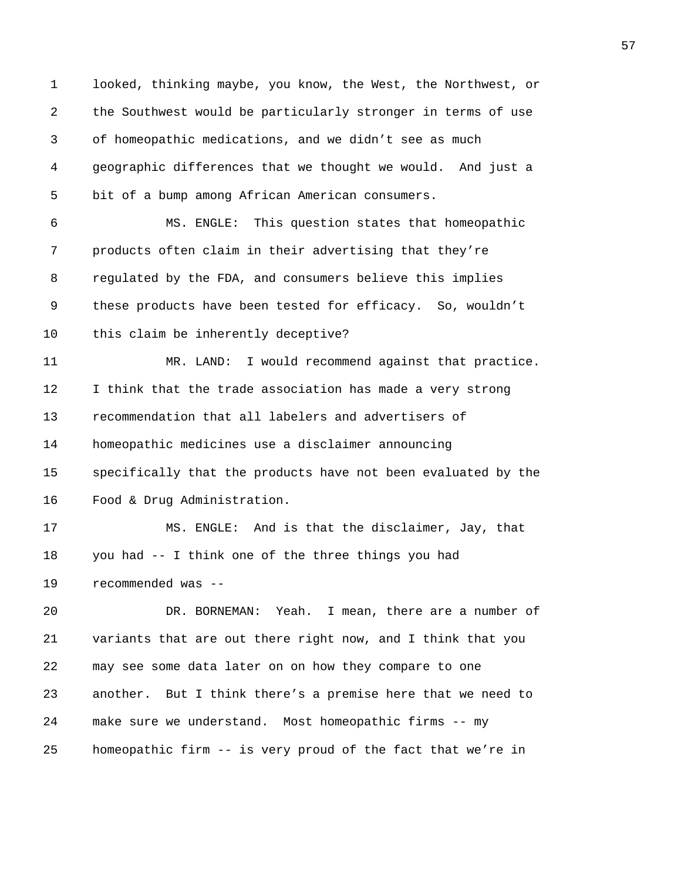1 looked, thinking maybe, you know, the West, the Northwest, or 2 the Southwest would be particularly stronger in terms of use 3 of homeopathic medications, and we didn't see as much 4 geographic differences that we thought we would. And just a 5 bit of a bump among African American consumers. 6 MS. ENGLE: This question states that homeopathic 7 products often claim in their advertising that they're 8 regulated by the FDA, and consumers believe this implies 9 these products have been tested for efficacy. So, wouldn't 10 this claim be inherently deceptive? 11 MR. LAND: I would recommend against that practice. 12 I think that the trade association has made a very strong 13 recommendation that all labelers and advertisers of 14 homeopathic medicines use a disclaimer announcing 15 specifically that the products have not been evaluated by the 16 Food & Drug Administration. 17 MS. ENGLE: And is that the disclaimer, Jay, that 18 you had -- I think one of the three things you had 19 recommended was -- 20 DR. BORNEMAN: Yeah. I mean, there are a number of 21 variants that are out there right now, and I think that you 22 may see some data later on on how they compare to one 23 another. But I think there's a premise here that we need to 24 make sure we understand. Most homeopathic firms -- my 25 homeopathic firm -- is very proud of the fact that we're in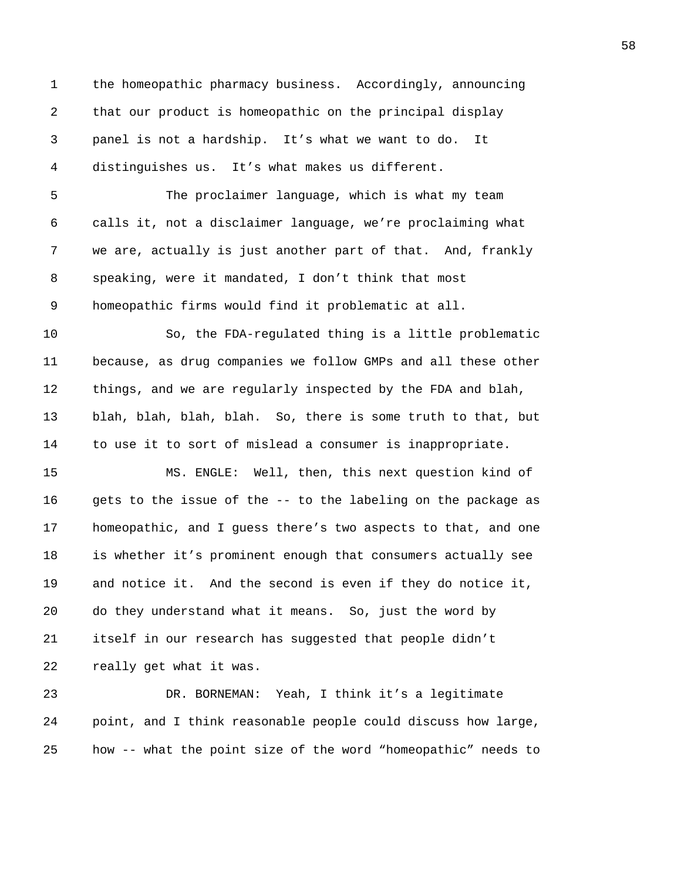1 the homeopathic pharmacy business. Accordingly, announcing 2 that our product is homeopathic on the principal display 3 panel is not a hardship. It's what we want to do. It 4 distinguishes us. It's what makes us different.

5 The proclaimer language, which is what my team 6 calls it, not a disclaimer language, we're proclaiming what 7 we are, actually is just another part of that. And, frankly 8 speaking, were it mandated, I don't think that most 9 homeopathic firms would find it problematic at all.

10 So, the FDA-regulated thing is a little problematic 11 because, as drug companies we follow GMPs and all these other 12 things, and we are regularly inspected by the FDA and blah, 13 blah, blah, blah, blah. So, there is some truth to that, but 14 to use it to sort of mislead a consumer is inappropriate.

15 MS. ENGLE: Well, then, this next question kind of 16 gets to the issue of the -- to the labeling on the package as 17 homeopathic, and I guess there's two aspects to that, and one 18 is whether it's prominent enough that consumers actually see 19 and notice it. And the second is even if they do notice it, 20 do they understand what it means. So, just the word by 21 itself in our research has suggested that people didn't 22 really get what it was.

23 DR. BORNEMAN: Yeah, I think it's a legitimate 24 point, and I think reasonable people could discuss how large, 25 how -- what the point size of the word "homeopathic" needs to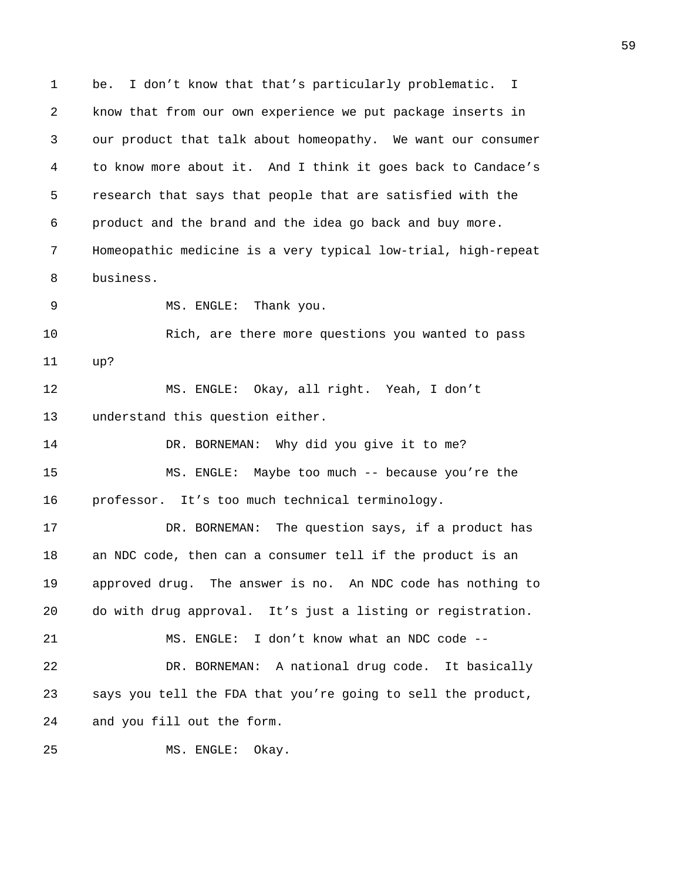1 be. I don't know that that's particularly problematic. I 2 know that from our own experience we put package inserts in 3 our product that talk about homeopathy. We want our consumer 4 to know more about it. And I think it goes back to Candace's 5 research that says that people that are satisfied with the 6 product and the brand and the idea go back and buy more. 7 Homeopathic medicine is a very typical low-trial, high-repeat 8 business. 9 MS. ENGLE: Thank you. 10 Rich, are there more questions you wanted to pass 11 up? 12 MS. ENGLE: Okay, all right. Yeah, I don't 13 understand this question either. 14 DR. BORNEMAN: Why did you give it to me? 15 MS. ENGLE: Maybe too much -- because you're the 16 professor. It's too much technical terminology. 17 DR. BORNEMAN: The question says, if a product has 18 an NDC code, then can a consumer tell if the product is an 19 approved drug. The answer is no. An NDC code has nothing to 20 do with drug approval. It's just a listing or registration. 21 MS. ENGLE: I don't know what an NDC code -- 22 DR. BORNEMAN: A national drug code. It basically 23 says you tell the FDA that you're going to sell the product, 24 and you fill out the form. 25 MS. ENGLE: Okay.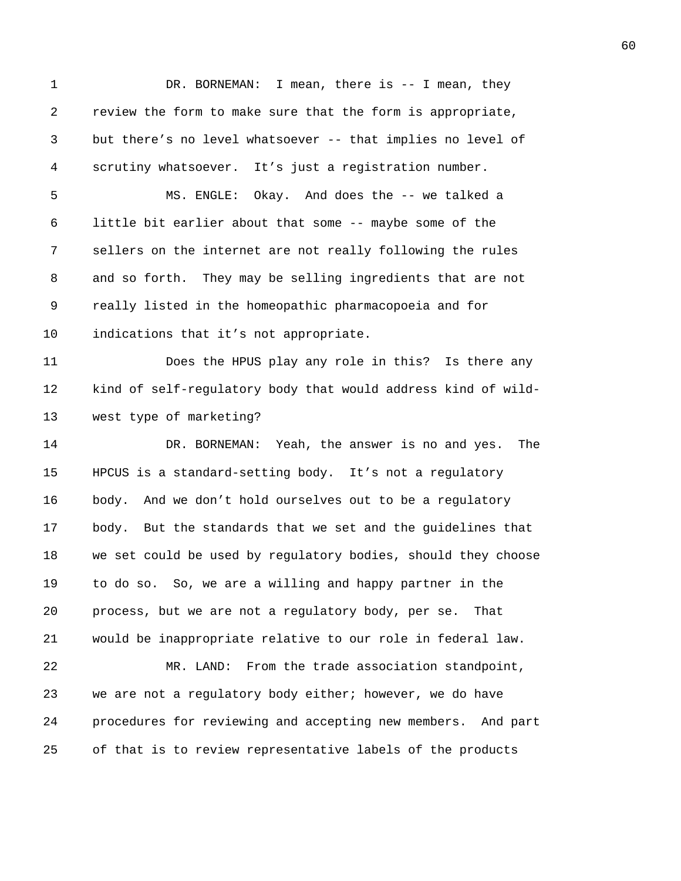1 DR. BORNEMAN: I mean, there is -- I mean, they 2 review the form to make sure that the form is appropriate, 3 but there's no level whatsoever -- that implies no level of 4 scrutiny whatsoever. It's just a registration number. 5 MS. ENGLE: Okay. And does the -- we talked a 6 little bit earlier about that some -- maybe some of the 7 sellers on the internet are not really following the rules 8 and so forth. They may be selling ingredients that are not 9 really listed in the homeopathic pharmacopoeia and for 10 indications that it's not appropriate. 11 Does the HPUS play any role in this? Is there any 12 kind of self-regulatory body that would address kind of wild-13 west type of marketing? 14 DR. BORNEMAN: Yeah, the answer is no and yes. The 15 HPCUS is a standard-setting body. It's not a regulatory 16 body. And we don't hold ourselves out to be a regulatory 17 body. But the standards that we set and the guidelines that 18 we set could be used by regulatory bodies, should they choose 19 to do so. So, we are a willing and happy partner in the 20 process, but we are not a regulatory body, per se. That 21 would be inappropriate relative to our role in federal law. 22 MR. LAND: From the trade association standpoint, 23 we are not a regulatory body either; however, we do have 24 procedures for reviewing and accepting new members. And part 25 of that is to review representative labels of the products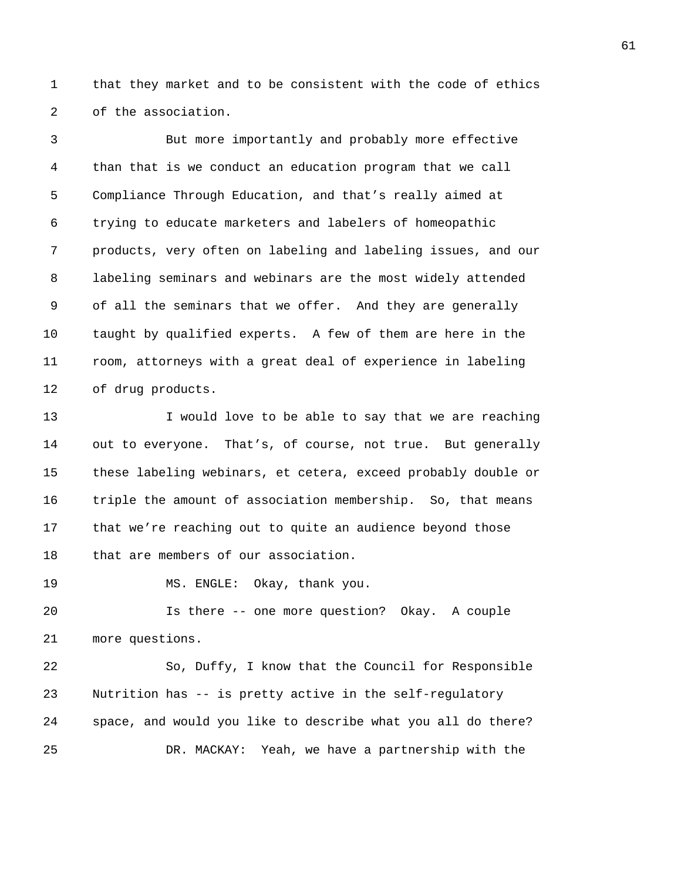1 that they market and to be consistent with the code of ethics 2 of the association.

3 But more importantly and probably more effective 4 than that is we conduct an education program that we call 5 Compliance Through Education, and that's really aimed at 6 trying to educate marketers and labelers of homeopathic 7 products, very often on labeling and labeling issues, and our 8 labeling seminars and webinars are the most widely attended 9 of all the seminars that we offer. And they are generally 10 taught by qualified experts. A few of them are here in the 11 room, attorneys with a great deal of experience in labeling 12 of drug products.

13 I would love to be able to say that we are reaching 14 out to everyone. That's, of course, not true. But generally 15 these labeling webinars, et cetera, exceed probably double or 16 triple the amount of association membership. So, that means 17 that we're reaching out to quite an audience beyond those 18 that are members of our association.

19 MS. ENGLE: Okay, thank you.

20 Is there -- one more question? Okay. A couple 21 more questions.

22 So, Duffy, I know that the Council for Responsible 23 Nutrition has -- is pretty active in the self-regulatory 24 space, and would you like to describe what you all do there? 25 DR. MACKAY: Yeah, we have a partnership with the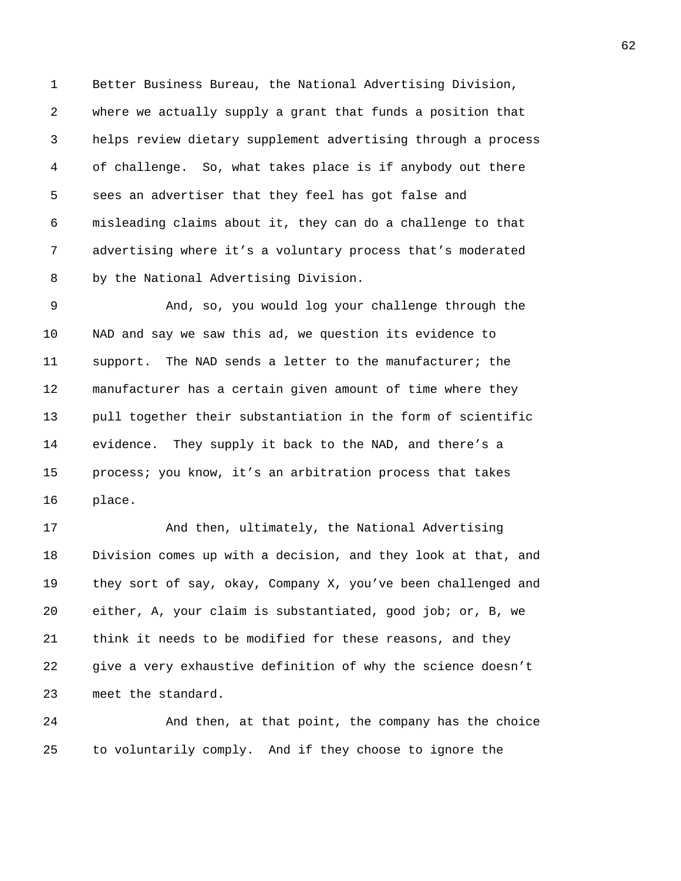1 Better Business Bureau, the National Advertising Division, 2 where we actually supply a grant that funds a position that 3 helps review dietary supplement advertising through a process 4 of challenge. So, what takes place is if anybody out there 5 sees an advertiser that they feel has got false and 6 misleading claims about it, they can do a challenge to that 7 advertising where it's a voluntary process that's moderated 8 by the National Advertising Division.

9 And, so, you would log your challenge through the 10 NAD and say we saw this ad, we question its evidence to 11 support. The NAD sends a letter to the manufacturer; the 12 manufacturer has a certain given amount of time where they 13 pull together their substantiation in the form of scientific 14 evidence. They supply it back to the NAD, and there's a 15 process; you know, it's an arbitration process that takes 16 place.

17 And then, ultimately, the National Advertising 18 Division comes up with a decision, and they look at that, and 19 they sort of say, okay, Company X, you've been challenged and 20 either, A, your claim is substantiated, good job; or, B, we 21 think it needs to be modified for these reasons, and they 22 give a very exhaustive definition of why the science doesn't 23 meet the standard.

24 And then, at that point, the company has the choice 25 to voluntarily comply. And if they choose to ignore the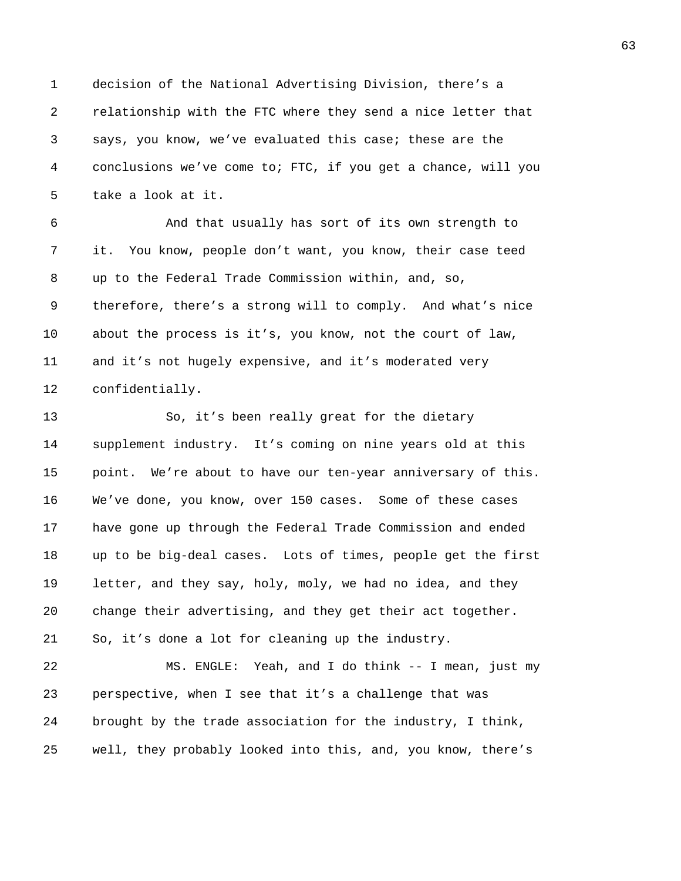1 decision of the National Advertising Division, there's a 2 relationship with the FTC where they send a nice letter that 3 says, you know, we've evaluated this case; these are the 4 conclusions we've come to; FTC, if you get a chance, will you 5 take a look at it.

6 And that usually has sort of its own strength to 7 it. You know, people don't want, you know, their case teed 8 up to the Federal Trade Commission within, and, so, 9 therefore, there's a strong will to comply. And what's nice 10 about the process is it's, you know, not the court of law, 11 and it's not hugely expensive, and it's moderated very 12 confidentially.

13 So, it's been really great for the dietary 14 supplement industry. It's coming on nine years old at this 15 point. We're about to have our ten-year anniversary of this. 16 We've done, you know, over 150 cases. Some of these cases 17 have gone up through the Federal Trade Commission and ended 18 up to be big-deal cases. Lots of times, people get the first 19 letter, and they say, holy, moly, we had no idea, and they 20 change their advertising, and they get their act together. 21 So, it's done a lot for cleaning up the industry. 22 MS. ENGLE: Yeah, and I do think -- I mean, just my 23 perspective, when I see that it's a challenge that was

25 well, they probably looked into this, and, you know, there's

24 brought by the trade association for the industry, I think,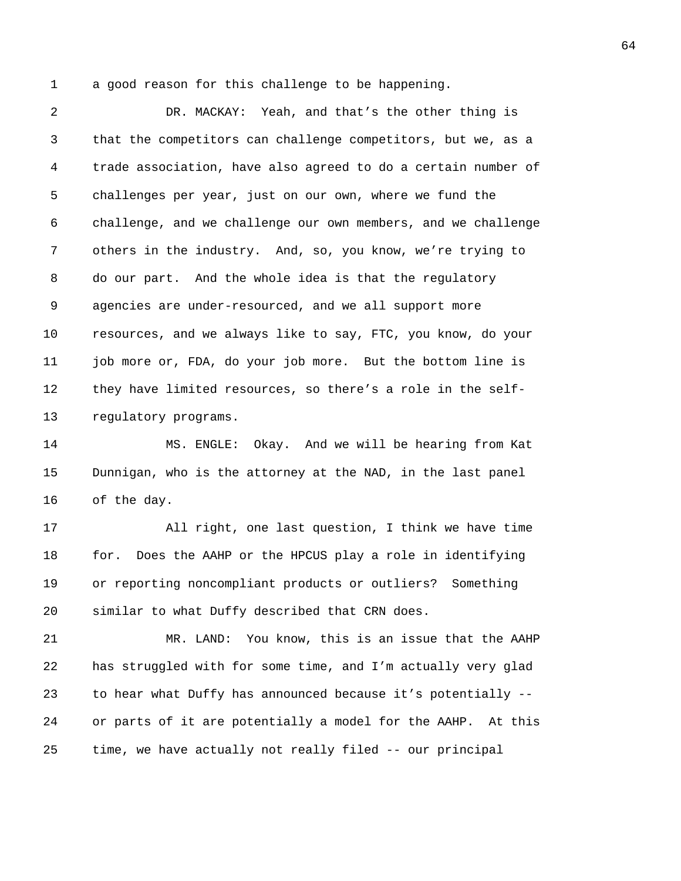1 a good reason for this challenge to be happening.

2 DR. MACKAY: Yeah, and that's the other thing is 3 that the competitors can challenge competitors, but we, as a 4 trade association, have also agreed to do a certain number of 5 challenges per year, just on our own, where we fund the 6 challenge, and we challenge our own members, and we challenge 7 others in the industry. And, so, you know, we're trying to 8 do our part. And the whole idea is that the regulatory 9 agencies are under-resourced, and we all support more 10 resources, and we always like to say, FTC, you know, do your 11 job more or, FDA, do your job more. But the bottom line is 12 they have limited resources, so there's a role in the self-13 regulatory programs.

14 MS. ENGLE: Okay. And we will be hearing from Kat 15 Dunnigan, who is the attorney at the NAD, in the last panel 16 of the day.

17 All right, one last question, I think we have time 18 for. Does the AAHP or the HPCUS play a role in identifying 19 or reporting noncompliant products or outliers? Something 20 similar to what Duffy described that CRN does.

21 MR. LAND: You know, this is an issue that the AAHP 22 has struggled with for some time, and I'm actually very glad 23 to hear what Duffy has announced because it's potentially -- 24 or parts of it are potentially a model for the AAHP. At this 25 time, we have actually not really filed -- our principal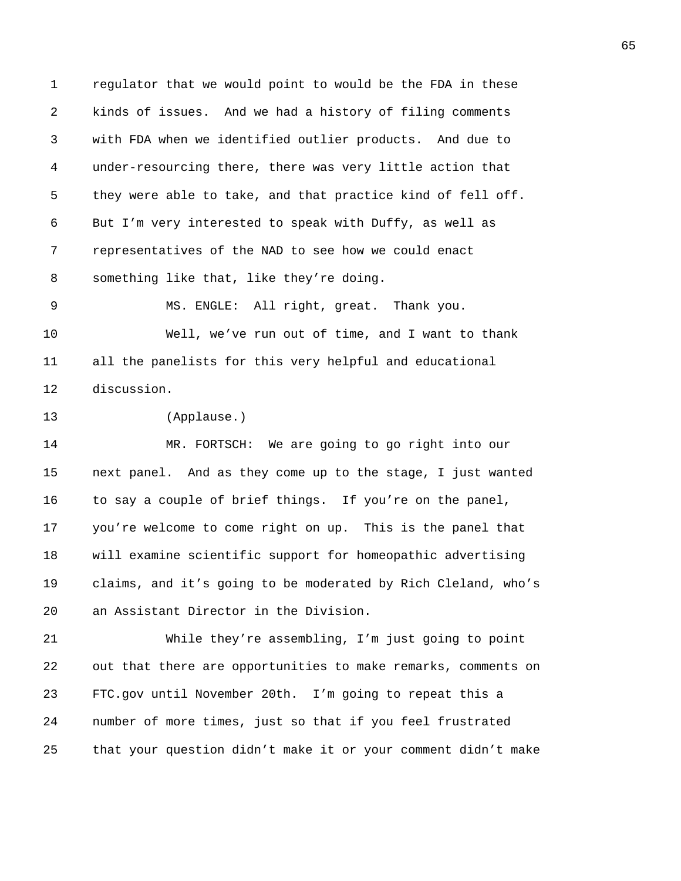1 regulator that we would point to would be the FDA in these 2 kinds of issues. And we had a history of filing comments 3 with FDA when we identified outlier products. And due to 4 under-resourcing there, there was very little action that 5 they were able to take, and that practice kind of fell off. 6 But I'm very interested to speak with Duffy, as well as 7 representatives of the NAD to see how we could enact 8 something like that, like they're doing.

9 MS. ENGLE: All right, great. Thank you. 10 Well, we've run out of time, and I want to thank 11 all the panelists for this very helpful and educational 12 discussion.

13 (Applause.)

14 MR. FORTSCH: We are going to go right into our 15 next panel. And as they come up to the stage, I just wanted 16 to say a couple of brief things. If you're on the panel, 17 you're welcome to come right on up. This is the panel that 18 will examine scientific support for homeopathic advertising 19 claims, and it's going to be moderated by Rich Cleland, who's 20 an Assistant Director in the Division.

21 While they're assembling, I'm just going to point 22 out that there are opportunities to make remarks, comments on 23 FTC.gov until November 20th. I'm going to repeat this a 24 number of more times, just so that if you feel frustrated 25 that your question didn't make it or your comment didn't make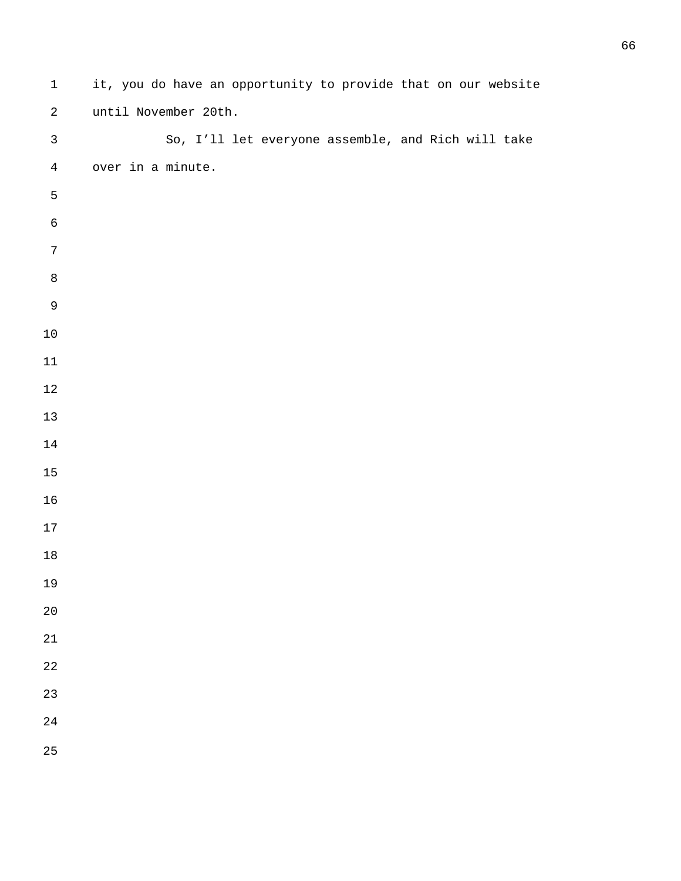| $\mathbf 1$    | it, you do have an opportunity to provide that on our website |
|----------------|---------------------------------------------------------------|
| $\sqrt{2}$     | until November 20th.                                          |
| $\mathfrak{Z}$ | So, I'll let everyone assemble, and Rich will take            |
| $\overline{4}$ | over in a minute.                                             |
| $\mathsf S$    |                                                               |
| $\epsilon$     |                                                               |
| $\sqrt{ }$     |                                                               |
| $\,8\,$        |                                                               |
| $\mathsf 9$    |                                                               |
| $10\,$         |                                                               |
| $11\,$         |                                                               |
| $12\,$         |                                                               |
| $13\,$         |                                                               |
| $14\,$         |                                                               |
| $15\,$         |                                                               |
| 16             |                                                               |
| $17\,$         |                                                               |
| $18\,$         |                                                               |
| 19             |                                                               |
| $20\,$         |                                                               |
| 21             |                                                               |
| 22             |                                                               |
| 23             |                                                               |
| 24             |                                                               |
| 25             |                                                               |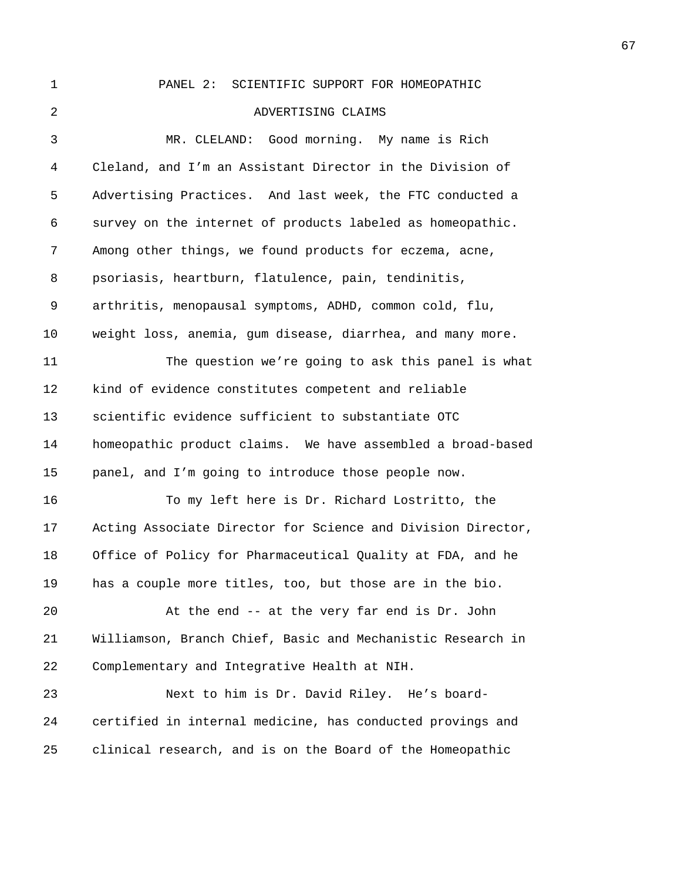1 PANEL 2: SCIENTIFIC SUPPORT FOR HOMEOPATHIC 2 ADVERTISING CLAIMS 3 MR. CLELAND: Good morning. My name is Rich 4 Cleland, and I'm an Assistant Director in the Division of 5 Advertising Practices. And last week, the FTC conducted a 6 survey on the internet of products labeled as homeopathic. 7 Among other things, we found products for eczema, acne, 8 psoriasis, heartburn, flatulence, pain, tendinitis, 9 arthritis, menopausal symptoms, ADHD, common cold, flu, 10 weight loss, anemia, gum disease, diarrhea, and many more. 11 The question we're going to ask this panel is what 12 kind of evidence constitutes competent and reliable 13 scientific evidence sufficient to substantiate OTC 14 homeopathic product claims. We have assembled a broad-based 15 panel, and I'm going to introduce those people now. 16 To my left here is Dr. Richard Lostritto, the 17 Acting Associate Director for Science and Division Director, 18 Office of Policy for Pharmaceutical Quality at FDA, and he 19 has a couple more titles, too, but those are in the bio. 20 At the end -- at the very far end is Dr. John 21 Williamson, Branch Chief, Basic and Mechanistic Research in 22 Complementary and Integrative Health at NIH. 23 Next to him is Dr. David Riley. He's board-24 certified in internal medicine, has conducted provings and 25 clinical research, and is on the Board of the Homeopathic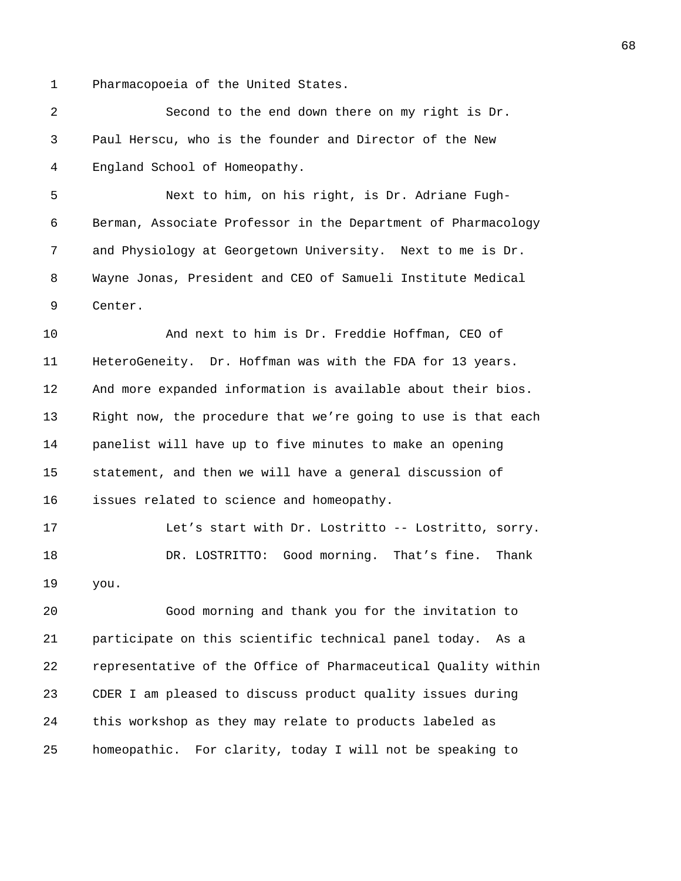1 Pharmacopoeia of the United States.

2 Second to the end down there on my right is Dr. 3 Paul Herscu, who is the founder and Director of the New 4 England School of Homeopathy.

5 Next to him, on his right, is Dr. Adriane Fugh-6 Berman, Associate Professor in the Department of Pharmacology 7 and Physiology at Georgetown University. Next to me is Dr. 8 Wayne Jonas, President and CEO of Samueli Institute Medical 9 Center.

10 And next to him is Dr. Freddie Hoffman, CEO of 11 HeteroGeneity. Dr. Hoffman was with the FDA for 13 years. 12 And more expanded information is available about their bios. 13 Right now, the procedure that we're going to use is that each 14 panelist will have up to five minutes to make an opening 15 statement, and then we will have a general discussion of 16 issues related to science and homeopathy.

17 Let's start with Dr. Lostritto -- Lostritto, sorry. 18 DR. LOSTRITTO: Good morning. That's fine. Thank 19 you.

20 Good morning and thank you for the invitation to 21 participate on this scientific technical panel today. As a 22 representative of the Office of Pharmaceutical Quality within 23 CDER I am pleased to discuss product quality issues during 24 this workshop as they may relate to products labeled as 25 homeopathic. For clarity, today I will not be speaking to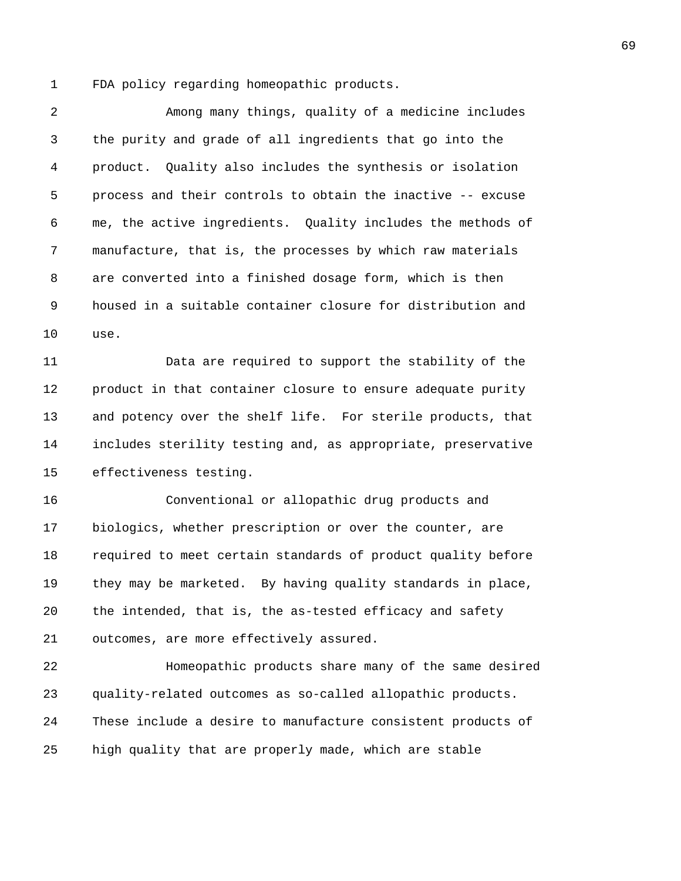1 FDA policy regarding homeopathic products.

2 Among many things, quality of a medicine includes 3 the purity and grade of all ingredients that go into the 4 product. Quality also includes the synthesis or isolation 5 process and their controls to obtain the inactive -- excuse 6 me, the active ingredients. Quality includes the methods of 7 manufacture, that is, the processes by which raw materials 8 are converted into a finished dosage form, which is then 9 housed in a suitable container closure for distribution and 10 use.

11 Data are required to support the stability of the 12 product in that container closure to ensure adequate purity 13 and potency over the shelf life. For sterile products, that 14 includes sterility testing and, as appropriate, preservative 15 effectiveness testing.

16 Conventional or allopathic drug products and 17 biologics, whether prescription or over the counter, are 18 required to meet certain standards of product quality before 19 they may be marketed. By having quality standards in place, 20 the intended, that is, the as-tested efficacy and safety 21 outcomes, are more effectively assured.

22 Homeopathic products share many of the same desired 23 quality-related outcomes as so-called allopathic products. 24 These include a desire to manufacture consistent products of 25 high quality that are properly made, which are stable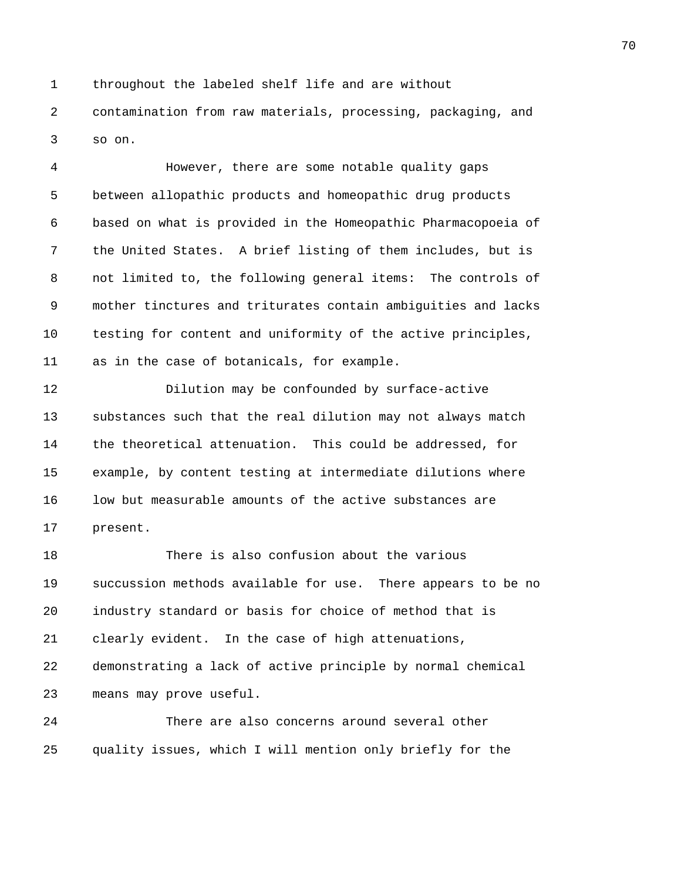1 throughout the labeled shelf life and are without 2 contamination from raw materials, processing, packaging, and 3 so on.

4 However, there are some notable quality gaps 5 between allopathic products and homeopathic drug products 6 based on what is provided in the Homeopathic Pharmacopoeia of 7 the United States. A brief listing of them includes, but is 8 not limited to, the following general items: The controls of 9 mother tinctures and triturates contain ambiguities and lacks 10 testing for content and uniformity of the active principles, 11 as in the case of botanicals, for example.

12 Dilution may be confounded by surface-active 13 substances such that the real dilution may not always match 14 the theoretical attenuation. This could be addressed, for 15 example, by content testing at intermediate dilutions where 16 low but measurable amounts of the active substances are 17 present.

18 There is also confusion about the various 19 succussion methods available for use. There appears to be no 20 industry standard or basis for choice of method that is 21 clearly evident. In the case of high attenuations, 22 demonstrating a lack of active principle by normal chemical 23 means may prove useful.

24 There are also concerns around several other 25 quality issues, which I will mention only briefly for the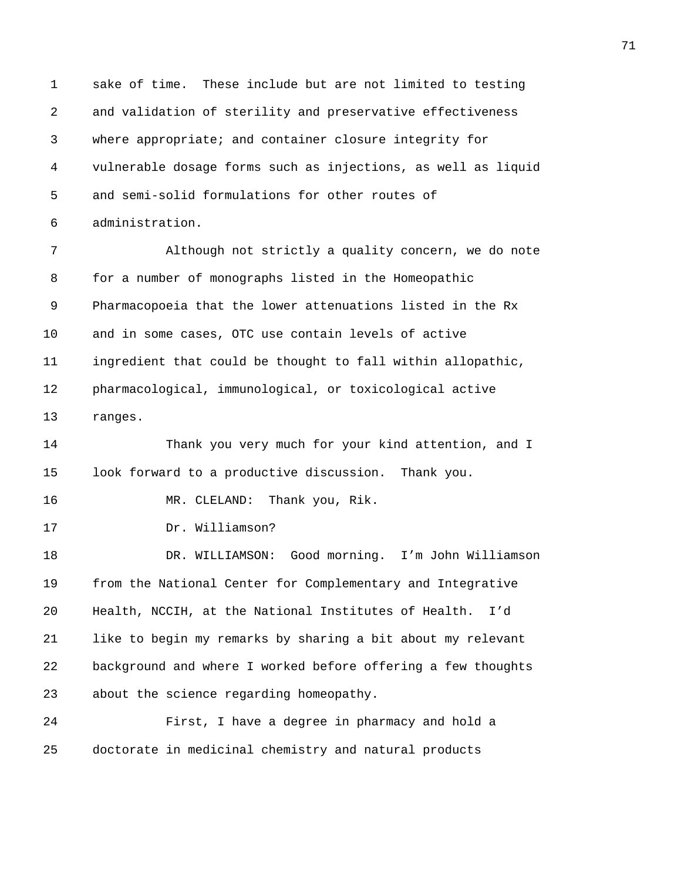1 sake of time. These include but are not limited to testing 2 and validation of sterility and preservative effectiveness 3 where appropriate; and container closure integrity for 4 vulnerable dosage forms such as injections, as well as liquid 5 and semi-solid formulations for other routes of 6 administration.

7 Although not strictly a quality concern, we do note 8 for a number of monographs listed in the Homeopathic 9 Pharmacopoeia that the lower attenuations listed in the Rx 10 and in some cases, OTC use contain levels of active 11 ingredient that could be thought to fall within allopathic, 12 pharmacological, immunological, or toxicological active 13 ranges.

14 Thank you very much for your kind attention, and I 15 look forward to a productive discussion. Thank you. 16 MR. CLELAND: Thank you, Rik. 17 Dr. Williamson? 18 DR. WILLIAMSON: Good morning. I'm John Williamson 19 from the National Center for Complementary and Integrative 20 Health, NCCIH, at the National Institutes of Health. I'd 21 like to begin my remarks by sharing a bit about my relevant

22 background and where I worked before offering a few thoughts 23 about the science regarding homeopathy.

24 First, I have a degree in pharmacy and hold a 25 doctorate in medicinal chemistry and natural products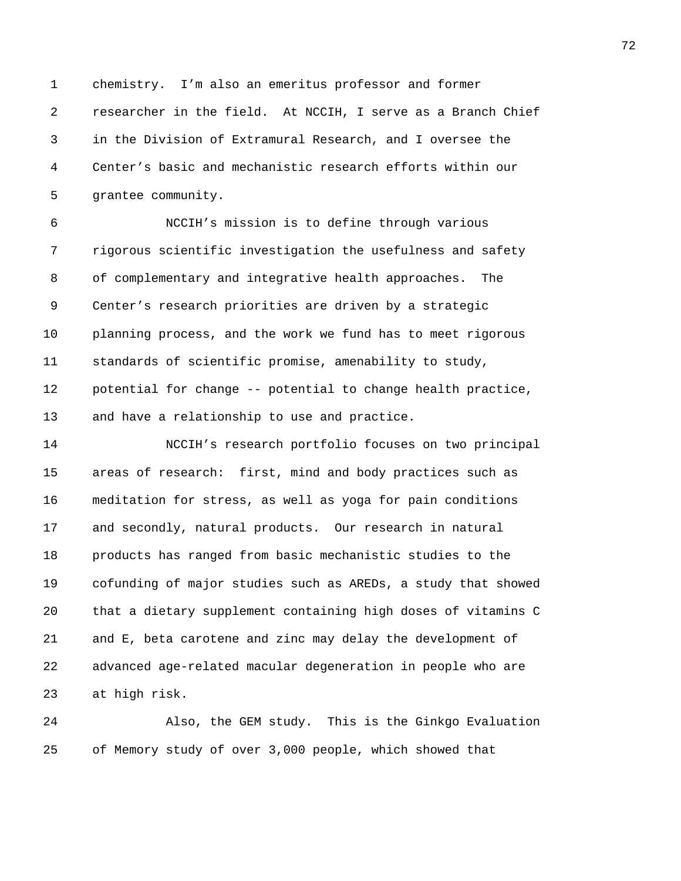1 chemistry. I'm also an emeritus professor and former 2 researcher in the field. At NCCIH, I serve as a Branch Chief 3 in the Division of Extramural Research, and I oversee the 4 Center's basic and mechanistic research efforts within our 5 grantee community.

6 NCCIH's mission is to define through various 7 rigorous scientific investigation the usefulness and safety 8 of complementary and integrative health approaches. The 9 Center's research priorities are driven by a strategic 10 planning process, and the work we fund has to meet rigorous 11 standards of scientific promise, amenability to study, 12 potential for change -- potential to change health practice, 13 and have a relationship to use and practice.

14 NCCIH's research portfolio focuses on two principal 15 areas of research: first, mind and body practices such as 16 meditation for stress, as well as yoga for pain conditions 17 and secondly, natural products. Our research in natural 18 products has ranged from basic mechanistic studies to the 19 cofunding of major studies such as AREDs, a study that showed 20 that a dietary supplement containing high doses of vitamins C 21 and E, beta carotene and zinc may delay the development of 22 advanced age-related macular degeneration in people who are 23 at high risk.

24 Also, the GEM study. This is the Ginkgo Evaluation 25 of Memory study of over 3,000 people, which showed that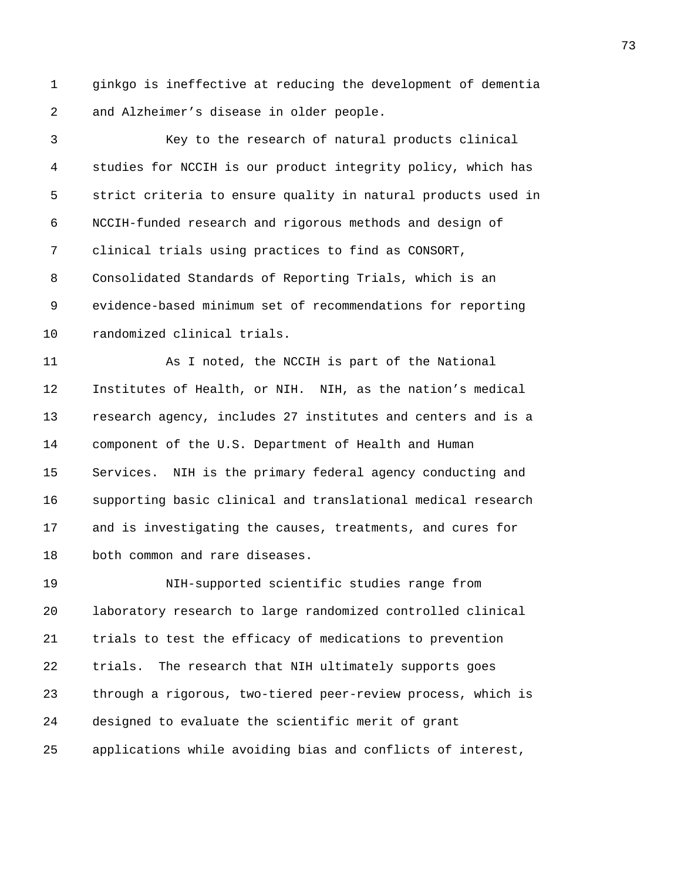1 ginkgo is ineffective at reducing the development of dementia 2 and Alzheimer's disease in older people.

3 Key to the research of natural products clinical 4 studies for NCCIH is our product integrity policy, which has 5 strict criteria to ensure quality in natural products used in 6 NCCIH-funded research and rigorous methods and design of 7 clinical trials using practices to find as CONSORT, 8 Consolidated Standards of Reporting Trials, which is an 9 evidence-based minimum set of recommendations for reporting 10 randomized clinical trials.

11 As I noted, the NCCIH is part of the National 12 Institutes of Health, or NIH. NIH, as the nation's medical 13 research agency, includes 27 institutes and centers and is a 14 component of the U.S. Department of Health and Human 15 Services. NIH is the primary federal agency conducting and 16 supporting basic clinical and translational medical research 17 and is investigating the causes, treatments, and cures for 18 both common and rare diseases.

19 NIH-supported scientific studies range from 20 laboratory research to large randomized controlled clinical 21 trials to test the efficacy of medications to prevention 22 trials. The research that NIH ultimately supports goes 23 through a rigorous, two-tiered peer-review process, which is 24 designed to evaluate the scientific merit of grant 25 applications while avoiding bias and conflicts of interest,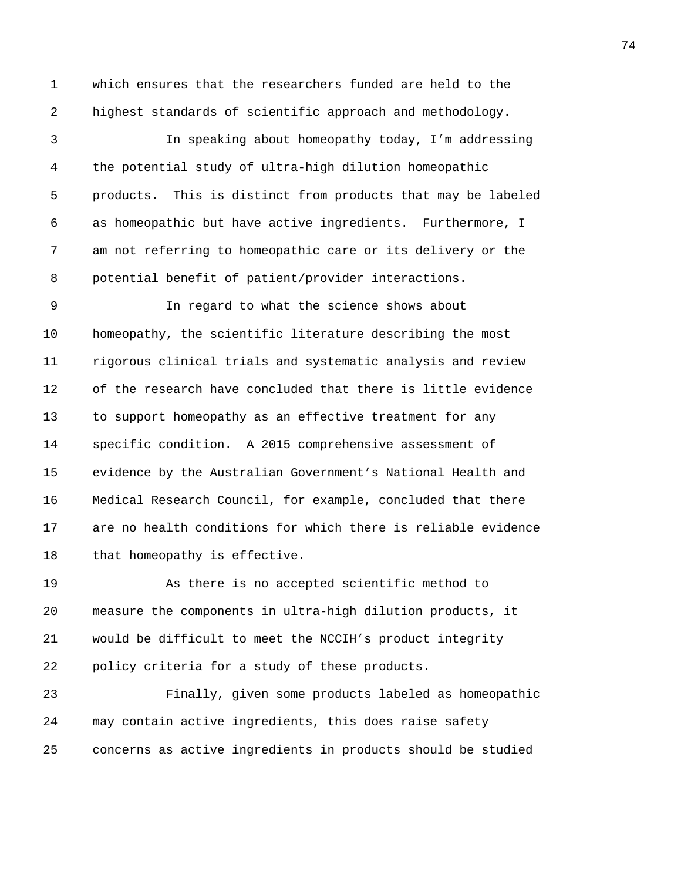1 which ensures that the researchers funded are held to the 2 highest standards of scientific approach and methodology.

3 In speaking about homeopathy today, I'm addressing 4 the potential study of ultra-high dilution homeopathic 5 products. This is distinct from products that may be labeled 6 as homeopathic but have active ingredients. Furthermore, I 7 am not referring to homeopathic care or its delivery or the 8 potential benefit of patient/provider interactions.

9 In regard to what the science shows about 10 homeopathy, the scientific literature describing the most 11 rigorous clinical trials and systematic analysis and review 12 of the research have concluded that there is little evidence 13 to support homeopathy as an effective treatment for any 14 specific condition. A 2015 comprehensive assessment of 15 evidence by the Australian Government's National Health and 16 Medical Research Council, for example, concluded that there 17 are no health conditions for which there is reliable evidence 18 that homeopathy is effective.

19 As there is no accepted scientific method to 20 measure the components in ultra-high dilution products, it 21 would be difficult to meet the NCCIH's product integrity 22 policy criteria for a study of these products.

23 Finally, given some products labeled as homeopathic 24 may contain active ingredients, this does raise safety 25 concerns as active ingredients in products should be studied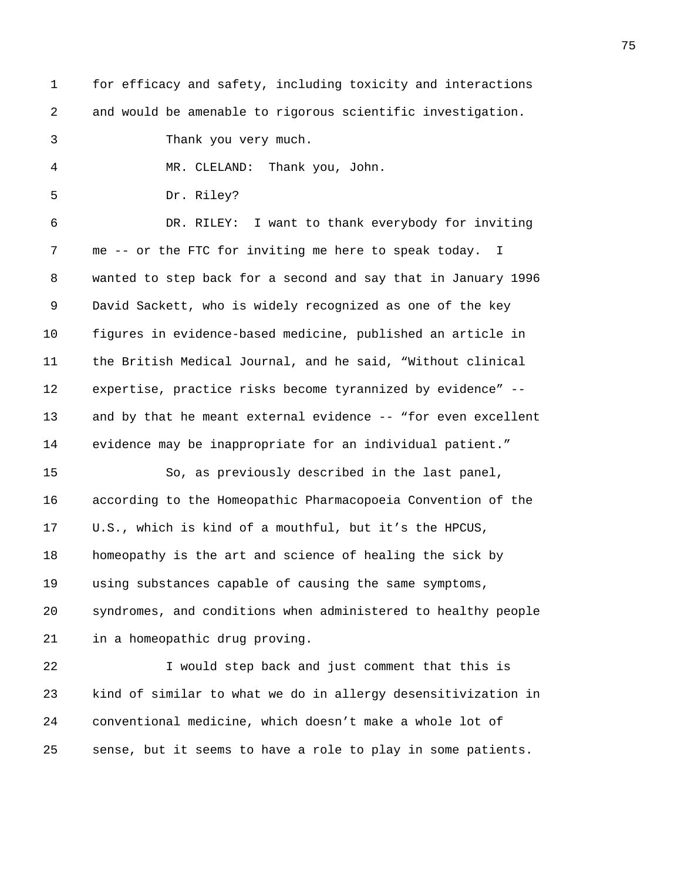- 1 for efficacy and safety, including toxicity and interactions 2 and would be amenable to rigorous scientific investigation.
- 3 Thank you very much.

4 MR. CLELAND: Thank you, John.

5 Dr. Riley?

6 DR. RILEY: I want to thank everybody for inviting 7 me -- or the FTC for inviting me here to speak today. I 8 wanted to step back for a second and say that in January 1996 9 David Sackett, who is widely recognized as one of the key 10 figures in evidence-based medicine, published an article in 11 the British Medical Journal, and he said, "Without clinical 12 expertise, practice risks become tyrannized by evidence" -- 13 and by that he meant external evidence -- "for even excellent 14 evidence may be inappropriate for an individual patient."

15 So, as previously described in the last panel, 16 according to the Homeopathic Pharmacopoeia Convention of the 17 U.S., which is kind of a mouthful, but it's the HPCUS, 18 homeopathy is the art and science of healing the sick by 19 using substances capable of causing the same symptoms, 20 syndromes, and conditions when administered to healthy people 21 in a homeopathic drug proving.

22 I would step back and just comment that this is 23 kind of similar to what we do in allergy desensitivization in 24 conventional medicine, which doesn't make a whole lot of 25 sense, but it seems to have a role to play in some patients.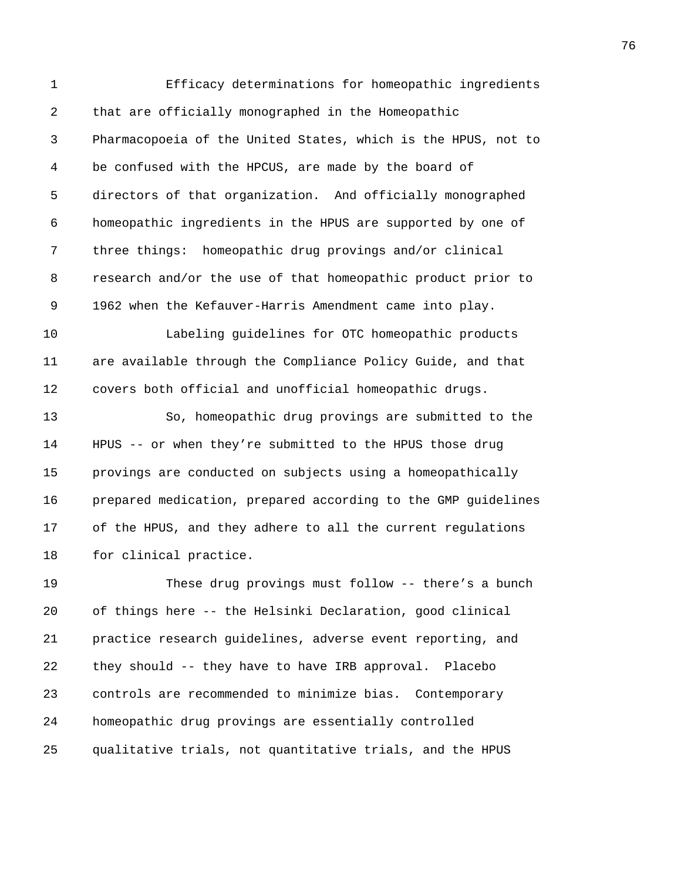1 Efficacy determinations for homeopathic ingredients 2 that are officially monographed in the Homeopathic 3 Pharmacopoeia of the United States, which is the HPUS, not to 4 be confused with the HPCUS, are made by the board of 5 directors of that organization. And officially monographed 6 homeopathic ingredients in the HPUS are supported by one of 7 three things: homeopathic drug provings and/or clinical 8 research and/or the use of that homeopathic product prior to 9 1962 when the Kefauver-Harris Amendment came into play. 10 Labeling guidelines for OTC homeopathic products 11 are available through the Compliance Policy Guide, and that 12 covers both official and unofficial homeopathic drugs. 13 So, homeopathic drug provings are submitted to the 14 HPUS -- or when they're submitted to the HPUS those drug 15 provings are conducted on subjects using a homeopathically 16 prepared medication, prepared according to the GMP guidelines 17 of the HPUS, and they adhere to all the current regulations 18 for clinical practice. 19 These drug provings must follow -- there's a bunch 20 of things here -- the Helsinki Declaration, good clinical 21 practice research guidelines, adverse event reporting, and 22 they should -- they have to have IRB approval. Placebo 23 controls are recommended to minimize bias. Contemporary

25 qualitative trials, not quantitative trials, and the HPUS

24 homeopathic drug provings are essentially controlled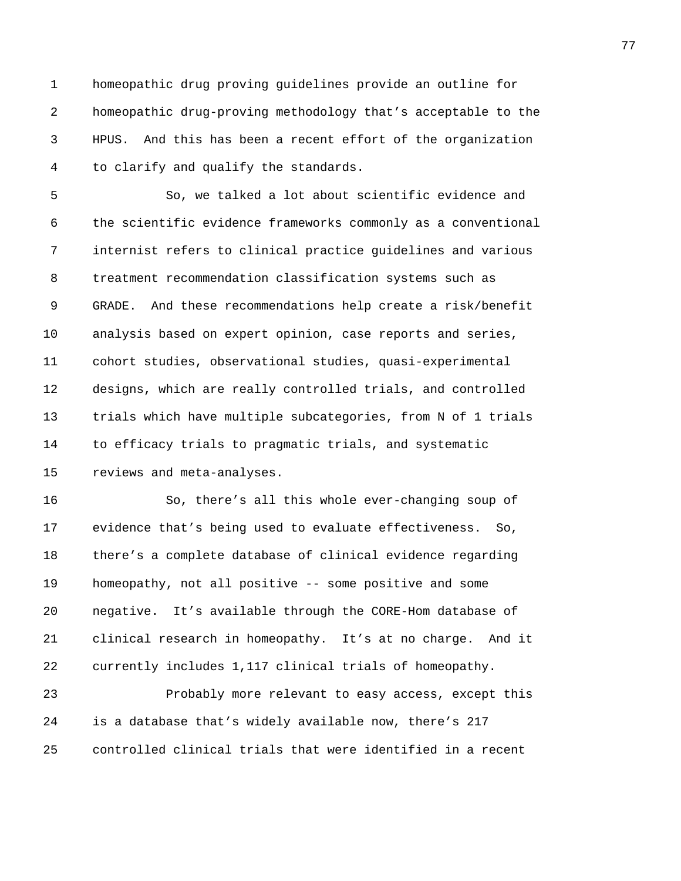1 homeopathic drug proving guidelines provide an outline for 2 homeopathic drug-proving methodology that's acceptable to the 3 HPUS. And this has been a recent effort of the organization 4 to clarify and qualify the standards.

5 So, we talked a lot about scientific evidence and 6 the scientific evidence frameworks commonly as a conventional 7 internist refers to clinical practice guidelines and various 8 treatment recommendation classification systems such as 9 GRADE. And these recommendations help create a risk/benefit 10 analysis based on expert opinion, case reports and series, 11 cohort studies, observational studies, quasi-experimental 12 designs, which are really controlled trials, and controlled 13 trials which have multiple subcategories, from N of 1 trials 14 to efficacy trials to pragmatic trials, and systematic 15 reviews and meta-analyses.

16 So, there's all this whole ever-changing soup of 17 evidence that's being used to evaluate effectiveness. So, 18 there's a complete database of clinical evidence regarding 19 homeopathy, not all positive -- some positive and some 20 negative. It's available through the CORE-Hom database of 21 clinical research in homeopathy. It's at no charge. And it 22 currently includes 1,117 clinical trials of homeopathy. 23 Probably more relevant to easy access, except this

24 is a database that's widely available now, there's 217 25 controlled clinical trials that were identified in a recent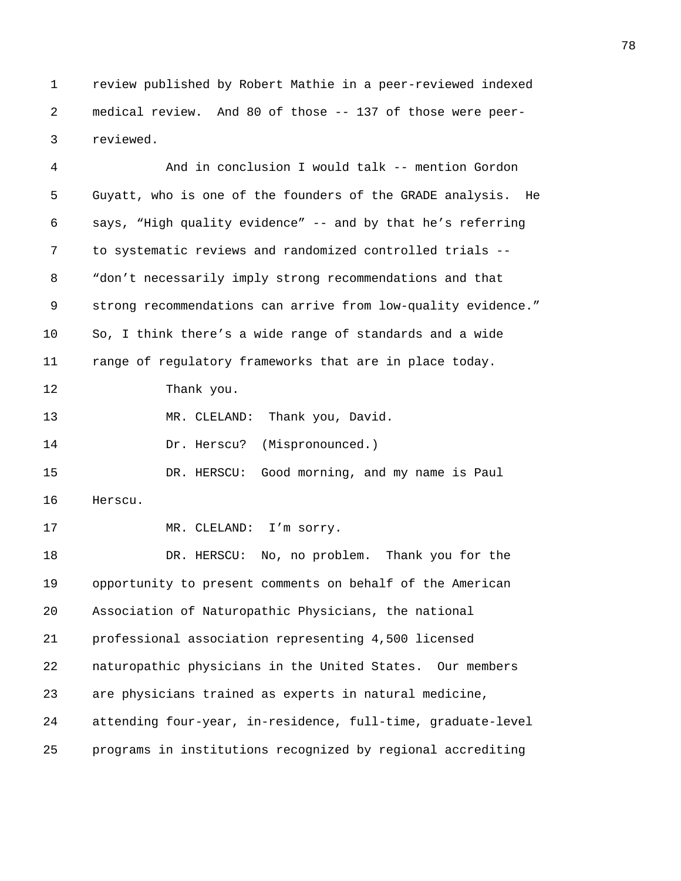1 review published by Robert Mathie in a peer-reviewed indexed 2 medical review. And 80 of those -- 137 of those were peer-3 reviewed.

4 And in conclusion I would talk -- mention Gordon 5 Guyatt, who is one of the founders of the GRADE analysis. He 6 says, "High quality evidence" -- and by that he's referring 7 to systematic reviews and randomized controlled trials -- 8 "don't necessarily imply strong recommendations and that 9 strong recommendations can arrive from low-quality evidence." 10 So, I think there's a wide range of standards and a wide 11 range of regulatory frameworks that are in place today. 12 Thank you. 13 MR. CLELAND: Thank you, David. 14 Dr. Herscu? (Mispronounced.) 15 DR. HERSCU: Good morning, and my name is Paul 16 Herscu. 17 MR. CLELAND: I'm sorry. 18 DR. HERSCU: No, no problem. Thank you for the 19 opportunity to present comments on behalf of the American 20 Association of Naturopathic Physicians, the national 21 professional association representing 4,500 licensed 22 naturopathic physicians in the United States. Our members 23 are physicians trained as experts in natural medicine, 24 attending four-year, in-residence, full-time, graduate-level 25 programs in institutions recognized by regional accrediting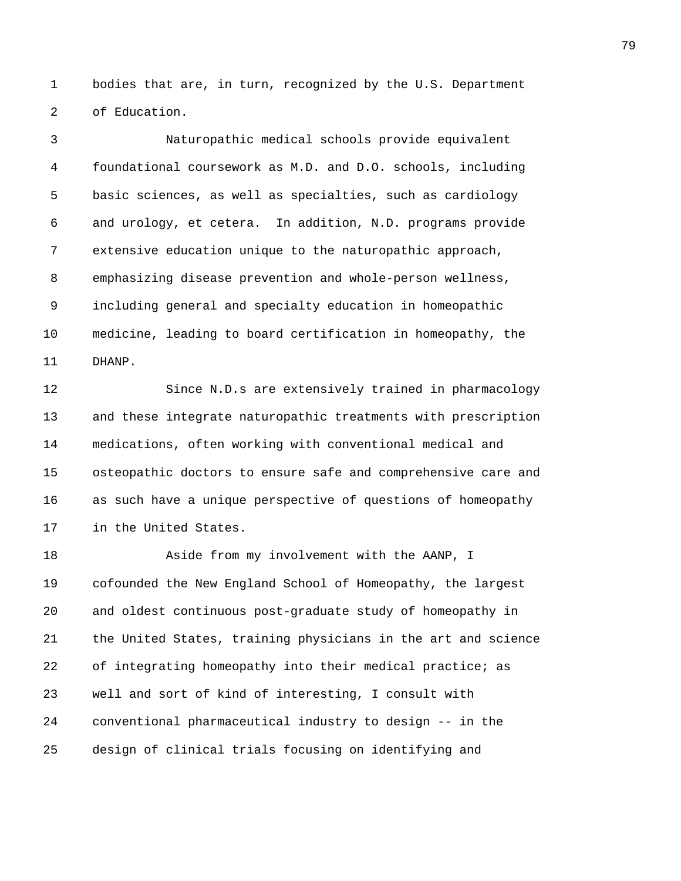1 bodies that are, in turn, recognized by the U.S. Department 2 of Education.

3 Naturopathic medical schools provide equivalent 4 foundational coursework as M.D. and D.O. schools, including 5 basic sciences, as well as specialties, such as cardiology 6 and urology, et cetera. In addition, N.D. programs provide 7 extensive education unique to the naturopathic approach, 8 emphasizing disease prevention and whole-person wellness, 9 including general and specialty education in homeopathic 10 medicine, leading to board certification in homeopathy, the 11 DHANP.

12 Since N.D.s are extensively trained in pharmacology 13 and these integrate naturopathic treatments with prescription 14 medications, often working with conventional medical and 15 osteopathic doctors to ensure safe and comprehensive care and 16 as such have a unique perspective of questions of homeopathy 17 in the United States.

18 Aside from my involvement with the AANP, I 19 cofounded the New England School of Homeopathy, the largest 20 and oldest continuous post-graduate study of homeopathy in 21 the United States, training physicians in the art and science 22 of integrating homeopathy into their medical practice; as 23 well and sort of kind of interesting, I consult with 24 conventional pharmaceutical industry to design -- in the 25 design of clinical trials focusing on identifying and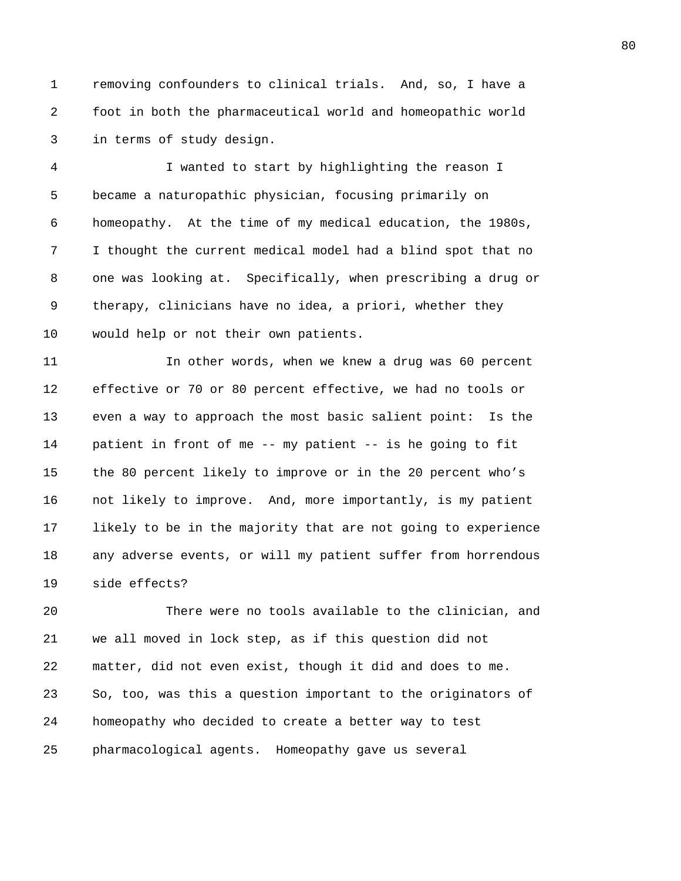1 removing confounders to clinical trials. And, so, I have a 2 foot in both the pharmaceutical world and homeopathic world 3 in terms of study design.

4 I wanted to start by highlighting the reason I 5 became a naturopathic physician, focusing primarily on 6 homeopathy. At the time of my medical education, the 1980s, 7 I thought the current medical model had a blind spot that no 8 one was looking at. Specifically, when prescribing a drug or 9 therapy, clinicians have no idea, a priori, whether they 10 would help or not their own patients.

11 In other words, when we knew a drug was 60 percent 12 effective or 70 or 80 percent effective, we had no tools or 13 even a way to approach the most basic salient point: Is the 14 patient in front of me -- my patient -- is he going to fit 15 the 80 percent likely to improve or in the 20 percent who's 16 not likely to improve. And, more importantly, is my patient 17 likely to be in the majority that are not going to experience 18 any adverse events, or will my patient suffer from horrendous 19 side effects?

20 There were no tools available to the clinician, and 21 we all moved in lock step, as if this question did not 22 matter, did not even exist, though it did and does to me. 23 So, too, was this a question important to the originators of 24 homeopathy who decided to create a better way to test 25 pharmacological agents. Homeopathy gave us several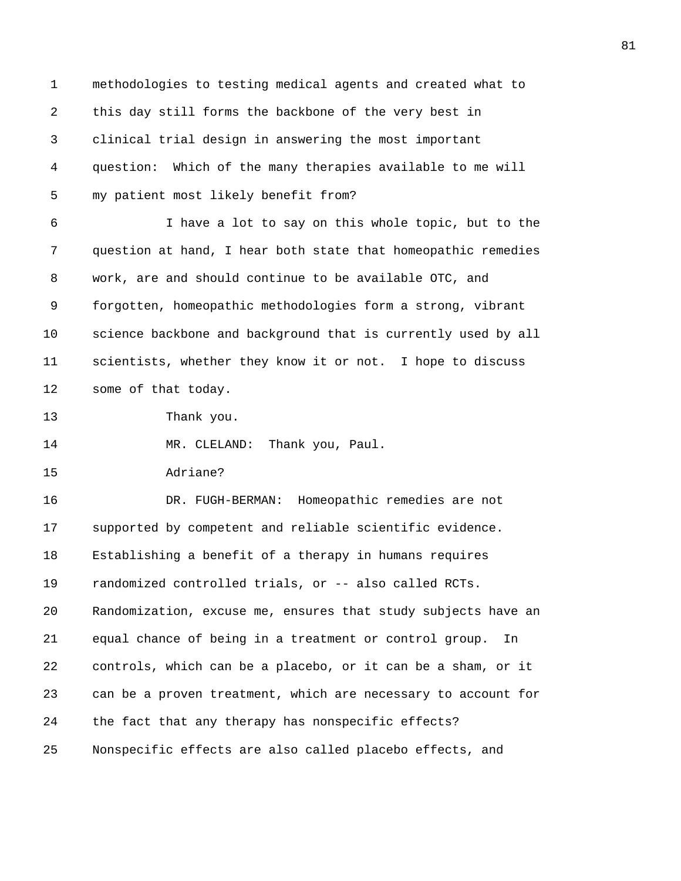1 methodologies to testing medical agents and created what to 2 this day still forms the backbone of the very best in 3 clinical trial design in answering the most important 4 question: Which of the many therapies available to me will 5 my patient most likely benefit from? 6 I have a lot to say on this whole topic, but to the 7 question at hand, I hear both state that homeopathic remedies 8 work, are and should continue to be available OTC, and 9 forgotten, homeopathic methodologies form a strong, vibrant 10 science backbone and background that is currently used by all 11 scientists, whether they know it or not. I hope to discuss 12 some of that today. 13 Thank you. 14 MR. CLELAND: Thank you, Paul. 15 Adriane? 16 DR. FUGH-BERMAN: Homeopathic remedies are not 17 supported by competent and reliable scientific evidence. 18 Establishing a benefit of a therapy in humans requires 19 randomized controlled trials, or -- also called RCTs. 20 Randomization, excuse me, ensures that study subjects have an 21 equal chance of being in a treatment or control group. In 22 controls, which can be a placebo, or it can be a sham, or it 23 can be a proven treatment, which are necessary to account for 24 the fact that any therapy has nonspecific effects? 25 Nonspecific effects are also called placebo effects, and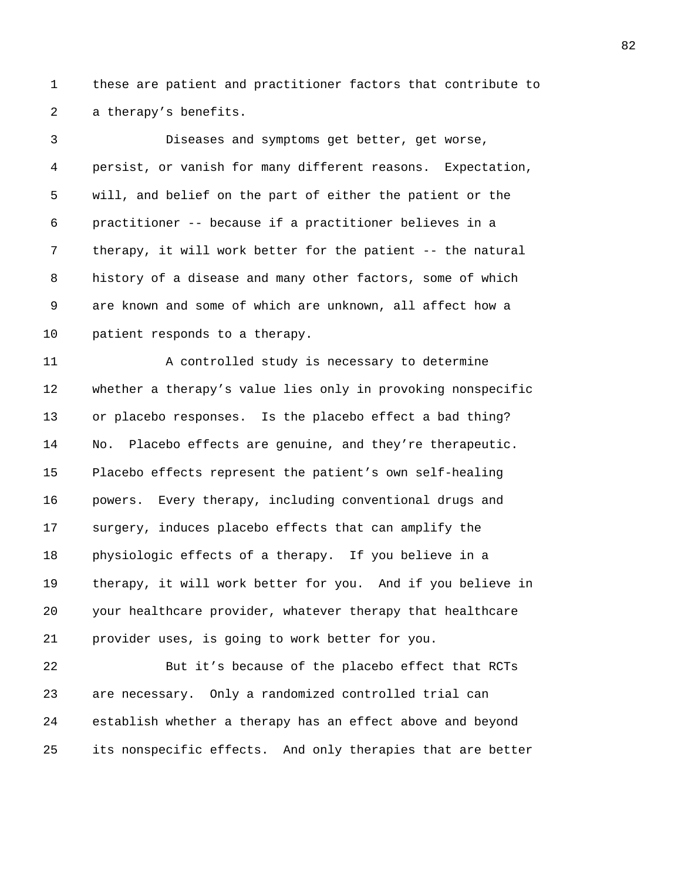1 these are patient and practitioner factors that contribute to 2 a therapy's benefits.

3 Diseases and symptoms get better, get worse, 4 persist, or vanish for many different reasons. Expectation, 5 will, and belief on the part of either the patient or the 6 practitioner -- because if a practitioner believes in a 7 therapy, it will work better for the patient -- the natural 8 history of a disease and many other factors, some of which 9 are known and some of which are unknown, all affect how a 10 patient responds to a therapy.

11 A controlled study is necessary to determine 12 whether a therapy's value lies only in provoking nonspecific 13 or placebo responses. Is the placebo effect a bad thing? 14 No. Placebo effects are genuine, and they're therapeutic. 15 Placebo effects represent the patient's own self-healing 16 powers. Every therapy, including conventional drugs and 17 surgery, induces placebo effects that can amplify the 18 physiologic effects of a therapy. If you believe in a 19 therapy, it will work better for you. And if you believe in 20 your healthcare provider, whatever therapy that healthcare 21 provider uses, is going to work better for you.

22 But it's because of the placebo effect that RCTs 23 are necessary. Only a randomized controlled trial can 24 establish whether a therapy has an effect above and beyond 25 its nonspecific effects. And only therapies that are better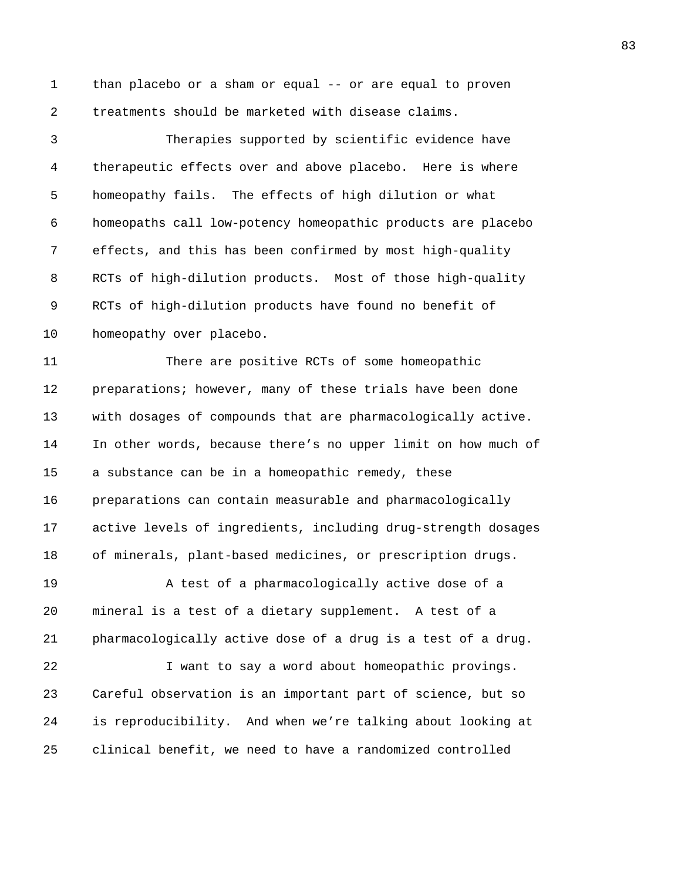1 than placebo or a sham or equal -- or are equal to proven 2 treatments should be marketed with disease claims.

3 Therapies supported by scientific evidence have 4 therapeutic effects over and above placebo. Here is where 5 homeopathy fails. The effects of high dilution or what 6 homeopaths call low-potency homeopathic products are placebo 7 effects, and this has been confirmed by most high-quality 8 RCTs of high-dilution products. Most of those high-quality 9 RCTs of high-dilution products have found no benefit of 10 homeopathy over placebo.

11 There are positive RCTs of some homeopathic 12 preparations; however, many of these trials have been done 13 with dosages of compounds that are pharmacologically active. 14 In other words, because there's no upper limit on how much of 15 a substance can be in a homeopathic remedy, these 16 preparations can contain measurable and pharmacologically 17 active levels of ingredients, including drug-strength dosages 18 of minerals, plant-based medicines, or prescription drugs.

19 A test of a pharmacologically active dose of a 20 mineral is a test of a dietary supplement. A test of a 21 pharmacologically active dose of a drug is a test of a drug.

22 I want to say a word about homeopathic provings. 23 Careful observation is an important part of science, but so 24 is reproducibility. And when we're talking about looking at 25 clinical benefit, we need to have a randomized controlled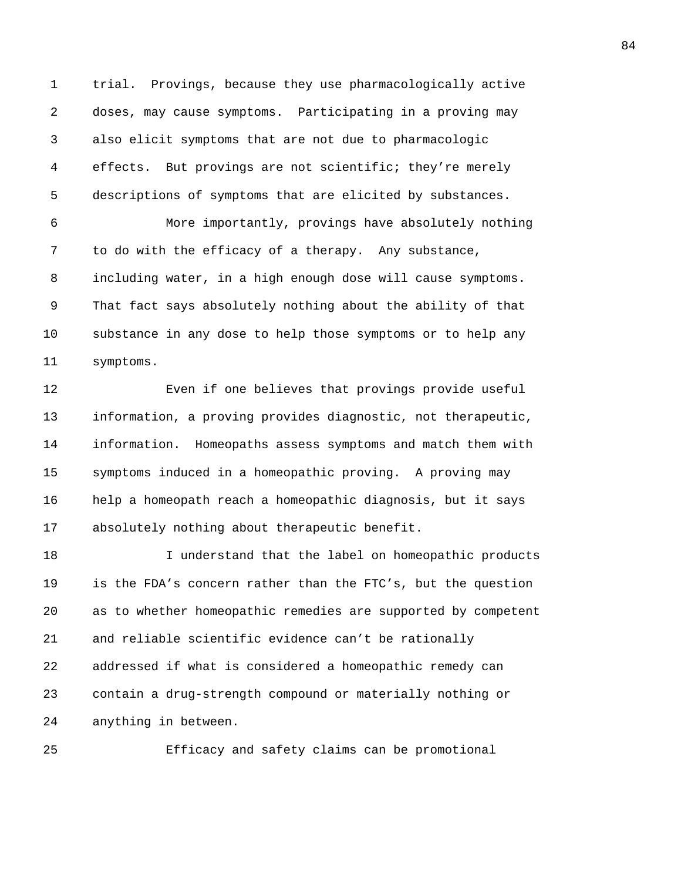1 trial. Provings, because they use pharmacologically active 2 doses, may cause symptoms. Participating in a proving may 3 also elicit symptoms that are not due to pharmacologic 4 effects. But provings are not scientific; they're merely 5 descriptions of symptoms that are elicited by substances.

6 More importantly, provings have absolutely nothing 7 to do with the efficacy of a therapy. Any substance, 8 including water, in a high enough dose will cause symptoms. 9 That fact says absolutely nothing about the ability of that 10 substance in any dose to help those symptoms or to help any 11 symptoms.

12 Even if one believes that provings provide useful 13 information, a proving provides diagnostic, not therapeutic, 14 information. Homeopaths assess symptoms and match them with 15 symptoms induced in a homeopathic proving. A proving may 16 help a homeopath reach a homeopathic diagnosis, but it says 17 absolutely nothing about therapeutic benefit.

18 I understand that the label on homeopathic products 19 is the FDA's concern rather than the FTC's, but the question 20 as to whether homeopathic remedies are supported by competent 21 and reliable scientific evidence can't be rationally 22 addressed if what is considered a homeopathic remedy can 23 contain a drug-strength compound or materially nothing or 24 anything in between.

25 Efficacy and safety claims can be promotional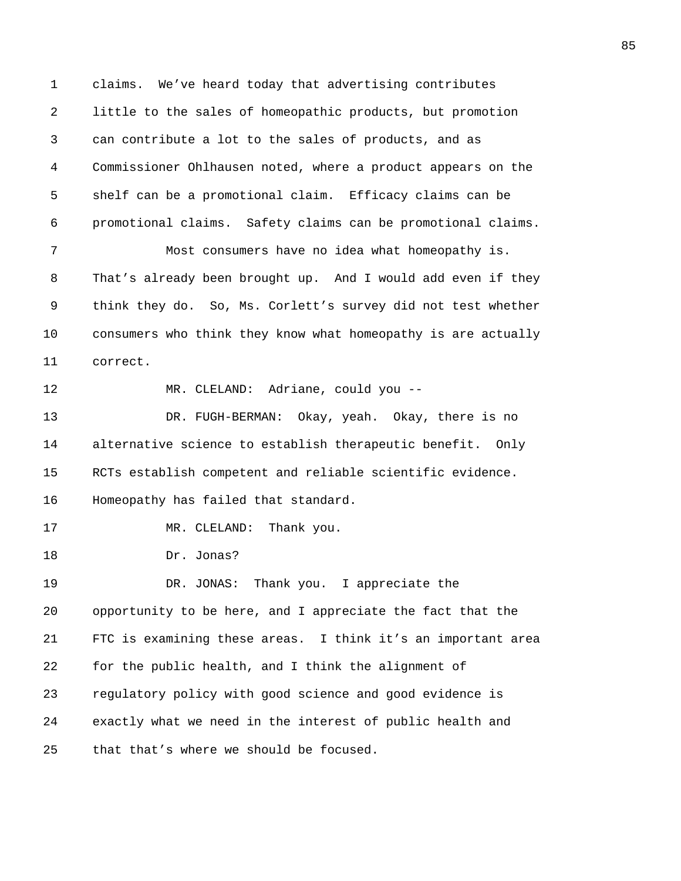1 claims. We've heard today that advertising contributes 2 little to the sales of homeopathic products, but promotion 3 can contribute a lot to the sales of products, and as 4 Commissioner Ohlhausen noted, where a product appears on the 5 shelf can be a promotional claim. Efficacy claims can be 6 promotional claims. Safety claims can be promotional claims.

7 Most consumers have no idea what homeopathy is. 8 That's already been brought up. And I would add even if they 9 think they do. So, Ms. Corlett's survey did not test whether 10 consumers who think they know what homeopathy is are actually 11 correct.

12 MR. CLELAND: Adriane, could you --

13 DR. FUGH-BERMAN: Okay, yeah. Okay, there is no 14 alternative science to establish therapeutic benefit. Only 15 RCTs establish competent and reliable scientific evidence. 16 Homeopathy has failed that standard.

17 MR. CLELAND: Thank you.

18 Dr. Jonas?

19 DR. JONAS: Thank you. I appreciate the 20 opportunity to be here, and I appreciate the fact that the 21 FTC is examining these areas. I think it's an important area 22 for the public health, and I think the alignment of 23 regulatory policy with good science and good evidence is 24 exactly what we need in the interest of public health and 25 that that's where we should be focused.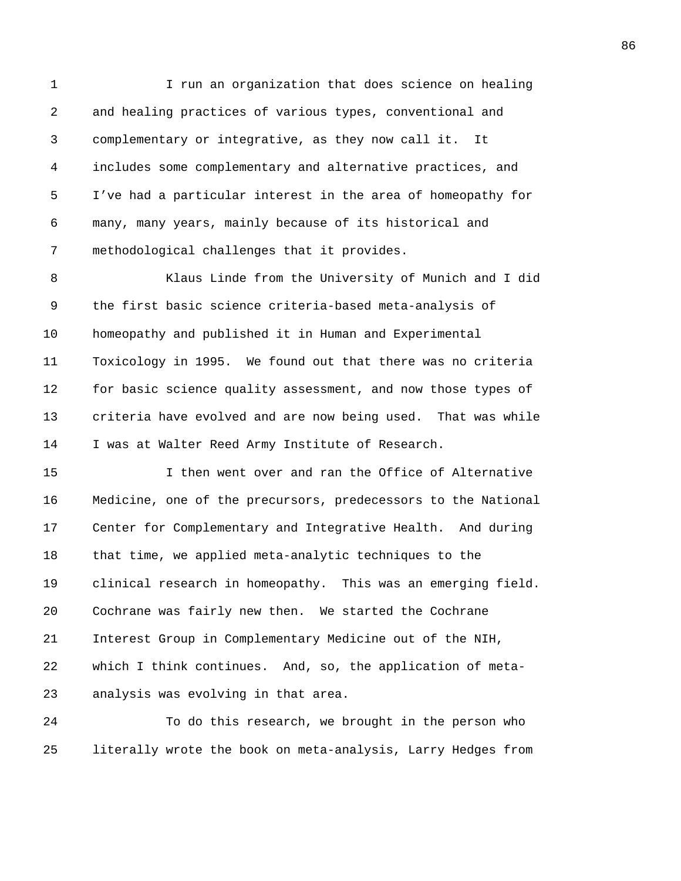1 I run an organization that does science on healing 2 and healing practices of various types, conventional and 3 complementary or integrative, as they now call it. It 4 includes some complementary and alternative practices, and 5 I've had a particular interest in the area of homeopathy for 6 many, many years, mainly because of its historical and 7 methodological challenges that it provides.

8 Klaus Linde from the University of Munich and I did 9 the first basic science criteria-based meta-analysis of 10 homeopathy and published it in Human and Experimental 11 Toxicology in 1995. We found out that there was no criteria 12 for basic science quality assessment, and now those types of 13 criteria have evolved and are now being used. That was while 14 I was at Walter Reed Army Institute of Research.

15 I then went over and ran the Office of Alternative 16 Medicine, one of the precursors, predecessors to the National 17 Center for Complementary and Integrative Health. And during 18 that time, we applied meta-analytic techniques to the 19 clinical research in homeopathy. This was an emerging field. 20 Cochrane was fairly new then. We started the Cochrane 21 Interest Group in Complementary Medicine out of the NIH, 22 which I think continues. And, so, the application of meta-23 analysis was evolving in that area.

24 To do this research, we brought in the person who 25 literally wrote the book on meta-analysis, Larry Hedges from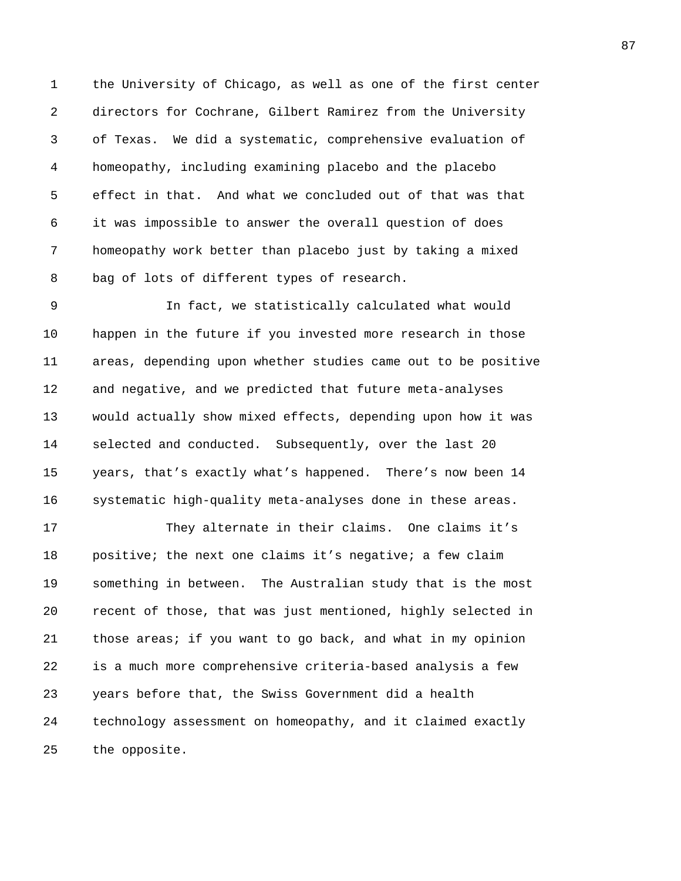1 the University of Chicago, as well as one of the first center 2 directors for Cochrane, Gilbert Ramirez from the University 3 of Texas. We did a systematic, comprehensive evaluation of 4 homeopathy, including examining placebo and the placebo 5 effect in that. And what we concluded out of that was that 6 it was impossible to answer the overall question of does 7 homeopathy work better than placebo just by taking a mixed 8 bag of lots of different types of research.

9 In fact, we statistically calculated what would 10 happen in the future if you invested more research in those 11 areas, depending upon whether studies came out to be positive 12 and negative, and we predicted that future meta-analyses 13 would actually show mixed effects, depending upon how it was 14 selected and conducted. Subsequently, over the last 20 15 years, that's exactly what's happened. There's now been 14 16 systematic high-quality meta-analyses done in these areas.

17 They alternate in their claims. One claims it's 18 positive; the next one claims it's negative; a few claim 19 something in between. The Australian study that is the most 20 recent of those, that was just mentioned, highly selected in 21 those areas; if you want to go back, and what in my opinion 22 is a much more comprehensive criteria-based analysis a few 23 years before that, the Swiss Government did a health 24 technology assessment on homeopathy, and it claimed exactly 25 the opposite.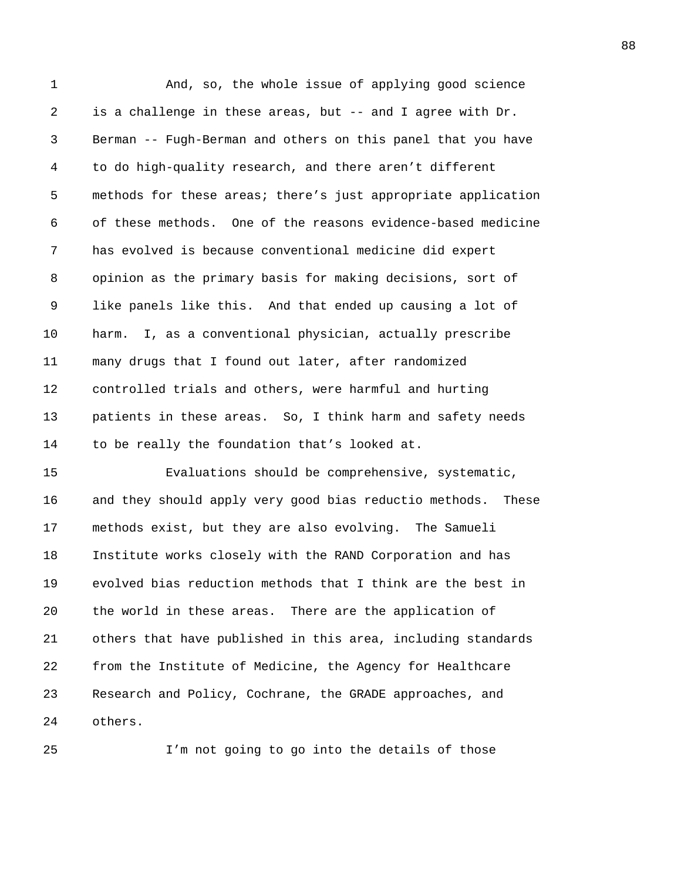1 And, so, the whole issue of applying good science 2 is a challenge in these areas, but -- and I agree with Dr. 3 Berman -- Fugh-Berman and others on this panel that you have 4 to do high-quality research, and there aren't different 5 methods for these areas; there's just appropriate application 6 of these methods. One of the reasons evidence-based medicine 7 has evolved is because conventional medicine did expert 8 opinion as the primary basis for making decisions, sort of 9 like panels like this. And that ended up causing a lot of 10 harm. I, as a conventional physician, actually prescribe 11 many drugs that I found out later, after randomized 12 controlled trials and others, were harmful and hurting 13 patients in these areas. So, I think harm and safety needs 14 to be really the foundation that's looked at. 15 Evaluations should be comprehensive, systematic, 16 and they should apply very good bias reductio methods. These 17 methods exist, but they are also evolving. The Samueli 18 Institute works closely with the RAND Corporation and has 19 evolved bias reduction methods that I think are the best in 20 the world in these areas. There are the application of 21 others that have published in this area, including standards 22 from the Institute of Medicine, the Agency for Healthcare 23 Research and Policy, Cochrane, the GRADE approaches, and

24 others.

25 I'm not going to go into the details of those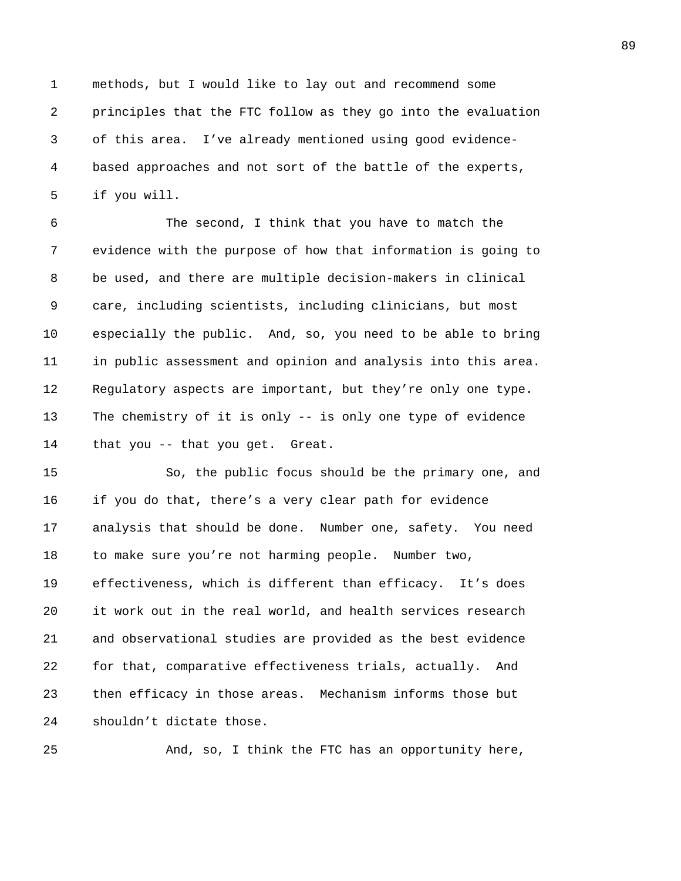1 methods, but I would like to lay out and recommend some 2 principles that the FTC follow as they go into the evaluation 3 of this area. I've already mentioned using good evidence-4 based approaches and not sort of the battle of the experts, 5 if you will.

6 The second, I think that you have to match the 7 evidence with the purpose of how that information is going to 8 be used, and there are multiple decision-makers in clinical 9 care, including scientists, including clinicians, but most 10 especially the public. And, so, you need to be able to bring 11 in public assessment and opinion and analysis into this area. 12 Regulatory aspects are important, but they're only one type. 13 The chemistry of it is only -- is only one type of evidence 14 that you -- that you get. Great.

15 So, the public focus should be the primary one, and 16 if you do that, there's a very clear path for evidence 17 analysis that should be done. Number one, safety. You need 18 to make sure you're not harming people. Number two, 19 effectiveness, which is different than efficacy. It's does 20 it work out in the real world, and health services research 21 and observational studies are provided as the best evidence 22 for that, comparative effectiveness trials, actually. And 23 then efficacy in those areas. Mechanism informs those but 24 shouldn't dictate those.

25 And, so, I think the FTC has an opportunity here,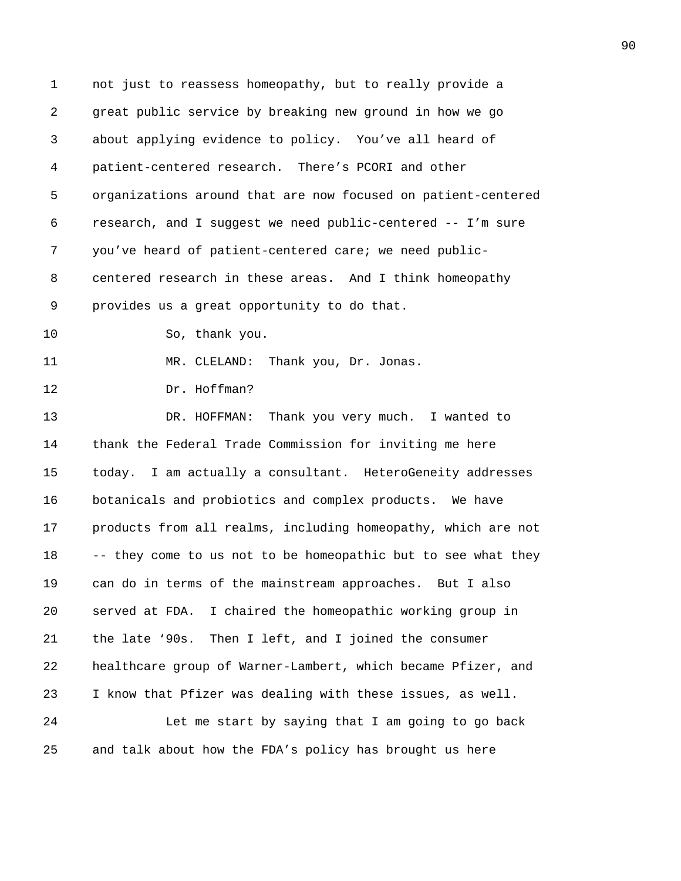| 1  | not just to reassess homeopathy, but to really provide a      |
|----|---------------------------------------------------------------|
| 2  | great public service by breaking new ground in how we go      |
| 3  | about applying evidence to policy. You've all heard of        |
| 4  | patient-centered research. There's PCORI and other            |
| 5  | organizations around that are now focused on patient-centered |
| 6  | research, and I suggest we need public-centered -- I'm sure   |
| 7  | you've heard of patient-centered care; we need public-        |
| 8  | centered research in these areas. And I think homeopathy      |
| 9  | provides us a great opportunity to do that.                   |
| 10 | So, thank you.                                                |
| 11 | MR. CLELAND: Thank you, Dr. Jonas.                            |
| 12 | Dr. Hoffman?                                                  |
| 13 | DR. HOFFMAN: Thank you very much. I wanted to                 |
| 14 | thank the Federal Trade Commission for inviting me here       |
| 15 | today. I am actually a consultant. HeteroGeneity addresses    |
| 16 | botanicals and probiotics and complex products. We have       |
| 17 | products from all realms, including homeopathy, which are not |
| 18 | -- they come to us not to be homeopathic but to see what they |
| 19 | can do in terms of the mainstream approaches. But I also      |
| 20 | I chaired the homeopathic working group in<br>served at FDA.  |
| 21 | the late '90s. Then I left, and I joined the consumer         |
| 22 | healthcare group of Warner-Lambert, which became Pfizer, and  |
| 23 | I know that Pfizer was dealing with these issues, as well.    |
| 24 | Let me start by saying that I am going to go back             |
| 25 | and talk about how the FDA's policy has brought us here       |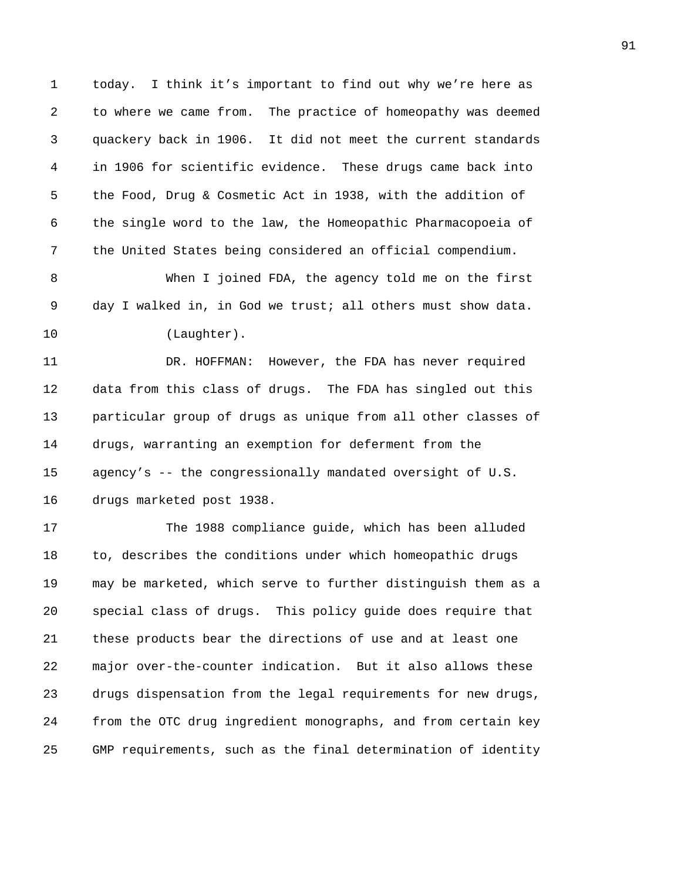1 today. I think it's important to find out why we're here as 2 to where we came from. The practice of homeopathy was deemed 3 quackery back in 1906. It did not meet the current standards 4 in 1906 for scientific evidence. These drugs came back into 5 the Food, Drug & Cosmetic Act in 1938, with the addition of 6 the single word to the law, the Homeopathic Pharmacopoeia of 7 the United States being considered an official compendium.

8 When I joined FDA, the agency told me on the first 9 day I walked in, in God we trust; all others must show data. 10 (Laughter).

11 DR. HOFFMAN: However, the FDA has never required 12 data from this class of drugs. The FDA has singled out this 13 particular group of drugs as unique from all other classes of 14 drugs, warranting an exemption for deferment from the 15 agency's -- the congressionally mandated oversight of U.S. 16 drugs marketed post 1938.

17 The 1988 compliance guide, which has been alluded 18 to, describes the conditions under which homeopathic drugs 19 may be marketed, which serve to further distinguish them as a 20 special class of drugs. This policy guide does require that 21 these products bear the directions of use and at least one 22 major over-the-counter indication. But it also allows these 23 drugs dispensation from the legal requirements for new drugs, 24 from the OTC drug ingredient monographs, and from certain key 25 GMP requirements, such as the final determination of identity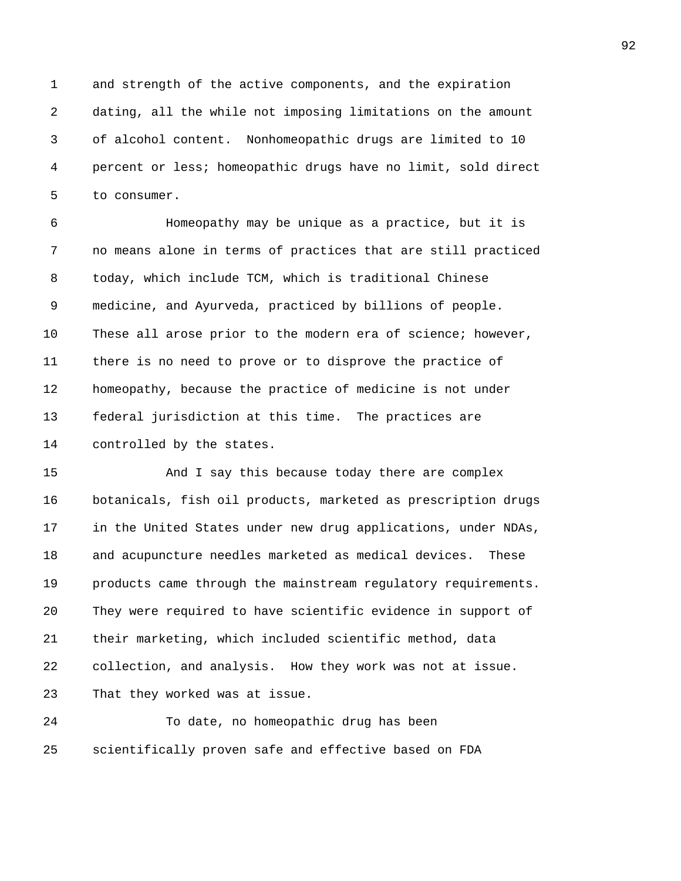1 and strength of the active components, and the expiration 2 dating, all the while not imposing limitations on the amount 3 of alcohol content. Nonhomeopathic drugs are limited to 10 4 percent or less; homeopathic drugs have no limit, sold direct 5 to consumer.

6 Homeopathy may be unique as a practice, but it is 7 no means alone in terms of practices that are still practiced 8 today, which include TCM, which is traditional Chinese 9 medicine, and Ayurveda, practiced by billions of people. 10 These all arose prior to the modern era of science; however, 11 there is no need to prove or to disprove the practice of 12 homeopathy, because the practice of medicine is not under 13 federal jurisdiction at this time. The practices are 14 controlled by the states.

15 And I say this because today there are complex 16 botanicals, fish oil products, marketed as prescription drugs 17 in the United States under new drug applications, under NDAs, 18 and acupuncture needles marketed as medical devices. These 19 products came through the mainstream regulatory requirements. 20 They were required to have scientific evidence in support of 21 their marketing, which included scientific method, data 22 collection, and analysis. How they work was not at issue. 23 That they worked was at issue.

24 To date, no homeopathic drug has been 25 scientifically proven safe and effective based on FDA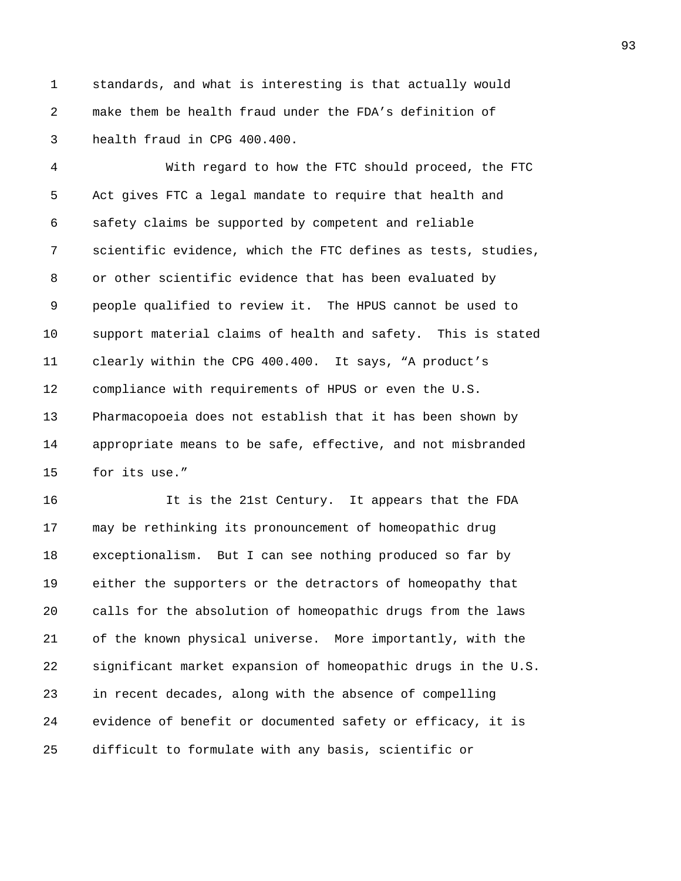1 standards, and what is interesting is that actually would 2 make them be health fraud under the FDA's definition of 3 health fraud in CPG 400.400.

4 With regard to how the FTC should proceed, the FTC 5 Act gives FTC a legal mandate to require that health and 6 safety claims be supported by competent and reliable 7 scientific evidence, which the FTC defines as tests, studies, 8 or other scientific evidence that has been evaluated by 9 people qualified to review it. The HPUS cannot be used to 10 support material claims of health and safety. This is stated 11 clearly within the CPG 400.400. It says, "A product's 12 compliance with requirements of HPUS or even the U.S. 13 Pharmacopoeia does not establish that it has been shown by 14 appropriate means to be safe, effective, and not misbranded 15 for its use."

16 It is the 21st Century. It appears that the FDA 17 may be rethinking its pronouncement of homeopathic drug 18 exceptionalism. But I can see nothing produced so far by 19 either the supporters or the detractors of homeopathy that 20 calls for the absolution of homeopathic drugs from the laws 21 of the known physical universe. More importantly, with the 22 significant market expansion of homeopathic drugs in the U.S. 23 in recent decades, along with the absence of compelling 24 evidence of benefit or documented safety or efficacy, it is 25 difficult to formulate with any basis, scientific or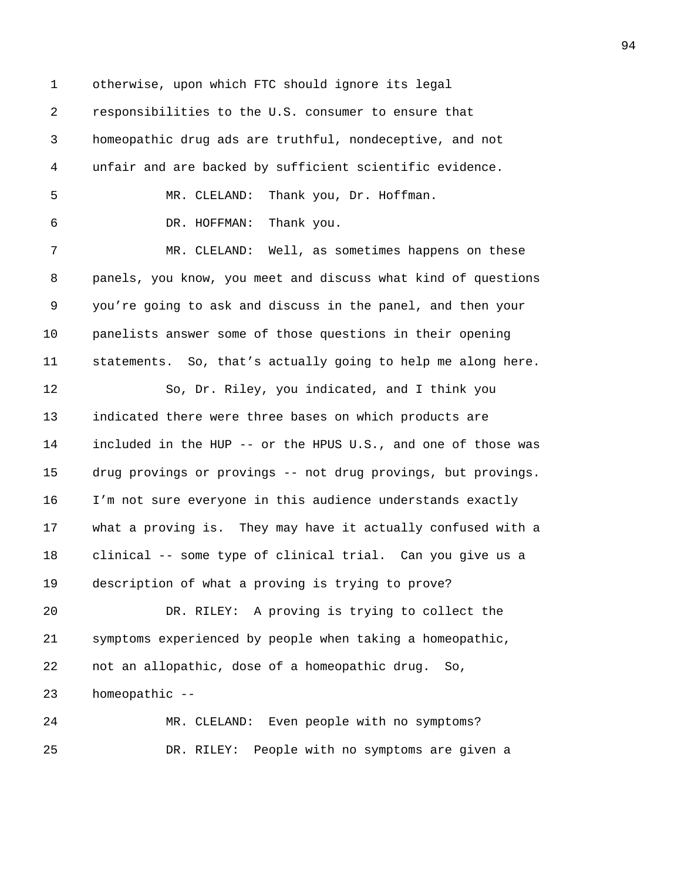1 otherwise, upon which FTC should ignore its legal 2 responsibilities to the U.S. consumer to ensure that 3 homeopathic drug ads are truthful, nondeceptive, and not 4 unfair and are backed by sufficient scientific evidence. 5 MR. CLELAND: Thank you, Dr. Hoffman. 6 DR. HOFFMAN: Thank you. 7 MR. CLELAND: Well, as sometimes happens on these 8 panels, you know, you meet and discuss what kind of questions 9 you're going to ask and discuss in the panel, and then your 10 panelists answer some of those questions in their opening 11 statements. So, that's actually going to help me along here. 12 So, Dr. Riley, you indicated, and I think you 13 indicated there were three bases on which products are 14 included in the HUP -- or the HPUS U.S., and one of those was 15 drug provings or provings -- not drug provings, but provings. 16 I'm not sure everyone in this audience understands exactly 17 what a proving is. They may have it actually confused with a 18 clinical -- some type of clinical trial. Can you give us a 19 description of what a proving is trying to prove? 20 DR. RILEY: A proving is trying to collect the 21 symptoms experienced by people when taking a homeopathic, 22 not an allopathic, dose of a homeopathic drug. So, 23 homeopathic -- 24 MR. CLELAND: Even people with no symptoms? 25 DR. RILEY: People with no symptoms are given a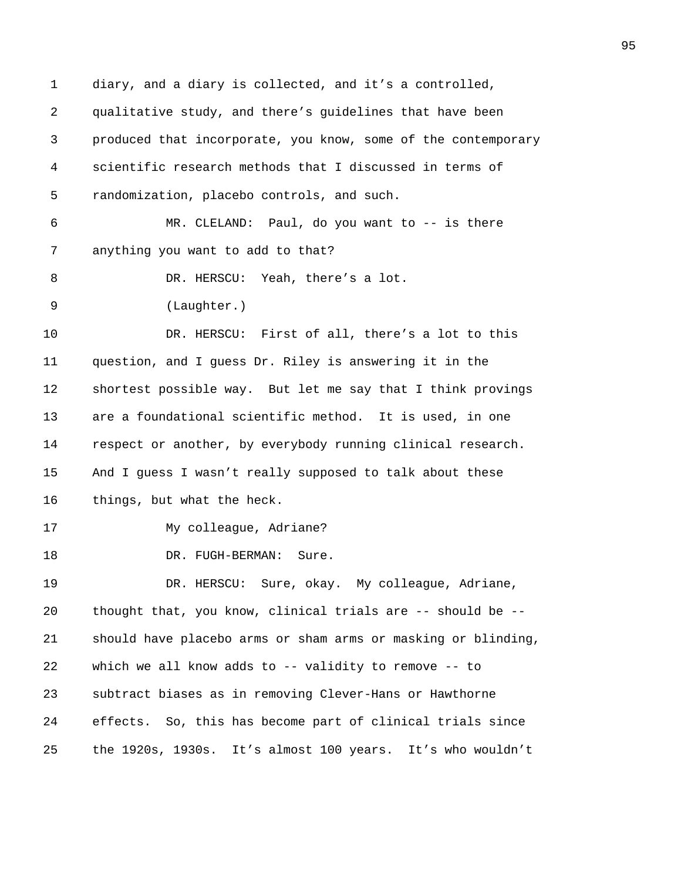1 diary, and a diary is collected, and it's a controlled, 2 qualitative study, and there's guidelines that have been 3 produced that incorporate, you know, some of the contemporary 4 scientific research methods that I discussed in terms of 5 randomization, placebo controls, and such. 6 MR. CLELAND: Paul, do you want to -- is there 7 anything you want to add to that? 8 DR. HERSCU: Yeah, there's a lot. 9 (Laughter.) 10 DR. HERSCU: First of all, there's a lot to this 11 question, and I guess Dr. Riley is answering it in the 12 shortest possible way. But let me say that I think provings 13 are a foundational scientific method. It is used, in one 14 respect or another, by everybody running clinical research. 15 And I guess I wasn't really supposed to talk about these 16 things, but what the heck. 17 My colleague, Adriane? 18 DR. FUGH-BERMAN: Sure. 19 DR. HERSCU: Sure, okay. My colleague, Adriane, 20 thought that, you know, clinical trials are -- should be -- 21 should have placebo arms or sham arms or masking or blinding, 22 which we all know adds to -- validity to remove -- to 23 subtract biases as in removing Clever-Hans or Hawthorne 24 effects. So, this has become part of clinical trials since 25 the 1920s, 1930s. It's almost 100 years. It's who wouldn't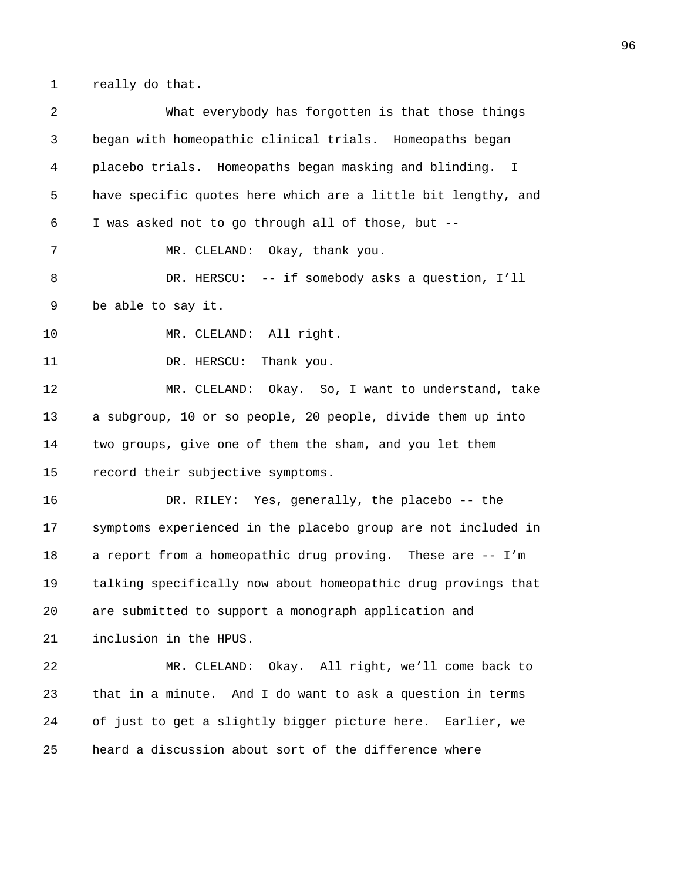1 really do that.

2 What everybody has forgotten is that those things 3 began with homeopathic clinical trials. Homeopaths began 4 placebo trials. Homeopaths began masking and blinding. I 5 have specific quotes here which are a little bit lengthy, and 6 I was asked not to go through all of those, but -- 7 MR. CLELAND: Okay, thank you. 8 DR. HERSCU: -- if somebody asks a question, I'll 9 be able to say it. 10 MR. CLELAND: All right. 11 DR. HERSCU: Thank you. 12 MR. CLELAND: Okay. So, I want to understand, take 13 a subgroup, 10 or so people, 20 people, divide them up into 14 two groups, give one of them the sham, and you let them 15 record their subjective symptoms. 16 DR. RILEY: Yes, generally, the placebo -- the 17 symptoms experienced in the placebo group are not included in 18 a report from a homeopathic drug proving. These are -- I'm 19 talking specifically now about homeopathic drug provings that 20 are submitted to support a monograph application and 21 inclusion in the HPUS. 22 MR. CLELAND: Okay. All right, we'll come back to 23 that in a minute. And I do want to ask a question in terms 24 of just to get a slightly bigger picture here. Earlier, we 25 heard a discussion about sort of the difference where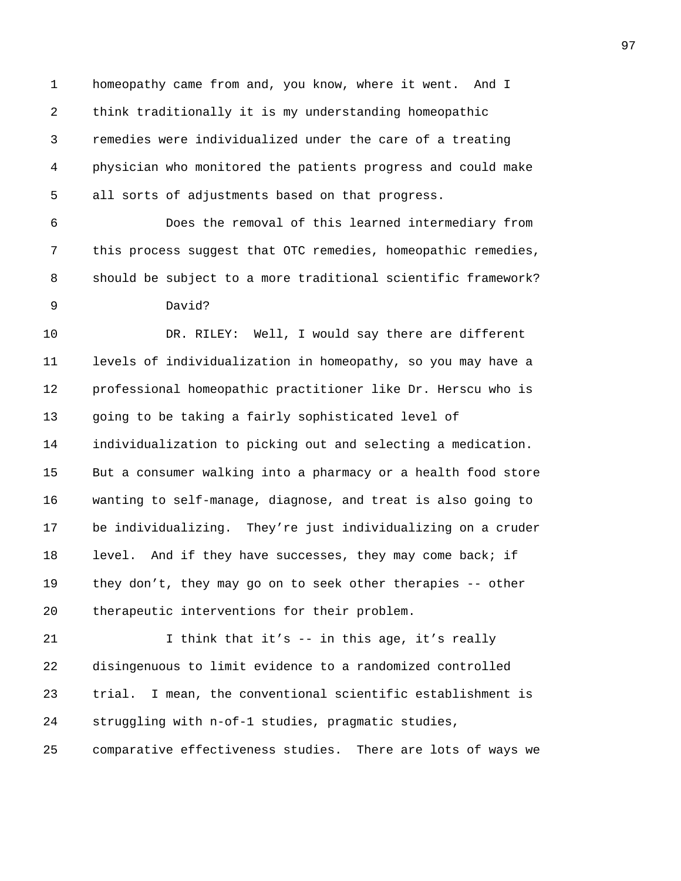1 homeopathy came from and, you know, where it went. And I 2 think traditionally it is my understanding homeopathic 3 remedies were individualized under the care of a treating 4 physician who monitored the patients progress and could make 5 all sorts of adjustments based on that progress.

6 Does the removal of this learned intermediary from 7 this process suggest that OTC remedies, homeopathic remedies, 8 should be subject to a more traditional scientific framework? 9 David?

10 DR. RILEY: Well, I would say there are different 11 levels of individualization in homeopathy, so you may have a 12 professional homeopathic practitioner like Dr. Herscu who is 13 going to be taking a fairly sophisticated level of 14 individualization to picking out and selecting a medication. 15 But a consumer walking into a pharmacy or a health food store 16 wanting to self-manage, diagnose, and treat is also going to 17 be individualizing. They're just individualizing on a cruder 18 level. And if they have successes, they may come back; if 19 they don't, they may go on to seek other therapies -- other 20 therapeutic interventions for their problem.

21 1 I think that it's -- in this age, it's really 22 disingenuous to limit evidence to a randomized controlled 23 trial. I mean, the conventional scientific establishment is 24 struggling with n-of-1 studies, pragmatic studies, 25 comparative effectiveness studies. There are lots of ways we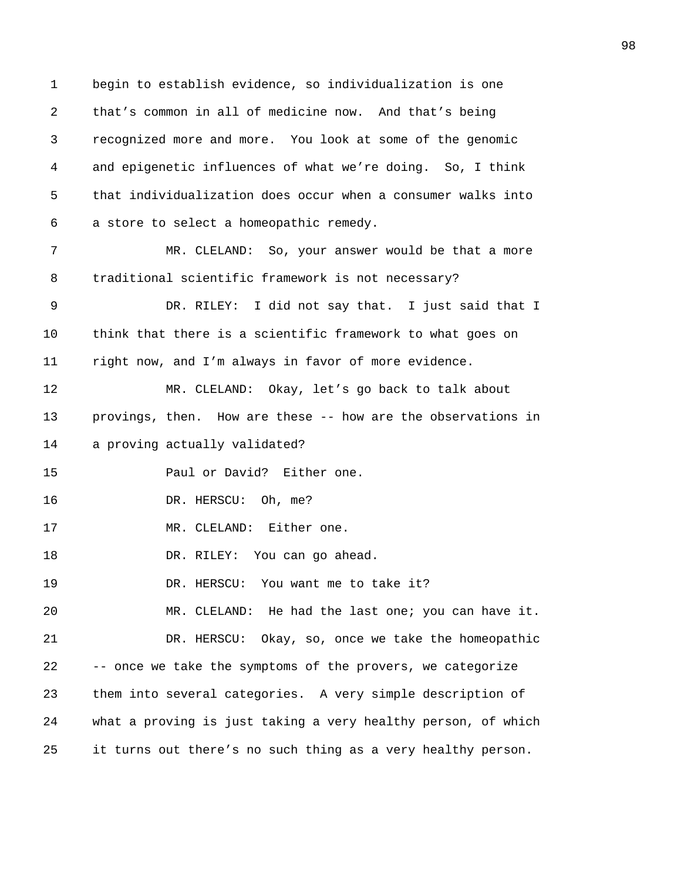1 begin to establish evidence, so individualization is one 2 that's common in all of medicine now. And that's being 3 recognized more and more. You look at some of the genomic 4 and epigenetic influences of what we're doing. So, I think 5 that individualization does occur when a consumer walks into 6 a store to select a homeopathic remedy. 7 MR. CLELAND: So, your answer would be that a more 8 traditional scientific framework is not necessary? 9 DR. RILEY: I did not say that. I just said that I 10 think that there is a scientific framework to what goes on 11 right now, and I'm always in favor of more evidence. 12 MR. CLELAND: Okay, let's go back to talk about 13 provings, then. How are these -- how are the observations in 14 a proving actually validated? 15 Paul or David? Either one. 16 DR. HERSCU: Oh, me? 17 MR. CLELAND: Either one. 18 DR. RILEY: You can go ahead. 19 DR. HERSCU: You want me to take it? 20 MR. CLELAND: He had the last one; you can have it. 21 DR. HERSCU: Okay, so, once we take the homeopathic 22 -- once we take the symptoms of the provers, we categorize 23 them into several categories. A very simple description of 24 what a proving is just taking a very healthy person, of which 25 it turns out there's no such thing as a very healthy person.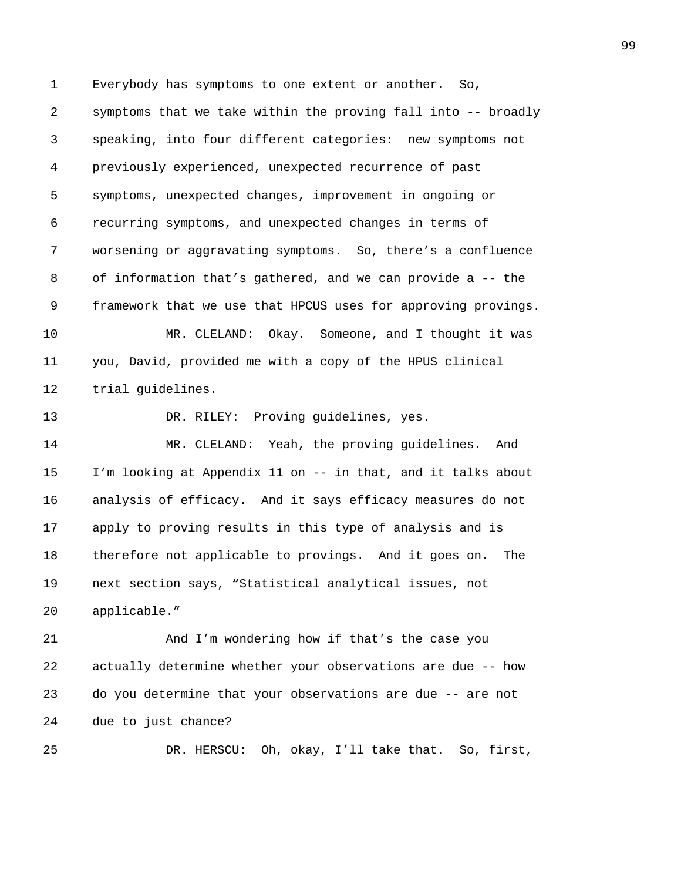1 Everybody has symptoms to one extent or another. So, 2 symptoms that we take within the proving fall into -- broadly 3 speaking, into four different categories: new symptoms not 4 previously experienced, unexpected recurrence of past 5 symptoms, unexpected changes, improvement in ongoing or 6 recurring symptoms, and unexpected changes in terms of 7 worsening or aggravating symptoms. So, there's a confluence 8 of information that's gathered, and we can provide a -- the 9 framework that we use that HPCUS uses for approving provings. 10 MR. CLELAND: Okay. Someone, and I thought it was 11 you, David, provided me with a copy of the HPUS clinical 12 trial guidelines. 13 DR. RILEY: Proving guidelines, yes. 14 MR. CLELAND: Yeah, the proving guidelines. And 15 I'm looking at Appendix 11 on -- in that, and it talks about 16 analysis of efficacy. And it says efficacy measures do not 17 apply to proving results in this type of analysis and is 18 therefore not applicable to provings. And it goes on. The 19 next section says, "Statistical analytical issues, not 20 applicable." 21 And I'm wondering how if that's the case you 22 actually determine whether your observations are due -- how 23 do you determine that your observations are due -- are not 24 due to just chance?

25 DR. HERSCU: Oh, okay, I'll take that. So, first,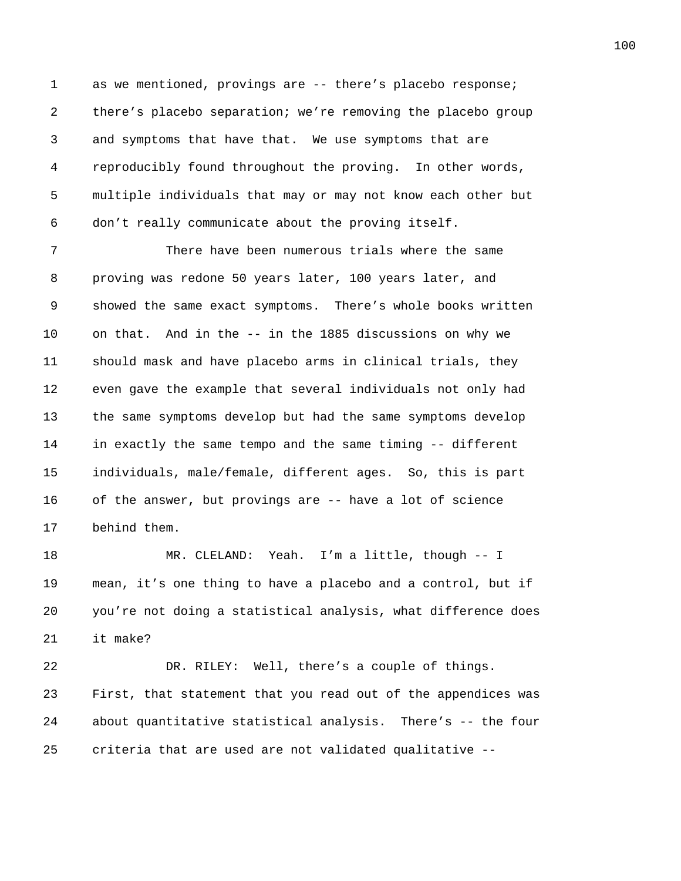1 as we mentioned, provings are -- there's placebo response; 2 there's placebo separation; we're removing the placebo group 3 and symptoms that have that. We use symptoms that are 4 reproducibly found throughout the proving. In other words, 5 multiple individuals that may or may not know each other but 6 don't really communicate about the proving itself.

7 There have been numerous trials where the same 8 proving was redone 50 years later, 100 years later, and 9 showed the same exact symptoms. There's whole books written 10 on that. And in the -- in the 1885 discussions on why we 11 should mask and have placebo arms in clinical trials, they 12 even gave the example that several individuals not only had 13 the same symptoms develop but had the same symptoms develop 14 in exactly the same tempo and the same timing -- different 15 individuals, male/female, different ages. So, this is part 16 of the answer, but provings are -- have a lot of science 17 behind them.

18 MR. CLELAND: Yeah. I'm a little, though -- I 19 mean, it's one thing to have a placebo and a control, but if 20 you're not doing a statistical analysis, what difference does 21 it make?

22 DR. RILEY: Well, there's a couple of things. 23 First, that statement that you read out of the appendices was 24 about quantitative statistical analysis. There's -- the four 25 criteria that are used are not validated qualitative --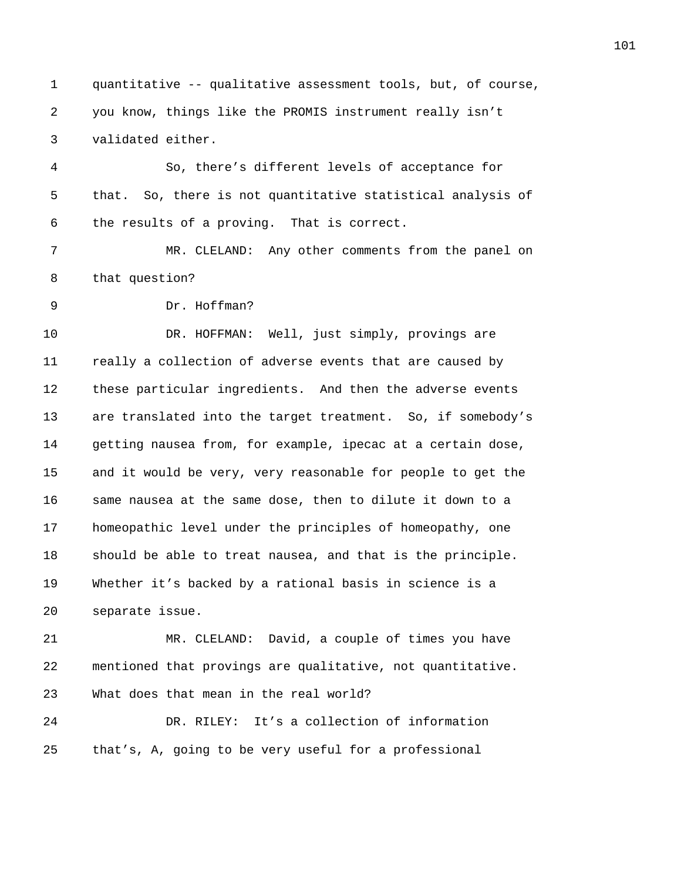1 quantitative -- qualitative assessment tools, but, of course, 2 you know, things like the PROMIS instrument really isn't 3 validated either.

4 So, there's different levels of acceptance for 5 that. So, there is not quantitative statistical analysis of 6 the results of a proving. That is correct.

7 MR. CLELAND: Any other comments from the panel on 8 that question?

9 Dr. Hoffman?

10 DR. HOFFMAN: Well, just simply, provings are 11 really a collection of adverse events that are caused by 12 these particular ingredients. And then the adverse events 13 are translated into the target treatment. So, if somebody's 14 getting nausea from, for example, ipecac at a certain dose, 15 and it would be very, very reasonable for people to get the 16 same nausea at the same dose, then to dilute it down to a 17 homeopathic level under the principles of homeopathy, one 18 should be able to treat nausea, and that is the principle. 19 Whether it's backed by a rational basis in science is a 20 separate issue.

21 MR. CLELAND: David, a couple of times you have 22 mentioned that provings are qualitative, not quantitative. 23 What does that mean in the real world?

24 DR. RILEY: It's a collection of information 25 that's, A, going to be very useful for a professional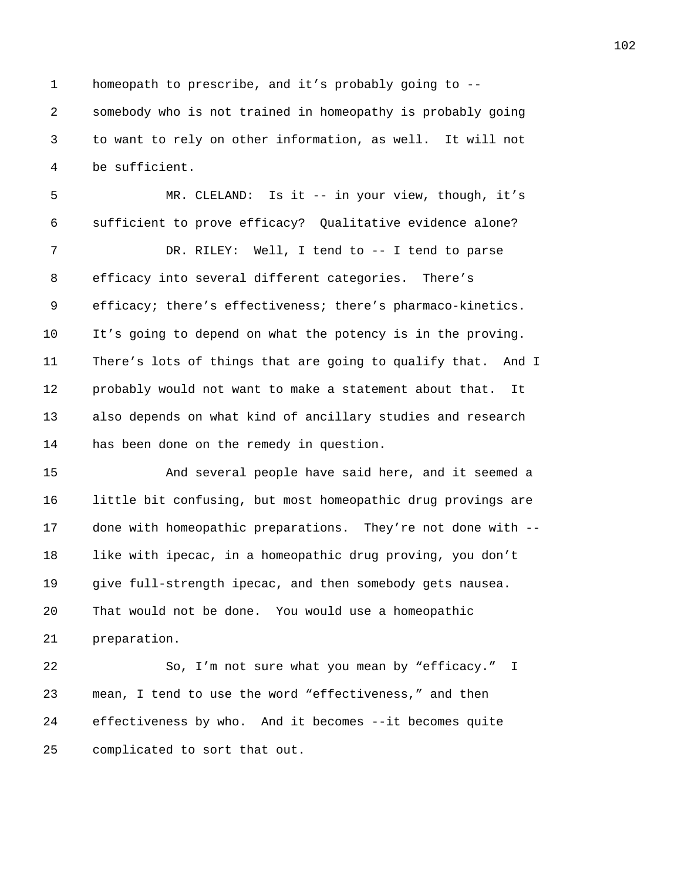1 homeopath to prescribe, and it's probably going to -- 2 somebody who is not trained in homeopathy is probably going 3 to want to rely on other information, as well. It will not 4 be sufficient.

5 MR. CLELAND: Is it -- in your view, though, it's 6 sufficient to prove efficacy? Qualitative evidence alone? 7 DR. RILEY: Well, I tend to -- I tend to parse 8 efficacy into several different categories. There's 9 efficacy; there's effectiveness; there's pharmaco-kinetics. 10 It's going to depend on what the potency is in the proving. 11 There's lots of things that are going to qualify that. And I 12 probably would not want to make a statement about that. It 13 also depends on what kind of ancillary studies and research 14 has been done on the remedy in question.

15 And several people have said here, and it seemed a 16 little bit confusing, but most homeopathic drug provings are 17 done with homeopathic preparations. They're not done with -- 18 like with ipecac, in a homeopathic drug proving, you don't 19 give full-strength ipecac, and then somebody gets nausea. 20 That would not be done. You would use a homeopathic 21 preparation.

22 So, I'm not sure what you mean by "efficacy." I 23 mean, I tend to use the word "effectiveness," and then 24 effectiveness by who. And it becomes --it becomes quite 25 complicated to sort that out.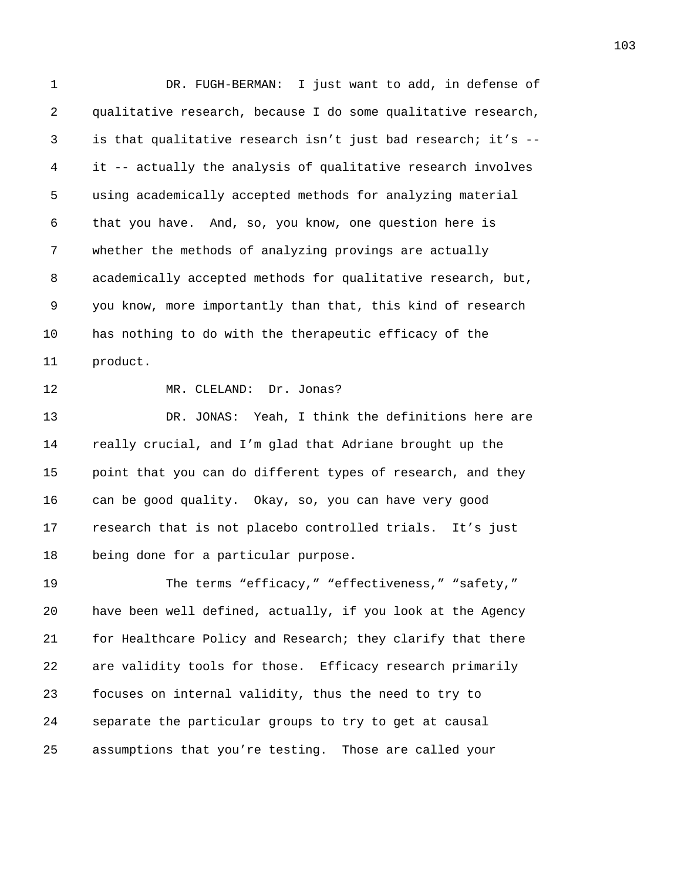1 DR. FUGH-BERMAN: I just want to add, in defense of 2 qualitative research, because I do some qualitative research, 3 is that qualitative research isn't just bad research; it's -- 4 it -- actually the analysis of qualitative research involves 5 using academically accepted methods for analyzing material 6 that you have. And, so, you know, one question here is 7 whether the methods of analyzing provings are actually 8 academically accepted methods for qualitative research, but, 9 you know, more importantly than that, this kind of research 10 has nothing to do with the therapeutic efficacy of the 11 product.

12 MR. CLELAND: Dr. Jonas?

13 DR. JONAS: Yeah, I think the definitions here are 14 really crucial, and I'm glad that Adriane brought up the 15 point that you can do different types of research, and they 16 can be good quality. Okay, so, you can have very good 17 research that is not placebo controlled trials. It's just 18 being done for a particular purpose.

19 The terms "efficacy," "effectiveness," "safety," 20 have been well defined, actually, if you look at the Agency 21 for Healthcare Policy and Research; they clarify that there 22 are validity tools for those. Efficacy research primarily 23 focuses on internal validity, thus the need to try to 24 separate the particular groups to try to get at causal 25 assumptions that you're testing. Those are called your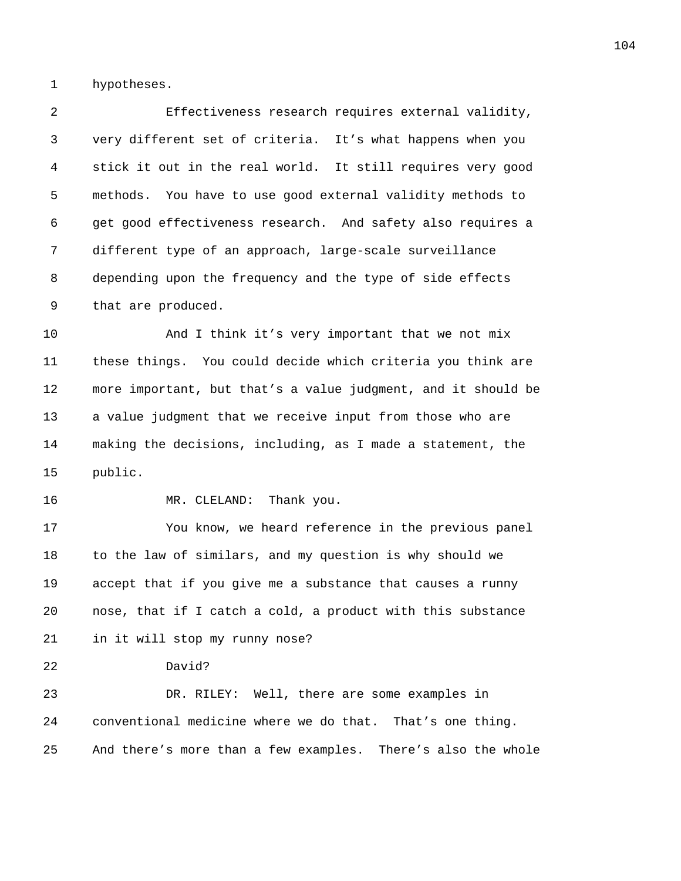1 hypotheses.

2 Effectiveness research requires external validity, 3 very different set of criteria. It's what happens when you 4 stick it out in the real world. It still requires very good 5 methods. You have to use good external validity methods to 6 get good effectiveness research. And safety also requires a 7 different type of an approach, large-scale surveillance 8 depending upon the frequency and the type of side effects 9 that are produced. 10 And I think it's very important that we not mix 11 these things. You could decide which criteria you think are 12 more important, but that's a value judgment, and it should be 13 a value judgment that we receive input from those who are 14 making the decisions, including, as I made a statement, the 15 public. 16 MR. CLELAND: Thank you. 17 You know, we heard reference in the previous panel 18 to the law of similars, and my question is why should we 19 accept that if you give me a substance that causes a runny 20 nose, that if I catch a cold, a product with this substance 21 in it will stop my runny nose? 22 David? 23 DR. RILEY: Well, there are some examples in 24 conventional medicine where we do that. That's one thing. 25 And there's more than a few examples. There's also the whole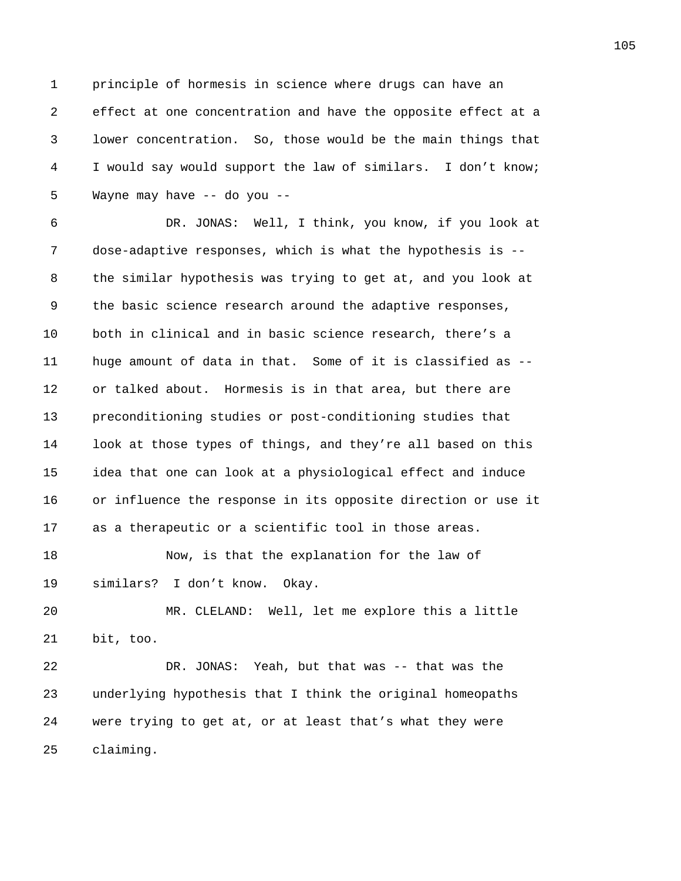1 principle of hormesis in science where drugs can have an 2 effect at one concentration and have the opposite effect at a 3 lower concentration. So, those would be the main things that 4 I would say would support the law of similars. I don't know; 5 Wayne may have -- do you --

6 DR. JONAS: Well, I think, you know, if you look at 7 dose-adaptive responses, which is what the hypothesis is -- 8 the similar hypothesis was trying to get at, and you look at 9 the basic science research around the adaptive responses, 10 both in clinical and in basic science research, there's a 11 huge amount of data in that. Some of it is classified as -- 12 or talked about. Hormesis is in that area, but there are 13 preconditioning studies or post-conditioning studies that 14 look at those types of things, and they're all based on this 15 idea that one can look at a physiological effect and induce 16 or influence the response in its opposite direction or use it 17 as a therapeutic or a scientific tool in those areas.

18 Now, is that the explanation for the law of 19 similars? I don't know. Okay.

20 MR. CLELAND: Well, let me explore this a little 21 bit, too.

22 DR. JONAS: Yeah, but that was -- that was the 23 underlying hypothesis that I think the original homeopaths 24 were trying to get at, or at least that's what they were 25 claiming.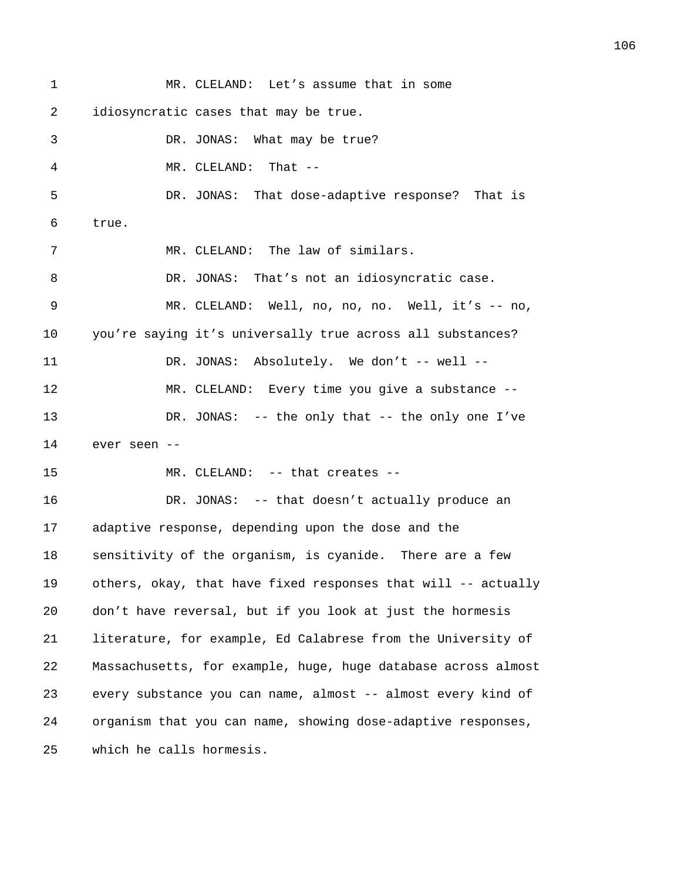1 MR. CLELAND: Let's assume that in some 2 idiosyncratic cases that may be true. 3 DR. JONAS: What may be true? 4 MR. CLELAND: That -- 5 DR. JONAS: That dose-adaptive response? That is 6 true. 7 MR. CLELAND: The law of similars. 8 DR. JONAS: That's not an idiosyncratic case. 9 MR. CLELAND: Well, no, no, no. Well, it's -- no, 10 you're saying it's universally true across all substances? 11 DR. JONAS: Absolutely. We don't -- well --12 MR. CLELAND: Every time you give a substance -- 13 DR. JONAS: -- the only that -- the only one I've 14 ever seen -- 15 MR. CLELAND: -- that creates --16 DR. JONAS: -- that doesn't actually produce an 17 adaptive response, depending upon the dose and the 18 sensitivity of the organism, is cyanide. There are a few 19 others, okay, that have fixed responses that will -- actually 20 don't have reversal, but if you look at just the hormesis 21 literature, for example, Ed Calabrese from the University of

22 Massachusetts, for example, huge, huge database across almost 23 every substance you can name, almost -- almost every kind of 24 organism that you can name, showing dose-adaptive responses, 25 which he calls hormesis.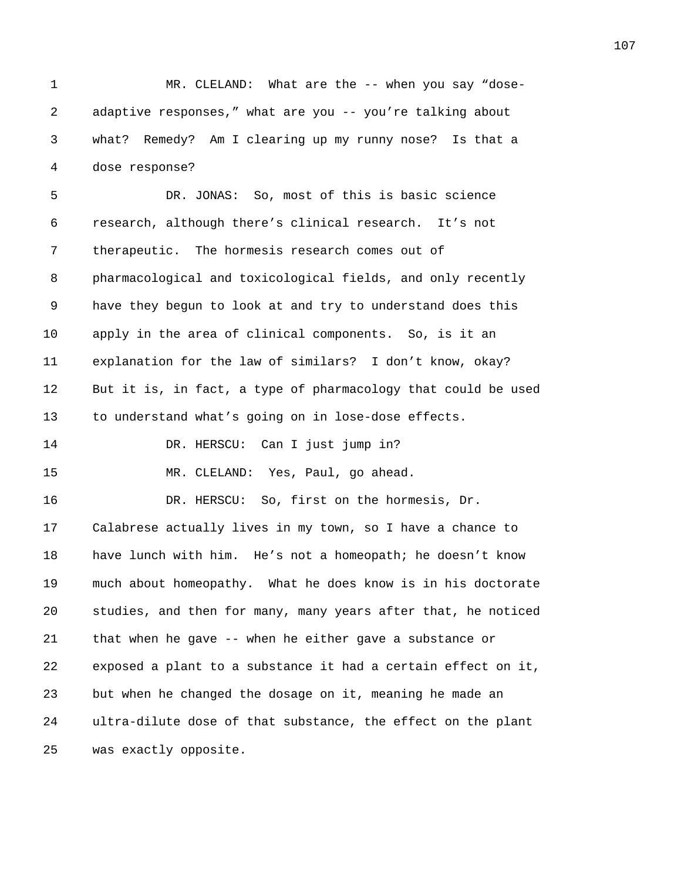1 MR. CLELAND: What are the -- when you say "dose-2 adaptive responses," what are you -- you're talking about 3 what? Remedy? Am I clearing up my runny nose? Is that a 4 dose response?

5 DR. JONAS: So, most of this is basic science 6 research, although there's clinical research. It's not 7 therapeutic. The hormesis research comes out of 8 pharmacological and toxicological fields, and only recently 9 have they begun to look at and try to understand does this 10 apply in the area of clinical components. So, is it an 11 explanation for the law of similars? I don't know, okay? 12 But it is, in fact, a type of pharmacology that could be used 13 to understand what's going on in lose-dose effects.

14 DR. HERSCU: Can I just jump in?

16 DR. HERSCU: So, first on the hormesis, Dr.

15 MR. CLELAND: Yes, Paul, go ahead.

17 Calabrese actually lives in my town, so I have a chance to 18 have lunch with him. He's not a homeopath; he doesn't know 19 much about homeopathy. What he does know is in his doctorate 20 studies, and then for many, many years after that, he noticed 21 that when he gave -- when he either gave a substance or 22 exposed a plant to a substance it had a certain effect on it, 23 but when he changed the dosage on it, meaning he made an 24 ultra-dilute dose of that substance, the effect on the plant 25 was exactly opposite.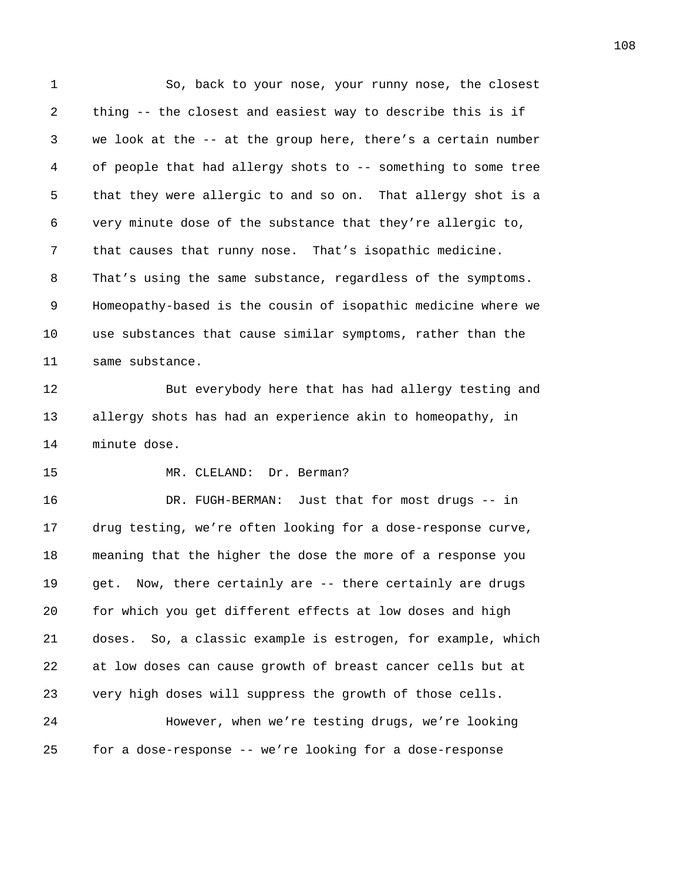1 So, back to your nose, your runny nose, the closest 2 thing -- the closest and easiest way to describe this is if 3 we look at the -- at the group here, there's a certain number 4 of people that had allergy shots to -- something to some tree 5 that they were allergic to and so on. That allergy shot is a 6 very minute dose of the substance that they're allergic to, 7 that causes that runny nose. That's isopathic medicine. 8 That's using the same substance, regardless of the symptoms. 9 Homeopathy-based is the cousin of isopathic medicine where we 10 use substances that cause similar symptoms, rather than the 11 same substance.

12 But everybody here that has had allergy testing and 13 allergy shots has had an experience akin to homeopathy, in 14 minute dose.

15 MR. CLELAND: Dr. Berman?

16 DR. FUGH-BERMAN: Just that for most drugs -- in 17 drug testing, we're often looking for a dose-response curve, 18 meaning that the higher the dose the more of a response you 19 get. Now, there certainly are -- there certainly are drugs 20 for which you get different effects at low doses and high 21 doses. So, a classic example is estrogen, for example, which 22 at low doses can cause growth of breast cancer cells but at 23 very high doses will suppress the growth of those cells. 24 However, when we're testing drugs, we're looking

25 for a dose-response -- we're looking for a dose-response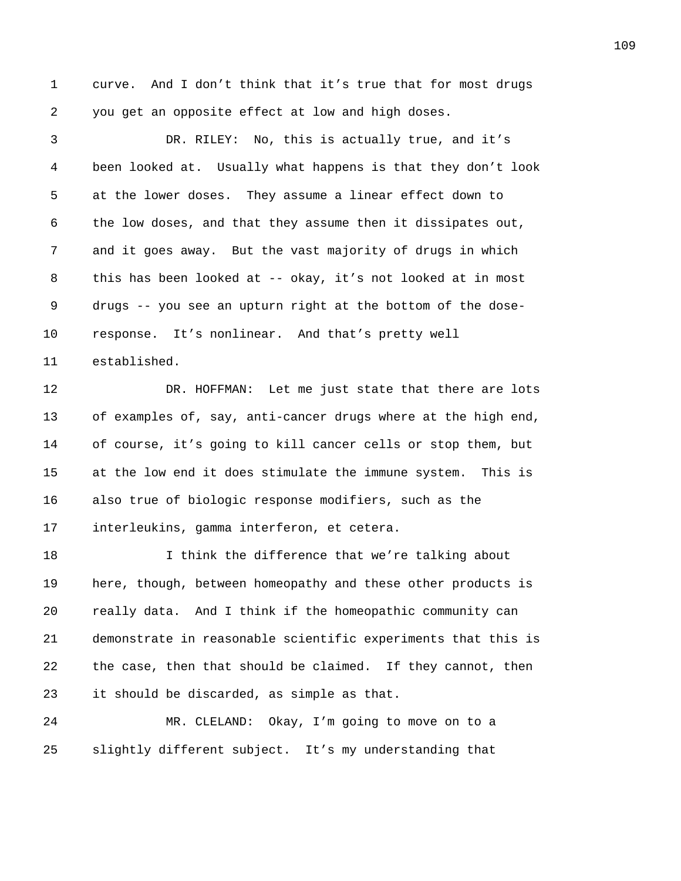1 curve. And I don't think that it's true that for most drugs 2 you get an opposite effect at low and high doses.

3 DR. RILEY: No, this is actually true, and it's 4 been looked at. Usually what happens is that they don't look 5 at the lower doses. They assume a linear effect down to 6 the low doses, and that they assume then it dissipates out, 7 and it goes away. But the vast majority of drugs in which 8 this has been looked at -- okay, it's not looked at in most 9 drugs -- you see an upturn right at the bottom of the dose-10 response. It's nonlinear. And that's pretty well 11 established. 12 DR. HOFFMAN: Let me just state that there are lots 13 of examples of, say, anti-cancer drugs where at the high end, 14 of course, it's going to kill cancer cells or stop them, but 15 at the low end it does stimulate the immune system. This is 16 also true of biologic response modifiers, such as the 17 interleukins, gamma interferon, et cetera. 18 I think the difference that we're talking about 19 here, though, between homeopathy and these other products is 20 really data. And I think if the homeopathic community can 21 demonstrate in reasonable scientific experiments that this is 22 the case, then that should be claimed. If they cannot, then 23 it should be discarded, as simple as that. 24 MR. CLELAND: Okay, I'm going to move on to a

25 slightly different subject. It's my understanding that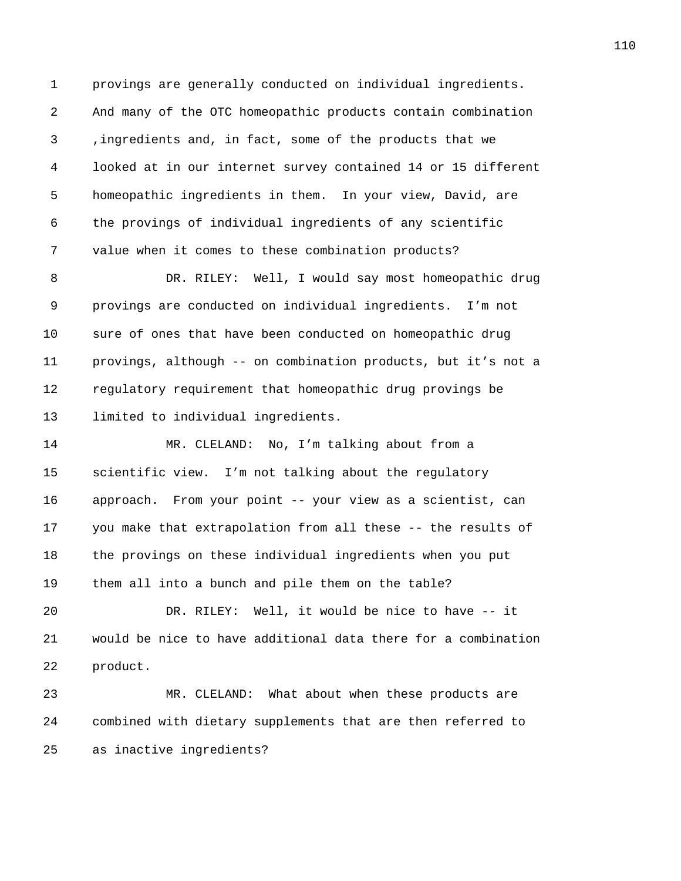1 provings are generally conducted on individual ingredients. 2 And many of the OTC homeopathic products contain combination 3 ,ingredients and, in fact, some of the products that we 4 looked at in our internet survey contained 14 or 15 different 5 homeopathic ingredients in them. In your view, David, are 6 the provings of individual ingredients of any scientific 7 value when it comes to these combination products?

8 DR. RILEY: Well, I would say most homeopathic drug 9 provings are conducted on individual ingredients. I'm not 10 sure of ones that have been conducted on homeopathic drug 11 provings, although -- on combination products, but it's not a 12 regulatory requirement that homeopathic drug provings be 13 limited to individual ingredients.

14 MR. CLELAND: No, I'm talking about from a 15 scientific view. I'm not talking about the regulatory 16 approach. From your point -- your view as a scientist, can 17 you make that extrapolation from all these -- the results of 18 the provings on these individual ingredients when you put 19 them all into a bunch and pile them on the table?

20 DR. RILEY: Well, it would be nice to have -- it 21 would be nice to have additional data there for a combination 22 product.

23 MR. CLELAND: What about when these products are 24 combined with dietary supplements that are then referred to 25 as inactive ingredients?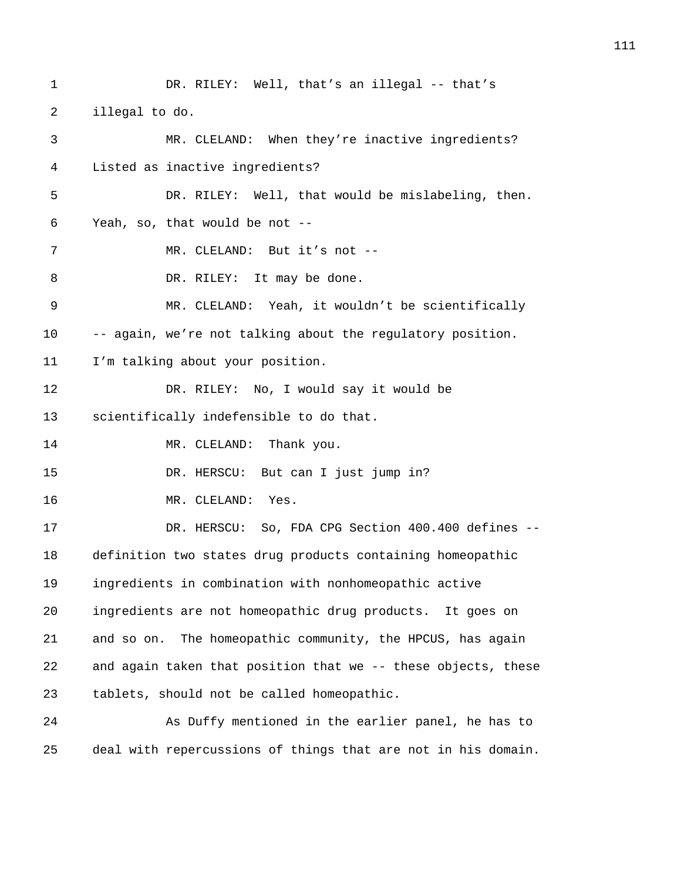1 DR. RILEY: Well, that's an illegal -- that's 2 illegal to do. 3 MR. CLELAND: When they're inactive ingredients? 4 Listed as inactive ingredients? 5 DR. RILEY: Well, that would be mislabeling, then. 6 Yeah, so, that would be not -- 7 MR. CLELAND: But it's not --8 DR. RILEY: It may be done. 9 MR. CLELAND: Yeah, it wouldn't be scientifically 10 -- again, we're not talking about the regulatory position. 11 I'm talking about your position. 12 DR. RILEY: No, I would say it would be 13 scientifically indefensible to do that. 14 MR. CLELAND: Thank you. 15 DR. HERSCU: But can I just jump in? 16 MR. CLELAND: Yes. 17 DR. HERSCU: So, FDA CPG Section 400.400 defines -- 18 definition two states drug products containing homeopathic 19 ingredients in combination with nonhomeopathic active 20 ingredients are not homeopathic drug products. It goes on 21 and so on. The homeopathic community, the HPCUS, has again 22 and again taken that position that we -- these objects, these 23 tablets, should not be called homeopathic. 24 As Duffy mentioned in the earlier panel, he has to 25 deal with repercussions of things that are not in his domain.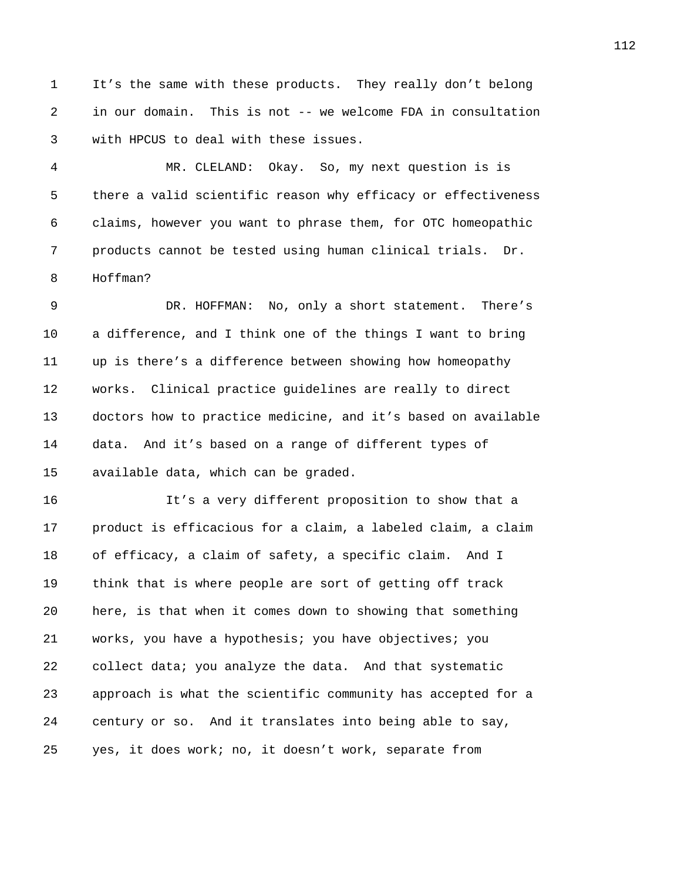1 It's the same with these products. They really don't belong 2 in our domain. This is not -- we welcome FDA in consultation 3 with HPCUS to deal with these issues.

4 MR. CLELAND: Okay. So, my next question is is 5 there a valid scientific reason why efficacy or effectiveness 6 claims, however you want to phrase them, for OTC homeopathic 7 products cannot be tested using human clinical trials. Dr. 8 Hoffman?

9 DR. HOFFMAN: No, only a short statement. There's 10 a difference, and I think one of the things I want to bring 11 up is there's a difference between showing how homeopathy 12 works. Clinical practice guidelines are really to direct 13 doctors how to practice medicine, and it's based on available 14 data. And it's based on a range of different types of 15 available data, which can be graded.

16 It's a very different proposition to show that a 17 product is efficacious for a claim, a labeled claim, a claim 18 of efficacy, a claim of safety, a specific claim. And I 19 think that is where people are sort of getting off track 20 here, is that when it comes down to showing that something 21 works, you have a hypothesis; you have objectives; you 22 collect data; you analyze the data. And that systematic 23 approach is what the scientific community has accepted for a 24 century or so. And it translates into being able to say, 25 yes, it does work; no, it doesn't work, separate from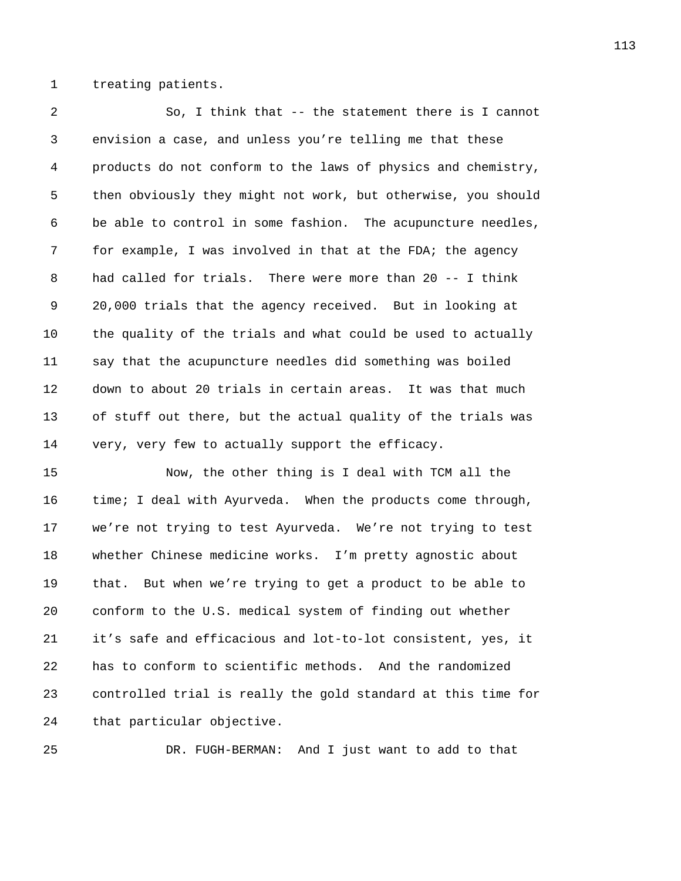1 treating patients.

2 So, I think that -- the statement there is I cannot 3 envision a case, and unless you're telling me that these 4 products do not conform to the laws of physics and chemistry, 5 then obviously they might not work, but otherwise, you should 6 be able to control in some fashion. The acupuncture needles, 7 for example, I was involved in that at the FDA; the agency 8 had called for trials. There were more than 20 -- I think 9 20,000 trials that the agency received. But in looking at 10 the quality of the trials and what could be used to actually 11 say that the acupuncture needles did something was boiled 12 down to about 20 trials in certain areas. It was that much 13 of stuff out there, but the actual quality of the trials was 14 very, very few to actually support the efficacy.

15 Now, the other thing is I deal with TCM all the 16 time; I deal with Ayurveda. When the products come through, 17 we're not trying to test Ayurveda. We're not trying to test 18 whether Chinese medicine works. I'm pretty agnostic about 19 that. But when we're trying to get a product to be able to 20 conform to the U.S. medical system of finding out whether 21 it's safe and efficacious and lot-to-lot consistent, yes, it 22 has to conform to scientific methods. And the randomized 23 controlled trial is really the gold standard at this time for 24 that particular objective.

25 DR. FUGH-BERMAN: And I just want to add to that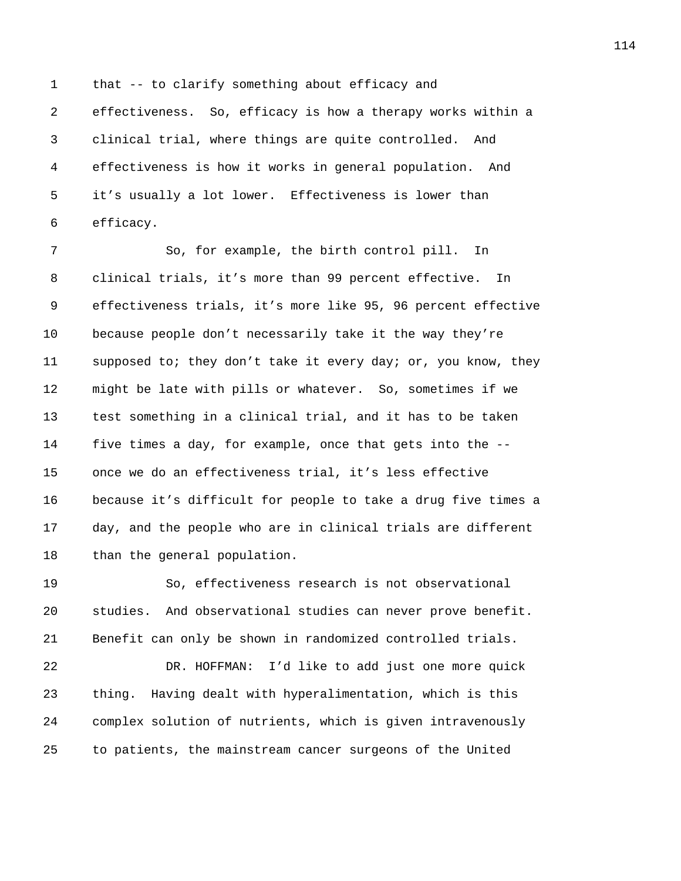1 that -- to clarify something about efficacy and 2 effectiveness. So, efficacy is how a therapy works within a 3 clinical trial, where things are quite controlled. And 4 effectiveness is how it works in general population. And 5 it's usually a lot lower. Effectiveness is lower than 6 efficacy.

7 So, for example, the birth control pill. In 8 clinical trials, it's more than 99 percent effective. In 9 effectiveness trials, it's more like 95, 96 percent effective 10 because people don't necessarily take it the way they're 11 supposed to; they don't take it every day; or, you know, they 12 might be late with pills or whatever. So, sometimes if we 13 test something in a clinical trial, and it has to be taken 14 five times a day, for example, once that gets into the -- 15 once we do an effectiveness trial, it's less effective 16 because it's difficult for people to take a drug five times a 17 day, and the people who are in clinical trials are different 18 than the general population.

19 So, effectiveness research is not observational 20 studies. And observational studies can never prove benefit. 21 Benefit can only be shown in randomized controlled trials.

22 DR. HOFFMAN: I'd like to add just one more quick 23 thing. Having dealt with hyperalimentation, which is this 24 complex solution of nutrients, which is given intravenously 25 to patients, the mainstream cancer surgeons of the United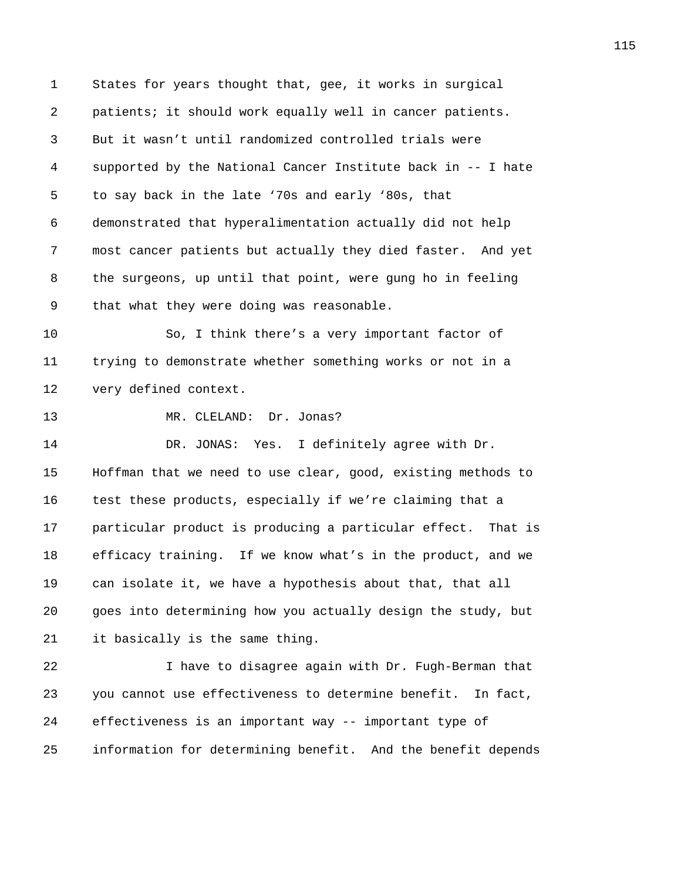1 States for years thought that, gee, it works in surgical 2 patients; it should work equally well in cancer patients. 3 But it wasn't until randomized controlled trials were 4 supported by the National Cancer Institute back in -- I hate 5 to say back in the late '70s and early '80s, that 6 demonstrated that hyperalimentation actually did not help 7 most cancer patients but actually they died faster. And yet 8 the surgeons, up until that point, were gung ho in feeling 9 that what they were doing was reasonable. 10 So, I think there's a very important factor of 11 trying to demonstrate whether something works or not in a 12 very defined context. 13 MR. CLELAND: Dr. Jonas? 14 DR. JONAS: Yes. I definitely agree with Dr. 15 Hoffman that we need to use clear, good, existing methods to 16 test these products, especially if we're claiming that a 17 particular product is producing a particular effect. That is 18 efficacy training. If we know what's in the product, and we 19 can isolate it, we have a hypothesis about that, that all 20 goes into determining how you actually design the study, but 21 it basically is the same thing. 22 I have to disagree again with Dr. Fugh-Berman that 23 you cannot use effectiveness to determine benefit. In fact, 24 effectiveness is an important way -- important type of 25 information for determining benefit. And the benefit depends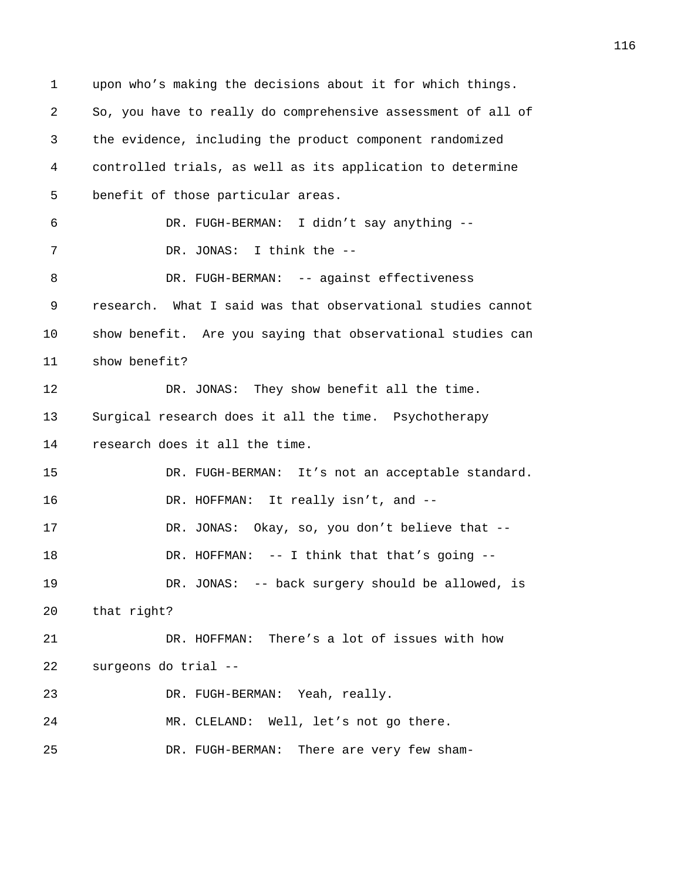1 upon who's making the decisions about it for which things. 2 So, you have to really do comprehensive assessment of all of 3 the evidence, including the product component randomized 4 controlled trials, as well as its application to determine 5 benefit of those particular areas. 6 DR. FUGH-BERMAN: I didn't say anything -- 7 DR. JONAS: I think the -- 8 DR. FUGH-BERMAN: -- against effectiveness 9 research. What I said was that observational studies cannot 10 show benefit. Are you saying that observational studies can 11 show benefit? 12 DR. JONAS: They show benefit all the time. 13 Surgical research does it all the time. Psychotherapy 14 research does it all the time. 15 DR. FUGH-BERMAN: It's not an acceptable standard. 16 DR. HOFFMAN: It really isn't, and --17 DR. JONAS: Okay, so, you don't believe that -- 18 DR. HOFFMAN: -- I think that that's going --19 DR. JONAS: -- back surgery should be allowed, is 20 that right? 21 DR. HOFFMAN: There's a lot of issues with how 22 surgeons do trial -- 23 DR. FUGH-BERMAN: Yeah, really. 24 MR. CLELAND: Well, let's not go there. 25 DR. FUGH-BERMAN: There are very few sham-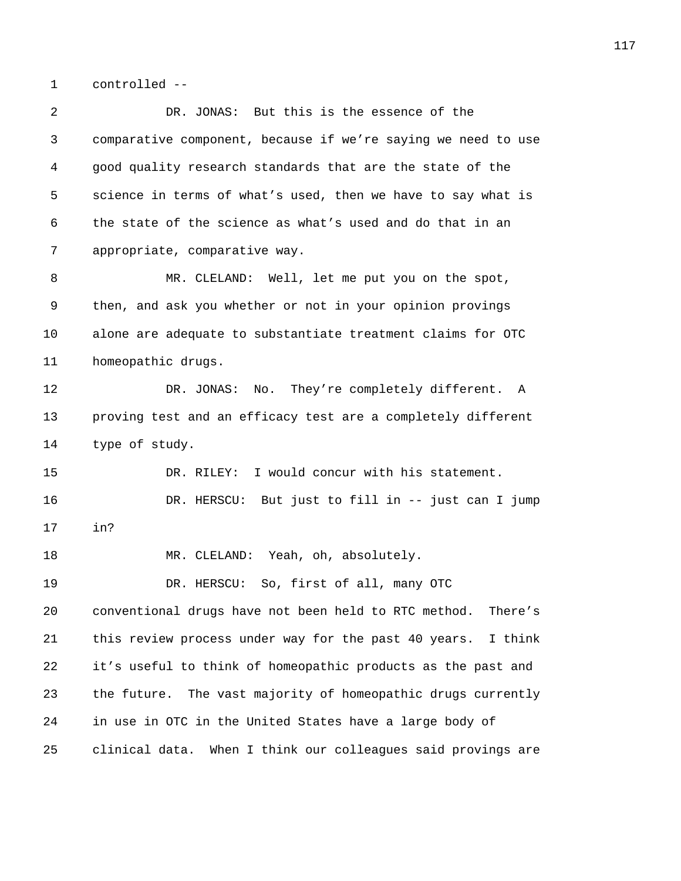1 controlled --

| 2  | DR. JONAS: But this is the essence of the                       |
|----|-----------------------------------------------------------------|
| 3  | comparative component, because if we're saying we need to use   |
| 4  | good quality research standards that are the state of the       |
| 5  | science in terms of what's used, then we have to say what is    |
| 6  | the state of the science as what's used and do that in an       |
| 7  | appropriate, comparative way.                                   |
| 8  | MR. CLELAND: Well, let me put you on the spot,                  |
| 9  | then, and ask you whether or not in your opinion provings       |
| 10 | alone are adequate to substantiate treatment claims for OTC     |
| 11 | homeopathic drugs.                                              |
| 12 | DR. JONAS: No. They're completely different. A                  |
| 13 | proving test and an efficacy test are a completely different    |
| 14 | type of study.                                                  |
| 15 | DR. RILEY: I would concur with his statement.                   |
| 16 | DR. HERSCU: But just to fill in -- just can I jump              |
| 17 | in?                                                             |
| 18 | MR. CLELAND: Yeah, oh, absolutely.                              |
| 19 | DR. HERSCU: So, first of all, many OTC                          |
| 20 | conventional drugs have not been held to RTC method.<br>There's |
| 21 | this review process under way for the past 40 years.<br>I think |
| 22 | it's useful to think of homeopathic products as the past and    |
| 23 | the future. The vast majority of homeopathic drugs currently    |
| 24 | in use in OTC in the United States have a large body of         |
| 25 | clinical data.<br>When I think our colleagues said provings are |
|    |                                                                 |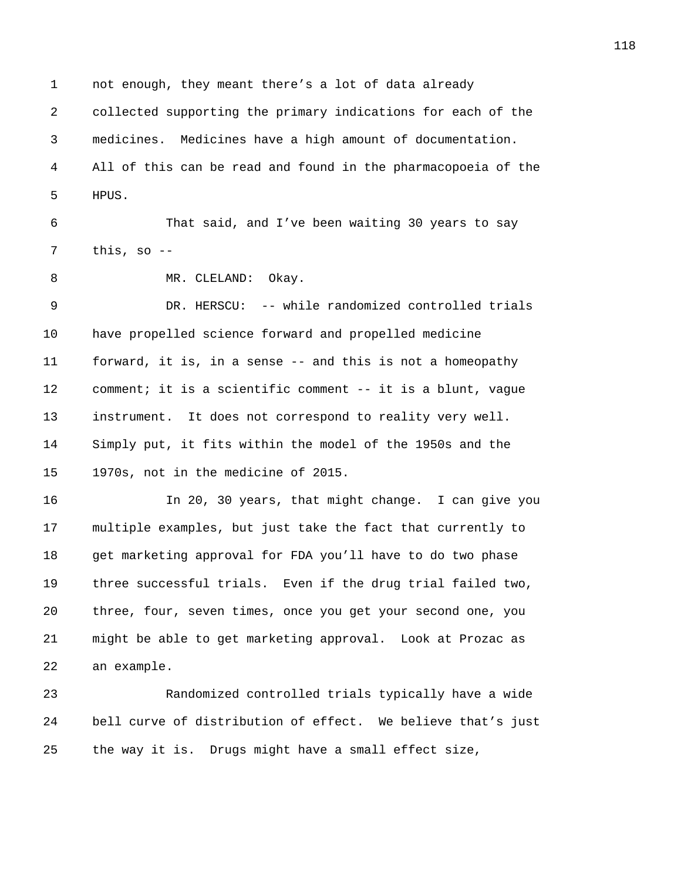1 not enough, they meant there's a lot of data already 2 collected supporting the primary indications for each of the 3 medicines. Medicines have a high amount of documentation. 4 All of this can be read and found in the pharmacopoeia of the 5 HPUS.

6 That said, and I've been waiting 30 years to say  $7$  this, so  $-$ 

8 MR. CLELAND: Okay.

9 DR. HERSCU: -- while randomized controlled trials 10 have propelled science forward and propelled medicine 11 forward, it is, in a sense -- and this is not a homeopathy 12 comment; it is a scientific comment -- it is a blunt, vague 13 instrument. It does not correspond to reality very well. 14 Simply put, it fits within the model of the 1950s and the 15 1970s, not in the medicine of 2015.

16 In 20, 30 years, that might change. I can give you 17 multiple examples, but just take the fact that currently to 18 get marketing approval for FDA you'll have to do two phase 19 three successful trials. Even if the drug trial failed two, 20 three, four, seven times, once you get your second one, you 21 might be able to get marketing approval. Look at Prozac as 22 an example.

23 Randomized controlled trials typically have a wide 24 bell curve of distribution of effect. We believe that's just 25 the way it is. Drugs might have a small effect size,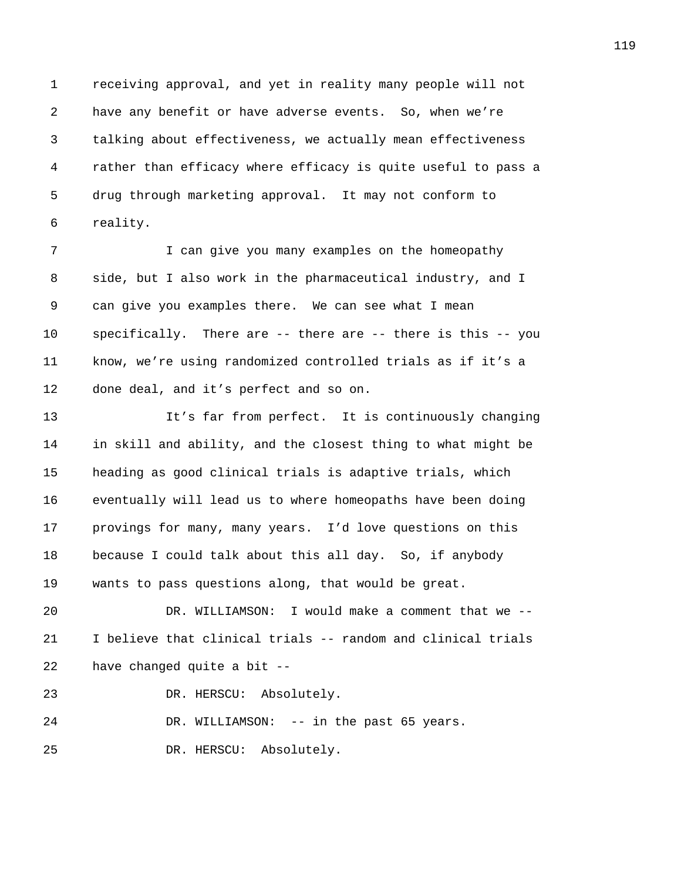1 receiving approval, and yet in reality many people will not 2 have any benefit or have adverse events. So, when we're 3 talking about effectiveness, we actually mean effectiveness 4 rather than efficacy where efficacy is quite useful to pass a 5 drug through marketing approval. It may not conform to 6 reality.

7 I can give you many examples on the homeopathy 8 side, but I also work in the pharmaceutical industry, and I 9 can give you examples there. We can see what I mean 10 specifically. There are -- there are -- there is this -- you 11 know, we're using randomized controlled trials as if it's a 12 done deal, and it's perfect and so on.

13 It's far from perfect. It is continuously changing 14 in skill and ability, and the closest thing to what might be 15 heading as good clinical trials is adaptive trials, which 16 eventually will lead us to where homeopaths have been doing 17 provings for many, many years. I'd love questions on this 18 because I could talk about this all day. So, if anybody 19 wants to pass questions along, that would be great.

20 DR. WILLIAMSON: I would make a comment that we -- 21 I believe that clinical trials -- random and clinical trials 22 have changed quite a bit --

23 DR. HERSCU: Absolutely.

24 DR. WILLIAMSON: -- in the past 65 years.

25 DR. HERSCU: Absolutely.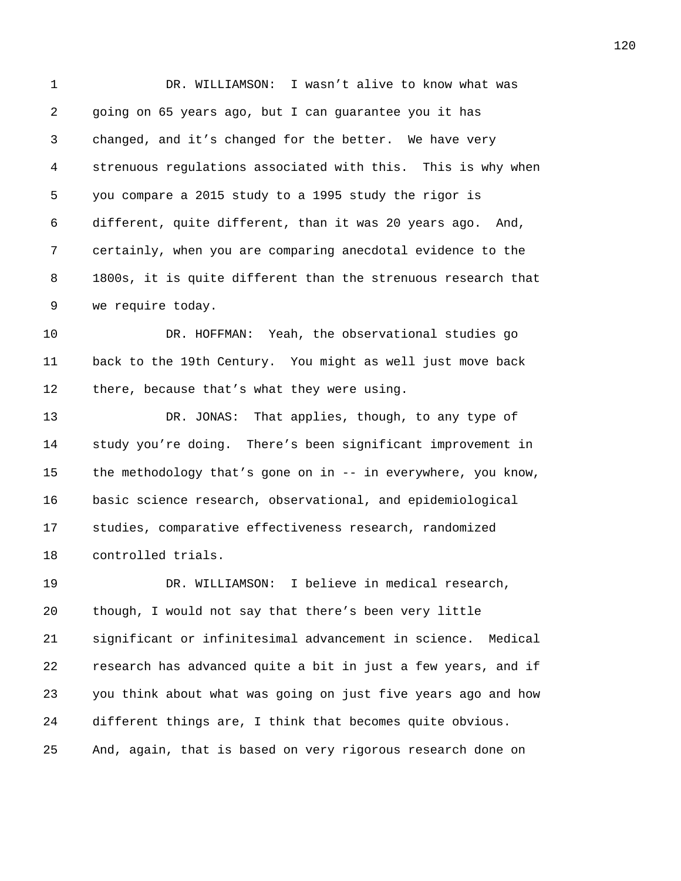1 DR. WILLIAMSON: I wasn't alive to know what was 2 going on 65 years ago, but I can guarantee you it has 3 changed, and it's changed for the better. We have very 4 strenuous regulations associated with this. This is why when 5 you compare a 2015 study to a 1995 study the rigor is 6 different, quite different, than it was 20 years ago. And, 7 certainly, when you are comparing anecdotal evidence to the 8 1800s, it is quite different than the strenuous research that 9 we require today.

10 DR. HOFFMAN: Yeah, the observational studies go 11 back to the 19th Century. You might as well just move back 12 there, because that's what they were using.

13 DR. JONAS: That applies, though, to any type of 14 study you're doing. There's been significant improvement in 15 the methodology that's gone on in -- in everywhere, you know, 16 basic science research, observational, and epidemiological 17 studies, comparative effectiveness research, randomized 18 controlled trials.

19 DR. WILLIAMSON: I believe in medical research, 20 though, I would not say that there's been very little 21 significant or infinitesimal advancement in science. Medical 22 research has advanced quite a bit in just a few years, and if 23 you think about what was going on just five years ago and how 24 different things are, I think that becomes quite obvious. 25 And, again, that is based on very rigorous research done on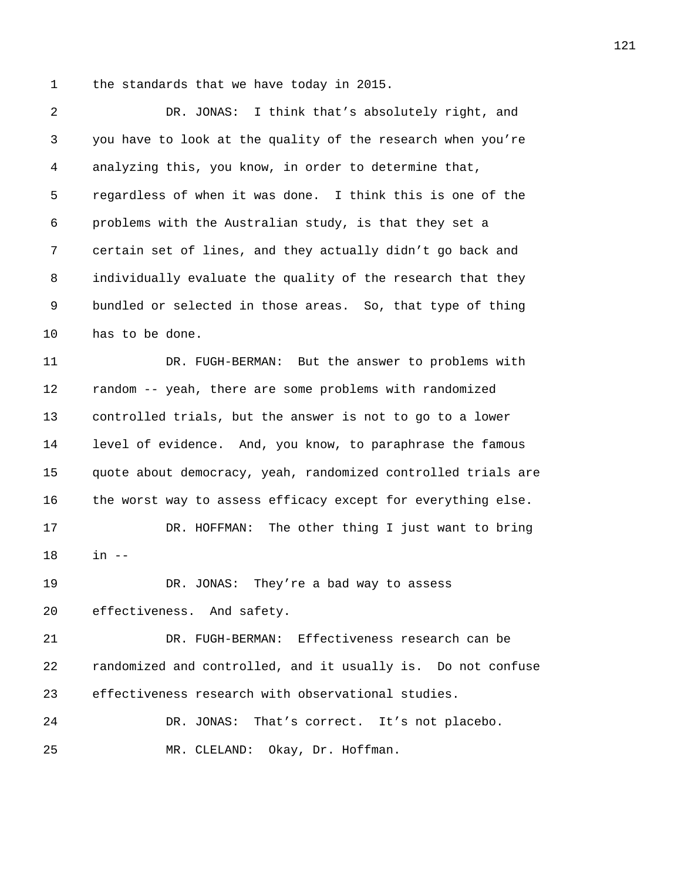1 the standards that we have today in 2015.

| 2  | DR. JONAS: I think that's absolutely right, and               |
|----|---------------------------------------------------------------|
| 3  | you have to look at the quality of the research when you're   |
| 4  | analyzing this, you know, in order to determine that,         |
| 5  | regardless of when it was done. I think this is one of the    |
| 6  | problems with the Australian study, is that they set a        |
| 7  | certain set of lines, and they actually didn't go back and    |
| 8  | individually evaluate the quality of the research that they   |
| 9  | bundled or selected in those areas. So, that type of thing    |
| 10 | has to be done.                                               |
| 11 | DR. FUGH-BERMAN: But the answer to problems with              |
| 12 | random -- yeah, there are some problems with randomized       |
| 13 | controlled trials, but the answer is not to go to a lower     |
| 14 | level of evidence. And, you know, to paraphrase the famous    |
| 15 | quote about democracy, yeah, randomized controlled trials are |
| 16 | the worst way to assess efficacy except for everything else.  |
| 17 | The other thing I just want to bring<br>DR. HOFFMAN:          |
| 18 | $in$ $--$                                                     |
| 19 | They're a bad way to assess<br>DR. JONAS:                     |
| 20 | effectiveness. And safety.                                    |
| 21 | DR. FUGH-BERMAN: Effectiveness research can be                |
| 22 | randomized and controlled, and it usually is. Do not confuse  |
| 23 | effectiveness research with observational studies.            |
| 24 | DR. JONAS: That's correct. It's not placebo.                  |
| 25 | MR. CLELAND: Okay, Dr. Hoffman.                               |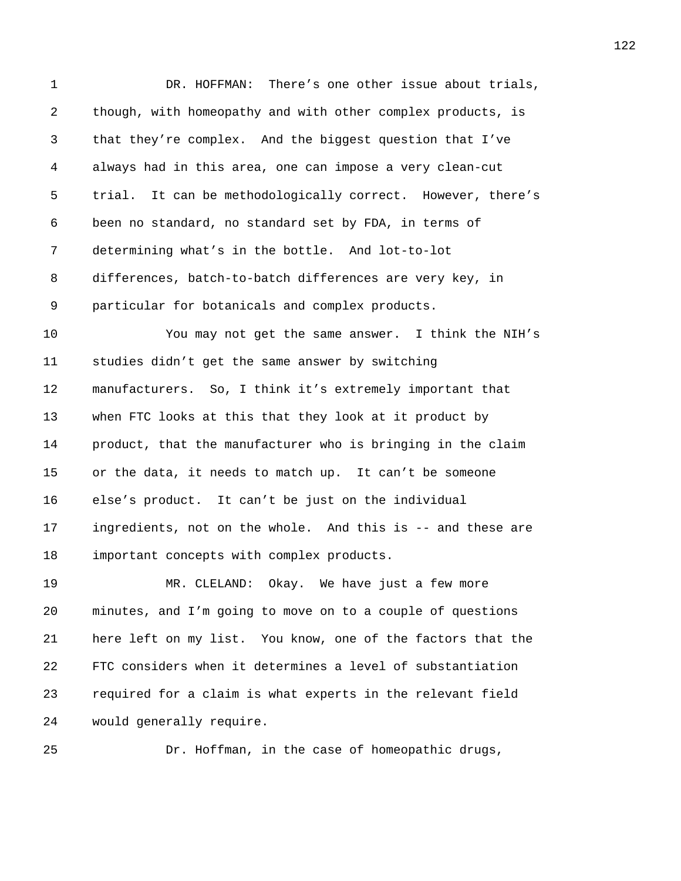1 DR. HOFFMAN: There's one other issue about trials, 2 though, with homeopathy and with other complex products, is 3 that they're complex. And the biggest question that I've 4 always had in this area, one can impose a very clean-cut 5 trial. It can be methodologically correct. However, there's 6 been no standard, no standard set by FDA, in terms of 7 determining what's in the bottle. And lot-to-lot 8 differences, batch-to-batch differences are very key, in 9 particular for botanicals and complex products. 10 You may not get the same answer. I think the NIH's 11 studies didn't get the same answer by switching 12 manufacturers. So, I think it's extremely important that 13 when FTC looks at this that they look at it product by 14 product, that the manufacturer who is bringing in the claim 15 or the data, it needs to match up. It can't be someone 16 else's product. It can't be just on the individual 17 ingredients, not on the whole. And this is -- and these are 18 important concepts with complex products. 19 MR. CLELAND: Okay. We have just a few more 20 minutes, and I'm going to move on to a couple of questions 21 here left on my list. You know, one of the factors that the 22 FTC considers when it determines a level of substantiation 23 required for a claim is what experts in the relevant field

24 would generally require.

25 Dr. Hoffman, in the case of homeopathic drugs,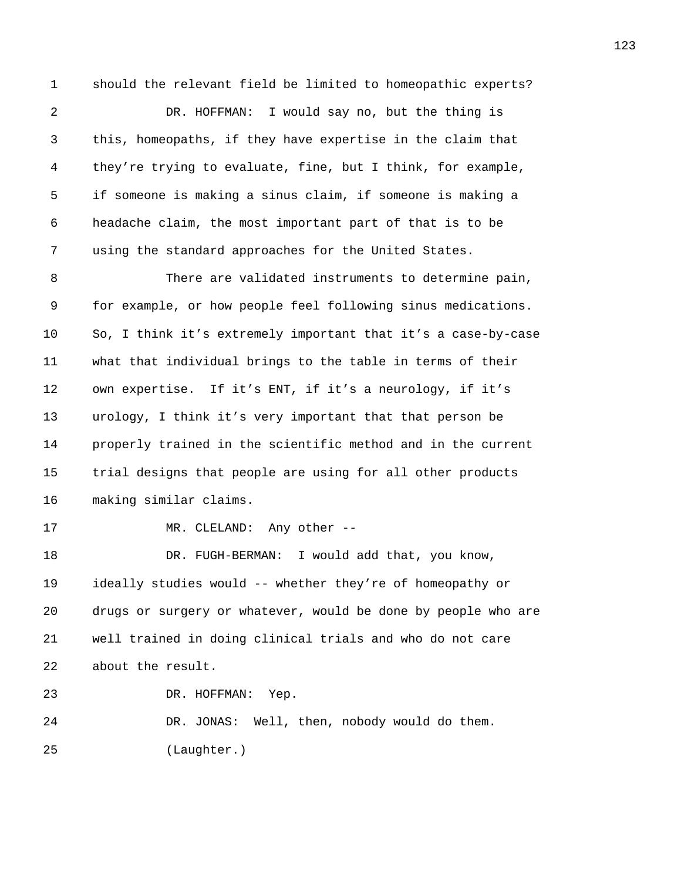1 should the relevant field be limited to homeopathic experts? 2 DR. HOFFMAN: I would say no, but the thing is 3 this, homeopaths, if they have expertise in the claim that 4 they're trying to evaluate, fine, but I think, for example, 5 if someone is making a sinus claim, if someone is making a 6 headache claim, the most important part of that is to be 7 using the standard approaches for the United States. 8 There are validated instruments to determine pain, 9 for example, or how people feel following sinus medications. 10 So, I think it's extremely important that it's a case-by-case 11 what that individual brings to the table in terms of their 12 own expertise. If it's ENT, if it's a neurology, if it's 13 urology, I think it's very important that that person be 14 properly trained in the scientific method and in the current 15 trial designs that people are using for all other products 16 making similar claims. 17 MR. CLELAND: Any other --18 DR. FUGH-BERMAN: I would add that, you know, 19 ideally studies would -- whether they're of homeopathy or 20 drugs or surgery or whatever, would be done by people who are 21 well trained in doing clinical trials and who do not care 22 about the result. 23 DR. HOFFMAN: Yep. 24 DR. JONAS: Well, then, nobody would do them. 25 (Laughter.)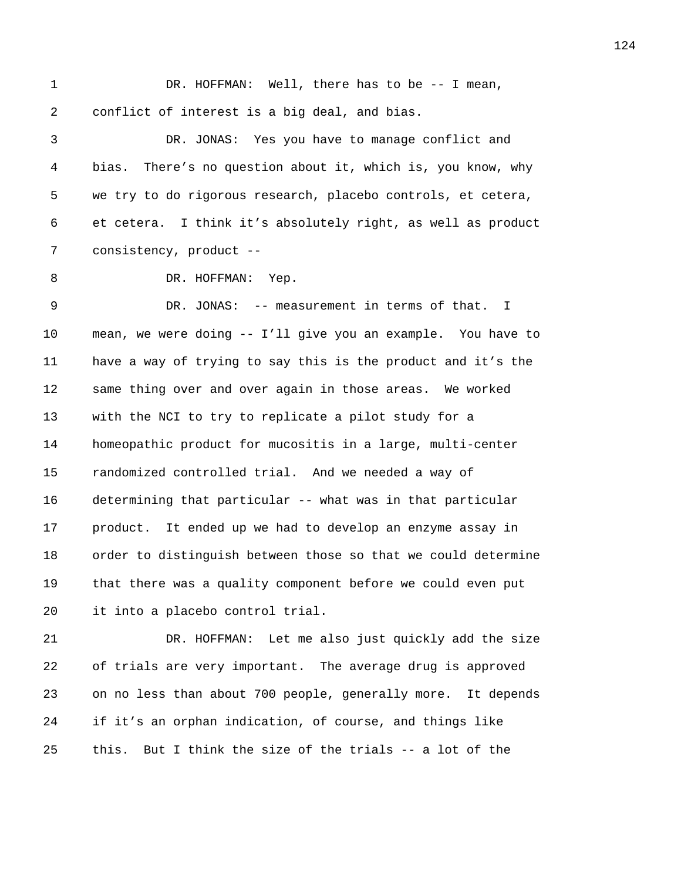1 DR. HOFFMAN: Well, there has to be -- I mean, 2 conflict of interest is a big deal, and bias.

3 DR. JONAS: Yes you have to manage conflict and 4 bias. There's no question about it, which is, you know, why 5 we try to do rigorous research, placebo controls, et cetera, 6 et cetera. I think it's absolutely right, as well as product 7 consistency, product --

8 DR. HOFFMAN: Yep.

9 DR. JONAS: -- measurement in terms of that. I 10 mean, we were doing -- I'll give you an example. You have to 11 have a way of trying to say this is the product and it's the 12 same thing over and over again in those areas. We worked 13 with the NCI to try to replicate a pilot study for a 14 homeopathic product for mucositis in a large, multi-center 15 randomized controlled trial. And we needed a way of 16 determining that particular -- what was in that particular 17 product. It ended up we had to develop an enzyme assay in 18 order to distinguish between those so that we could determine 19 that there was a quality component before we could even put 20 it into a placebo control trial.

21 DR. HOFFMAN: Let me also just quickly add the size 22 of trials are very important. The average drug is approved 23 on no less than about 700 people, generally more. It depends 24 if it's an orphan indication, of course, and things like 25 this. But I think the size of the trials -- a lot of the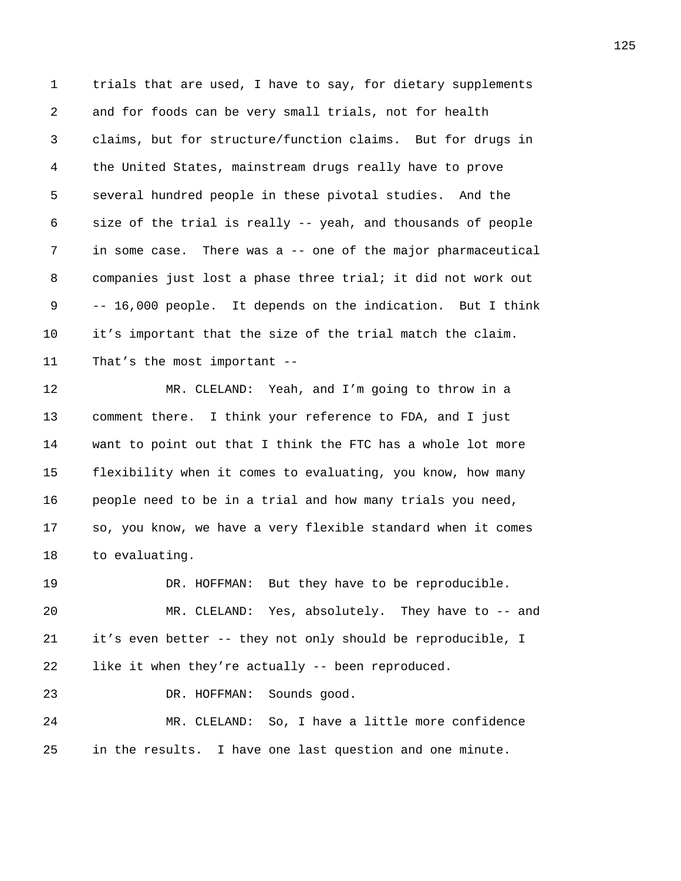1 trials that are used, I have to say, for dietary supplements 2 and for foods can be very small trials, not for health 3 claims, but for structure/function claims. But for drugs in 4 the United States, mainstream drugs really have to prove 5 several hundred people in these pivotal studies. And the 6 size of the trial is really -- yeah, and thousands of people 7 in some case. There was a -- one of the major pharmaceutical 8 companies just lost a phase three trial; it did not work out 9 -- 16,000 people. It depends on the indication. But I think 10 it's important that the size of the trial match the claim. 11 That's the most important --

12 MR. CLELAND: Yeah, and I'm going to throw in a 13 comment there. I think your reference to FDA, and I just 14 want to point out that I think the FTC has a whole lot more 15 flexibility when it comes to evaluating, you know, how many 16 people need to be in a trial and how many trials you need, 17 so, you know, we have a very flexible standard when it comes 18 to evaluating.

19 DR. HOFFMAN: But they have to be reproducible. 20 MR. CLELAND: Yes, absolutely. They have to -- and 21 it's even better -- they not only should be reproducible, I 22 like it when they're actually -- been reproduced.

23 DR. HOFFMAN: Sounds good.

24 MR. CLELAND: So, I have a little more confidence 25 in the results. I have one last question and one minute.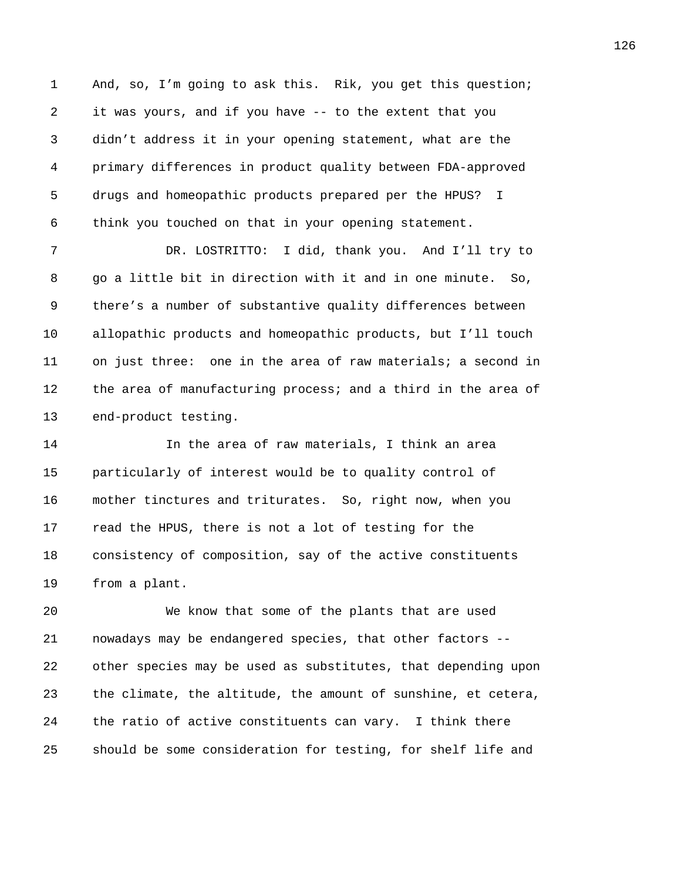1 And, so, I'm going to ask this. Rik, you get this question; 2 it was yours, and if you have -- to the extent that you 3 didn't address it in your opening statement, what are the 4 primary differences in product quality between FDA-approved 5 drugs and homeopathic products prepared per the HPUS? I 6 think you touched on that in your opening statement.

7 DR. LOSTRITTO: I did, thank you. And I'll try to 8 go a little bit in direction with it and in one minute. So, 9 there's a number of substantive quality differences between 10 allopathic products and homeopathic products, but I'll touch 11 on just three: one in the area of raw materials; a second in 12 the area of manufacturing process; and a third in the area of 13 end-product testing.

14 In the area of raw materials, I think an area 15 particularly of interest would be to quality control of 16 mother tinctures and triturates. So, right now, when you 17 read the HPUS, there is not a lot of testing for the 18 consistency of composition, say of the active constituents 19 from a plant.

20 We know that some of the plants that are used 21 nowadays may be endangered species, that other factors -- 22 other species may be used as substitutes, that depending upon 23 the climate, the altitude, the amount of sunshine, et cetera, 24 the ratio of active constituents can vary. I think there 25 should be some consideration for testing, for shelf life and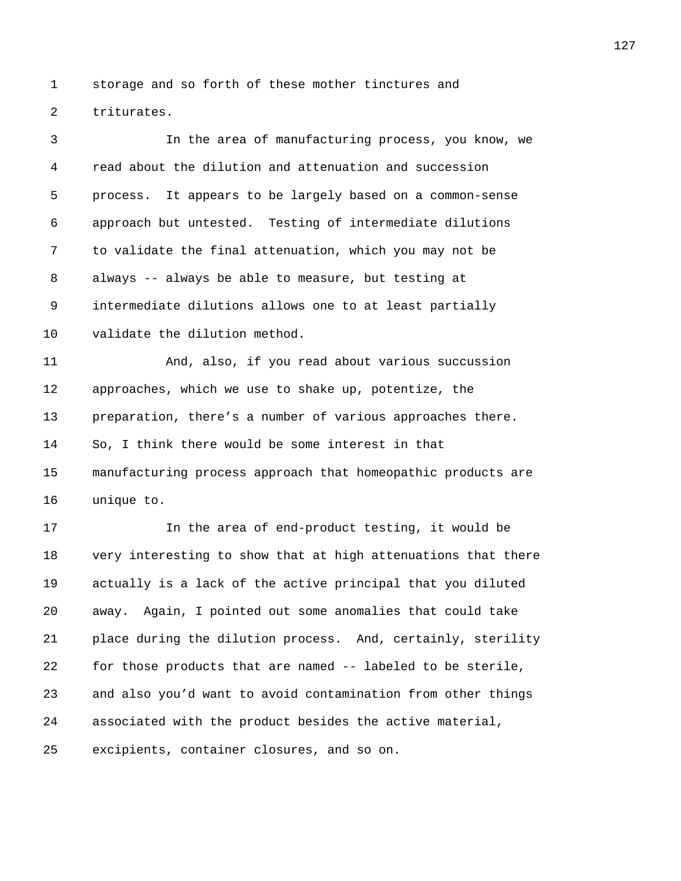1 storage and so forth of these mother tinctures and 2 triturates.

3 In the area of manufacturing process, you know, we 4 read about the dilution and attenuation and succession 5 process. It appears to be largely based on a common-sense 6 approach but untested. Testing of intermediate dilutions 7 to validate the final attenuation, which you may not be 8 always -- always be able to measure, but testing at 9 intermediate dilutions allows one to at least partially 10 validate the dilution method. 11 And, also, if you read about various succussion 12 approaches, which we use to shake up, potentize, the 13 preparation, there's a number of various approaches there. 14 So, I think there would be some interest in that 15 manufacturing process approach that homeopathic products are 16 unique to. 17 In the area of end-product testing, it would be

18 very interesting to show that at high attenuations that there 19 actually is a lack of the active principal that you diluted 20 away. Again, I pointed out some anomalies that could take 21 place during the dilution process. And, certainly, sterility 22 for those products that are named -- labeled to be sterile, 23 and also you'd want to avoid contamination from other things 24 associated with the product besides the active material, 25 excipients, container closures, and so on.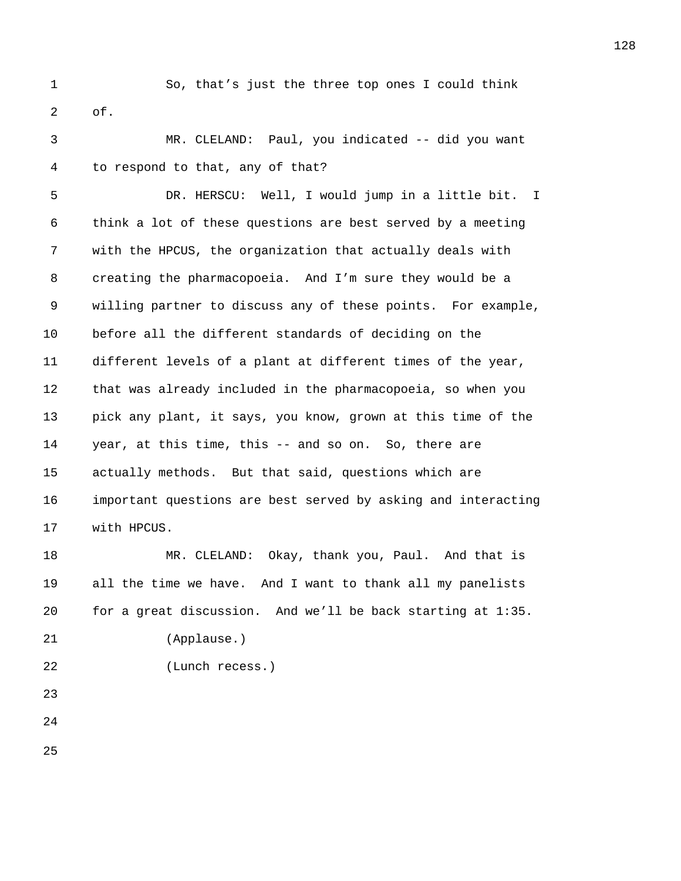1 So, that's just the three top ones I could think 2 of.

3 MR. CLELAND: Paul, you indicated -- did you want 4 to respond to that, any of that?

5 DR. HERSCU: Well, I would jump in a little bit. I 6 think a lot of these questions are best served by a meeting 7 with the HPCUS, the organization that actually deals with 8 creating the pharmacopoeia. And I'm sure they would be a 9 willing partner to discuss any of these points. For example, 10 before all the different standards of deciding on the 11 different levels of a plant at different times of the year, 12 that was already included in the pharmacopoeia, so when you 13 pick any plant, it says, you know, grown at this time of the 14 year, at this time, this -- and so on. So, there are 15 actually methods. But that said, questions which are 16 important questions are best served by asking and interacting 17 with HPCUS.

18 MR. CLELAND: Okay, thank you, Paul. And that is 19 all the time we have. And I want to thank all my panelists 20 for a great discussion. And we'll be back starting at 1:35. 21 (Applause.)

23

22 (Lunch recess.)

24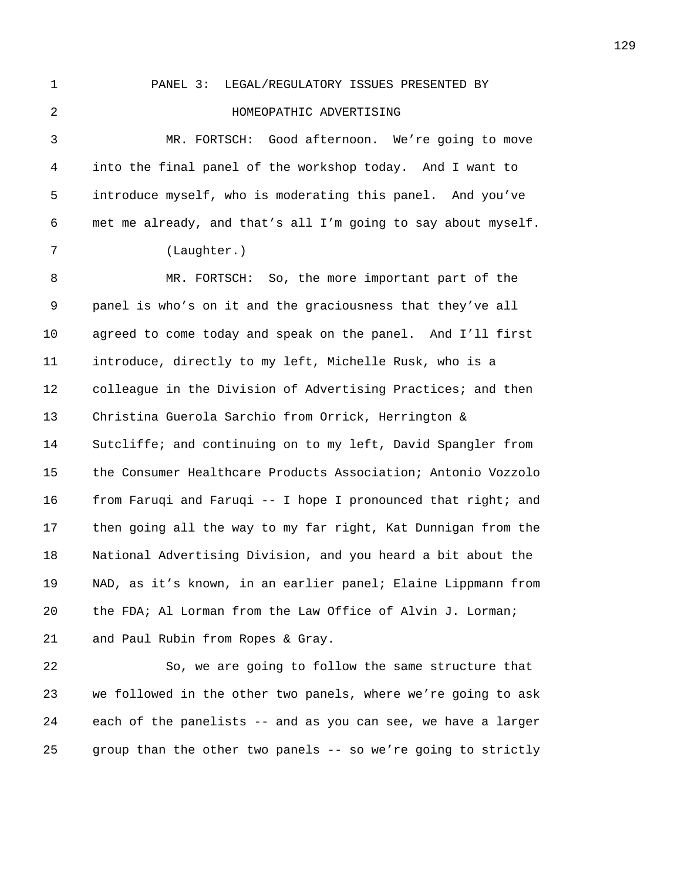1 PANEL 3: LEGAL/REGULATORY ISSUES PRESENTED BY 2 HOMEOPATHIC ADVERTISING 3 MR. FORTSCH: Good afternoon. We're going to move 4 into the final panel of the workshop today. And I want to 5 introduce myself, who is moderating this panel. And you've 6 met me already, and that's all I'm going to say about myself. 7 (Laughter.) 8 MR. FORTSCH: So, the more important part of the 9 panel is who's on it and the graciousness that they've all 10 agreed to come today and speak on the panel. And I'll first 11 introduce, directly to my left, Michelle Rusk, who is a 12 colleague in the Division of Advertising Practices; and then 13 Christina Guerola Sarchio from Orrick, Herrington & 14 Sutcliffe; and continuing on to my left, David Spangler from 15 the Consumer Healthcare Products Association; Antonio Vozzolo 16 from Faruqi and Faruqi -- I hope I pronounced that right; and 17 then going all the way to my far right, Kat Dunnigan from the 18 National Advertising Division, and you heard a bit about the 19 NAD, as it's known, in an earlier panel; Elaine Lippmann from 20 the FDA; Al Lorman from the Law Office of Alvin J. Lorman; 21 and Paul Rubin from Ropes & Gray.

22 So, we are going to follow the same structure that 23 we followed in the other two panels, where we're going to ask 24 each of the panelists -- and as you can see, we have a larger 25 group than the other two panels -- so we're going to strictly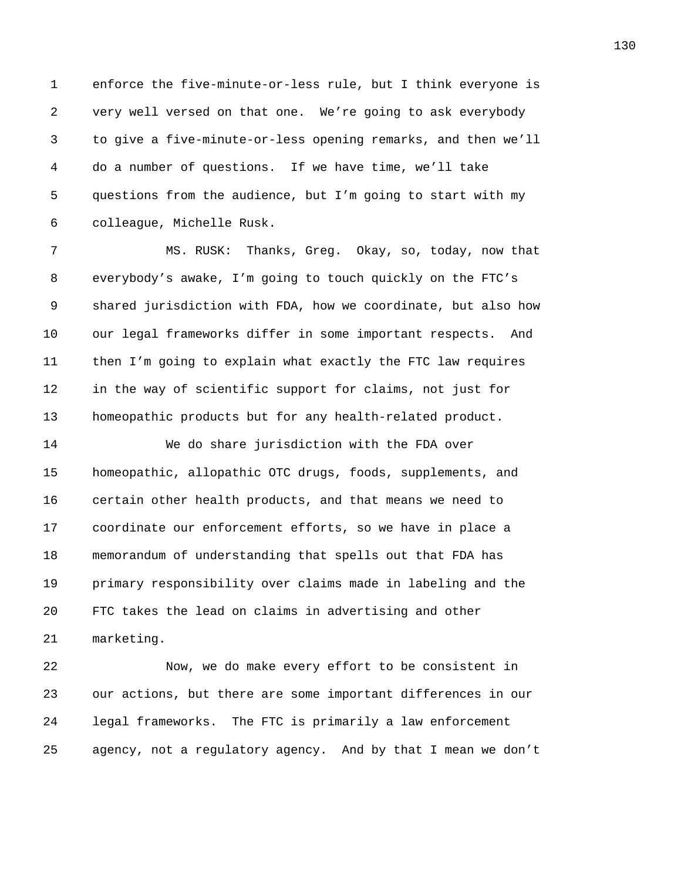1 enforce the five-minute-or-less rule, but I think everyone is 2 very well versed on that one. We're going to ask everybody 3 to give a five-minute-or-less opening remarks, and then we'll 4 do a number of questions. If we have time, we'll take 5 questions from the audience, but I'm going to start with my 6 colleague, Michelle Rusk.

7 MS. RUSK: Thanks, Greg. Okay, so, today, now that 8 everybody's awake, I'm going to touch quickly on the FTC's 9 shared jurisdiction with FDA, how we coordinate, but also how 10 our legal frameworks differ in some important respects. And 11 then I'm going to explain what exactly the FTC law requires 12 in the way of scientific support for claims, not just for 13 homeopathic products but for any health-related product.

14 We do share jurisdiction with the FDA over 15 homeopathic, allopathic OTC drugs, foods, supplements, and 16 certain other health products, and that means we need to 17 coordinate our enforcement efforts, so we have in place a 18 memorandum of understanding that spells out that FDA has 19 primary responsibility over claims made in labeling and the 20 FTC takes the lead on claims in advertising and other 21 marketing.

22 Now, we do make every effort to be consistent in 23 our actions, but there are some important differences in our 24 legal frameworks. The FTC is primarily a law enforcement 25 agency, not a regulatory agency. And by that I mean we don't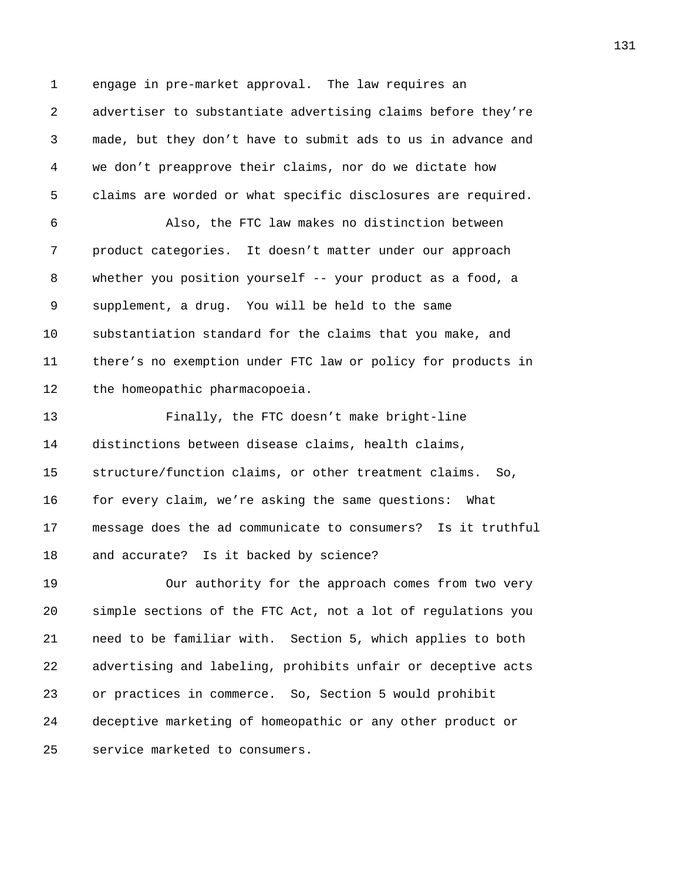1 engage in pre-market approval. The law requires an 2 advertiser to substantiate advertising claims before they're 3 made, but they don't have to submit ads to us in advance and 4 we don't preapprove their claims, nor do we dictate how 5 claims are worded or what specific disclosures are required. 6 Also, the FTC law makes no distinction between 7 product categories. It doesn't matter under our approach 8 whether you position yourself -- your product as a food, a 9 supplement, a drug. You will be held to the same 10 substantiation standard for the claims that you make, and 11 there's no exemption under FTC law or policy for products in 12 the homeopathic pharmacopoeia.

13 Finally, the FTC doesn't make bright-line 14 distinctions between disease claims, health claims, 15 structure/function claims, or other treatment claims. So, 16 for every claim, we're asking the same questions: What 17 message does the ad communicate to consumers? Is it truthful 18 and accurate? Is it backed by science?

19 Our authority for the approach comes from two very 20 simple sections of the FTC Act, not a lot of regulations you 21 need to be familiar with. Section 5, which applies to both 22 advertising and labeling, prohibits unfair or deceptive acts 23 or practices in commerce. So, Section 5 would prohibit 24 deceptive marketing of homeopathic or any other product or 25 service marketed to consumers.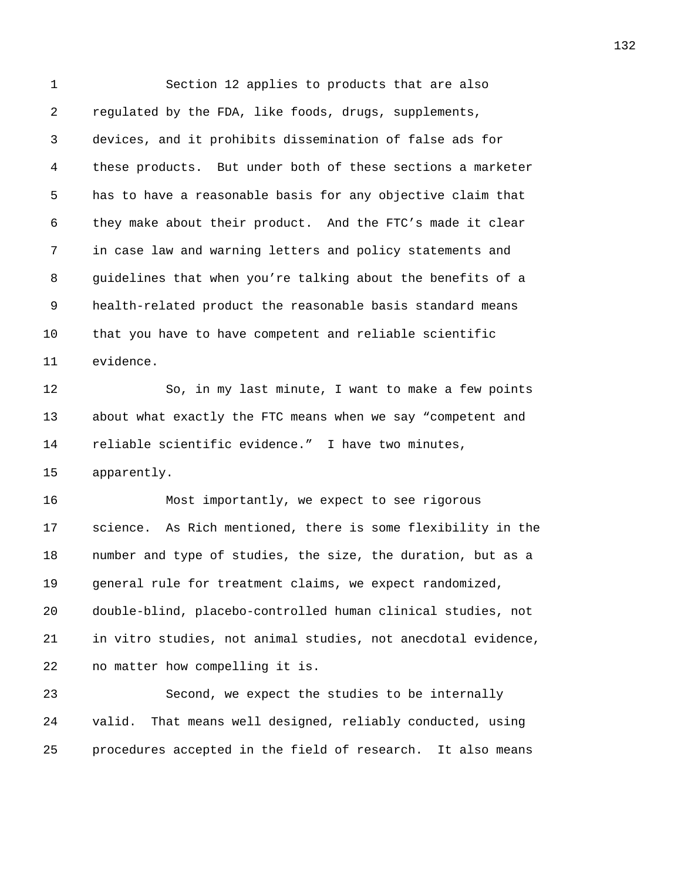1 Section 12 applies to products that are also 2 regulated by the FDA, like foods, drugs, supplements, 3 devices, and it prohibits dissemination of false ads for 4 these products. But under both of these sections a marketer 5 has to have a reasonable basis for any objective claim that 6 they make about their product. And the FTC's made it clear 7 in case law and warning letters and policy statements and 8 guidelines that when you're talking about the benefits of a 9 health-related product the reasonable basis standard means 10 that you have to have competent and reliable scientific 11 evidence. 12 So, in my last minute, I want to make a few points 13 about what exactly the FTC means when we say "competent and 14 reliable scientific evidence." I have two minutes, 15 apparently. 16 Most importantly, we expect to see rigorous 17 science. As Rich mentioned, there is some flexibility in the 18 number and type of studies, the size, the duration, but as a 19 general rule for treatment claims, we expect randomized, 20 double-blind, placebo-controlled human clinical studies, not 21 in vitro studies, not animal studies, not anecdotal evidence, 22 no matter how compelling it is. 23 Second, we expect the studies to be internally 24 valid. That means well designed, reliably conducted, using

25 procedures accepted in the field of research. It also means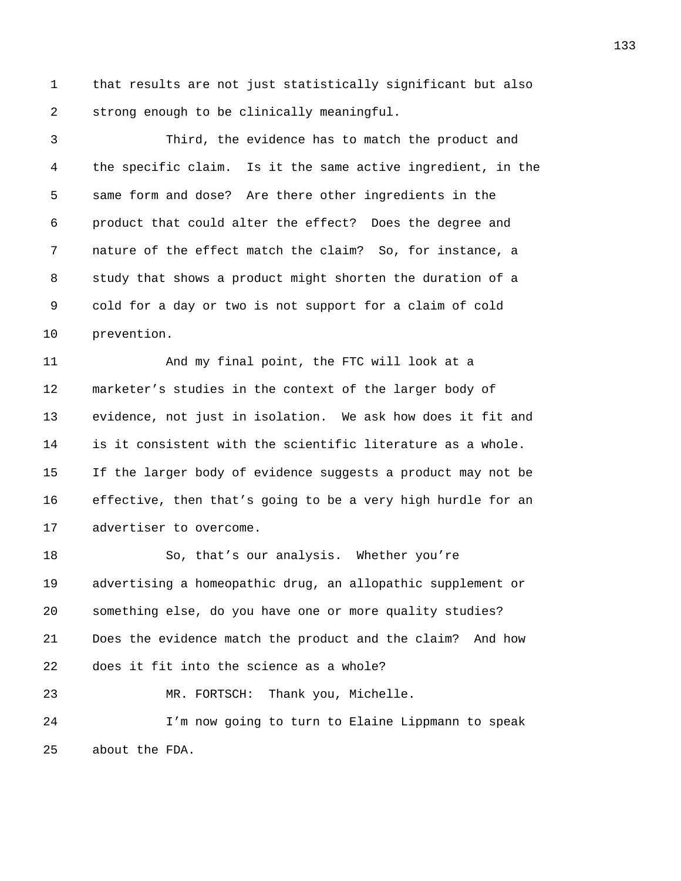1 that results are not just statistically significant but also 2 strong enough to be clinically meaningful.

3 Third, the evidence has to match the product and 4 the specific claim. Is it the same active ingredient, in the 5 same form and dose? Are there other ingredients in the 6 product that could alter the effect? Does the degree and 7 nature of the effect match the claim? So, for instance, a 8 study that shows a product might shorten the duration of a 9 cold for a day or two is not support for a claim of cold 10 prevention.

11 And my final point, the FTC will look at a 12 marketer's studies in the context of the larger body of 13 evidence, not just in isolation. We ask how does it fit and 14 is it consistent with the scientific literature as a whole. 15 If the larger body of evidence suggests a product may not be 16 effective, then that's going to be a very high hurdle for an 17 advertiser to overcome.

18 So, that's our analysis. Whether you're 19 advertising a homeopathic drug, an allopathic supplement or 20 something else, do you have one or more quality studies? 21 Does the evidence match the product and the claim? And how 22 does it fit into the science as a whole? 23 MR. FORTSCH: Thank you, Michelle.

24 I'm now going to turn to Elaine Lippmann to speak 25 about the FDA.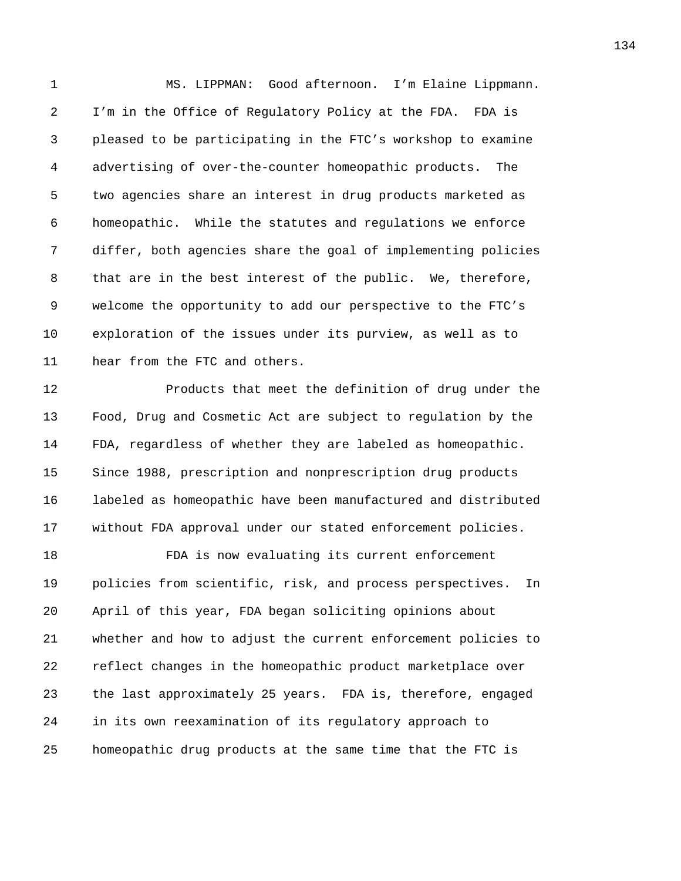1 MS. LIPPMAN: Good afternoon. I'm Elaine Lippmann. 2 I'm in the Office of Regulatory Policy at the FDA. FDA is 3 pleased to be participating in the FTC's workshop to examine 4 advertising of over-the-counter homeopathic products. The 5 two agencies share an interest in drug products marketed as 6 homeopathic. While the statutes and regulations we enforce 7 differ, both agencies share the goal of implementing policies 8 that are in the best interest of the public. We, therefore, 9 welcome the opportunity to add our perspective to the FTC's 10 exploration of the issues under its purview, as well as to 11 hear from the FTC and others.

12 Products that meet the definition of drug under the 13 Food, Drug and Cosmetic Act are subject to regulation by the 14 FDA, regardless of whether they are labeled as homeopathic. 15 Since 1988, prescription and nonprescription drug products 16 labeled as homeopathic have been manufactured and distributed 17 without FDA approval under our stated enforcement policies.

18 FDA is now evaluating its current enforcement 19 policies from scientific, risk, and process perspectives. In 20 April of this year, FDA began soliciting opinions about 21 whether and how to adjust the current enforcement policies to 22 reflect changes in the homeopathic product marketplace over 23 the last approximately 25 years. FDA is, therefore, engaged 24 in its own reexamination of its regulatory approach to 25 homeopathic drug products at the same time that the FTC is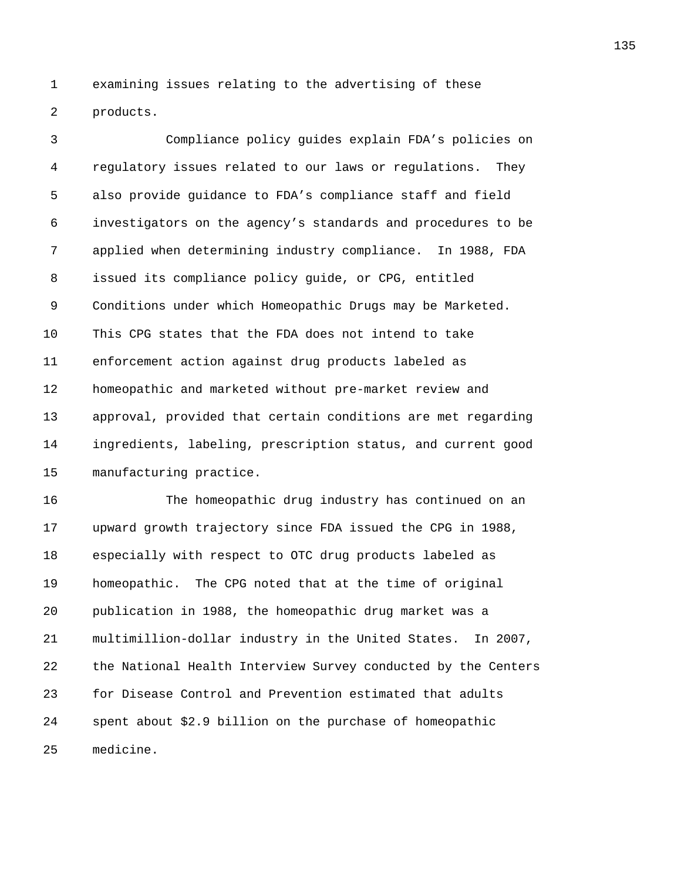1 examining issues relating to the advertising of these 2 products.

3 Compliance policy guides explain FDA's policies on 4 regulatory issues related to our laws or regulations. They 5 also provide guidance to FDA's compliance staff and field 6 investigators on the agency's standards and procedures to be 7 applied when determining industry compliance. In 1988, FDA 8 issued its compliance policy guide, or CPG, entitled 9 Conditions under which Homeopathic Drugs may be Marketed. 10 This CPG states that the FDA does not intend to take 11 enforcement action against drug products labeled as 12 homeopathic and marketed without pre-market review and 13 approval, provided that certain conditions are met regarding 14 ingredients, labeling, prescription status, and current good 15 manufacturing practice.

16 The homeopathic drug industry has continued on an 17 upward growth trajectory since FDA issued the CPG in 1988, 18 especially with respect to OTC drug products labeled as 19 homeopathic. The CPG noted that at the time of original 20 publication in 1988, the homeopathic drug market was a 21 multimillion-dollar industry in the United States. In 2007, 22 the National Health Interview Survey conducted by the Centers 23 for Disease Control and Prevention estimated that adults 24 spent about \$2.9 billion on the purchase of homeopathic 25 medicine.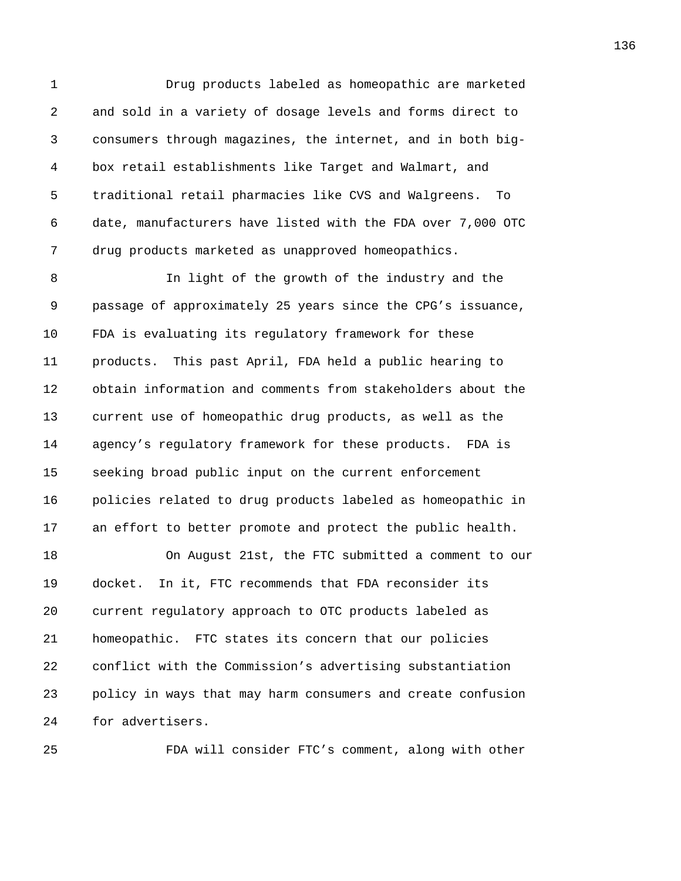1 Drug products labeled as homeopathic are marketed 2 and sold in a variety of dosage levels and forms direct to 3 consumers through magazines, the internet, and in both big-4 box retail establishments like Target and Walmart, and 5 traditional retail pharmacies like CVS and Walgreens. To 6 date, manufacturers have listed with the FDA over 7,000 OTC 7 drug products marketed as unapproved homeopathics.

8 In light of the growth of the industry and the 9 passage of approximately 25 years since the CPG's issuance, 10 FDA is evaluating its regulatory framework for these 11 products. This past April, FDA held a public hearing to 12 obtain information and comments from stakeholders about the 13 current use of homeopathic drug products, as well as the 14 agency's regulatory framework for these products. FDA is 15 seeking broad public input on the current enforcement 16 policies related to drug products labeled as homeopathic in 17 an effort to better promote and protect the public health.

18 On August 21st, the FTC submitted a comment to our 19 docket. In it, FTC recommends that FDA reconsider its 20 current regulatory approach to OTC products labeled as 21 homeopathic. FTC states its concern that our policies 22 conflict with the Commission's advertising substantiation 23 policy in ways that may harm consumers and create confusion 24 for advertisers.

25 FDA will consider FTC's comment, along with other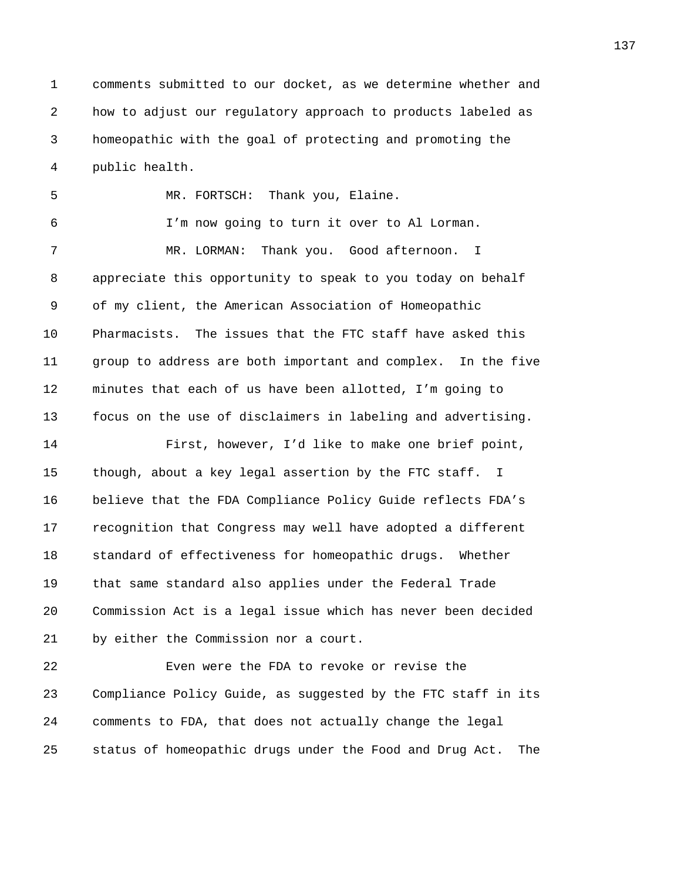1 comments submitted to our docket, as we determine whether and 2 how to adjust our regulatory approach to products labeled as 3 homeopathic with the goal of protecting and promoting the 4 public health.

5 MR. FORTSCH: Thank you, Elaine. 6 I'm now going to turn it over to Al Lorman. 7 MR. LORMAN: Thank you. Good afternoon. I 8 appreciate this opportunity to speak to you today on behalf 9 of my client, the American Association of Homeopathic 10 Pharmacists. The issues that the FTC staff have asked this 11 group to address are both important and complex. In the five 12 minutes that each of us have been allotted, I'm going to 13 focus on the use of disclaimers in labeling and advertising. 14 First, however, I'd like to make one brief point, 15 though, about a key legal assertion by the FTC staff. I 16 believe that the FDA Compliance Policy Guide reflects FDA's

17 recognition that Congress may well have adopted a different 18 standard of effectiveness for homeopathic drugs. Whether 19 that same standard also applies under the Federal Trade 20 Commission Act is a legal issue which has never been decided 21 by either the Commission nor a court.

22 Even were the FDA to revoke or revise the 23 Compliance Policy Guide, as suggested by the FTC staff in its 24 comments to FDA, that does not actually change the legal 25 status of homeopathic drugs under the Food and Drug Act. The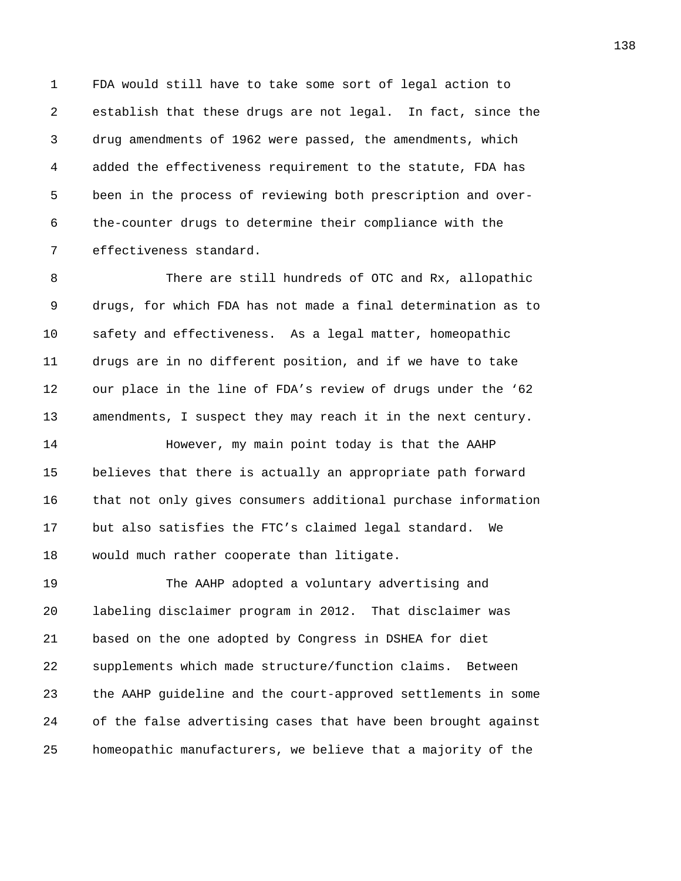1 FDA would still have to take some sort of legal action to 2 establish that these drugs are not legal. In fact, since the 3 drug amendments of 1962 were passed, the amendments, which 4 added the effectiveness requirement to the statute, FDA has 5 been in the process of reviewing both prescription and over-6 the-counter drugs to determine their compliance with the 7 effectiveness standard.

8 There are still hundreds of OTC and Rx, allopathic 9 drugs, for which FDA has not made a final determination as to 10 safety and effectiveness. As a legal matter, homeopathic 11 drugs are in no different position, and if we have to take 12 our place in the line of FDA's review of drugs under the '62 13 amendments, I suspect they may reach it in the next century.

14 **However, my main point today is that the AAHP** 15 believes that there is actually an appropriate path forward 16 that not only gives consumers additional purchase information 17 but also satisfies the FTC's claimed legal standard. We 18 would much rather cooperate than litigate.

19 The AAHP adopted a voluntary advertising and 20 labeling disclaimer program in 2012. That disclaimer was 21 based on the one adopted by Congress in DSHEA for diet 22 supplements which made structure/function claims. Between 23 the AAHP guideline and the court-approved settlements in some 24 of the false advertising cases that have been brought against 25 homeopathic manufacturers, we believe that a majority of the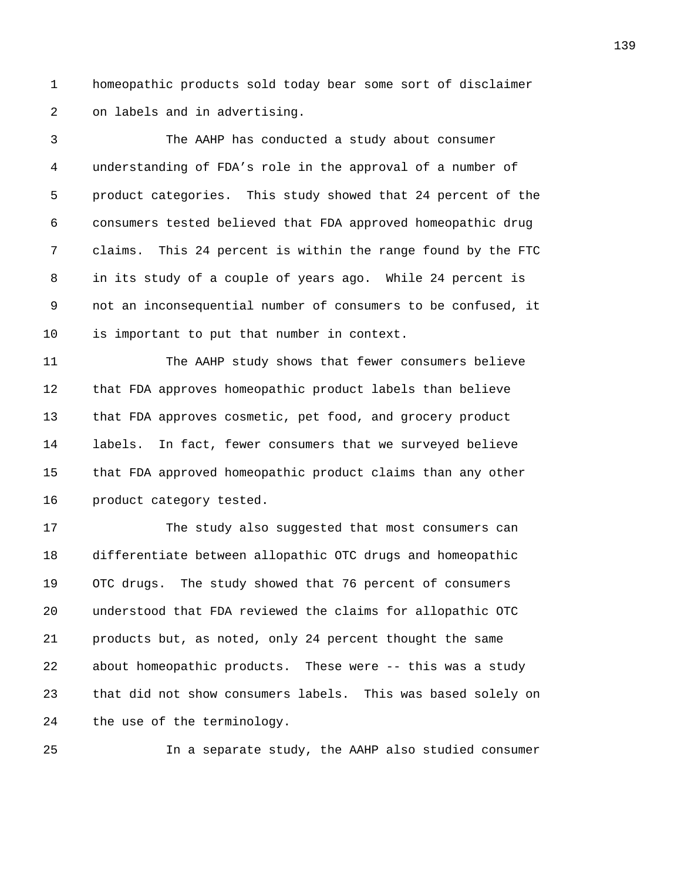1 homeopathic products sold today bear some sort of disclaimer 2 on labels and in advertising.

3 The AAHP has conducted a study about consumer 4 understanding of FDA's role in the approval of a number of 5 product categories. This study showed that 24 percent of the 6 consumers tested believed that FDA approved homeopathic drug 7 claims. This 24 percent is within the range found by the FTC 8 in its study of a couple of years ago. While 24 percent is 9 not an inconsequential number of consumers to be confused, it 10 is important to put that number in context.

11 The AAHP study shows that fewer consumers believe 12 that FDA approves homeopathic product labels than believe 13 that FDA approves cosmetic, pet food, and grocery product 14 labels. In fact, fewer consumers that we surveyed believe 15 that FDA approved homeopathic product claims than any other 16 product category tested.

17 The study also suggested that most consumers can 18 differentiate between allopathic OTC drugs and homeopathic 19 OTC drugs. The study showed that 76 percent of consumers 20 understood that FDA reviewed the claims for allopathic OTC 21 products but, as noted, only 24 percent thought the same 22 about homeopathic products. These were -- this was a study 23 that did not show consumers labels. This was based solely on 24 the use of the terminology.

25 In a separate study, the AAHP also studied consumer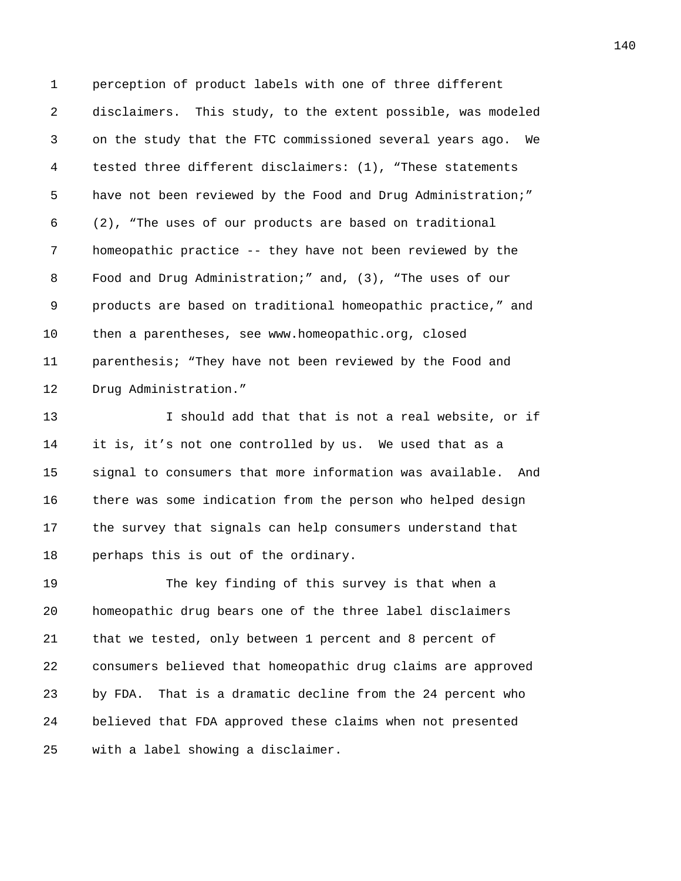1 perception of product labels with one of three different 2 disclaimers. This study, to the extent possible, was modeled 3 on the study that the FTC commissioned several years ago. We 4 tested three different disclaimers: (1), "These statements 5 have not been reviewed by the Food and Drug Administration;" 6 (2), "The uses of our products are based on traditional 7 homeopathic practice -- they have not been reviewed by the 8 Food and Drug Administration;" and, (3), "The uses of our 9 products are based on traditional homeopathic practice," and 10 then a parentheses, see www.homeopathic.org, closed 11 parenthesis; "They have not been reviewed by the Food and 12 Drug Administration."

13 I should add that that is not a real website, or if 14 it is, it's not one controlled by us. We used that as a 15 signal to consumers that more information was available. And 16 there was some indication from the person who helped design 17 the survey that signals can help consumers understand that 18 perhaps this is out of the ordinary.

19 The key finding of this survey is that when a 20 homeopathic drug bears one of the three label disclaimers 21 that we tested, only between 1 percent and 8 percent of 22 consumers believed that homeopathic drug claims are approved 23 by FDA. That is a dramatic decline from the 24 percent who 24 believed that FDA approved these claims when not presented 25 with a label showing a disclaimer.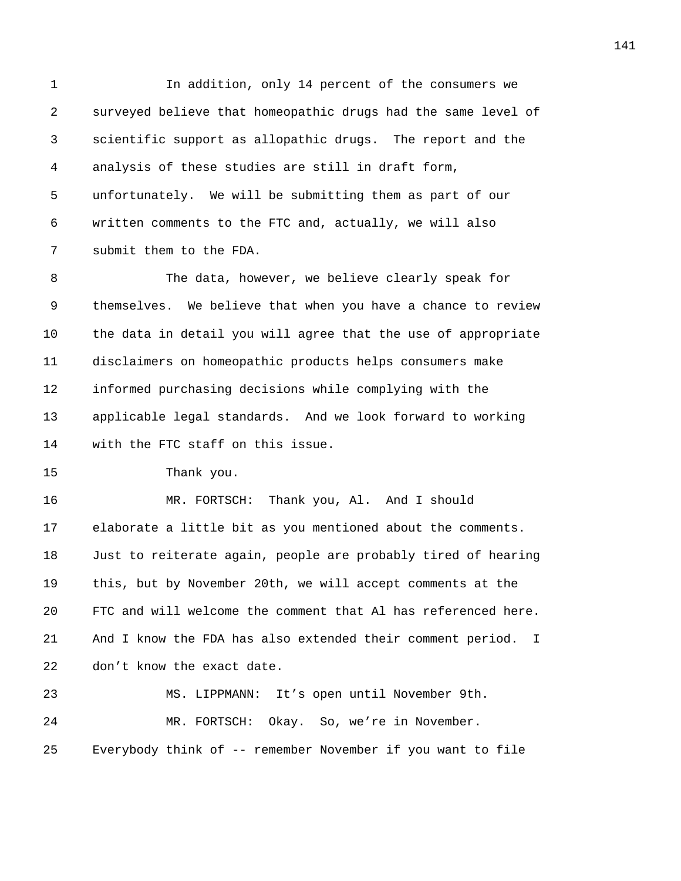1 In addition, only 14 percent of the consumers we 2 surveyed believe that homeopathic drugs had the same level of 3 scientific support as allopathic drugs. The report and the 4 analysis of these studies are still in draft form, 5 unfortunately. We will be submitting them as part of our 6 written comments to the FTC and, actually, we will also 7 submit them to the FDA.

8 The data, however, we believe clearly speak for 9 themselves. We believe that when you have a chance to review 10 the data in detail you will agree that the use of appropriate 11 disclaimers on homeopathic products helps consumers make 12 informed purchasing decisions while complying with the 13 applicable legal standards. And we look forward to working 14 with the FTC staff on this issue.

15 Thank you.

16 MR. FORTSCH: Thank you, Al. And I should 17 elaborate a little bit as you mentioned about the comments. 18 Just to reiterate again, people are probably tired of hearing 19 this, but by November 20th, we will accept comments at the 20 FTC and will welcome the comment that Al has referenced here. 21 And I know the FDA has also extended their comment period. I 22 don't know the exact date. 23 MS. LIPPMANN: It's open until November 9th.

24 MR. FORTSCH: Okay. So, we're in November. 25 Everybody think of -- remember November if you want to file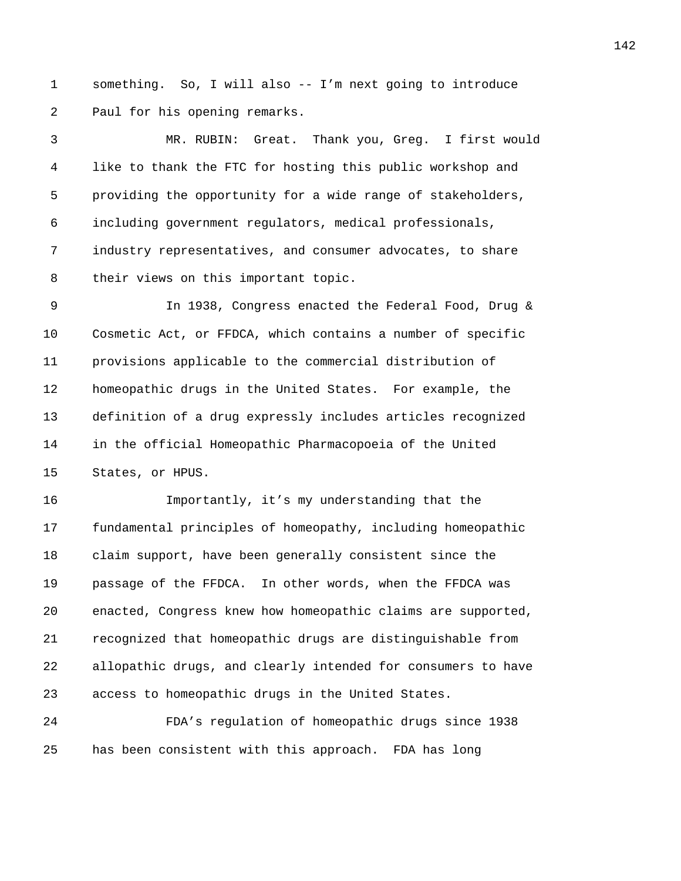1 something. So, I will also -- I'm next going to introduce 2 Paul for his opening remarks.

3 MR. RUBIN: Great. Thank you, Greg. I first would 4 like to thank the FTC for hosting this public workshop and 5 providing the opportunity for a wide range of stakeholders, 6 including government regulators, medical professionals, 7 industry representatives, and consumer advocates, to share 8 their views on this important topic.

9 In 1938, Congress enacted the Federal Food, Drug & 10 Cosmetic Act, or FFDCA, which contains a number of specific 11 provisions applicable to the commercial distribution of 12 homeopathic drugs in the United States. For example, the 13 definition of a drug expressly includes articles recognized 14 in the official Homeopathic Pharmacopoeia of the United 15 States, or HPUS.

16 Importantly, it's my understanding that the 17 fundamental principles of homeopathy, including homeopathic 18 claim support, have been generally consistent since the 19 passage of the FFDCA. In other words, when the FFDCA was 20 enacted, Congress knew how homeopathic claims are supported, 21 recognized that homeopathic drugs are distinguishable from 22 allopathic drugs, and clearly intended for consumers to have 23 access to homeopathic drugs in the United States.

24 FDA's regulation of homeopathic drugs since 1938 25 has been consistent with this approach. FDA has long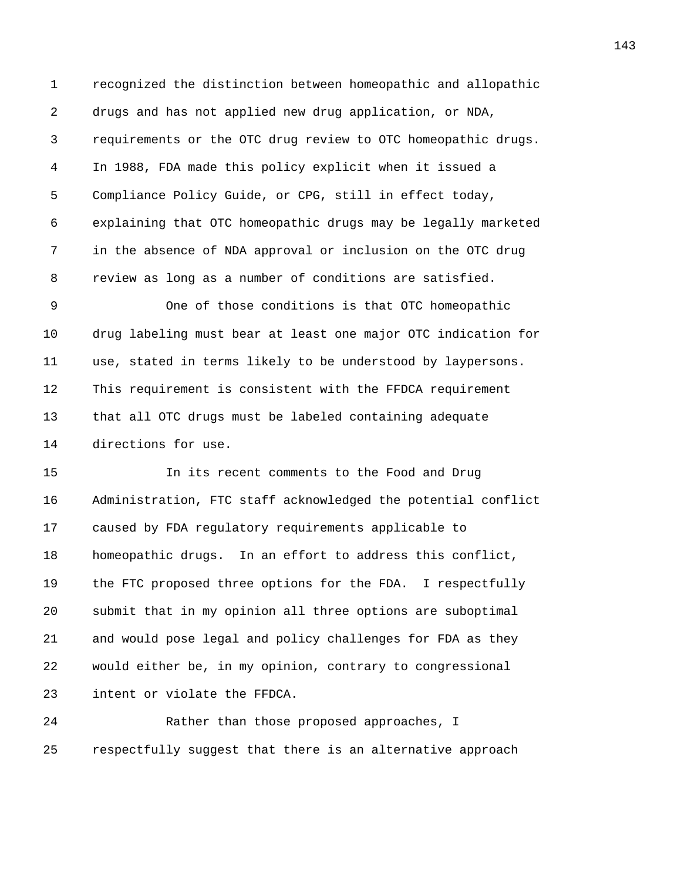1 recognized the distinction between homeopathic and allopathic 2 drugs and has not applied new drug application, or NDA, 3 requirements or the OTC drug review to OTC homeopathic drugs. 4 In 1988, FDA made this policy explicit when it issued a 5 Compliance Policy Guide, or CPG, still in effect today, 6 explaining that OTC homeopathic drugs may be legally marketed 7 in the absence of NDA approval or inclusion on the OTC drug 8 review as long as a number of conditions are satisfied.

9 One of those conditions is that OTC homeopathic 10 drug labeling must bear at least one major OTC indication for 11 use, stated in terms likely to be understood by laypersons. 12 This requirement is consistent with the FFDCA requirement 13 that all OTC drugs must be labeled containing adequate 14 directions for use.

15 In its recent comments to the Food and Drug 16 Administration, FTC staff acknowledged the potential conflict 17 caused by FDA regulatory requirements applicable to 18 homeopathic drugs. In an effort to address this conflict, 19 the FTC proposed three options for the FDA. I respectfully 20 submit that in my opinion all three options are suboptimal 21 and would pose legal and policy challenges for FDA as they 22 would either be, in my opinion, contrary to congressional 23 intent or violate the FFDCA.

24 Rather than those proposed approaches, I 25 respectfully suggest that there is an alternative approach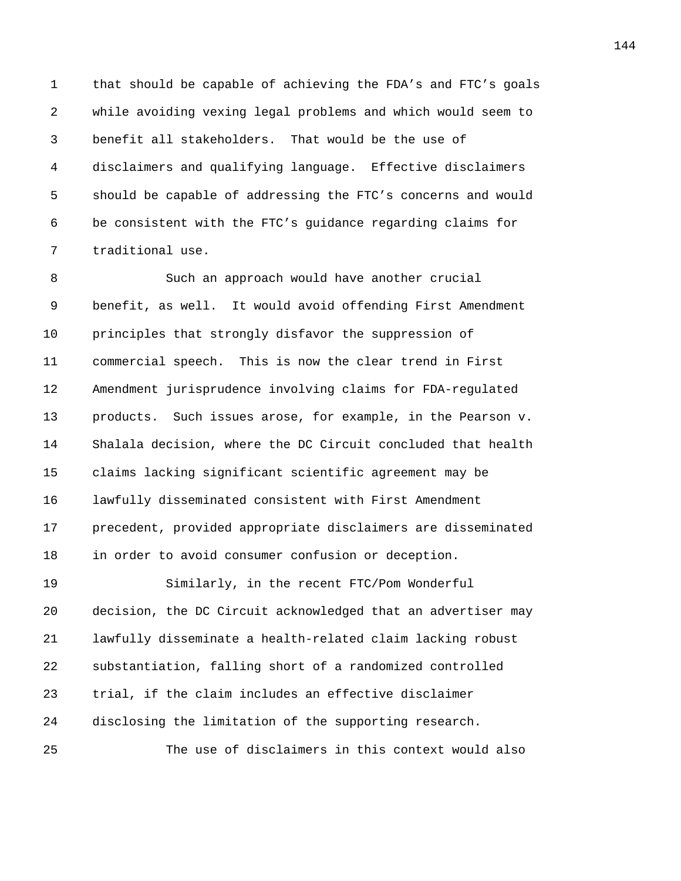1 that should be capable of achieving the FDA's and FTC's goals 2 while avoiding vexing legal problems and which would seem to 3 benefit all stakeholders. That would be the use of 4 disclaimers and qualifying language. Effective disclaimers 5 should be capable of addressing the FTC's concerns and would 6 be consistent with the FTC's guidance regarding claims for 7 traditional use.

8 Such an approach would have another crucial 9 benefit, as well. It would avoid offending First Amendment 10 principles that strongly disfavor the suppression of 11 commercial speech. This is now the clear trend in First 12 Amendment jurisprudence involving claims for FDA-regulated 13 products. Such issues arose, for example, in the Pearson v. 14 Shalala decision, where the DC Circuit concluded that health 15 claims lacking significant scientific agreement may be 16 lawfully disseminated consistent with First Amendment 17 precedent, provided appropriate disclaimers are disseminated 18 in order to avoid consumer confusion or deception.

19 Similarly, in the recent FTC/Pom Wonderful 20 decision, the DC Circuit acknowledged that an advertiser may 21 lawfully disseminate a health-related claim lacking robust 22 substantiation, falling short of a randomized controlled 23 trial, if the claim includes an effective disclaimer 24 disclosing the limitation of the supporting research. 25 The use of disclaimers in this context would also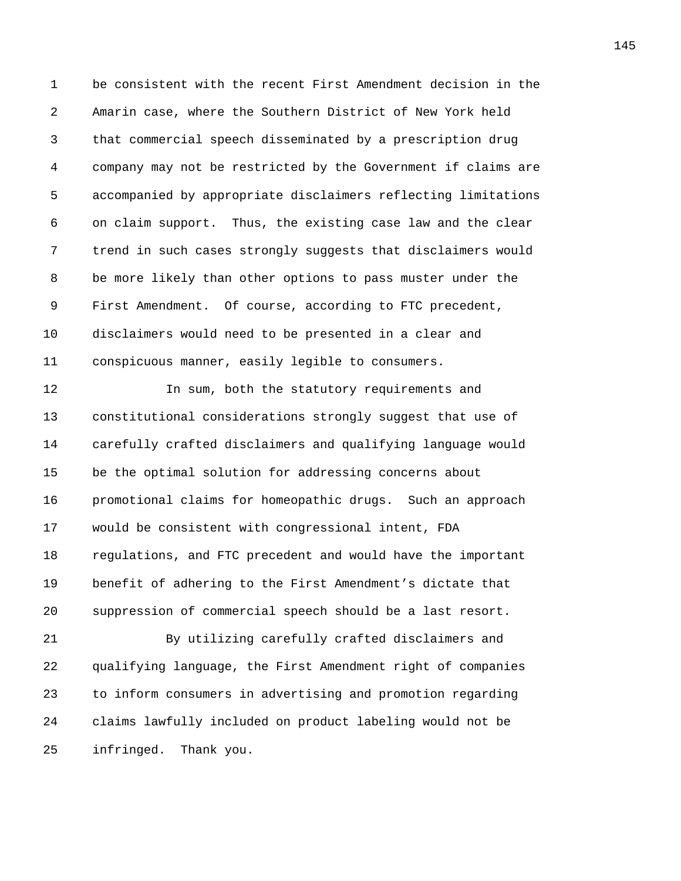1 be consistent with the recent First Amendment decision in the 2 Amarin case, where the Southern District of New York held 3 that commercial speech disseminated by a prescription drug 4 company may not be restricted by the Government if claims are 5 accompanied by appropriate disclaimers reflecting limitations 6 on claim support. Thus, the existing case law and the clear 7 trend in such cases strongly suggests that disclaimers would 8 be more likely than other options to pass muster under the 9 First Amendment. Of course, according to FTC precedent, 10 disclaimers would need to be presented in a clear and 11 conspicuous manner, easily legible to consumers.

12 In sum, both the statutory requirements and 13 constitutional considerations strongly suggest that use of 14 carefully crafted disclaimers and qualifying language would 15 be the optimal solution for addressing concerns about 16 promotional claims for homeopathic drugs. Such an approach 17 would be consistent with congressional intent, FDA 18 regulations, and FTC precedent and would have the important 19 benefit of adhering to the First Amendment's dictate that 20 suppression of commercial speech should be a last resort.

21 By utilizing carefully crafted disclaimers and 22 qualifying language, the First Amendment right of companies 23 to inform consumers in advertising and promotion regarding 24 claims lawfully included on product labeling would not be 25 infringed. Thank you.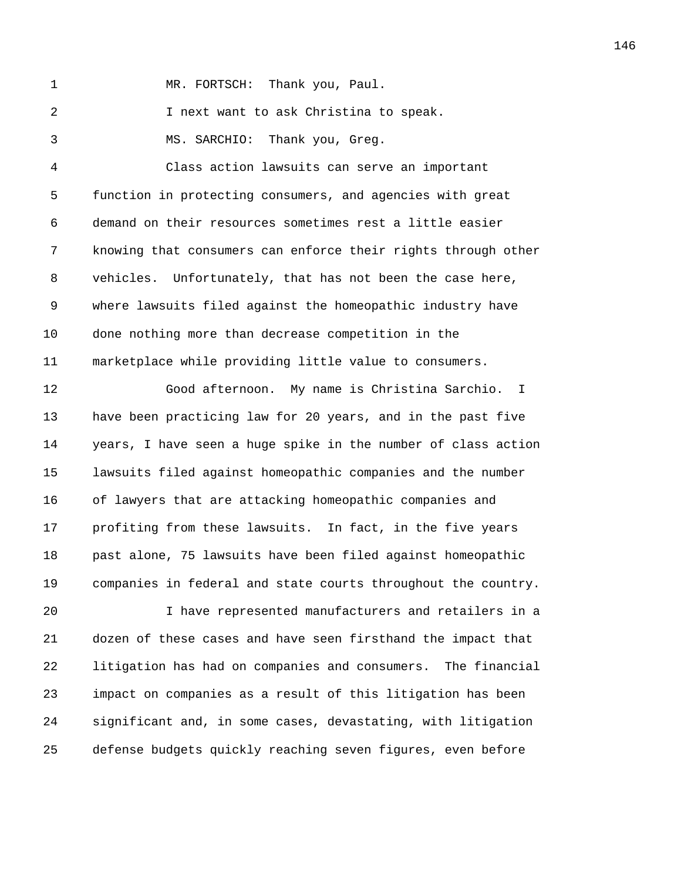1 MR. FORTSCH: Thank you, Paul.

2 I next want to ask Christina to speak.

3 MS. SARCHIO: Thank you, Greg.

4 Class action lawsuits can serve an important 5 function in protecting consumers, and agencies with great 6 demand on their resources sometimes rest a little easier 7 knowing that consumers can enforce their rights through other 8 vehicles. Unfortunately, that has not been the case here, 9 where lawsuits filed against the homeopathic industry have 10 done nothing more than decrease competition in the 11 marketplace while providing little value to consumers.

12 Good afternoon. My name is Christina Sarchio. I 13 have been practicing law for 20 years, and in the past five 14 years, I have seen a huge spike in the number of class action 15 lawsuits filed against homeopathic companies and the number 16 of lawyers that are attacking homeopathic companies and 17 profiting from these lawsuits. In fact, in the five years 18 past alone, 75 lawsuits have been filed against homeopathic 19 companies in federal and state courts throughout the country.

20 I have represented manufacturers and retailers in a 21 dozen of these cases and have seen firsthand the impact that 22 litigation has had on companies and consumers. The financial 23 impact on companies as a result of this litigation has been 24 significant and, in some cases, devastating, with litigation 25 defense budgets quickly reaching seven figures, even before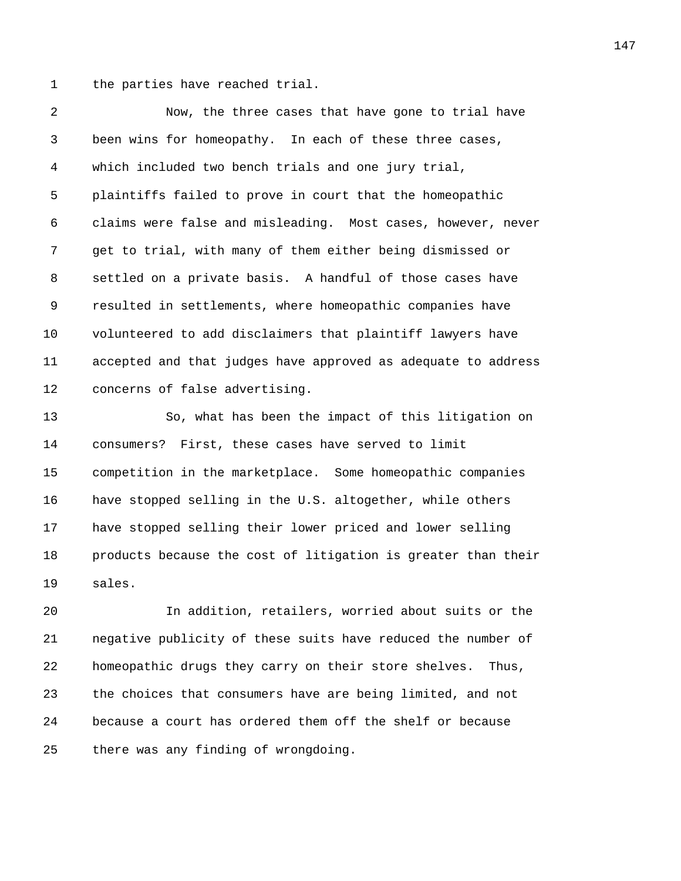1 the parties have reached trial.

2 Now, the three cases that have gone to trial have 3 been wins for homeopathy. In each of these three cases, 4 which included two bench trials and one jury trial, 5 plaintiffs failed to prove in court that the homeopathic 6 claims were false and misleading. Most cases, however, never 7 get to trial, with many of them either being dismissed or 8 settled on a private basis. A handful of those cases have 9 resulted in settlements, where homeopathic companies have 10 volunteered to add disclaimers that plaintiff lawyers have 11 accepted and that judges have approved as adequate to address 12 concerns of false advertising.

13 So, what has been the impact of this litigation on 14 consumers? First, these cases have served to limit 15 competition in the marketplace. Some homeopathic companies 16 have stopped selling in the U.S. altogether, while others 17 have stopped selling their lower priced and lower selling 18 products because the cost of litigation is greater than their 19 sales.

20 In addition, retailers, worried about suits or the 21 negative publicity of these suits have reduced the number of 22 homeopathic drugs they carry on their store shelves. Thus, 23 the choices that consumers have are being limited, and not 24 because a court has ordered them off the shelf or because 25 there was any finding of wrongdoing.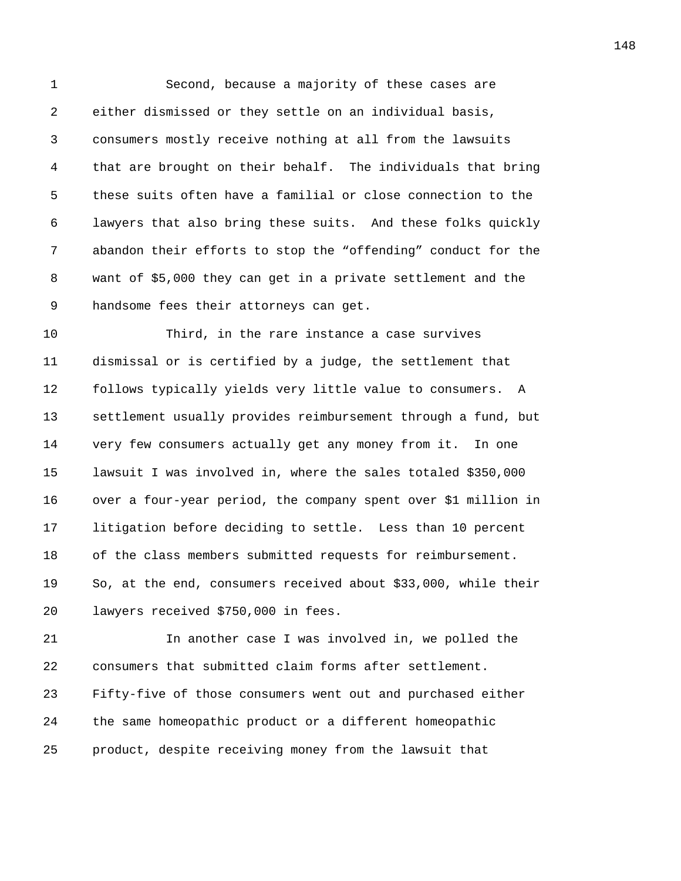1 Second, because a majority of these cases are 2 either dismissed or they settle on an individual basis, 3 consumers mostly receive nothing at all from the lawsuits 4 that are brought on their behalf. The individuals that bring 5 these suits often have a familial or close connection to the 6 lawyers that also bring these suits. And these folks quickly 7 abandon their efforts to stop the "offending" conduct for the 8 want of \$5,000 they can get in a private settlement and the 9 handsome fees their attorneys can get.

10 Third, in the rare instance a case survives 11 dismissal or is certified by a judge, the settlement that 12 follows typically yields very little value to consumers. A 13 settlement usually provides reimbursement through a fund, but 14 very few consumers actually get any money from it. In one 15 lawsuit I was involved in, where the sales totaled \$350,000 16 over a four-year period, the company spent over \$1 million in 17 litigation before deciding to settle. Less than 10 percent 18 of the class members submitted requests for reimbursement. 19 So, at the end, consumers received about \$33,000, while their 20 lawyers received \$750,000 in fees.

21 In another case I was involved in, we polled the 22 consumers that submitted claim forms after settlement. 23 Fifty-five of those consumers went out and purchased either 24 the same homeopathic product or a different homeopathic 25 product, despite receiving money from the lawsuit that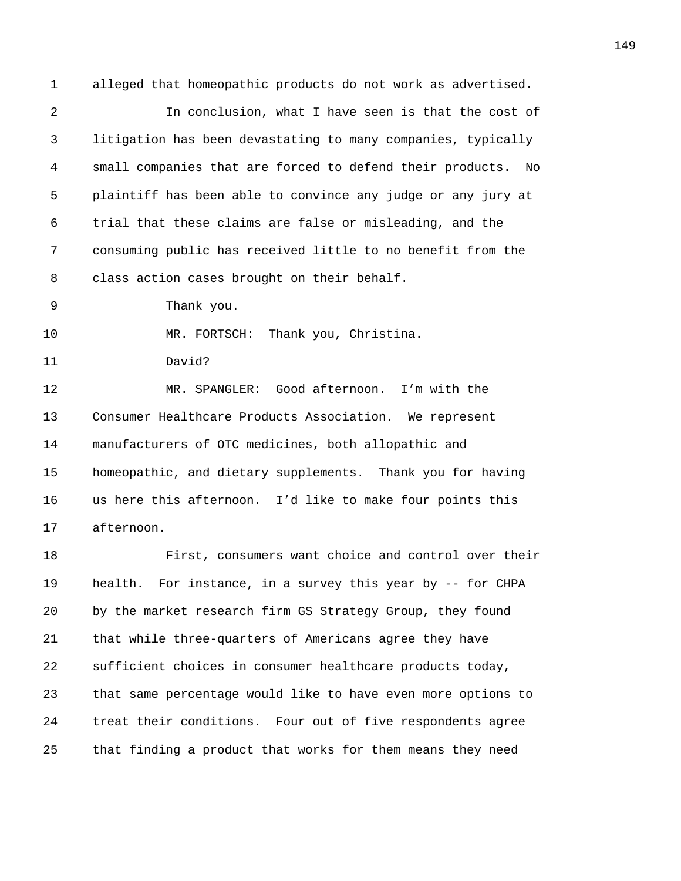1 alleged that homeopathic products do not work as advertised.

2 In conclusion, what I have seen is that the cost of 3 litigation has been devastating to many companies, typically 4 small companies that are forced to defend their products. No 5 plaintiff has been able to convince any judge or any jury at 6 trial that these claims are false or misleading, and the 7 consuming public has received little to no benefit from the 8 class action cases brought on their behalf.

9 Thank you.

10 MR. FORTSCH: Thank you, Christina.

11 David?

12 MR. SPANGLER: Good afternoon. I'm with the 13 Consumer Healthcare Products Association. We represent 14 manufacturers of OTC medicines, both allopathic and 15 homeopathic, and dietary supplements. Thank you for having 16 us here this afternoon. I'd like to make four points this 17 afternoon.

18 First, consumers want choice and control over their 19 health. For instance, in a survey this year by -- for CHPA 20 by the market research firm GS Strategy Group, they found 21 that while three-quarters of Americans agree they have 22 sufficient choices in consumer healthcare products today, 23 that same percentage would like to have even more options to 24 treat their conditions. Four out of five respondents agree 25 that finding a product that works for them means they need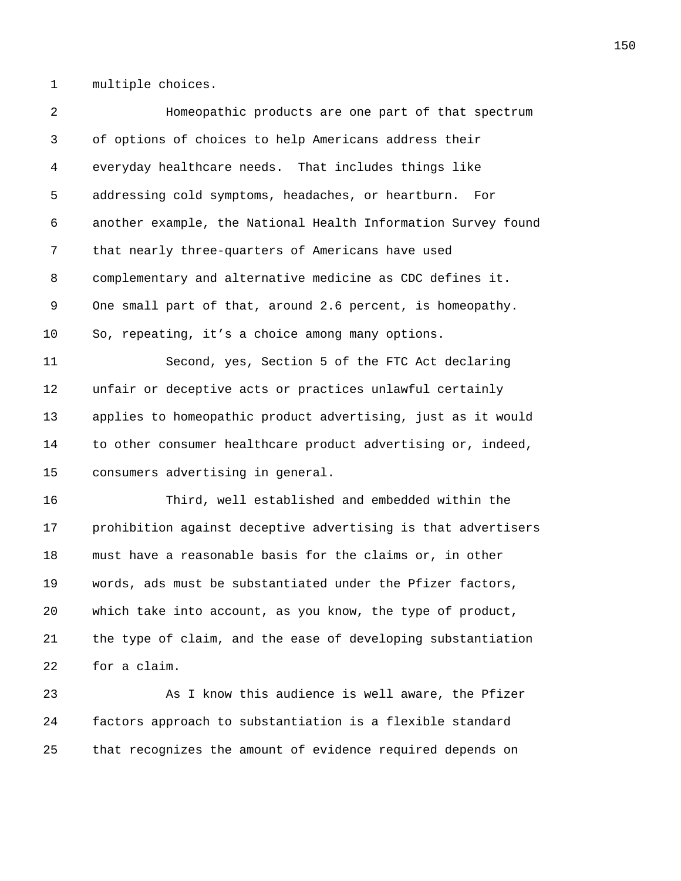1 multiple choices.

2 Homeopathic products are one part of that spectrum 3 of options of choices to help Americans address their 4 everyday healthcare needs. That includes things like 5 addressing cold symptoms, headaches, or heartburn. For 6 another example, the National Health Information Survey found 7 that nearly three-quarters of Americans have used 8 complementary and alternative medicine as CDC defines it. 9 One small part of that, around 2.6 percent, is homeopathy. 10 So, repeating, it's a choice among many options. 11 Second, yes, Section 5 of the FTC Act declaring 12 unfair or deceptive acts or practices unlawful certainly 13 applies to homeopathic product advertising, just as it would 14 to other consumer healthcare product advertising or, indeed, 15 consumers advertising in general. 16 Third, well established and embedded within the 17 prohibition against deceptive advertising is that advertisers 18 must have a reasonable basis for the claims or, in other 19 words, ads must be substantiated under the Pfizer factors, 20 which take into account, as you know, the type of product, 21 the type of claim, and the ease of developing substantiation 22 for a claim. 23 As I know this audience is well aware, the Pfizer

24 factors approach to substantiation is a flexible standard 25 that recognizes the amount of evidence required depends on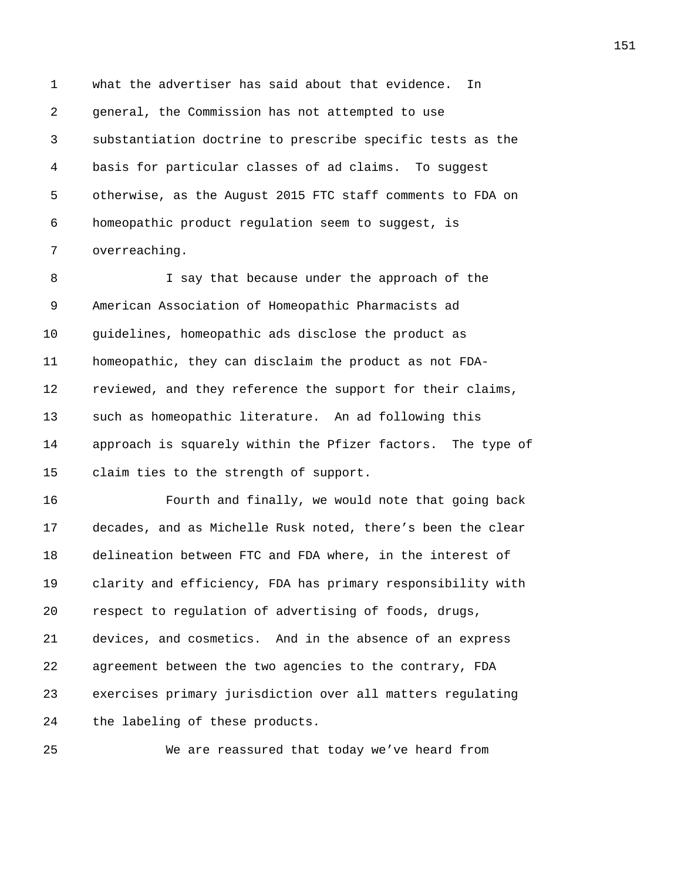1 what the advertiser has said about that evidence. In 2 general, the Commission has not attempted to use 3 substantiation doctrine to prescribe specific tests as the 4 basis for particular classes of ad claims. To suggest 5 otherwise, as the August 2015 FTC staff comments to FDA on 6 homeopathic product regulation seem to suggest, is 7 overreaching.

8 I say that because under the approach of the 9 American Association of Homeopathic Pharmacists ad 10 guidelines, homeopathic ads disclose the product as 11 homeopathic, they can disclaim the product as not FDA-12 reviewed, and they reference the support for their claims, 13 such as homeopathic literature. An ad following this 14 approach is squarely within the Pfizer factors. The type of 15 claim ties to the strength of support.

16 Fourth and finally, we would note that going back 17 decades, and as Michelle Rusk noted, there's been the clear 18 delineation between FTC and FDA where, in the interest of 19 clarity and efficiency, FDA has primary responsibility with 20 respect to regulation of advertising of foods, drugs, 21 devices, and cosmetics. And in the absence of an express 22 agreement between the two agencies to the contrary, FDA 23 exercises primary jurisdiction over all matters regulating 24 the labeling of these products.

25 We are reassured that today we've heard from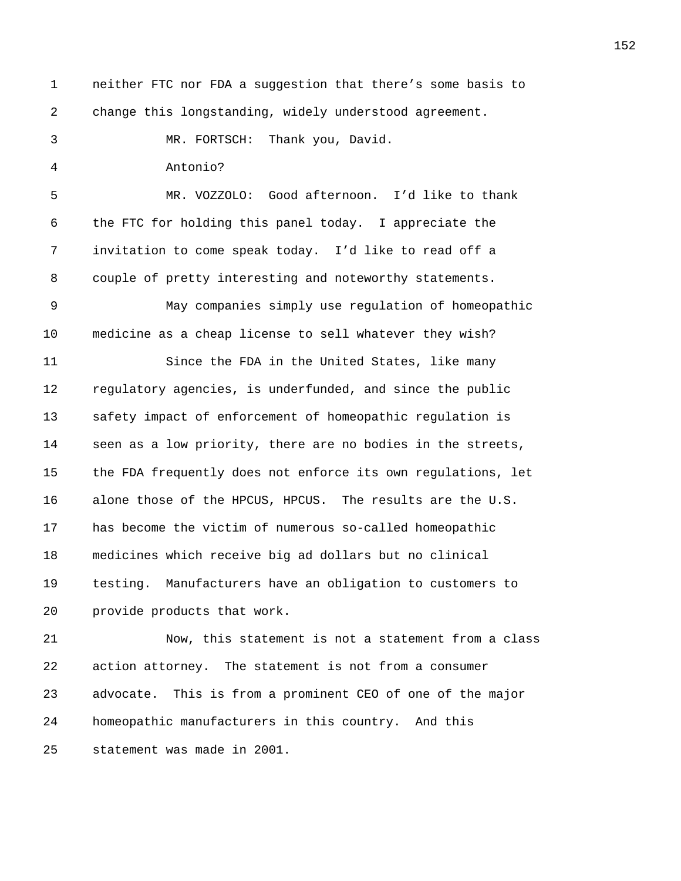1 neither FTC nor FDA a suggestion that there's some basis to 2 change this longstanding, widely understood agreement. 3 MR. FORTSCH: Thank you, David. 4 Antonio? 5 MR. VOZZOLO: Good afternoon. I'd like to thank 6 the FTC for holding this panel today. I appreciate the 7 invitation to come speak today. I'd like to read off a 8 couple of pretty interesting and noteworthy statements. 9 May companies simply use regulation of homeopathic 10 medicine as a cheap license to sell whatever they wish? 11 Since the FDA in the United States, like many 12 regulatory agencies, is underfunded, and since the public 13 safety impact of enforcement of homeopathic regulation is 14 seen as a low priority, there are no bodies in the streets, 15 the FDA frequently does not enforce its own regulations, let 16 alone those of the HPCUS, HPCUS. The results are the U.S. 17 has become the victim of numerous so-called homeopathic 18 medicines which receive big ad dollars but no clinical 19 testing. Manufacturers have an obligation to customers to 20 provide products that work. 21 Now, this statement is not a statement from a class 22 action attorney. The statement is not from a consumer 23 advocate. This is from a prominent CEO of one of the major 24 homeopathic manufacturers in this country. And this

25 statement was made in 2001.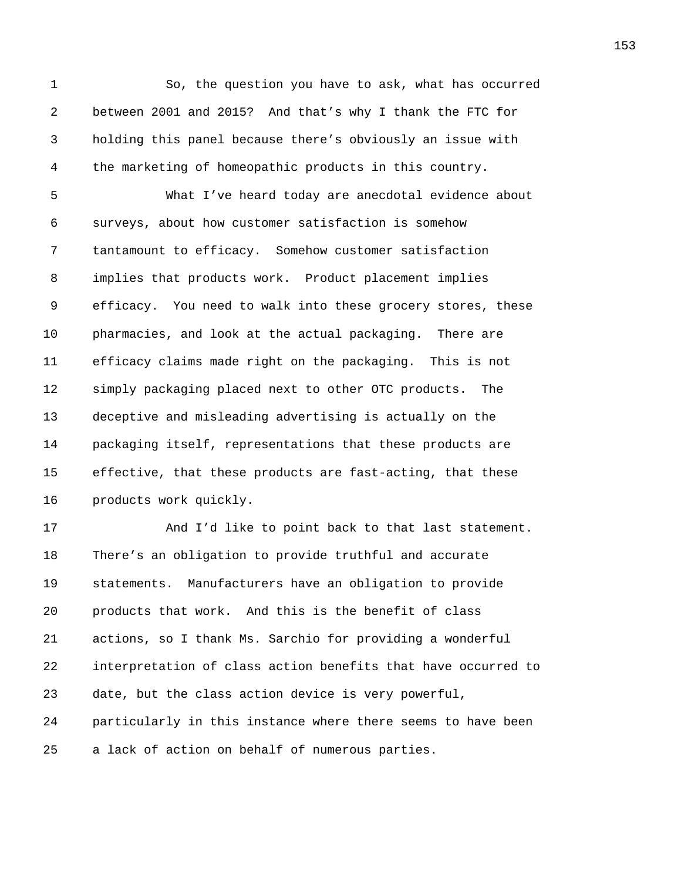1 So, the question you have to ask, what has occurred 2 between 2001 and 2015? And that's why I thank the FTC for 3 holding this panel because there's obviously an issue with 4 the marketing of homeopathic products in this country.

5 What I've heard today are anecdotal evidence about 6 surveys, about how customer satisfaction is somehow 7 tantamount to efficacy. Somehow customer satisfaction 8 implies that products work. Product placement implies 9 efficacy. You need to walk into these grocery stores, these 10 pharmacies, and look at the actual packaging. There are 11 efficacy claims made right on the packaging. This is not 12 simply packaging placed next to other OTC products. The 13 deceptive and misleading advertising is actually on the 14 packaging itself, representations that these products are 15 effective, that these products are fast-acting, that these 16 products work quickly.

17 And I'd like to point back to that last statement. 18 There's an obligation to provide truthful and accurate 19 statements. Manufacturers have an obligation to provide 20 products that work. And this is the benefit of class 21 actions, so I thank Ms. Sarchio for providing a wonderful 22 interpretation of class action benefits that have occurred to 23 date, but the class action device is very powerful, 24 particularly in this instance where there seems to have been 25 a lack of action on behalf of numerous parties.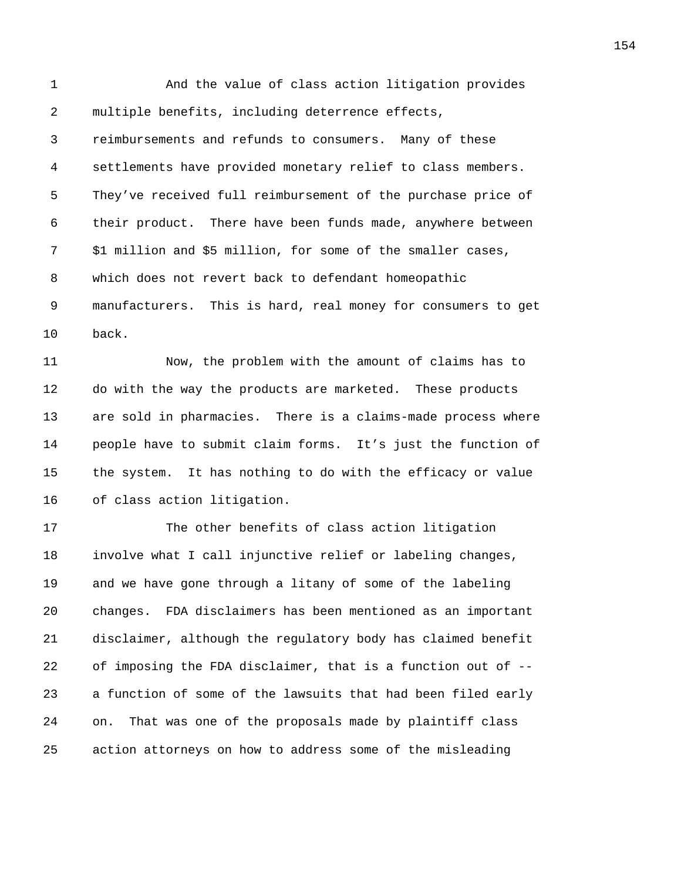1 And the value of class action litigation provides 2 multiple benefits, including deterrence effects, 3 reimbursements and refunds to consumers. Many of these 4 settlements have provided monetary relief to class members. 5 They've received full reimbursement of the purchase price of 6 their product. There have been funds made, anywhere between 7 \$1 million and \$5 million, for some of the smaller cases, 8 which does not revert back to defendant homeopathic 9 manufacturers. This is hard, real money for consumers to get 10 back.

11 Now, the problem with the amount of claims has to 12 do with the way the products are marketed. These products 13 are sold in pharmacies. There is a claims-made process where 14 people have to submit claim forms. It's just the function of 15 the system. It has nothing to do with the efficacy or value 16 of class action litigation.

17 The other benefits of class action litigation 18 involve what I call injunctive relief or labeling changes, 19 and we have gone through a litany of some of the labeling 20 changes. FDA disclaimers has been mentioned as an important 21 disclaimer, although the regulatory body has claimed benefit 22 of imposing the FDA disclaimer, that is a function out of -- 23 a function of some of the lawsuits that had been filed early 24 on. That was one of the proposals made by plaintiff class 25 action attorneys on how to address some of the misleading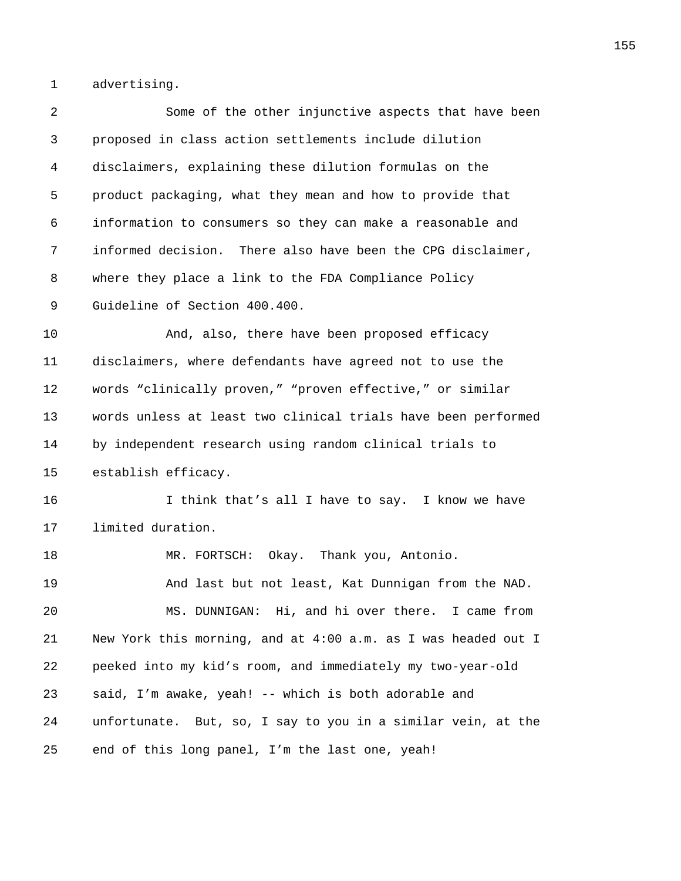1 advertising.

| 2  | Some of the other injunctive aspects that have been           |
|----|---------------------------------------------------------------|
| 3  | proposed in class action settlements include dilution         |
| 4  | disclaimers, explaining these dilution formulas on the        |
| 5  | product packaging, what they mean and how to provide that     |
| 6  | information to consumers so they can make a reasonable and    |
| 7  | informed decision. There also have been the CPG disclaimer,   |
| 8  | where they place a link to the FDA Compliance Policy          |
| 9  | Guideline of Section 400.400.                                 |
| 10 | And, also, there have been proposed efficacy                  |
| 11 | disclaimers, where defendants have agreed not to use the      |
| 12 | words "clinically proven," "proven effective," or similar     |
| 13 | words unless at least two clinical trials have been performed |
| 14 | by independent research using random clinical trials to       |
| 15 | establish efficacy.                                           |
| 16 | I think that's all I have to say. I know we have              |
| 17 | limited duration.                                             |
| 18 | MR. FORTSCH: Okay. Thank you, Antonio.                        |
| 19 | And last but not least, Kat Dunnigan from the NAD.            |
| 20 | MS. DUNNIGAN: Hi, and hi over there. I came from              |
| 21 | New York this morning, and at 4:00 a.m. as I was headed out I |
| 22 | peeked into my kid's room, and immediately my two-year-old    |
| 23 | said, I'm awake, yeah! -- which is both adorable and          |
| 24 | unfortunate. But, so, I say to you in a similar vein, at the  |
| 25 | end of this long panel, I'm the last one, yeah!               |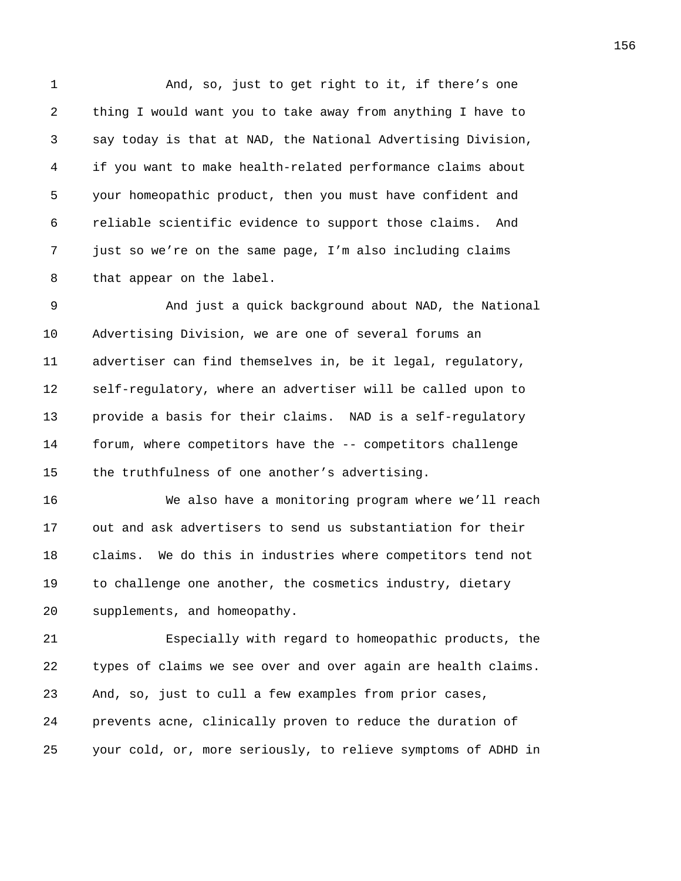1 And, so, just to get right to it, if there's one 2 thing I would want you to take away from anything I have to 3 say today is that at NAD, the National Advertising Division, 4 if you want to make health-related performance claims about 5 your homeopathic product, then you must have confident and 6 reliable scientific evidence to support those claims. And 7 just so we're on the same page, I'm also including claims 8 that appear on the label.

9 And just a quick background about NAD, the National 10 Advertising Division, we are one of several forums an 11 advertiser can find themselves in, be it legal, regulatory, 12 self-regulatory, where an advertiser will be called upon to 13 provide a basis for their claims. NAD is a self-regulatory 14 forum, where competitors have the -- competitors challenge 15 the truthfulness of one another's advertising.

16 We also have a monitoring program where we'll reach 17 out and ask advertisers to send us substantiation for their 18 claims. We do this in industries where competitors tend not 19 to challenge one another, the cosmetics industry, dietary 20 supplements, and homeopathy.

21 Especially with regard to homeopathic products, the 22 types of claims we see over and over again are health claims. 23 And, so, just to cull a few examples from prior cases, 24 prevents acne, clinically proven to reduce the duration of 25 your cold, or, more seriously, to relieve symptoms of ADHD in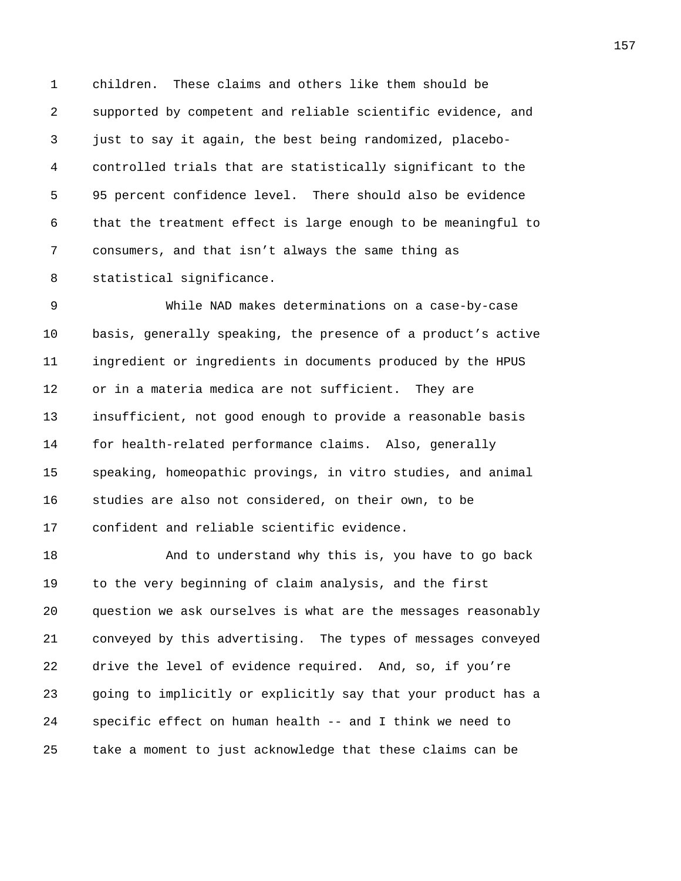1 children. These claims and others like them should be 2 supported by competent and reliable scientific evidence, and 3 just to say it again, the best being randomized, placebo-4 controlled trials that are statistically significant to the 5 95 percent confidence level. There should also be evidence 6 that the treatment effect is large enough to be meaningful to 7 consumers, and that isn't always the same thing as 8 statistical significance.

9 While NAD makes determinations on a case-by-case 10 basis, generally speaking, the presence of a product's active 11 ingredient or ingredients in documents produced by the HPUS 12 or in a materia medica are not sufficient. They are 13 insufficient, not good enough to provide a reasonable basis 14 for health-related performance claims. Also, generally 15 speaking, homeopathic provings, in vitro studies, and animal 16 studies are also not considered, on their own, to be 17 confident and reliable scientific evidence.

18 And to understand why this is, you have to go back 19 to the very beginning of claim analysis, and the first 20 question we ask ourselves is what are the messages reasonably 21 conveyed by this advertising. The types of messages conveyed 22 drive the level of evidence required. And, so, if you're 23 going to implicitly or explicitly say that your product has a 24 specific effect on human health -- and I think we need to 25 take a moment to just acknowledge that these claims can be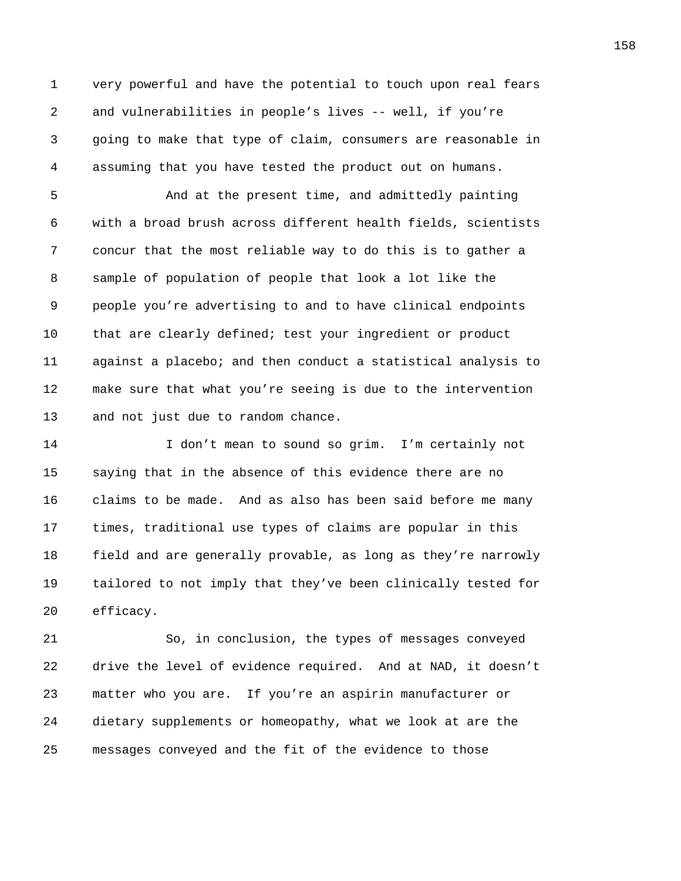1 very powerful and have the potential to touch upon real fears 2 and vulnerabilities in people's lives -- well, if you're 3 going to make that type of claim, consumers are reasonable in 4 assuming that you have tested the product out on humans.

5 And at the present time, and admittedly painting 6 with a broad brush across different health fields, scientists 7 concur that the most reliable way to do this is to gather a 8 sample of population of people that look a lot like the 9 people you're advertising to and to have clinical endpoints 10 that are clearly defined; test your ingredient or product 11 against a placebo; and then conduct a statistical analysis to 12 make sure that what you're seeing is due to the intervention 13 and not just due to random chance.

14 I don't mean to sound so grim. I'm certainly not 15 saying that in the absence of this evidence there are no 16 claims to be made. And as also has been said before me many 17 times, traditional use types of claims are popular in this 18 field and are generally provable, as long as they're narrowly 19 tailored to not imply that they've been clinically tested for 20 efficacy.

21 So, in conclusion, the types of messages conveyed 22 drive the level of evidence required. And at NAD, it doesn't 23 matter who you are. If you're an aspirin manufacturer or 24 dietary supplements or homeopathy, what we look at are the 25 messages conveyed and the fit of the evidence to those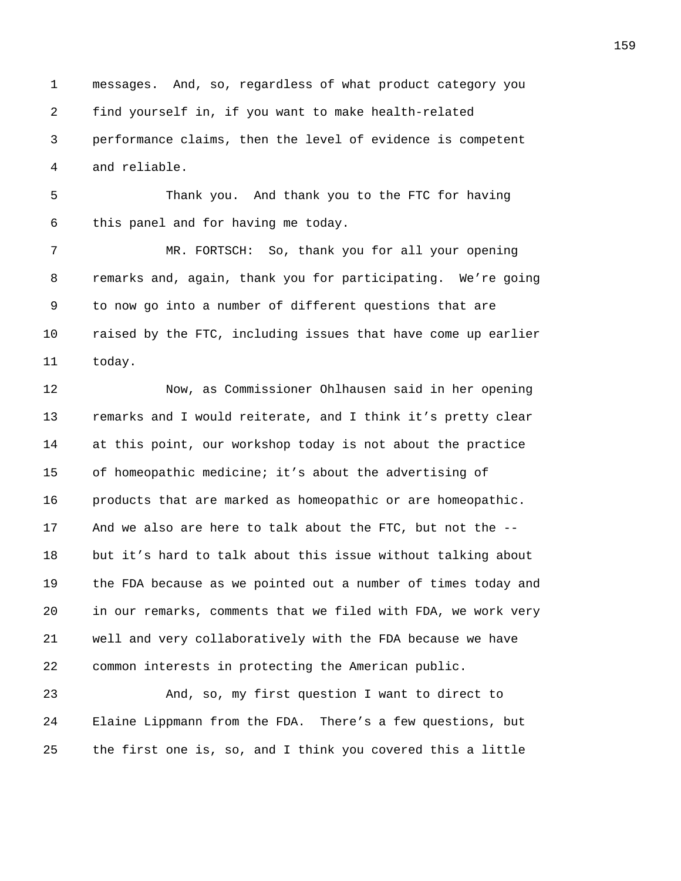1 messages. And, so, regardless of what product category you 2 find yourself in, if you want to make health-related 3 performance claims, then the level of evidence is competent 4 and reliable.

5 Thank you. And thank you to the FTC for having 6 this panel and for having me today.

7 MR. FORTSCH: So, thank you for all your opening 8 remarks and, again, thank you for participating. We're going 9 to now go into a number of different questions that are 10 raised by the FTC, including issues that have come up earlier 11 today.

12 Now, as Commissioner Ohlhausen said in her opening 13 remarks and I would reiterate, and I think it's pretty clear 14 at this point, our workshop today is not about the practice 15 of homeopathic medicine; it's about the advertising of 16 products that are marked as homeopathic or are homeopathic. 17 And we also are here to talk about the FTC, but not the -- 18 but it's hard to talk about this issue without talking about 19 the FDA because as we pointed out a number of times today and 20 in our remarks, comments that we filed with FDA, we work very 21 well and very collaboratively with the FDA because we have 22 common interests in protecting the American public.

23 And, so, my first question I want to direct to 24 Elaine Lippmann from the FDA. There's a few questions, but 25 the first one is, so, and I think you covered this a little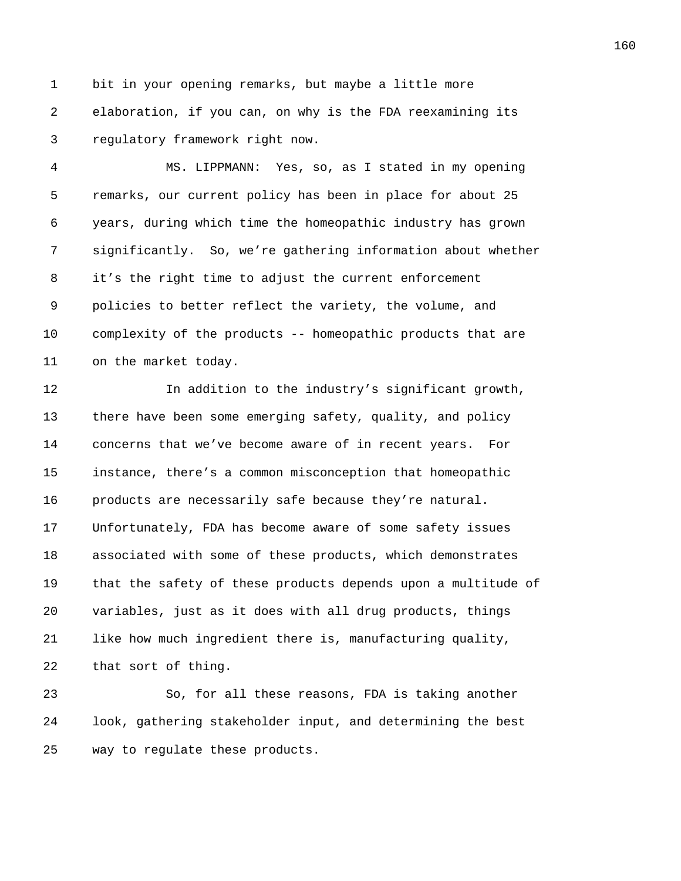1 bit in your opening remarks, but maybe a little more 2 elaboration, if you can, on why is the FDA reexamining its 3 regulatory framework right now.

4 MS. LIPPMANN: Yes, so, as I stated in my opening 5 remarks, our current policy has been in place for about 25 6 years, during which time the homeopathic industry has grown 7 significantly. So, we're gathering information about whether 8 it's the right time to adjust the current enforcement 9 policies to better reflect the variety, the volume, and 10 complexity of the products -- homeopathic products that are 11 on the market today.

12 In addition to the industry's significant growth, 13 there have been some emerging safety, quality, and policy 14 concerns that we've become aware of in recent years. For 15 instance, there's a common misconception that homeopathic 16 products are necessarily safe because they're natural. 17 Unfortunately, FDA has become aware of some safety issues 18 associated with some of these products, which demonstrates 19 that the safety of these products depends upon a multitude of 20 variables, just as it does with all drug products, things 21 like how much ingredient there is, manufacturing quality, 22 that sort of thing.

23 So, for all these reasons, FDA is taking another 24 look, gathering stakeholder input, and determining the best 25 way to regulate these products.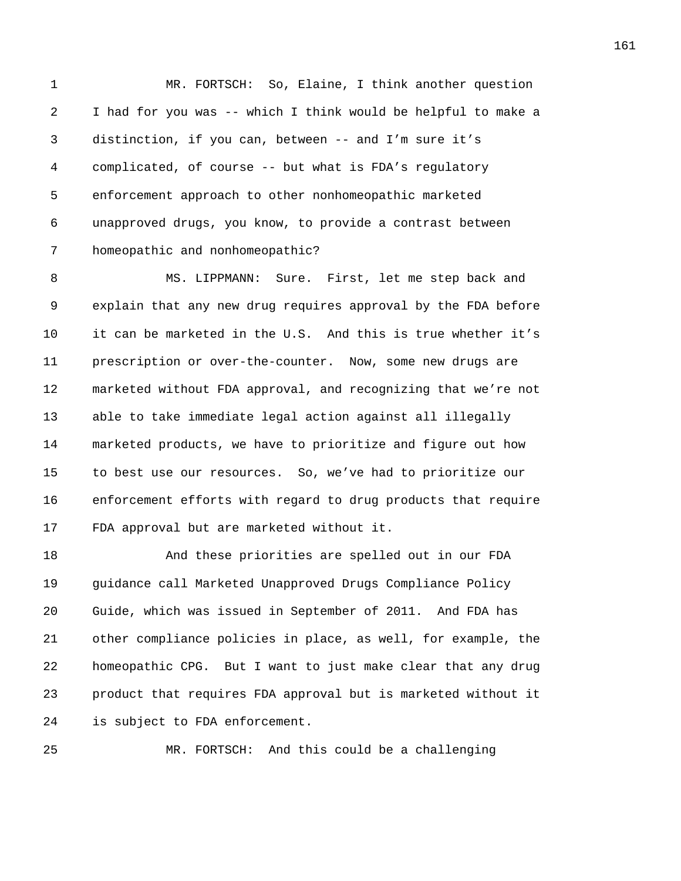1 MR. FORTSCH: So, Elaine, I think another question 2 I had for you was -- which I think would be helpful to make a 3 distinction, if you can, between -- and I'm sure it's 4 complicated, of course -- but what is FDA's regulatory 5 enforcement approach to other nonhomeopathic marketed 6 unapproved drugs, you know, to provide a contrast between 7 homeopathic and nonhomeopathic?

8 MS. LIPPMANN: Sure. First, let me step back and 9 explain that any new drug requires approval by the FDA before 10 it can be marketed in the U.S. And this is true whether it's 11 prescription or over-the-counter. Now, some new drugs are 12 marketed without FDA approval, and recognizing that we're not 13 able to take immediate legal action against all illegally 14 marketed products, we have to prioritize and figure out how 15 to best use our resources. So, we've had to prioritize our 16 enforcement efforts with regard to drug products that require 17 FDA approval but are marketed without it.

18 And these priorities are spelled out in our FDA 19 guidance call Marketed Unapproved Drugs Compliance Policy 20 Guide, which was issued in September of 2011. And FDA has 21 other compliance policies in place, as well, for example, the 22 homeopathic CPG. But I want to just make clear that any drug 23 product that requires FDA approval but is marketed without it 24 is subject to FDA enforcement.

25 MR. FORTSCH: And this could be a challenging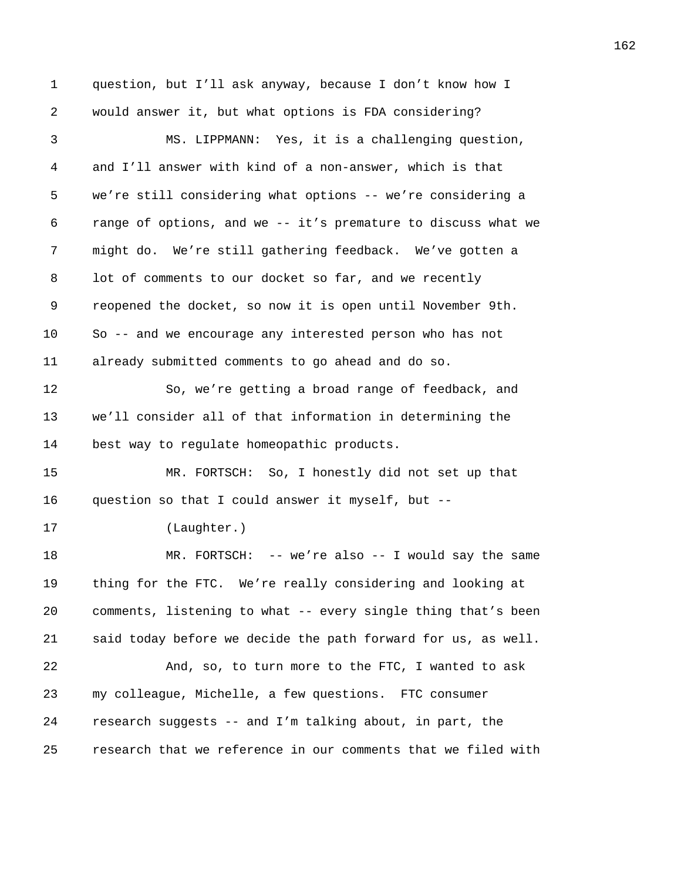1 question, but I'll ask anyway, because I don't know how I 2 would answer it, but what options is FDA considering? 3 MS. LIPPMANN: Yes, it is a challenging question, 4 and I'll answer with kind of a non-answer, which is that 5 we're still considering what options -- we're considering a 6 range of options, and we -- it's premature to discuss what we 7 might do. We're still gathering feedback. We've gotten a 8 lot of comments to our docket so far, and we recently 9 reopened the docket, so now it is open until November 9th. 10 So -- and we encourage any interested person who has not 11 already submitted comments to go ahead and do so. 12 So, we're getting a broad range of feedback, and 13 we'll consider all of that information in determining the 14 best way to regulate homeopathic products. 15 MR. FORTSCH: So, I honestly did not set up that 16 question so that I could answer it myself, but -- 17 (Laughter.) 18 MR. FORTSCH: -- we're also -- I would say the same 19 thing for the FTC. We're really considering and looking at 20 comments, listening to what -- every single thing that's been 21 said today before we decide the path forward for us, as well. 22 And, so, to turn more to the FTC, I wanted to ask 23 my colleague, Michelle, a few questions. FTC consumer 24 research suggests -- and I'm talking about, in part, the 25 research that we reference in our comments that we filed with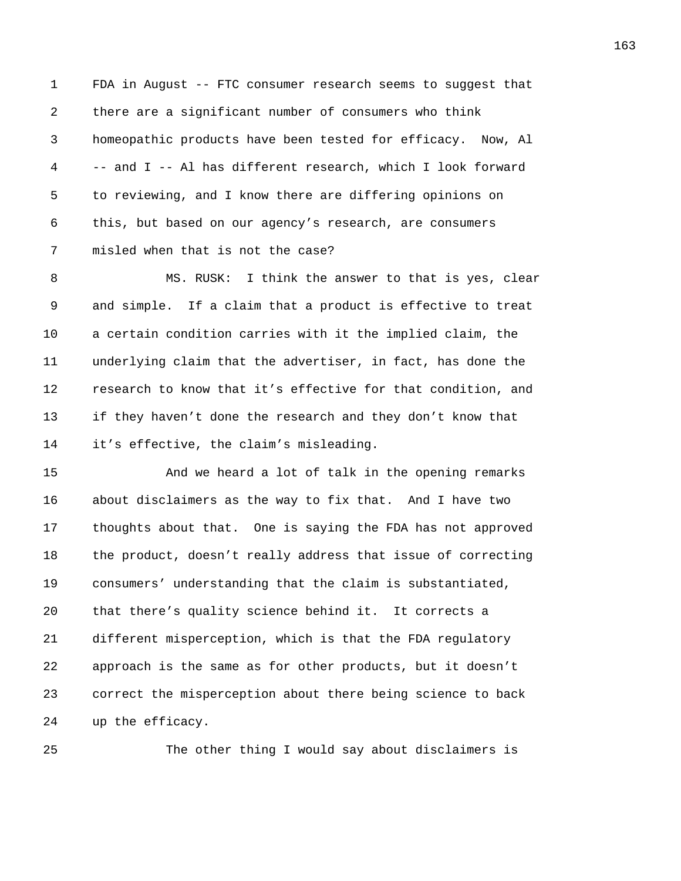1 FDA in August -- FTC consumer research seems to suggest that 2 there are a significant number of consumers who think 3 homeopathic products have been tested for efficacy. Now, Al 4 -- and I -- Al has different research, which I look forward 5 to reviewing, and I know there are differing opinions on 6 this, but based on our agency's research, are consumers 7 misled when that is not the case?

8 MS. RUSK: I think the answer to that is yes, clear 9 and simple. If a claim that a product is effective to treat 10 a certain condition carries with it the implied claim, the 11 underlying claim that the advertiser, in fact, has done the 12 research to know that it's effective for that condition, and 13 if they haven't done the research and they don't know that 14 it's effective, the claim's misleading.

15 And we heard a lot of talk in the opening remarks 16 about disclaimers as the way to fix that. And I have two 17 thoughts about that. One is saying the FDA has not approved 18 the product, doesn't really address that issue of correcting 19 consumers' understanding that the claim is substantiated, 20 that there's quality science behind it. It corrects a 21 different misperception, which is that the FDA regulatory 22 approach is the same as for other products, but it doesn't 23 correct the misperception about there being science to back 24 up the efficacy.

25 The other thing I would say about disclaimers is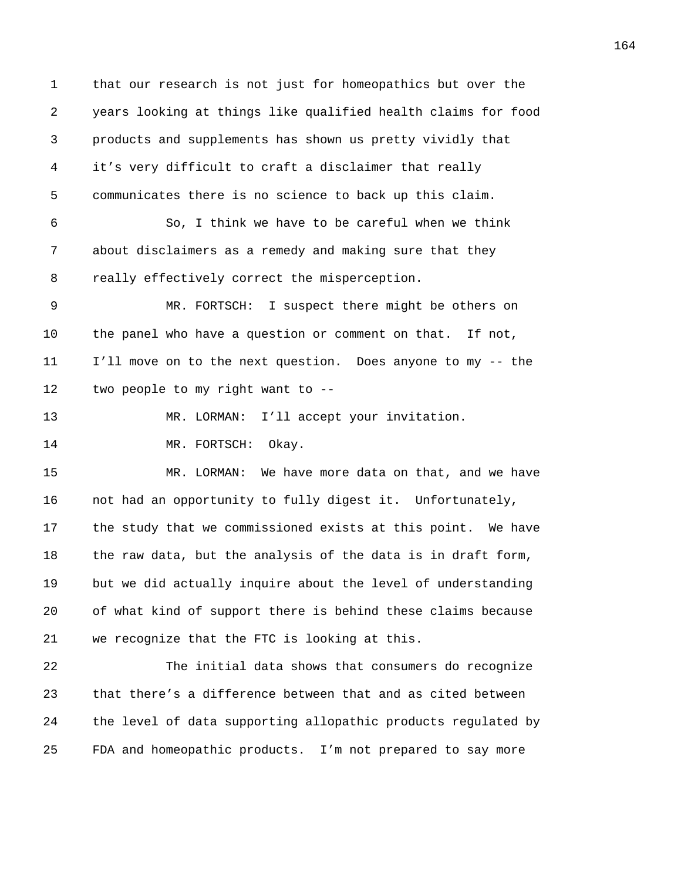1 that our research is not just for homeopathics but over the 2 years looking at things like qualified health claims for food 3 products and supplements has shown us pretty vividly that 4 it's very difficult to craft a disclaimer that really 5 communicates there is no science to back up this claim. 6 So, I think we have to be careful when we think 7 about disclaimers as a remedy and making sure that they 8 really effectively correct the misperception. 9 MR. FORTSCH: I suspect there might be others on 10 the panel who have a question or comment on that. If not, 11 I'll move on to the next question. Does anyone to my -- the 12 two people to my right want to -- 13 MR. LORMAN: I'll accept your invitation. 14 MR. FORTSCH: Okay. 15 MR. LORMAN: We have more data on that, and we have 16 not had an opportunity to fully digest it. Unfortunately, 17 the study that we commissioned exists at this point. We have 18 the raw data, but the analysis of the data is in draft form, 19 but we did actually inquire about the level of understanding 20 of what kind of support there is behind these claims because 21 we recognize that the FTC is looking at this. 22 The initial data shows that consumers do recognize 23 that there's a difference between that and as cited between 24 the level of data supporting allopathic products regulated by 25 FDA and homeopathic products. I'm not prepared to say more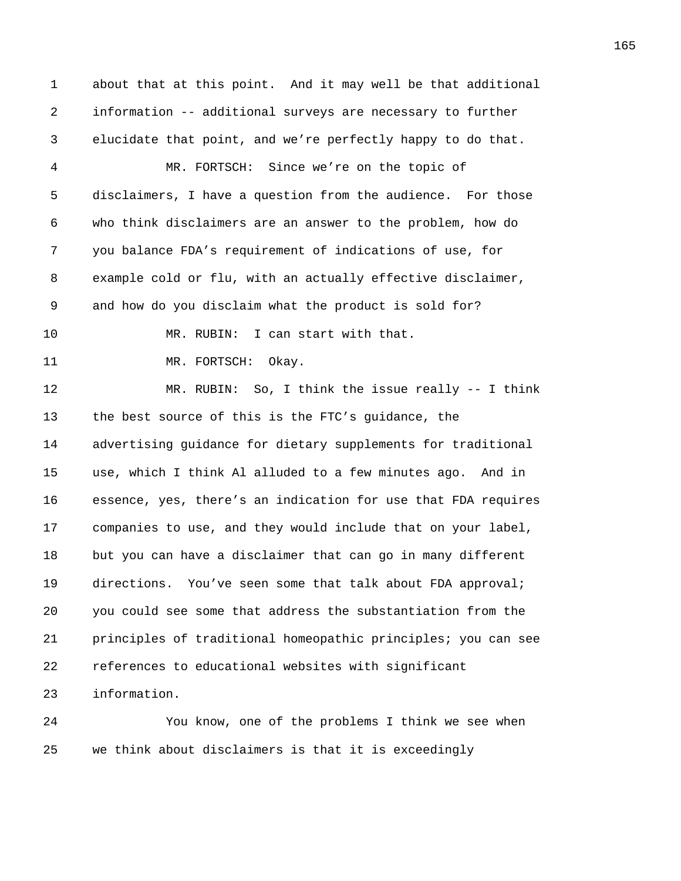1 about that at this point. And it may well be that additional 2 information -- additional surveys are necessary to further 3 elucidate that point, and we're perfectly happy to do that. 4 MR. FORTSCH: Since we're on the topic of 5 disclaimers, I have a question from the audience. For those 6 who think disclaimers are an answer to the problem, how do 7 you balance FDA's requirement of indications of use, for 8 example cold or flu, with an actually effective disclaimer, 9 and how do you disclaim what the product is sold for? 10 MR. RUBIN: I can start with that. 11 MR. FORTSCH: Okay. 12 MR. RUBIN: So, I think the issue really -- I think 13 the best source of this is the FTC's guidance, the 14 advertising guidance for dietary supplements for traditional 15 use, which I think Al alluded to a few minutes ago. And in 16 essence, yes, there's an indication for use that FDA requires 17 companies to use, and they would include that on your label, 18 but you can have a disclaimer that can go in many different 19 directions. You've seen some that talk about FDA approval; 20 you could see some that address the substantiation from the 21 principles of traditional homeopathic principles; you can see 22 references to educational websites with significant 23 information.

24 You know, one of the problems I think we see when 25 we think about disclaimers is that it is exceedingly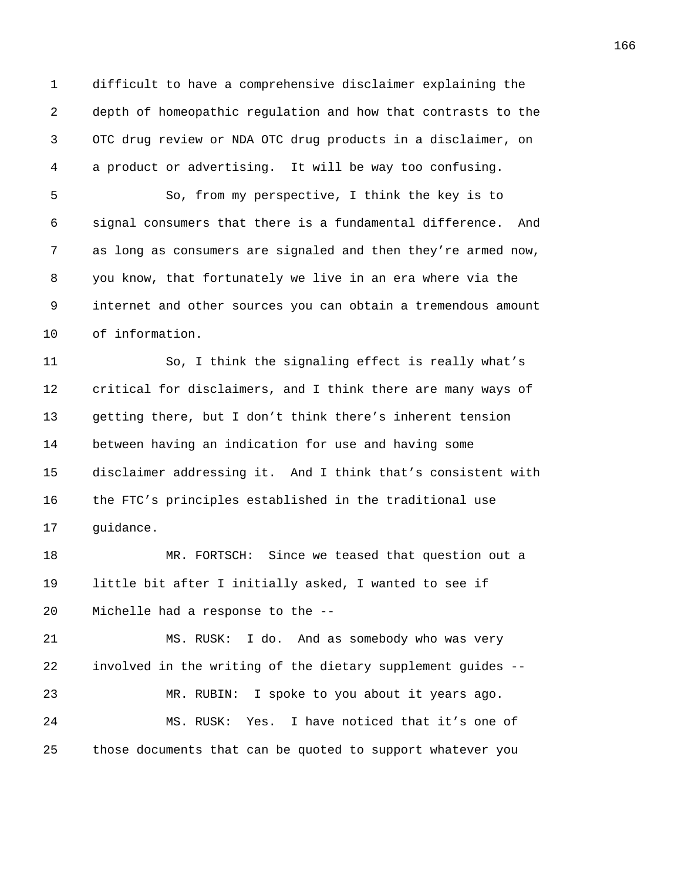1 difficult to have a comprehensive disclaimer explaining the 2 depth of homeopathic regulation and how that contrasts to the 3 OTC drug review or NDA OTC drug products in a disclaimer, on 4 a product or advertising. It will be way too confusing.

5 So, from my perspective, I think the key is to 6 signal consumers that there is a fundamental difference. And 7 as long as consumers are signaled and then they're armed now, 8 you know, that fortunately we live in an era where via the 9 internet and other sources you can obtain a tremendous amount 10 of information.

11 So, I think the signaling effect is really what's 12 critical for disclaimers, and I think there are many ways of 13 getting there, but I don't think there's inherent tension 14 between having an indication for use and having some 15 disclaimer addressing it. And I think that's consistent with 16 the FTC's principles established in the traditional use 17 guidance.

18 MR. FORTSCH: Since we teased that question out a 19 little bit after I initially asked, I wanted to see if 20 Michelle had a response to the --

21 MS. RUSK: I do. And as somebody who was very 22 involved in the writing of the dietary supplement guides -- 23 MR. RUBIN: I spoke to you about it years ago. 24 MS. RUSK: Yes. I have noticed that it's one of 25 those documents that can be quoted to support whatever you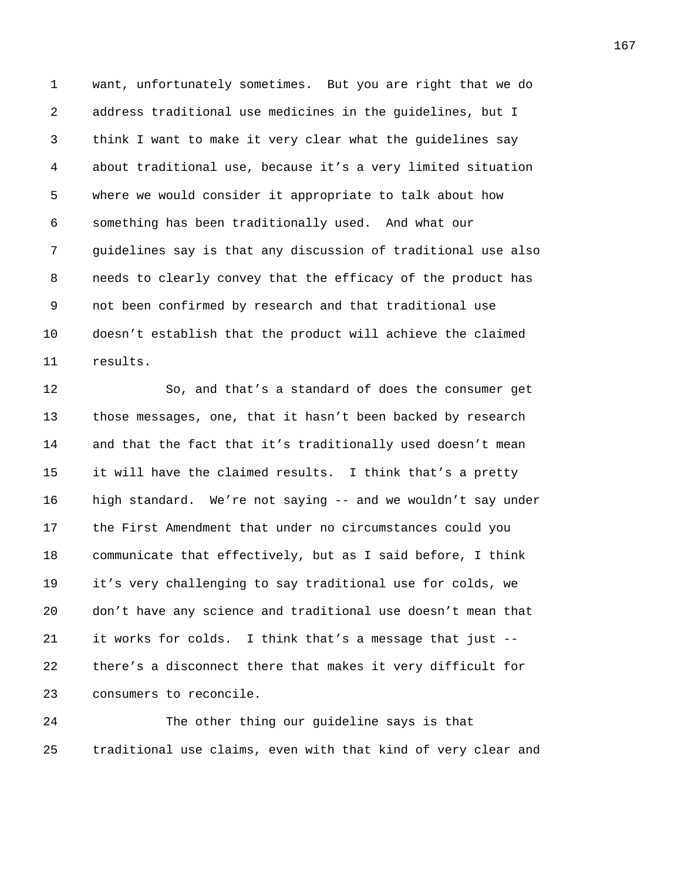1 want, unfortunately sometimes. But you are right that we do 2 address traditional use medicines in the guidelines, but I 3 think I want to make it very clear what the guidelines say 4 about traditional use, because it's a very limited situation 5 where we would consider it appropriate to talk about how 6 something has been traditionally used. And what our 7 guidelines say is that any discussion of traditional use also 8 needs to clearly convey that the efficacy of the product has 9 not been confirmed by research and that traditional use 10 doesn't establish that the product will achieve the claimed 11 results.

12 So, and that's a standard of does the consumer get 13 those messages, one, that it hasn't been backed by research 14 and that the fact that it's traditionally used doesn't mean 15 it will have the claimed results. I think that's a pretty 16 high standard. We're not saying -- and we wouldn't say under 17 the First Amendment that under no circumstances could you 18 communicate that effectively, but as I said before, I think 19 it's very challenging to say traditional use for colds, we 20 don't have any science and traditional use doesn't mean that 21 it works for colds. I think that's a message that just -- 22 there's a disconnect there that makes it very difficult for 23 consumers to reconcile.

24 The other thing our guideline says is that 25 traditional use claims, even with that kind of very clear and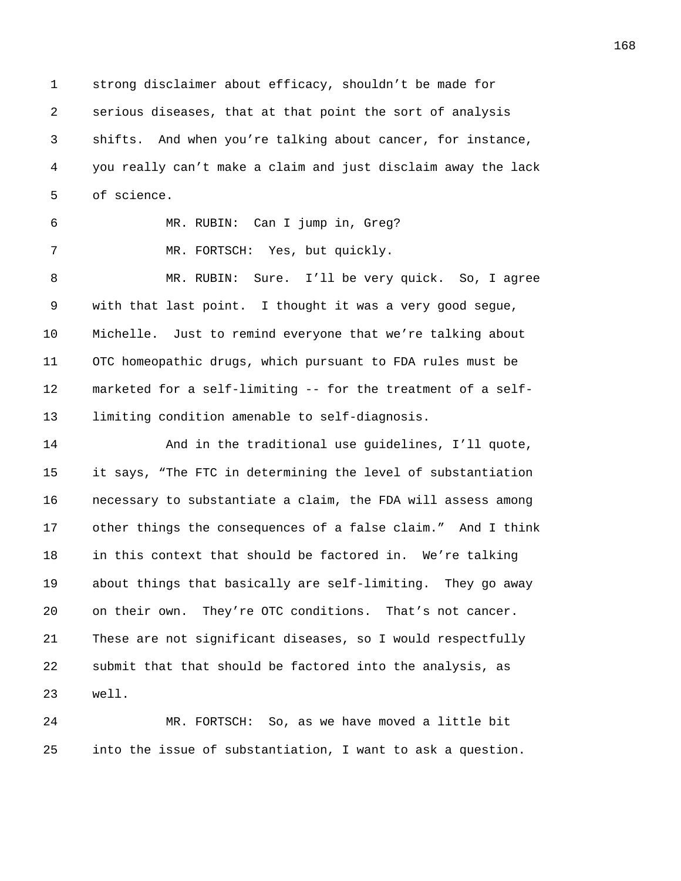1 strong disclaimer about efficacy, shouldn't be made for 2 serious diseases, that at that point the sort of analysis 3 shifts. And when you're talking about cancer, for instance, 4 you really can't make a claim and just disclaim away the lack 5 of science.

6 MR. RUBIN: Can I jump in, Greg?

7 MR. FORTSCH: Yes, but quickly.

8 MR. RUBIN: Sure. I'll be very quick. So, I agree 9 with that last point. I thought it was a very good segue, 10 Michelle. Just to remind everyone that we're talking about 11 OTC homeopathic drugs, which pursuant to FDA rules must be 12 marketed for a self-limiting -- for the treatment of a self-13 limiting condition amenable to self-diagnosis.

14 And in the traditional use guidelines, I'll quote, 15 it says, "The FTC in determining the level of substantiation 16 necessary to substantiate a claim, the FDA will assess among 17 other things the consequences of a false claim." And I think 18 in this context that should be factored in. We're talking 19 about things that basically are self-limiting. They go away 20 on their own. They're OTC conditions. That's not cancer. 21 These are not significant diseases, so I would respectfully 22 submit that that should be factored into the analysis, as 23 well.

24 MR. FORTSCH: So, as we have moved a little bit 25 into the issue of substantiation, I want to ask a question.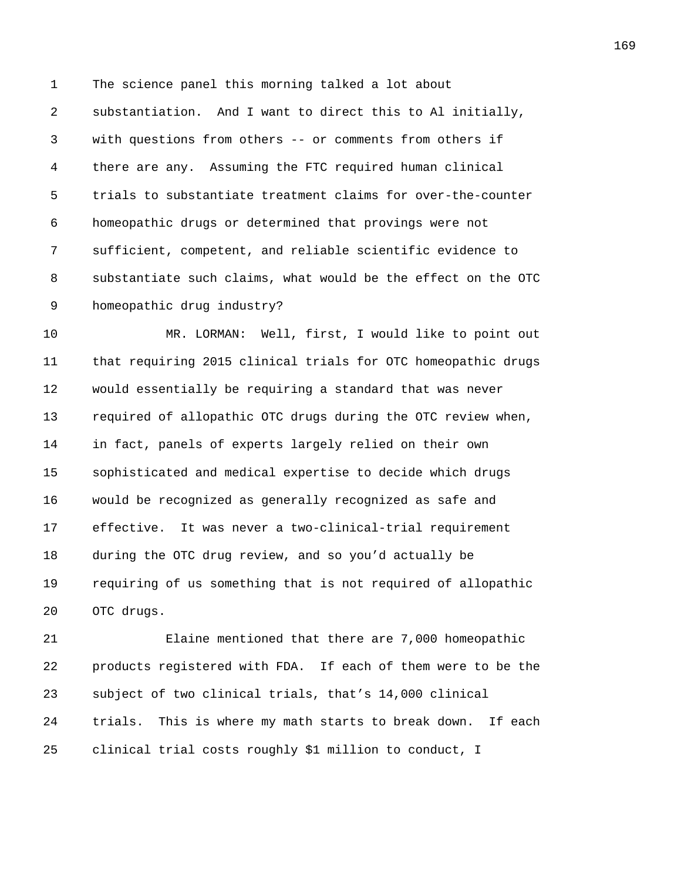1 The science panel this morning talked a lot about 2 substantiation. And I want to direct this to Al initially, 3 with questions from others -- or comments from others if 4 there are any. Assuming the FTC required human clinical 5 trials to substantiate treatment claims for over-the-counter 6 homeopathic drugs or determined that provings were not 7 sufficient, competent, and reliable scientific evidence to 8 substantiate such claims, what would be the effect on the OTC 9 homeopathic drug industry?

10 MR. LORMAN: Well, first, I would like to point out 11 that requiring 2015 clinical trials for OTC homeopathic drugs 12 would essentially be requiring a standard that was never 13 required of allopathic OTC drugs during the OTC review when, 14 in fact, panels of experts largely relied on their own 15 sophisticated and medical expertise to decide which drugs 16 would be recognized as generally recognized as safe and 17 effective. It was never a two-clinical-trial requirement 18 during the OTC drug review, and so you'd actually be 19 requiring of us something that is not required of allopathic 20 OTC drugs.

21 Elaine mentioned that there are 7,000 homeopathic 22 products registered with FDA. If each of them were to be the 23 subject of two clinical trials, that's 14,000 clinical 24 trials. This is where my math starts to break down. If each 25 clinical trial costs roughly \$1 million to conduct, I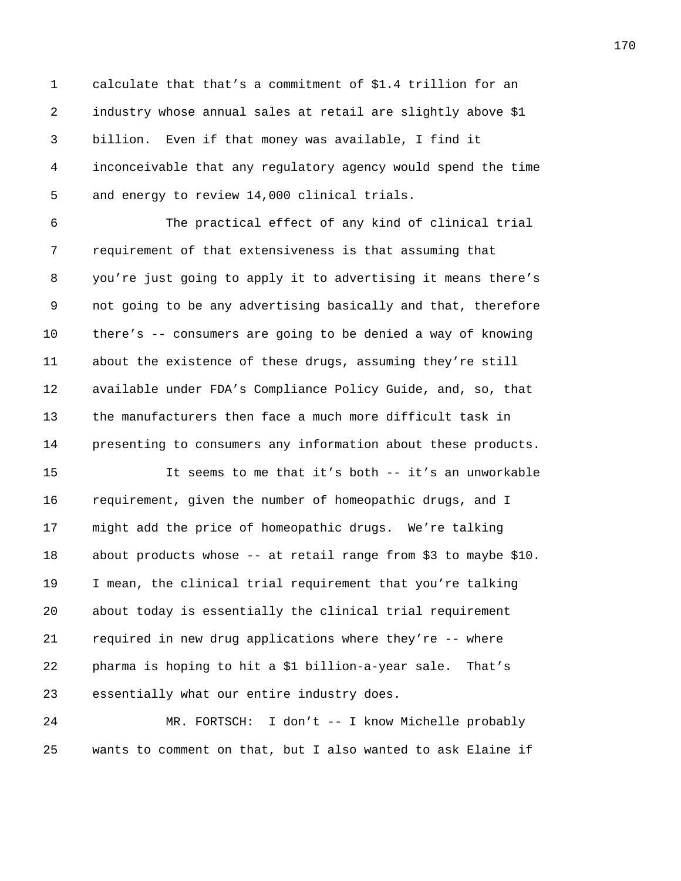1 calculate that that's a commitment of \$1.4 trillion for an 2 industry whose annual sales at retail are slightly above \$1 3 billion. Even if that money was available, I find it 4 inconceivable that any regulatory agency would spend the time 5 and energy to review 14,000 clinical trials.

6 The practical effect of any kind of clinical trial 7 requirement of that extensiveness is that assuming that 8 you're just going to apply it to advertising it means there's 9 not going to be any advertising basically and that, therefore 10 there's -- consumers are going to be denied a way of knowing 11 about the existence of these drugs, assuming they're still 12 available under FDA's Compliance Policy Guide, and, so, that 13 the manufacturers then face a much more difficult task in 14 presenting to consumers any information about these products.

15 It seems to me that it's both -- it's an unworkable 16 requirement, given the number of homeopathic drugs, and I 17 might add the price of homeopathic drugs. We're talking 18 about products whose -- at retail range from \$3 to maybe \$10. 19 I mean, the clinical trial requirement that you're talking 20 about today is essentially the clinical trial requirement 21 required in new drug applications where they're -- where 22 pharma is hoping to hit a \$1 billion-a-year sale. That's 23 essentially what our entire industry does.

24 MR. FORTSCH: I don't -- I know Michelle probably 25 wants to comment on that, but I also wanted to ask Elaine if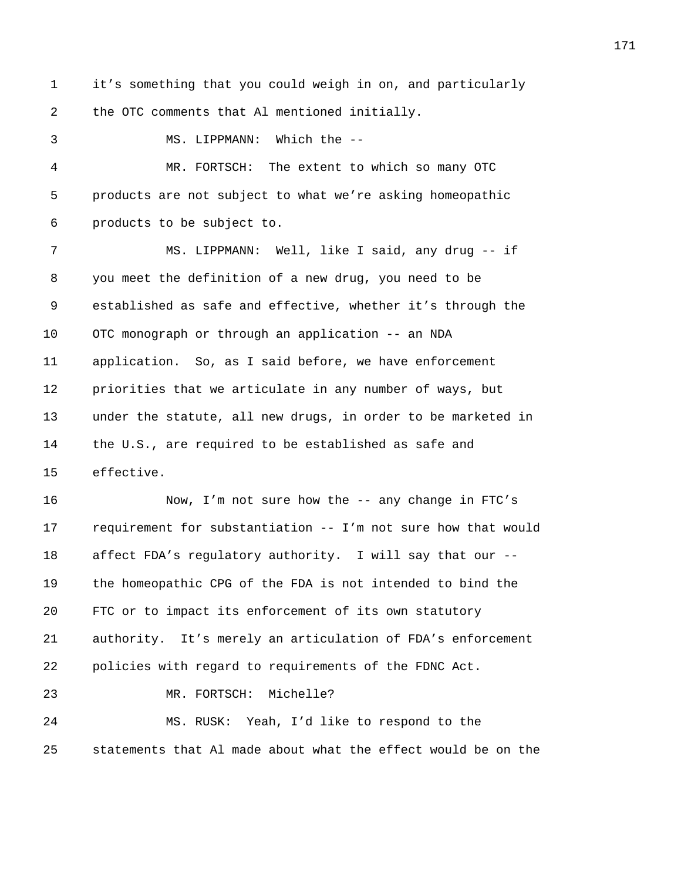1 it's something that you could weigh in on, and particularly 2 the OTC comments that Al mentioned initially.

3 MS. LIPPMANN: Which the --

4 MR. FORTSCH: The extent to which so many OTC 5 products are not subject to what we're asking homeopathic 6 products to be subject to.

7 MS. LIPPMANN: Well, like I said, any drug -- if 8 you meet the definition of a new drug, you need to be 9 established as safe and effective, whether it's through the 10 OTC monograph or through an application -- an NDA 11 application. So, as I said before, we have enforcement 12 priorities that we articulate in any number of ways, but 13 under the statute, all new drugs, in order to be marketed in 14 the U.S., are required to be established as safe and 15 effective.

16 Now, I'm not sure how the -- any change in FTC's 17 requirement for substantiation -- I'm not sure how that would 18 affect FDA's regulatory authority. I will say that our -- 19 the homeopathic CPG of the FDA is not intended to bind the 20 FTC or to impact its enforcement of its own statutory 21 authority. It's merely an articulation of FDA's enforcement 22 policies with regard to requirements of the FDNC Act. 23 MR. FORTSCH: Michelle? 24 MS. RUSK: Yeah, I'd like to respond to the

25 statements that Al made about what the effect would be on the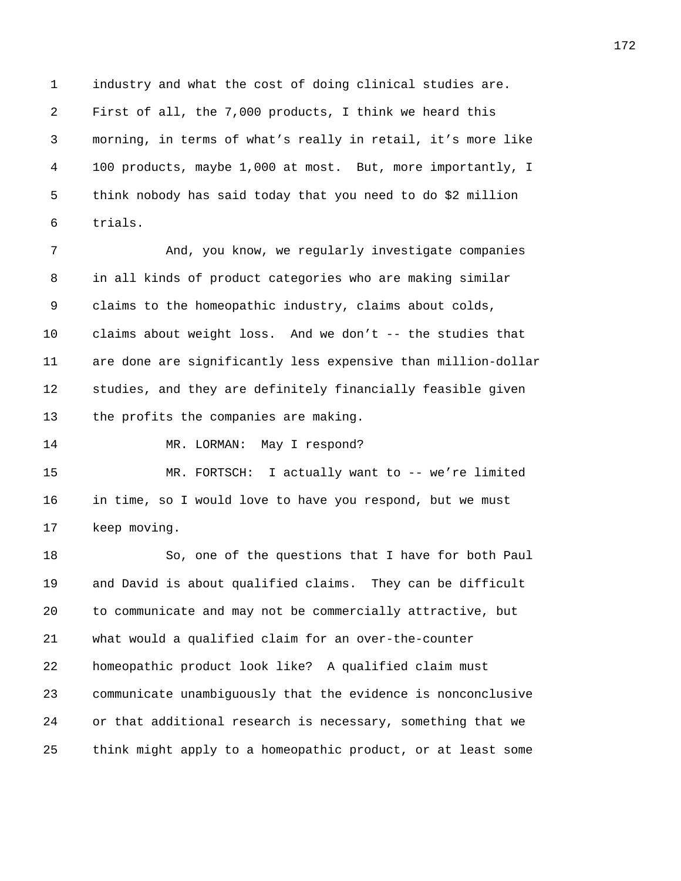1 industry and what the cost of doing clinical studies are. 2 First of all, the 7,000 products, I think we heard this 3 morning, in terms of what's really in retail, it's more like 4 100 products, maybe 1,000 at most. But, more importantly, I 5 think nobody has said today that you need to do \$2 million 6 trials.

7 And, you know, we regularly investigate companies 8 in all kinds of product categories who are making similar 9 claims to the homeopathic industry, claims about colds, 10 claims about weight loss. And we don't -- the studies that 11 are done are significantly less expensive than million-dollar 12 studies, and they are definitely financially feasible given 13 the profits the companies are making.

14 MR. LORMAN: May I respond?

15 MR. FORTSCH: I actually want to -- we're limited 16 in time, so I would love to have you respond, but we must 17 keep moving.

18 So, one of the questions that I have for both Paul 19 and David is about qualified claims. They can be difficult 20 to communicate and may not be commercially attractive, but 21 what would a qualified claim for an over-the-counter 22 homeopathic product look like? A qualified claim must 23 communicate unambiguously that the evidence is nonconclusive 24 or that additional research is necessary, something that we 25 think might apply to a homeopathic product, or at least some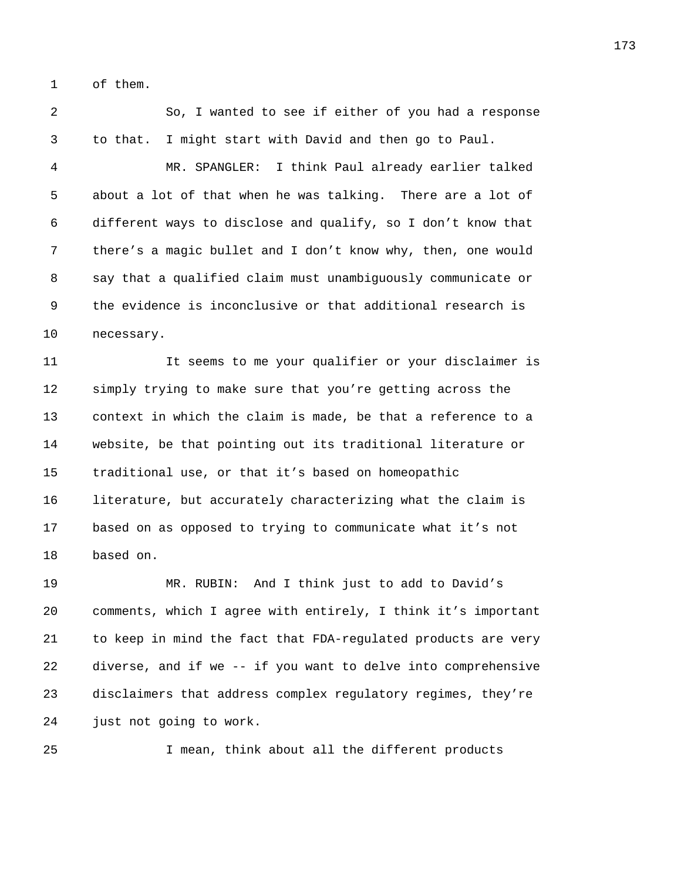1 of them.

2 So, I wanted to see if either of you had a response 3 to that. I might start with David and then go to Paul.

4 MR. SPANGLER: I think Paul already earlier talked 5 about a lot of that when he was talking. There are a lot of 6 different ways to disclose and qualify, so I don't know that 7 there's a magic bullet and I don't know why, then, one would 8 say that a qualified claim must unambiguously communicate or 9 the evidence is inconclusive or that additional research is 10 necessary.

11 It seems to me your qualifier or your disclaimer is 12 simply trying to make sure that you're getting across the 13 context in which the claim is made, be that a reference to a 14 website, be that pointing out its traditional literature or 15 traditional use, or that it's based on homeopathic 16 literature, but accurately characterizing what the claim is 17 based on as opposed to trying to communicate what it's not 18 based on.

19 MR. RUBIN: And I think just to add to David's 20 comments, which I agree with entirely, I think it's important 21 to keep in mind the fact that FDA-regulated products are very 22 diverse, and if we -- if you want to delve into comprehensive 23 disclaimers that address complex regulatory regimes, they're 24 just not going to work.

25 I mean, think about all the different products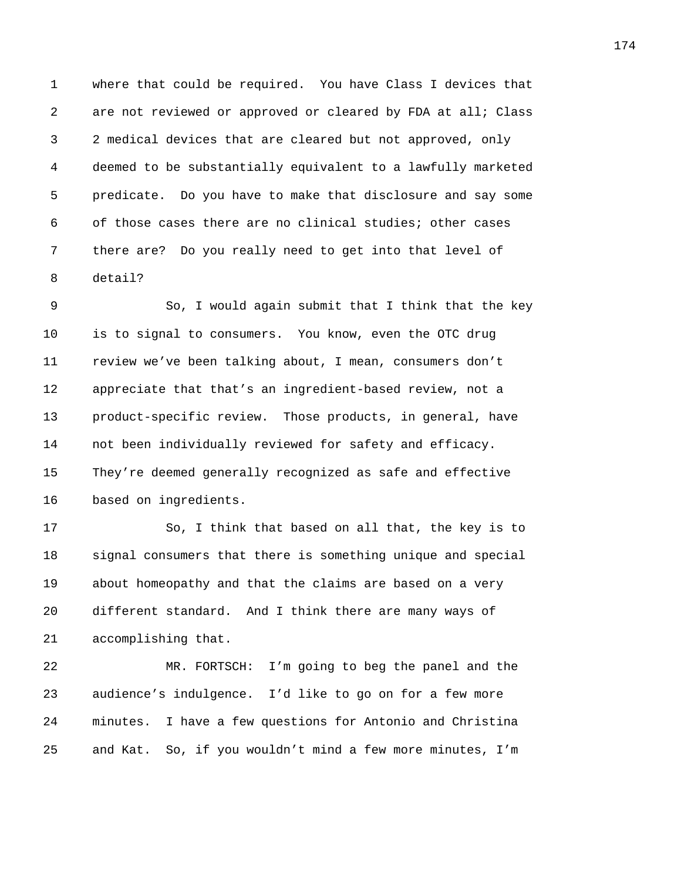1 where that could be required. You have Class I devices that 2 are not reviewed or approved or cleared by FDA at all; Class 3 2 medical devices that are cleared but not approved, only 4 deemed to be substantially equivalent to a lawfully marketed 5 predicate. Do you have to make that disclosure and say some 6 of those cases there are no clinical studies; other cases 7 there are? Do you really need to get into that level of 8 detail?

9 So, I would again submit that I think that the key 10 is to signal to consumers. You know, even the OTC drug 11 review we've been talking about, I mean, consumers don't 12 appreciate that that's an ingredient-based review, not a 13 product-specific review. Those products, in general, have 14 not been individually reviewed for safety and efficacy. 15 They're deemed generally recognized as safe and effective 16 based on ingredients.

17 So, I think that based on all that, the key is to 18 signal consumers that there is something unique and special 19 about homeopathy and that the claims are based on a very 20 different standard. And I think there are many ways of 21 accomplishing that.

22 MR. FORTSCH: I'm going to beg the panel and the 23 audience's indulgence. I'd like to go on for a few more 24 minutes. I have a few questions for Antonio and Christina 25 and Kat. So, if you wouldn't mind a few more minutes, I'm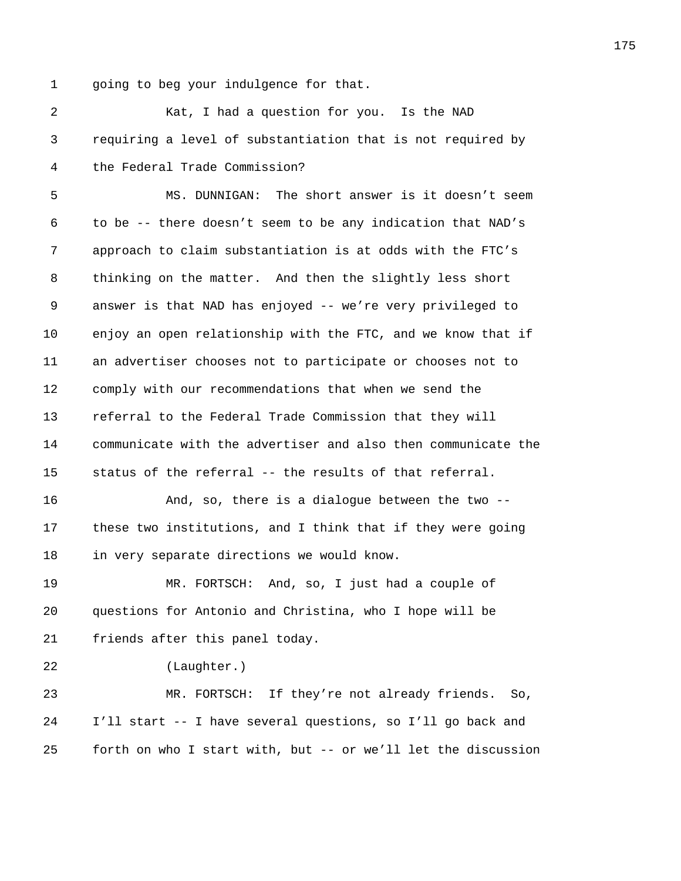1 going to beg your indulgence for that.

2 Kat, I had a question for you. Is the NAD 3 requiring a level of substantiation that is not required by 4 the Federal Trade Commission? 5 MS. DUNNIGAN: The short answer is it doesn't seem 6 to be -- there doesn't seem to be any indication that NAD's 7 approach to claim substantiation is at odds with the FTC's 8 thinking on the matter. And then the slightly less short 9 answer is that NAD has enjoyed -- we're very privileged to 10 enjoy an open relationship with the FTC, and we know that if 11 an advertiser chooses not to participate or chooses not to 12 comply with our recommendations that when we send the 13 referral to the Federal Trade Commission that they will 14 communicate with the advertiser and also then communicate the 15 status of the referral -- the results of that referral. 16 And, so, there is a dialogue between the two -- 17 these two institutions, and I think that if they were going 18 in very separate directions we would know. 19 MR. FORTSCH: And, so, I just had a couple of 20 questions for Antonio and Christina, who I hope will be 21 friends after this panel today. 22 (Laughter.) 23 MR. FORTSCH: If they're not already friends. So, 24 I'll start -- I have several questions, so I'll go back and

25 forth on who I start with, but -- or we'll let the discussion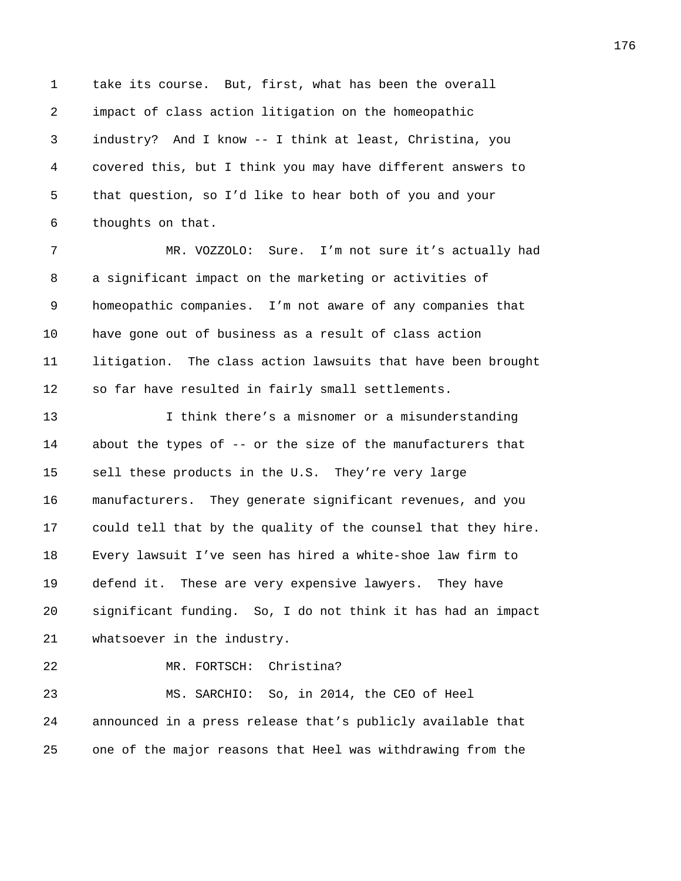1 take its course. But, first, what has been the overall 2 impact of class action litigation on the homeopathic 3 industry? And I know -- I think at least, Christina, you 4 covered this, but I think you may have different answers to 5 that question, so I'd like to hear both of you and your 6 thoughts on that.

7 MR. VOZZOLO: Sure. I'm not sure it's actually had 8 a significant impact on the marketing or activities of 9 homeopathic companies. I'm not aware of any companies that 10 have gone out of business as a result of class action 11 litigation. The class action lawsuits that have been brought 12 so far have resulted in fairly small settlements.

13 I think there's a misnomer or a misunderstanding 14 about the types of -- or the size of the manufacturers that 15 sell these products in the U.S. They're very large 16 manufacturers. They generate significant revenues, and you 17 could tell that by the quality of the counsel that they hire. 18 Every lawsuit I've seen has hired a white-shoe law firm to 19 defend it. These are very expensive lawyers. They have 20 significant funding. So, I do not think it has had an impact 21 whatsoever in the industry.

22 MR. FORTSCH: Christina?

23 MS. SARCHIO: So, in 2014, the CEO of Heel 24 announced in a press release that's publicly available that 25 one of the major reasons that Heel was withdrawing from the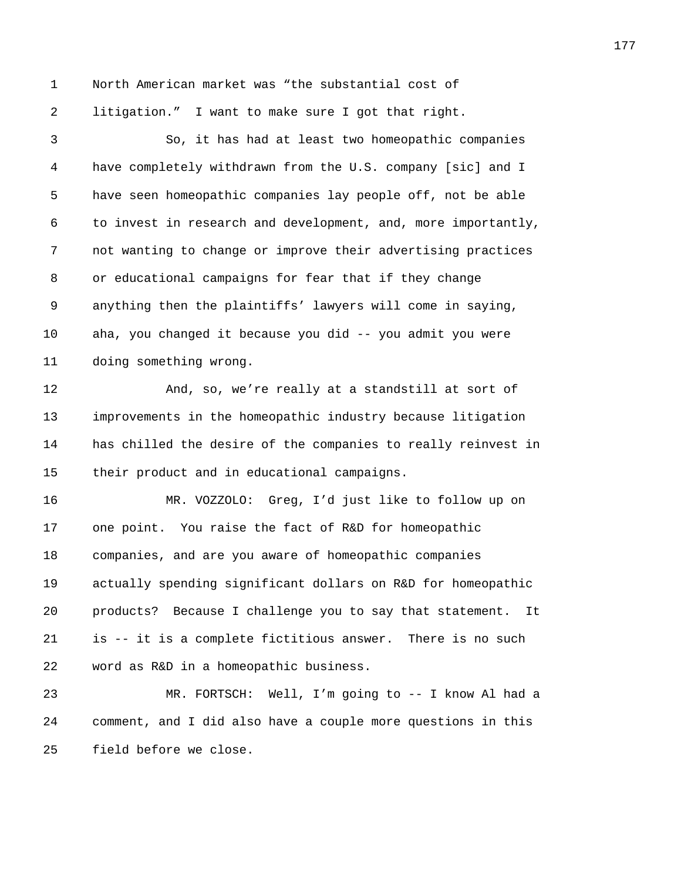1 North American market was "the substantial cost of 2 litigation." I want to make sure I got that right.

3 So, it has had at least two homeopathic companies 4 have completely withdrawn from the U.S. company [sic] and I 5 have seen homeopathic companies lay people off, not be able 6 to invest in research and development, and, more importantly, 7 not wanting to change or improve their advertising practices 8 or educational campaigns for fear that if they change 9 anything then the plaintiffs' lawyers will come in saying, 10 aha, you changed it because you did -- you admit you were 11 doing something wrong. 12 And, so, we're really at a standstill at sort of 13 improvements in the homeopathic industry because litigation 14 has chilled the desire of the companies to really reinvest in 15 their product and in educational campaigns. 16 MR. VOZZOLO: Greg, I'd just like to follow up on 17 one point. You raise the fact of R&D for homeopathic 18 companies, and are you aware of homeopathic companies 19 actually spending significant dollars on R&D for homeopathic 20 products? Because I challenge you to say that statement. It 21 is -- it is a complete fictitious answer. There is no such 22 word as R&D in a homeopathic business.

23 MR. FORTSCH: Well, I'm going to -- I know Al had a 24 comment, and I did also have a couple more questions in this 25 field before we close.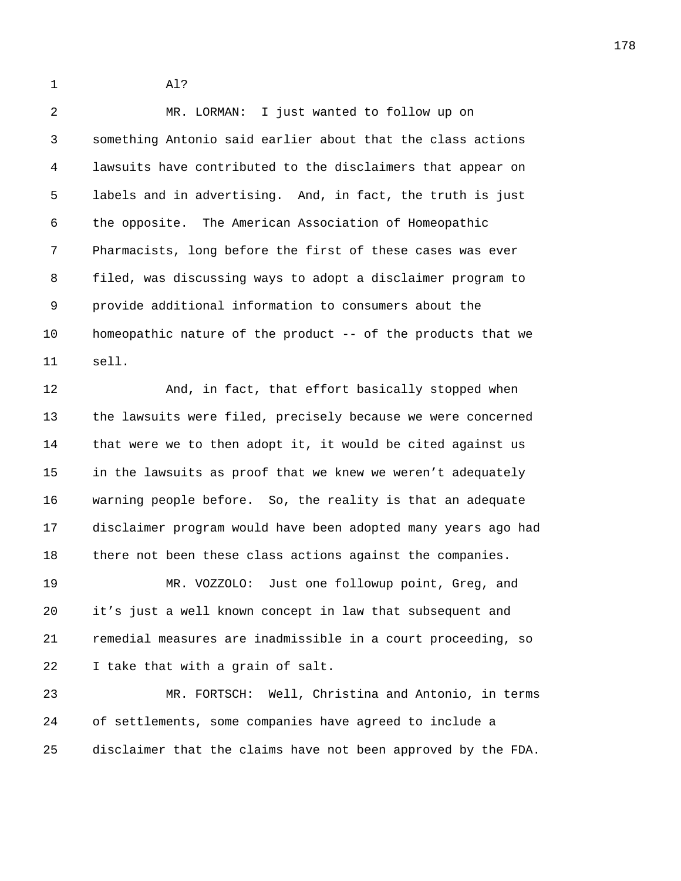1 Al?

2 MR. LORMAN: I just wanted to follow up on 3 something Antonio said earlier about that the class actions 4 lawsuits have contributed to the disclaimers that appear on 5 labels and in advertising. And, in fact, the truth is just 6 the opposite. The American Association of Homeopathic 7 Pharmacists, long before the first of these cases was ever 8 filed, was discussing ways to adopt a disclaimer program to 9 provide additional information to consumers about the 10 homeopathic nature of the product -- of the products that we 11 sell.

12 And, in fact, that effort basically stopped when 13 the lawsuits were filed, precisely because we were concerned 14 that were we to then adopt it, it would be cited against us 15 in the lawsuits as proof that we knew we weren't adequately 16 warning people before. So, the reality is that an adequate 17 disclaimer program would have been adopted many years ago had 18 there not been these class actions against the companies.

19 MR. VOZZOLO: Just one followup point, Greg, and 20 it's just a well known concept in law that subsequent and 21 remedial measures are inadmissible in a court proceeding, so 22 I take that with a grain of salt.

23 MR. FORTSCH: Well, Christina and Antonio, in terms 24 of settlements, some companies have agreed to include a 25 disclaimer that the claims have not been approved by the FDA.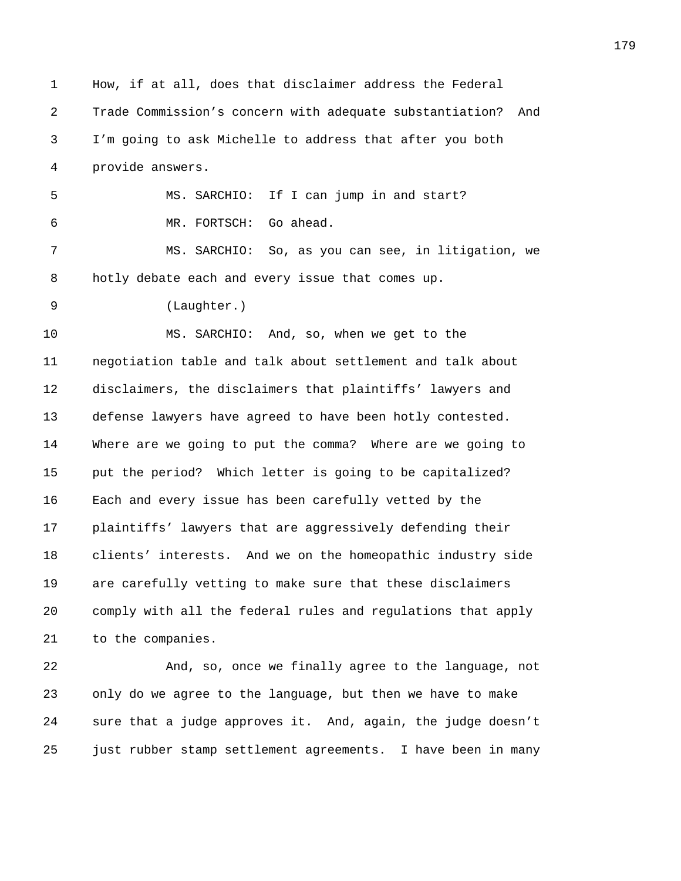1 How, if at all, does that disclaimer address the Federal 2 Trade Commission's concern with adequate substantiation? And 3 I'm going to ask Michelle to address that after you both 4 provide answers. 5 MS. SARCHIO: If I can jump in and start? 6 MR. FORTSCH: Go ahead. 7 MS. SARCHIO: So, as you can see, in litigation, we 8 hotly debate each and every issue that comes up. 9 (Laughter.) 10 MS. SARCHIO: And, so, when we get to the 11 negotiation table and talk about settlement and talk about 12 disclaimers, the disclaimers that plaintiffs' lawyers and 13 defense lawyers have agreed to have been hotly contested. 14 Where are we going to put the comma? Where are we going to 15 put the period? Which letter is going to be capitalized? 16 Each and every issue has been carefully vetted by the 17 plaintiffs' lawyers that are aggressively defending their 18 clients' interests. And we on the homeopathic industry side 19 are carefully vetting to make sure that these disclaimers 20 comply with all the federal rules and regulations that apply 21 to the companies. 22 And, so, once we finally agree to the language, not 23 only do we agree to the language, but then we have to make 24 sure that a judge approves it. And, again, the judge doesn't 25 just rubber stamp settlement agreements. I have been in many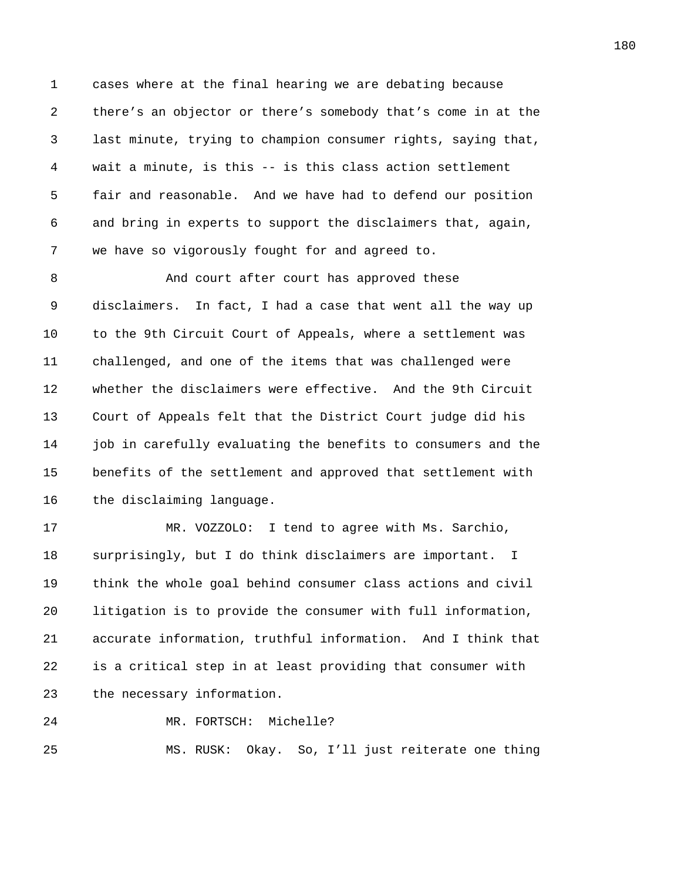1 cases where at the final hearing we are debating because 2 there's an objector or there's somebody that's come in at the 3 last minute, trying to champion consumer rights, saying that, 4 wait a minute, is this -- is this class action settlement 5 fair and reasonable. And we have had to defend our position 6 and bring in experts to support the disclaimers that, again, 7 we have so vigorously fought for and agreed to.

8 And court after court has approved these 9 disclaimers. In fact, I had a case that went all the way up 10 to the 9th Circuit Court of Appeals, where a settlement was 11 challenged, and one of the items that was challenged were 12 whether the disclaimers were effective. And the 9th Circuit 13 Court of Appeals felt that the District Court judge did his 14 job in carefully evaluating the benefits to consumers and the 15 benefits of the settlement and approved that settlement with 16 the disclaiming language.

17 MR. VOZZOLO: I tend to agree with Ms. Sarchio, 18 surprisingly, but I do think disclaimers are important. I 19 think the whole goal behind consumer class actions and civil 20 litigation is to provide the consumer with full information, 21 accurate information, truthful information. And I think that 22 is a critical step in at least providing that consumer with 23 the necessary information.

24 MR. FORTSCH: Michelle?

25 MS. RUSK: Okay. So, I'll just reiterate one thing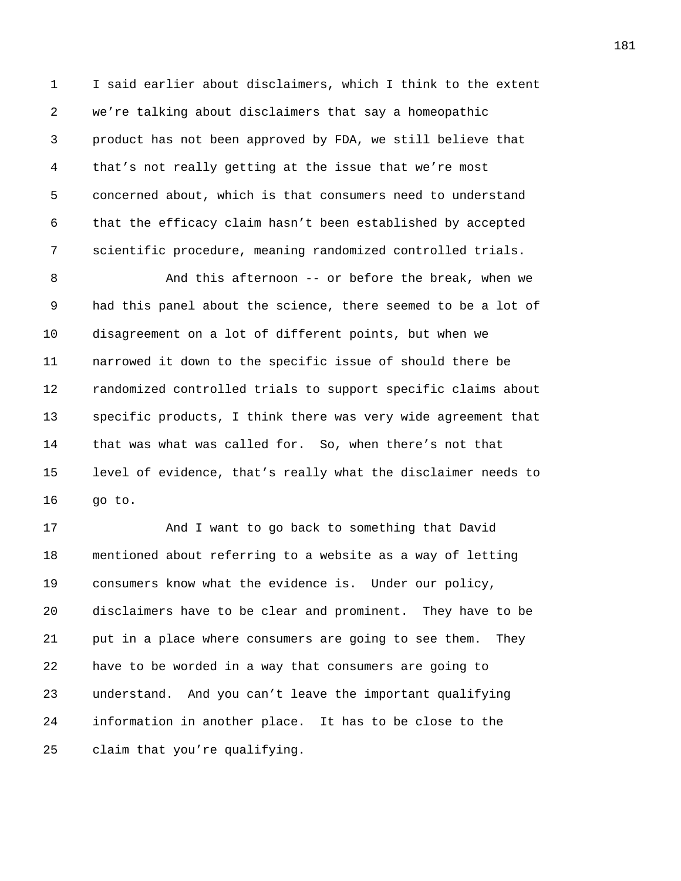1 I said earlier about disclaimers, which I think to the extent 2 we're talking about disclaimers that say a homeopathic 3 product has not been approved by FDA, we still believe that 4 that's not really getting at the issue that we're most 5 concerned about, which is that consumers need to understand 6 that the efficacy claim hasn't been established by accepted 7 scientific procedure, meaning randomized controlled trials.

8 And this afternoon -- or before the break, when we 9 had this panel about the science, there seemed to be a lot of 10 disagreement on a lot of different points, but when we 11 narrowed it down to the specific issue of should there be 12 randomized controlled trials to support specific claims about 13 specific products, I think there was very wide agreement that 14 that was what was called for. So, when there's not that 15 level of evidence, that's really what the disclaimer needs to 16 go to.

17 And I want to go back to something that David 18 mentioned about referring to a website as a way of letting 19 consumers know what the evidence is. Under our policy, 20 disclaimers have to be clear and prominent. They have to be 21 put in a place where consumers are going to see them. They 22 have to be worded in a way that consumers are going to 23 understand. And you can't leave the important qualifying 24 information in another place. It has to be close to the 25 claim that you're qualifying.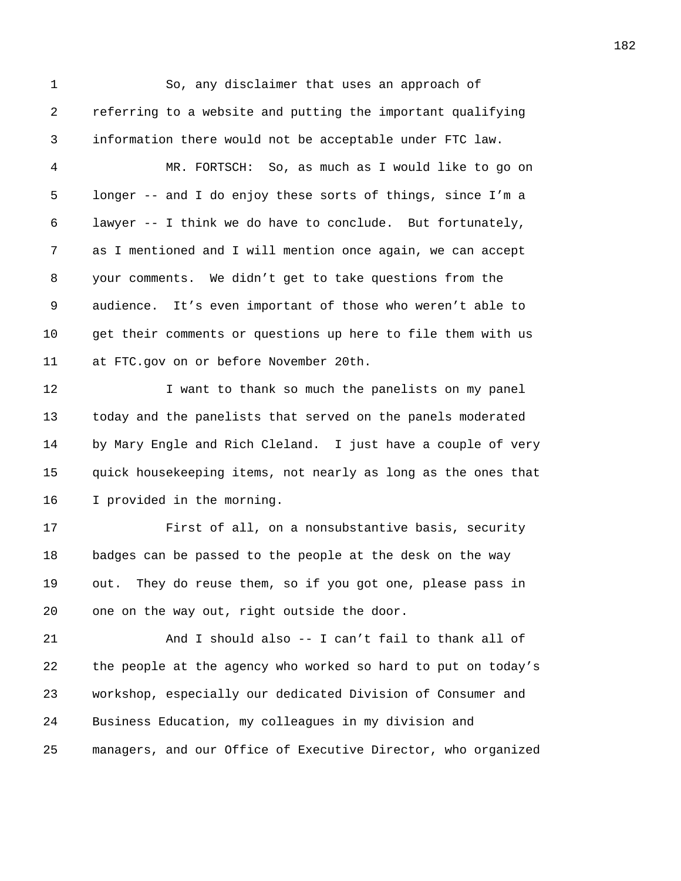1 So, any disclaimer that uses an approach of 2 referring to a website and putting the important qualifying 3 information there would not be acceptable under FTC law. 4 MR. FORTSCH: So, as much as I would like to go on 5 longer -- and I do enjoy these sorts of things, since I'm a 6 lawyer -- I think we do have to conclude. But fortunately, 7 as I mentioned and I will mention once again, we can accept 8 your comments. We didn't get to take questions from the 9 audience. It's even important of those who weren't able to 10 get their comments or questions up here to file them with us 11 at FTC.gov on or before November 20th. 12 I want to thank so much the panelists on my panel 13 today and the panelists that served on the panels moderated 14 by Mary Engle and Rich Cleland. I just have a couple of very 15 quick housekeeping items, not nearly as long as the ones that 16 I provided in the morning. 17 First of all, on a nonsubstantive basis, security 18 badges can be passed to the people at the desk on the way 19 out. They do reuse them, so if you got one, please pass in 20 one on the way out, right outside the door. 21 And I should also -- I can't fail to thank all of 22 the people at the agency who worked so hard to put on today's 23 workshop, especially our dedicated Division of Consumer and 24 Business Education, my colleagues in my division and 25 managers, and our Office of Executive Director, who organized 182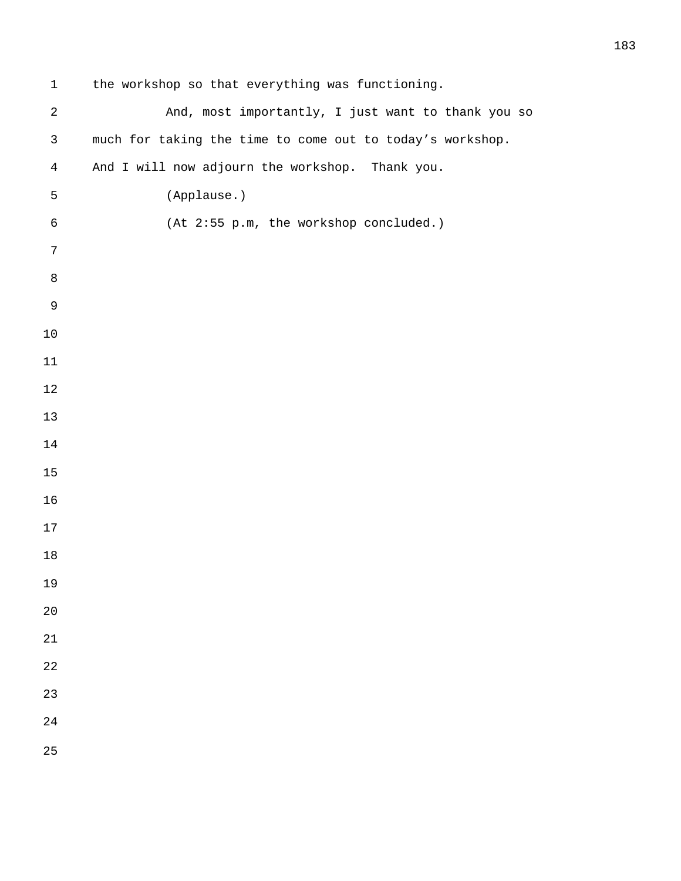| 1              | the workshop so that everything was functioning.          |
|----------------|-----------------------------------------------------------|
| $\sqrt{2}$     | And, most importantly, I just want to thank you so        |
| $\mathfrak{Z}$ | much for taking the time to come out to today's workshop. |
| $\overline{4}$ | And I will now adjourn the workshop. Thank you.           |
| 5              | (Applause.)                                               |
| $\epsilon$     | (At 2:55 p.m, the workshop concluded.)                    |
| 7              |                                                           |
| $\,8\,$        |                                                           |
| $\mathsf 9$    |                                                           |
| $10$           |                                                           |
| 11             |                                                           |
| $1\,2$         |                                                           |
| 13             |                                                           |
| 14             |                                                           |
| 15             |                                                           |
| 16             |                                                           |
| 17             |                                                           |
| 18             |                                                           |
| 19             |                                                           |
| 20             |                                                           |
| 21             |                                                           |
| 22             |                                                           |
| 23             |                                                           |
| 24             |                                                           |
| 25             |                                                           |